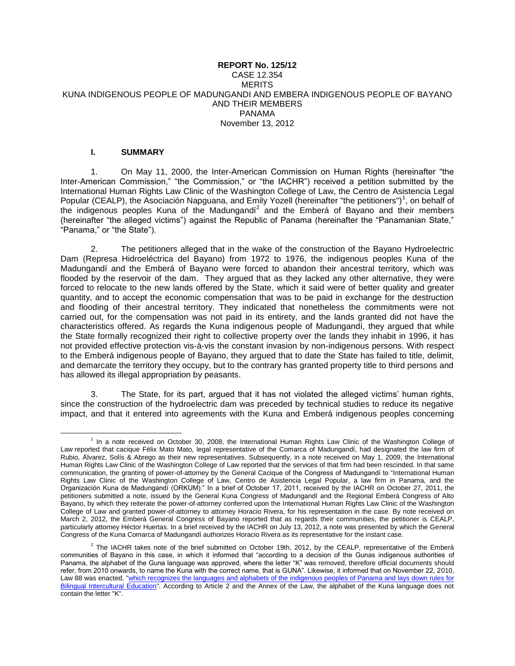### **REPORT No. 125/12** CASE 12.354 **MERITS** KUNA INDIGENOUS PEOPLE OF MADUNGANDI AND EMBERA INDIGENOUS PEOPLE OF BAYANO AND THEIR MEMBERS PANAMA November 13, 2012

### **I. SUMMARY**

1. On May 11, 2000, the Inter-American Commission on Human Rights (hereinafter "the Inter-American Commission," "the Commission," or "the IACHR") received a petition submitted by the International Human Rights Law Clinic of the Washington College of Law, the Centro de Asistencia Legal Popular (CEALP), the Asociación Napguana, and Emily Yozell (hereinafter "the petitioners")<sup>1</sup>, on behalf of the indigenous peoples Kuna of the Madungandí<sup>2</sup> and the Emberá of Bayano and their members (hereinafter "the alleged victims") against the Republic of Panama (hereinafter the "Panamanian State," "Panama," or "the State").

2. The petitioners alleged that in the wake of the construction of the Bayano Hydroelectric Dam (Represa Hidroeléctrica del Bayano) from 1972 to 1976, the indigenous peoples Kuna of the Madungandí and the Emberá of Bayano were forced to abandon their ancestral territory, which was flooded by the reservoir of the dam. They argued that as they lacked any other alternative, they were forced to relocate to the new lands offered by the State, which it said were of better quality and greater quantity, and to accept the economic compensation that was to be paid in exchange for the destruction and flooding of their ancestral territory. They indicated that nonetheless the commitments were not carried out, for the compensation was not paid in its entirety, and the lands granted did not have the characteristics offered. As regards the Kuna indigenous people of Madungandí, they argued that while the State formally recognized their right to collective property over the lands they inhabit in 1996, it has not provided effective protection vis-à-vis the constant invasion by non-indigenous persons. With respect to the Emberá indigenous people of Bayano, they argued that to date the State has failed to title, delimit, and demarcate the territory they occupy, but to the contrary has granted property title to third persons and has allowed its illegal appropriation by peasants.

3. The State, for its part, argued that it has not violated the alleged victims' human rights, since the construction of the hydroelectric dam was preceded by technical studies to reduce its negative impact, and that it entered into agreements with the Kuna and Emberá indigenous peoples concerning

 $\overline{a}$ <sup>1</sup> In a note received on October 30, 2008, the International Human Rights Law Clinic of the Washington College of Law reported that cacique Félix Mato Mato, legal representative of the Comarca of Madungandí, had designated the law firm of Rubio, Álvarez, Solís & Abrego as their new representatives. Subsequently, in a note received on May 1, 2009, the International Human Rights Law Clinic of the Washington College of Law reported that the services of that firm had been rescinded. In that same communication, the granting of power-of-attorney by the General Cacique of the Congress of Madungandí to "International Human Rights Law Clinic of the Washington College of Law, Centro de Asistencia Legal Popular, a law firm in Panama, and the Organización Kuna de Madungandí (ORKUM)." In a brief of October 17, 2011, received by the IACHR on October 27, 2011, the petitioners submitted a note, issued by the General Kuna Congress of Madungandí and the Regional Emberá Congress of Alto Bayano, by which they reiterate the power-of-attorney conferred upon the International Human Rights Law Clinic of the Washington College of Law and granted power-of-attorney to attorney Horacio Rivera, for his representation in the case. By note received on March 2, 2012, the Emberá General Congress of Bayano reported that as regards their communities, the petitioner is CEALP, particularly attorney Héctor Huertas. In a brief received by the IACHR on July 13, 2012, a note was presented by which the General Congress of the Kuna Comarca of Madungandí authorizes Horacio Rivera as its representative for the instant case.

 $^2$  The IACHR takes note of the brief submitted on October 19th, 2012, by the CEALP, representative of the Emberá communities of Bayano in this case, in which it informed that "according to a decision of the Gunas indigenous authorities of Panama, the alphabet of the Guna language was approved, where the letter "K" was removed, therefore official documents should refer, from 2010 onwards, to name the Kuna with the correct name, that is GUNA". Likewise, it informed that on November 22, 2010, Law 88 was enacted, "which recognizes the languages and alphabets of the indigenous peoples of Panama and lays down rules for [Bilingual Intercultural Education"](http://www.asamblea.gob.pa/APPS/LEGISPAN/PDF_NORMAS/2010/2010/2010_578_1413.PDF). According to Article 2 and the Annex of the Law, the alphabet of the Kuna language does not contain the letter "K".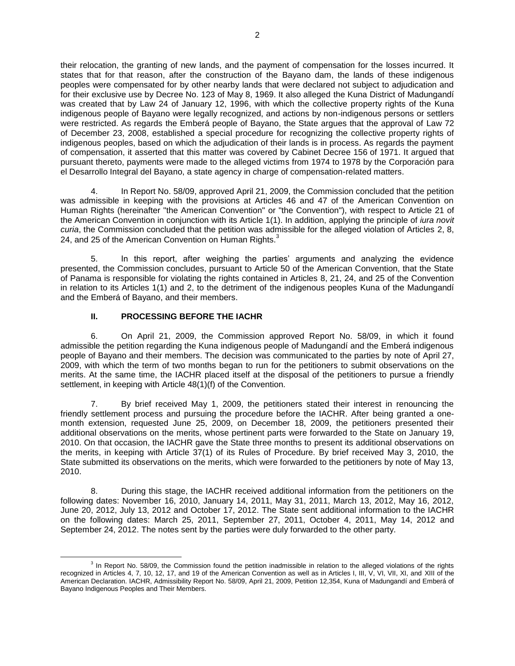their relocation, the granting of new lands, and the payment of compensation for the losses incurred. It states that for that reason, after the construction of the Bayano dam, the lands of these indigenous peoples were compensated for by other nearby lands that were declared not subject to adjudication and for their exclusive use by Decree No. 123 of May 8, 1969. It also alleged the Kuna District of Madungandí was created that by Law 24 of January 12, 1996, with which the collective property rights of the Kuna indigenous people of Bayano were legally recognized, and actions by non-indigenous persons or settlers were restricted. As regards the Emberá people of Bayano, the State argues that the approval of Law 72 of December 23, 2008, established a special procedure for recognizing the collective property rights of indigenous peoples, based on which the adjudication of their lands is in process. As regards the payment of compensation, it asserted that this matter was covered by Cabinet Decree 156 of 1971. It argued that pursuant thereto, payments were made to the alleged victims from 1974 to 1978 by the Corporación para el Desarrollo Integral del Bayano, a state agency in charge of compensation-related matters.

4. In Report No. 58/09, approved April 21, 2009, the Commission concluded that the petition was admissible in keeping with the provisions at Articles 46 and 47 of the American Convention on Human Rights (hereinafter "the American Convention" or "the Convention"), with respect to Article 21 of the American Convention in conjunction with its Article 1(1). In addition, applying the principle of *iura novit curia*, the Commission concluded that the petition was admissible for the alleged violation of Articles 2, 8, 24, and 25 of the American Convention on Human Rights.<sup>3</sup>

5. In this report, after weighing the parties' arguments and analyzing the evidence presented, the Commission concludes, pursuant to Article 50 of the American Convention, that the State of Panama is responsible for violating the rights contained in Articles 8, 21, 24, and 25 of the Convention in relation to its Articles 1(1) and 2, to the detriment of the indigenous peoples Kuna of the Madungandí and the Emberá of Bayano, and their members.

# **II. PROCESSING BEFORE THE IACHR**

6. On April 21, 2009, the Commission approved Report No. 58/09, in which it found admissible the petition regarding the Kuna indigenous people of Madungandí and the Emberá indigenous people of Bayano and their members. The decision was communicated to the parties by note of April 27, 2009, with which the term of two months began to run for the petitioners to submit observations on the merits. At the same time, the IACHR placed itself at the disposal of the petitioners to pursue a friendly settlement, in keeping with Article 48(1)(f) of the Convention.

7. By brief received May 1, 2009, the petitioners stated their interest in renouncing the friendly settlement process and pursuing the procedure before the IACHR. After being granted a onemonth extension, requested June 25, 2009, on December 18, 2009, the petitioners presented their additional observations on the merits, whose pertinent parts were forwarded to the State on January 19, 2010. On that occasion, the IACHR gave the State three months to present its additional observations on the merits, in keeping with Article 37(1) of its Rules of Procedure. By brief received May 3, 2010, the State submitted its observations on the merits, which were forwarded to the petitioners by note of May 13, 2010.

8. During this stage, the IACHR received additional information from the petitioners on the following dates: November 16, 2010, January 14, 2011, May 31, 2011, March 13, 2012, May 16, 2012, June 20, 2012, July 13, 2012 and October 17, 2012. The State sent additional information to the IACHR on the following dates: March 25, 2011, September 27, 2011, October 4, 2011, May 14, 2012 and September 24, 2012. The notes sent by the parties were duly forwarded to the other party.

 $\overline{a}$ <sup>3</sup> In Report No. 58/09, the Commission found the petition inadmissible in relation to the alleged violations of the rights recognized in Articles 4, 7, 10, 12, 17, and 19 of the American Convention as well as in Articles I, III, V, VI, VII, XI, and XIII of the American Declaration. IACHR, Admissibility Report No. 58/09, April 21, 2009, Petition 12,354, Kuna of Madungandí and Emberá of Bayano Indigenous Peoples and Their Members.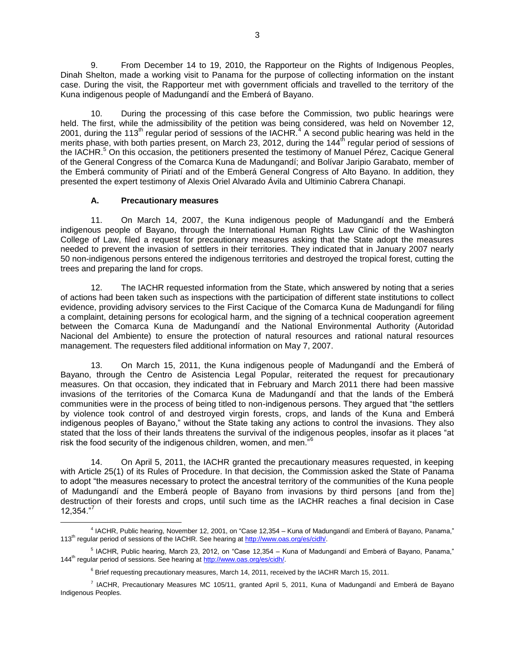9. From December 14 to 19, 2010, the Rapporteur on the Rights of Indigenous Peoples, Dinah Shelton, made a working visit to Panama for the purpose of collecting information on the instant case. During the visit, the Rapporteur met with government officials and travelled to the territory of the Kuna indigenous people of Madungandí and the Emberá of Bayano.

10. During the processing of this case before the Commission, two public hearings were held. The first, while the admissibility of the petition was being considered, was held on November 12, 2001, during the 113<sup>th</sup> regular period of sessions of the IACHR.<sup>4</sup> A second public hearing was held in the merits phase, with both parties present, on March 23, 2012, during the 144<sup>th</sup> regular period of sessions of the IACHR.<sup>5</sup> On this occasion, the petitioners presented the testimony of Manuel Pérez, Cacique General of the General Congress of the Comarca Kuna de Madungandí; and Bolívar Jaripio Garabato, member of the Emberá community of Piriatí and of the Emberá General Congress of Alto Bayano. In addition, they presented the expert testimony of Alexis Oriel Alvarado Ávila and Ultiminio Cabrera Chanapi.

# **A. Precautionary measures**

11. On March 14, 2007, the Kuna indigenous people of Madungandí and the Emberá indigenous people of Bayano, through the International Human Rights Law Clinic of the Washington College of Law, filed a request for precautionary measures asking that the State adopt the measures needed to prevent the invasion of settlers in their territories. They indicated that in January 2007 nearly 50 non-indigenous persons entered the indigenous territories and destroyed the tropical forest, cutting the trees and preparing the land for crops.

12. The IACHR requested information from the State, which answered by noting that a series of actions had been taken such as inspections with the participation of different state institutions to collect evidence, providing advisory services to the First Cacique of the Comarca Kuna de Madungandí for filing a complaint, detaining persons for ecological harm, and the signing of a technical cooperation agreement between the Comarca Kuna de Madungandí and the National Environmental Authority (Autoridad Nacional del Ambiente) to ensure the protection of natural resources and rational natural resources management. The requesters filed additional information on May 7, 2007.

13. On March 15, 2011, the Kuna indigenous people of Madungandí and the Emberá of Bayano, through the Centro de Asistencia Legal Popular, reiterated the request for precautionary measures. On that occasion, they indicated that in February and March 2011 there had been massive invasions of the territories of the Comarca Kuna de Madungandí and that the lands of the Emberá communities were in the process of being titled to non-indigenous persons. They argued that "the settlers by violence took control of and destroyed virgin forests, crops, and lands of the Kuna and Emberá indigenous peoples of Bayano," without the State taking any actions to control the invasions. They also stated that the loss of their lands threatens the survival of the indigenous peoples, insofar as it places "at risk the food security of the indigenous children, women, and men."<sup>6</sup>

14. On April 5, 2011, the IACHR granted the precautionary measures requested, in keeping with Article 25(1) of its Rules of Procedure. In that decision, the Commission asked the State of Panama to adopt "the measures necessary to protect the ancestral territory of the communities of the Kuna people of Madungandí and the Emberá people of Bayano from invasions by third persons [and from the] destruction of their forests and crops, until such time as the IACHR reaches a final decision in Case 12,354."<sup>7</sup>

 $\overline{a}$ 4 IACHR, Public hearing, November 12, 2001, on "Case 12,354 – Kuna of Madungandí and Emberá of Bayano, Panama," 113th regular period of sessions of the IACHR. See hearing a[t http://www.oas.org/es/cidh/.](http://www.oas.org/es/cidh/)

<sup>&</sup>lt;sup>5</sup> IACHR, Public hearing, March 23, 2012, on "Case 12,354 – Kuna of Madungandí and Emberá of Bayano, Panama," 144<sup>th</sup> regular period of sessions. See hearing at [http://www.oas.org/es/cidh/.](http://www.oas.org/es/cidh/)

 $6$  Brief requesting precautionary measures, March 14, 2011, received by the IACHR March 15, 2011.

<sup>7</sup> IACHR, Precautionary Measures MC 105/11, granted April 5, 2011, Kuna of Madungandí and Emberá de Bayano Indigenous Peoples.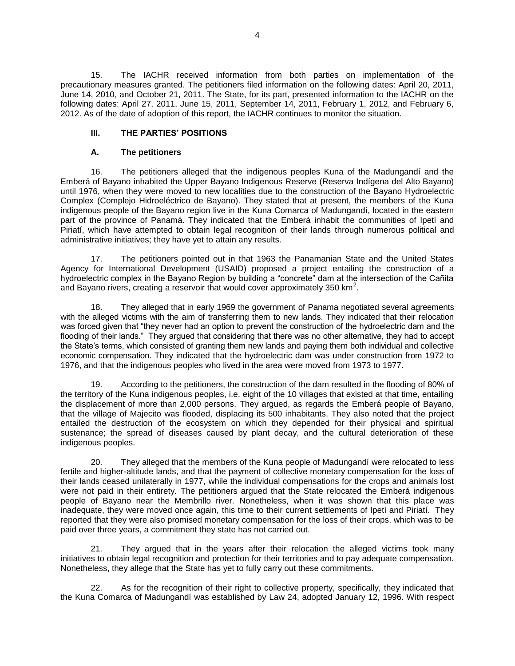15. The IACHR received information from both parties on implementation of the precautionary measures granted. The petitioners filed information on the following dates: April 20, 2011, June 14, 2010, and October 21, 2011. The State, for its part, presented information to the IACHR on the following dates: April 27, 2011, June 15, 2011, September 14, 2011, February 1, 2012, and February 6, 2012. As of the date of adoption of this report, the IACHR continues to monitor the situation.

# **III. THE PARTIES' POSITIONS**

# **A. The petitioners**

16. The petitioners alleged that the indigenous peoples Kuna of the Madungandí and the Emberá of Bayano inhabited the Upper Bayano Indigenous Reserve (Reserva Indígena del Alto Bayano) until 1976, when they were moved to new localities due to the construction of the Bayano Hydroelectric Complex (Complejo Hidroeléctrico de Bayano). They stated that at present, the members of the Kuna indigenous people of the Bayano region live in the Kuna Comarca of Madungandí, located in the eastern part of the province of Panamá. They indicated that the Emberá inhabit the communities of Ipetí and Piriatí, which have attempted to obtain legal recognition of their lands through numerous political and administrative initiatives; they have yet to attain any results.

17. The petitioners pointed out in that 1963 the Panamanian State and the United States Agency for International Development (USAID) proposed a project entailing the construction of a hydroelectric complex in the Bayano Region by building a "concrete" dam at the intersection of the Cañita and Bayano rivers, creating a reservoir that would cover approximately 350 km<sup>2</sup>.

18. They alleged that in early 1969 the government of Panama negotiated several agreements with the alleged victims with the aim of transferring them to new lands. They indicated that their relocation was forced given that "they never had an option to prevent the construction of the hydroelectric dam and the flooding of their lands." They argued that considering that there was no other alternative, they had to accept the State's terms, which consisted of granting them new lands and paying them both individual and collective economic compensation. They indicated that the hydroelectric dam was under construction from 1972 to 1976, and that the indigenous peoples who lived in the area were moved from 1973 to 1977.

19. According to the petitioners, the construction of the dam resulted in the flooding of 80% of the territory of the Kuna indigenous peoples, i.e. eight of the 10 villages that existed at that time, entailing the displacement of more than 2,000 persons. They argued, as regards the Emberá people of Bayano, that the village of Majecito was flooded, displacing its 500 inhabitants. They also noted that the project entailed the destruction of the ecosystem on which they depended for their physical and spiritual sustenance; the spread of diseases caused by plant decay, and the cultural deterioration of these indigenous peoples.

20. They alleged that the members of the Kuna people of Madungandí were relocated to less fertile and higher-altitude lands, and that the payment of collective monetary compensation for the loss of their lands ceased unilaterally in 1977, while the individual compensations for the crops and animals lost were not paid in their entirety. The petitioners argued that the State relocated the Emberá indigenous people of Bayano near the Membrillo river. Nonetheless, when it was shown that this place was inadequate, they were moved once again, this time to their current settlements of Ipetí and Piriatí. They reported that they were also promised monetary compensation for the loss of their crops, which was to be paid over three years, a commitment they state has not carried out.

21. They argued that in the years after their relocation the alleged victims took many initiatives to obtain legal recognition and protection for their territories and to pay adequate compensation. Nonetheless, they allege that the State has yet to fully carry out these commitments.

22. As for the recognition of their right to collective property, specifically, they indicated that the Kuna Comarca of Madungandí was established by Law 24, adopted January 12, 1996. With respect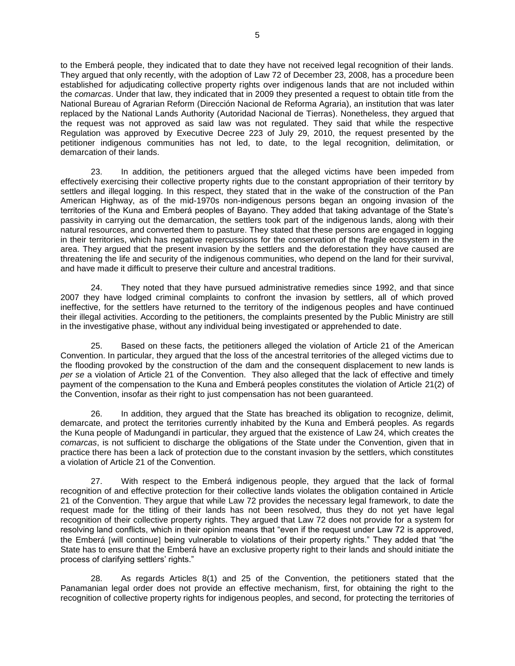to the Emberá people, they indicated that to date they have not received legal recognition of their lands. They argued that only recently, with the adoption of Law 72 of December 23, 2008, has a procedure been established for adjudicating collective property rights over indigenous lands that are not included within the *comarcas*. Under that law, they indicated that in 2009 they presented a request to obtain title from the National Bureau of Agrarian Reform (Dirección Nacional de Reforma Agraria), an institution that was later replaced by the National Lands Authority (Autoridad Nacional de Tierras). Nonetheless, they argued that the request was not approved as said law was not regulated. They said that while the respective Regulation was approved by Executive Decree 223 of July 29, 2010, the request presented by the petitioner indigenous communities has not led, to date, to the legal recognition, delimitation, or demarcation of their lands.

23. In addition, the petitioners argued that the alleged victims have been impeded from effectively exercising their collective property rights due to the constant appropriation of their territory by settlers and illegal logging. In this respect, they stated that in the wake of the construction of the Pan American Highway, as of the mid-1970s non-indigenous persons began an ongoing invasion of the territories of the Kuna and Emberá peoples of Bayano. They added that taking advantage of the State's passivity in carrying out the demarcation, the settlers took part of the indigenous lands, along with their natural resources, and converted them to pasture. They stated that these persons are engaged in logging in their territories, which has negative repercussions for the conservation of the fragile ecosystem in the area. They argued that the present invasion by the settlers and the deforestation they have caused are threatening the life and security of the indigenous communities, who depend on the land for their survival, and have made it difficult to preserve their culture and ancestral traditions.

24. They noted that they have pursued administrative remedies since 1992, and that since 2007 they have lodged criminal complaints to confront the invasion by settlers, all of which proved ineffective, for the settlers have returned to the territory of the indigenous peoples and have continued their illegal activities. According to the petitioners, the complaints presented by the Public Ministry are still in the investigative phase, without any individual being investigated or apprehended to date.

25. Based on these facts, the petitioners alleged the violation of Article 21 of the American Convention. In particular, they argued that the loss of the ancestral territories of the alleged victims due to the flooding provoked by the construction of the dam and the consequent displacement to new lands is *per se* a violation of Article 21 of the Convention. They also alleged that the lack of effective and timely payment of the compensation to the Kuna and Emberá peoples constitutes the violation of Article 21(2) of the Convention, insofar as their right to just compensation has not been guaranteed.

26. In addition, they argued that the State has breached its obligation to recognize, delimit, demarcate, and protect the territories currently inhabited by the Kuna and Emberá peoples. As regards the Kuna people of Madungandí in particular, they argued that the existence of Law 24, which creates the *comarcas*, is not sufficient to discharge the obligations of the State under the Convention, given that in practice there has been a lack of protection due to the constant invasion by the settlers, which constitutes a violation of Article 21 of the Convention.

27. With respect to the Emberá indigenous people, they argued that the lack of formal recognition of and effective protection for their collective lands violates the obligation contained in Article 21 of the Convention. They argue that while Law 72 provides the necessary legal framework, to date the request made for the titling of their lands has not been resolved, thus they do not yet have legal recognition of their collective property rights. They argued that Law 72 does not provide for a system for resolving land conflicts, which in their opinion means that "even if the request under Law 72 is approved, the Emberá [will continue] being vulnerable to violations of their property rights." They added that "the State has to ensure that the Emberá have an exclusive property right to their lands and should initiate the process of clarifying settlers' rights."

28. As regards Articles 8(1) and 25 of the Convention, the petitioners stated that the Panamanian legal order does not provide an effective mechanism, first, for obtaining the right to the recognition of collective property rights for indigenous peoples, and second, for protecting the territories of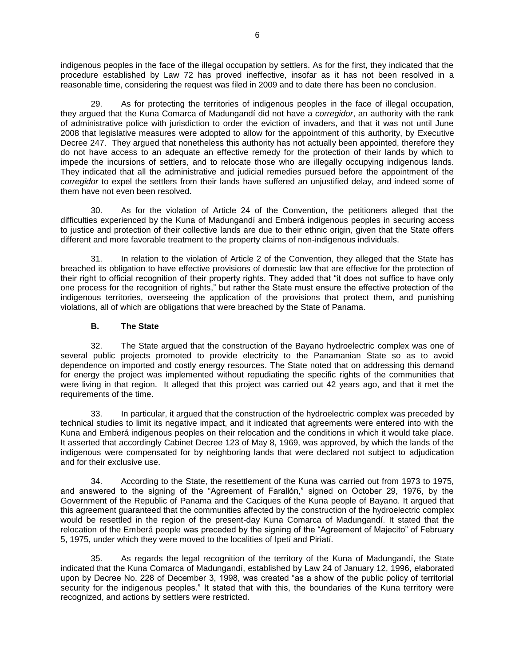indigenous peoples in the face of the illegal occupation by settlers. As for the first, they indicated that the procedure established by Law 72 has proved ineffective, insofar as it has not been resolved in a reasonable time, considering the request was filed in 2009 and to date there has been no conclusion.

As for protecting the territories of indigenous peoples in the face of illegal occupation, they argued that the Kuna Comarca of Madungandí did not have a *corregidor*, an authority with the rank of administrative police with jurisdiction to order the eviction of invaders, and that it was not until June 2008 that legislative measures were adopted to allow for the appointment of this authority, by Executive Decree 247. They argued that nonetheless this authority has not actually been appointed, therefore they do not have access to an adequate an effective remedy for the protection of their lands by which to impede the incursions of settlers, and to relocate those who are illegally occupying indigenous lands. They indicated that all the administrative and judicial remedies pursued before the appointment of the *corregidor* to expel the settlers from their lands have suffered an unjustified delay, and indeed some of them have not even been resolved.

30. As for the violation of Article 24 of the Convention, the petitioners alleged that the difficulties experienced by the Kuna of Madungandí and Emberá indigenous peoples in securing access to justice and protection of their collective lands are due to their ethnic origin, given that the State offers different and more favorable treatment to the property claims of non-indigenous individuals.

31. In relation to the violation of Article 2 of the Convention, they alleged that the State has breached its obligation to have effective provisions of domestic law that are effective for the protection of their right to official recognition of their property rights. They added that "it does not suffice to have only one process for the recognition of rights," but rather the State must ensure the effective protection of the indigenous territories, overseeing the application of the provisions that protect them, and punishing violations, all of which are obligations that were breached by the State of Panama.

# **B. The State**

32. The State argued that the construction of the Bayano hydroelectric complex was one of several public projects promoted to provide electricity to the Panamanian State so as to avoid dependence on imported and costly energy resources. The State noted that on addressing this demand for energy the project was implemented without repudiating the specific rights of the communities that were living in that region. It alleged that this project was carried out 42 years ago, and that it met the requirements of the time.

33. In particular, it argued that the construction of the hydroelectric complex was preceded by technical studies to limit its negative impact, and it indicated that agreements were entered into with the Kuna and Emberá indigenous peoples on their relocation and the conditions in which it would take place. It asserted that accordingly Cabinet Decree 123 of May 8, 1969, was approved, by which the lands of the indigenous were compensated for by neighboring lands that were declared not subject to adjudication and for their exclusive use.

34. According to the State, the resettlement of the Kuna was carried out from 1973 to 1975, and answered to the signing of the "Agreement of Farallón," signed on October 29, 1976, by the Government of the Republic of Panama and the Caciques of the Kuna people of Bayano. It argued that this agreement guaranteed that the communities affected by the construction of the hydroelectric complex would be resettled in the region of the present-day Kuna Comarca of Madungandí. It stated that the relocation of the Emberá people was preceded by the signing of the "Agreement of Majecito" of February 5, 1975, under which they were moved to the localities of Ipetí and Piriatí.

35. As regards the legal recognition of the territory of the Kuna of Madungandí, the State indicated that the Kuna Comarca of Madungandí, established by Law 24 of January 12, 1996, elaborated upon by Decree No. 228 of December 3, 1998, was created "as a show of the public policy of territorial security for the indigenous peoples." It stated that with this, the boundaries of the Kuna territory were recognized, and actions by settlers were restricted.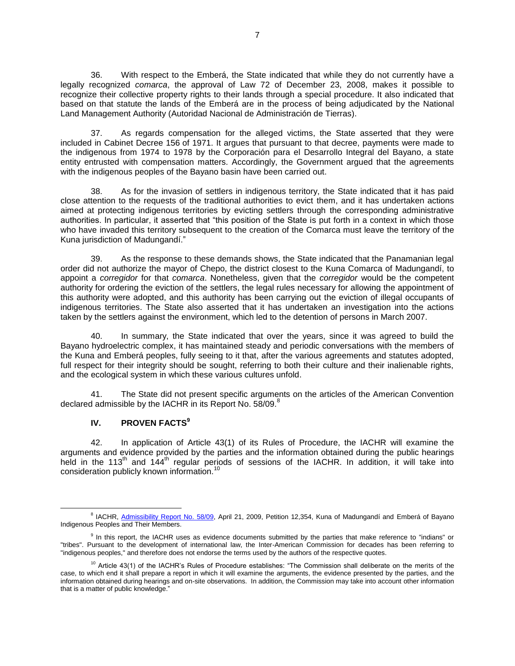36. With respect to the Emberá, the State indicated that while they do not currently have a legally recognized *comarca*, the approval of Law 72 of December 23, 2008, makes it possible to recognize their collective property rights to their lands through a special procedure. It also indicated that based on that statute the lands of the Emberá are in the process of being adjudicated by the National Land Management Authority (Autoridad Nacional de Administración de Tierras).

37. As regards compensation for the alleged victims, the State asserted that they were included in Cabinet Decree 156 of 1971. It argues that pursuant to that decree, payments were made to the indigenous from 1974 to 1978 by the Corporación para el Desarrollo Integral del Bayano, a state entity entrusted with compensation matters. Accordingly, the Government argued that the agreements with the indigenous peoples of the Bayano basin have been carried out.

38. As for the invasion of settlers in indigenous territory, the State indicated that it has paid close attention to the requests of the traditional authorities to evict them, and it has undertaken actions aimed at protecting indigenous territories by evicting settlers through the corresponding administrative authorities. In particular, it asserted that "this position of the State is put forth in a context in which those who have invaded this territory subsequent to the creation of the Comarca must leave the territory of the Kuna jurisdiction of Madungandí."

39. As the response to these demands shows, the State indicated that the Panamanian legal order did not authorize the mayor of Chepo, the district closest to the Kuna Comarca of Madungandí, to appoint a *corregidor* for that *comarca*. Nonetheless, given that the *corregidor* would be the competent authority for ordering the eviction of the settlers, the legal rules necessary for allowing the appointment of this authority were adopted, and this authority has been carrying out the eviction of illegal occupants of indigenous territories. The State also asserted that it has undertaken an investigation into the actions taken by the settlers against the environment, which led to the detention of persons in March 2007.

40. In summary, the State indicated that over the years, since it was agreed to build the Bayano hydroelectric complex, it has maintained steady and periodic conversations with the members of the Kuna and Emberá peoples, fully seeing to it that, after the various agreements and statutes adopted, full respect for their integrity should be sought, referring to both their culture and their inalienable rights, and the ecological system in which these various cultures unfold.

41. The State did not present specific arguments on the articles of the American Convention declared admissible by the IACHR in its Report No. 58/09.<sup>8</sup>

# **IV. PROVEN FACTS<sup>9</sup>**

 $\overline{a}$ 

42. In application of Article 43(1) of its Rules of Procedure, the IACHR will examine the arguments and evidence provided by the parties and the information obtained during the public hearings held in the 113<sup>th</sup> and 144<sup>th</sup> regular periods of sessions of the IACHR. In addition, it will take into consideration publicly known information.<sup>10</sup>

<sup>&</sup>lt;sup>8</sup> IACHR, [Admissibility Report No. 58/09,](http://www.cidh.oas.org/annualrep/2009eng/Panama12354eng.htm) April 21, 2009, Petition 12,354, Kuna of Madungandí and Emberá of Bayano Indigenous Peoples and Their Members.

<sup>&</sup>lt;sup>9</sup> In this report, the IACHR uses as evidence documents submitted by the parties that make reference to "indians" or "tribes". Pursuant to the development of international law, the Inter-American Commission for decades has been referring to "indigenous peoples," and therefore does not endorse the terms used by the authors of the respective quotes.

 $10$  Article 43(1) of the IACHR's Rules of Procedure establishes: "The Commission shall deliberate on the merits of the case, to which end it shall prepare a report in which it will examine the arguments, the evidence presented by the parties, and the information obtained during hearings and on-site observations. In addition, the Commission may take into account other information that is a matter of public knowledge."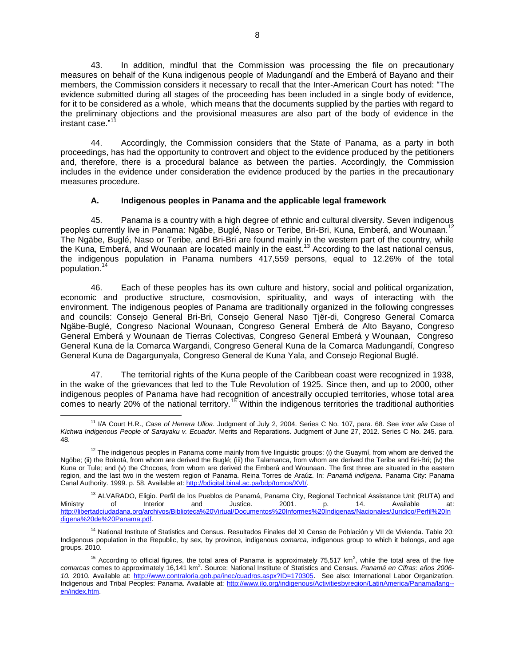43. In addition, mindful that the Commission was processing the file on precautionary measures on behalf of the Kuna indigenous people of Madungandí and the Emberá of Bayano and their members, the Commission considers it necessary to recall that the Inter-American Court has noted: "The evidence submitted during all stages of the proceeding has been included in a single body of evidence, for it to be considered as a whole, which means that the documents supplied by the parties with regard to the preliminary objections and the provisional measures are also part of the body of evidence in the instant case. $11$ 

44. Accordingly, the Commission considers that the State of Panama, as a party in both proceedings, has had the opportunity to controvert and object to the evidence produced by the petitioners and, therefore, there is a procedural balance as between the parties. Accordingly, the Commission includes in the evidence under consideration the evidence produced by the parties in the precautionary measures procedure.

# **A. Indigenous peoples in Panama and the applicable legal framework**

45. Panama is a country with a high degree of ethnic and cultural diversity. Seven indigenous peoples currently live in Panama: Ngäbe, Buglé, Naso or Teribe, Bri-Bri, Kuna, Emberá, and Wounaan. The Ngäbe, Buglé, Naso or Teribe, and Bri-Bri are found mainly in the western part of the country, while the Kuna, Emberá, and Wounaan are located mainly in the east.<sup>13</sup> According to the last national census, the indigenous population in Panama numbers 417,559 persons, equal to 12.26% of the total population.<sup>14</sup>

46. Each of these peoples has its own culture and history, social and political organization, economic and productive structure, cosmovision, spirituality, and ways of interacting with the environment. The indigenous peoples of Panama are traditionally organized in the following congresses and councils: Consejo General Bri-Bri, Consejo General Naso Tjër-di, Congreso General Comarca Ngäbe-Buglé, Congreso Nacional Wounaan, Congreso General Emberá de Alto Bayano, Congreso General Emberá y Wounaan de Tierras Colectivas, Congreso General Emberá y Wounaan, Congreso General Kuna de la Comarca Wargandi, Congreso General Kuna de la Comarca Madungandí, Congreso General Kuna de Dagargunyala, Congreso General de Kuna Yala, and Consejo Regional Buglé.

47. The territorial rights of the Kuna people of the Caribbean coast were recognized in 1938, in the wake of the grievances that led to the Tule Revolution of 1925. Since then, and up to 2000, other indigenous peoples of Panama have had recognition of ancestrally occupied territories, whose total area comes to nearly 20% of the national territory.<sup>15</sup> Within the indigenous territories the traditional authorities

<sup>11</sup> I/A Court H.R., *Case of Herrera Ulloa*. Judgment of July 2, 2004. Series C No. 107, para. 68. See *inter alia* Case of *Kichwa Indigenous People of Sarayaku v. Ecuador*. Merits and Reparations. Judgment of June 27, 2012. Series C No. 245. para. 48.

 $12$  The indigenous peoples in Panama come mainly from five linguistic groups: (i) the Guaymí, from whom are derived the Ngöbe; (ii) the Bokotá, from whom are derived the Buglé; (iii) the Talamanca, from whom are derived the Teribe and Bri-Bri; (iv) the Kuna or Tule; and (v) the Chocoes, from whom are derived the Emberá and Wounaan. The first three are situated in the eastern region, and the last two in the western region of Panama. Reina Torres de Araúz. In: *Panamá indígena*. Panama City: Panama Canal Authority. 1999. p. 58. Available at[: http://bdigital.binal.ac.pa/bdp/tomos/XVI/.](http://bdigital.binal.ac.pa/bdp/tomos/XVI/)

<sup>&</sup>lt;sup>13</sup> ALVARADO, Eligio. Perfil de los Pueblos de Panamá, Panama City, Regional Technical Assistance Unit (RUTA) and<br>14. **http://www.mandu.org/native/settice/bu/2001.** p. 14. Available at: Ministry of Interior and Justice. 2001. p. 14. Available at:<br>http://libertadciudadana.org/archivos/Biblioteca%20Virtual/Documentos%20Informes%20Indigenas/Nacionales/Juridico/Perfil%20In http://libertadciudadana.org/archivos/Biblioteca%20Virtual/Documentos%20Informe [digena%20de%20Panama.pdf.](http://libertadciudadana.org/archivos/Biblioteca%20Virtual/Documentos%20Informes%20Indigenas/Nacionales/Juridico/Perfil%20Indigena%20de%20Panama.pdf)

<sup>&</sup>lt;sup>14</sup> National Institute of Statistics and Census. [Resultados Finales](http://www.contraloria.gob.pa/INEC/publicaciones.aspx?ID=0001) del XI Censo de Población y VII de Vivienda. Table 20: Indigenous population in the Republic, by sex, by province, indigenous *comarca*, indigenous group to which it belongs, and age groups. 2010.

<sup>&</sup>lt;sup>15</sup> According to official figures, the total area of Panama is approximately 75,517 km<sup>2</sup>, while the total area of the five comarcas comes to approximately 16,141 km<sup>2</sup>. Source: National Institute of Statistics and Census. *Panamá en Cifras: años 2006-10.* 2010. Available at: [http://www.contraloria.gob.pa/inec/cuadros.aspx?ID=170305.](http://www.contraloria.gob.pa/inec/cuadros.aspx?ID=170305) See also: International Labor Organization. Indigenous and Tribal Peoples: Panama. Available at: http://www.ilo.org/indigenous/Activitiesbyregion/LatinAmerica/Panama/lang[en/index.htm.](http://www.ilo.org/indigenous/Activitiesbyregion/LatinAmerica/Panama/lang--en/index.htm)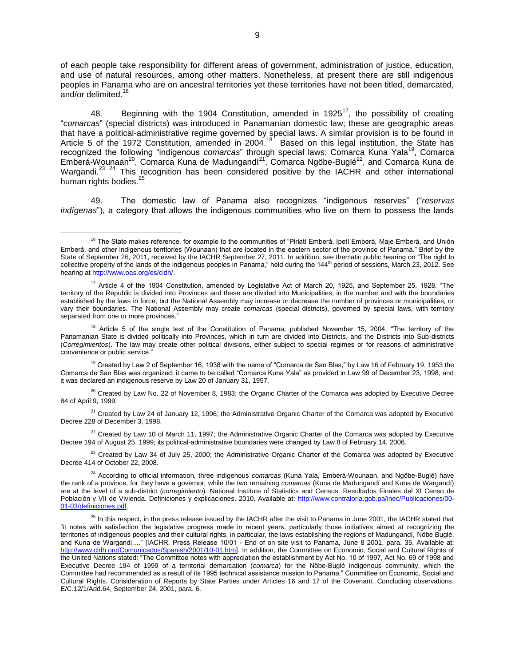of each people take responsibility for different areas of government, administration of justice, education, and use of natural resources, among other matters. Nonetheless, at present there are still indigenous peoples in Panama who are on ancestral territories yet these territories have not been titled, demarcated, .<br>and/or delimited.<sup>16</sup>

48. Beginning with the 1904 Constitution, amended in 1925<sup>17</sup>, the possibility of creating "*comarcas*" (special districts) was introduced in Panamanian domestic law; these are geographic areas that have a political-administrative regime governed by special laws. A similar provision is to be found in Article 5 of the 1972 Constitution, amended in 2004.<sup>18</sup> Based on this legal institution, the State has recognized the following "indigenous *comarcas*" through special laws: Comarca Kuna Yala<sup>19</sup>, Comarca Emberá-Wounaan<sup>20</sup>, Comarca Kuna de Madungandí<sup>21</sup>, Comarca Ngöbe-Buglé<sup>22</sup>, and Comarca Kuna de Wargandi.<sup>23 24</sup> This recognition has been considered positive by the IACHR and other international human rights bodies.<sup>25</sup>

49. The domestic law of Panama also recognizes "indigenous reserves" ("*reservas indígenas*"), a category that allows the indigenous communities who live on them to possess the lands

 $\overline{a}$ 

 $20$  Created by Law No. 22 of November 8, 1983; the Organic Charter of the Comarca was adopted by Executive Decree 84 of April 9, 1999.

 $21$  Created by Law 24 of January 12, 1996; the Administrative Organic Charter of the Comarca was adopted by Executive Decree 228 of December 3, 1998.

 $22$  Created by Law 10 of March 11, 1997; the Administrative Organic Charter of the Comarca was adopted by Executive Decree 194 of August 25, 1999; its political-administrative boundaries were changed by Law 8 of February 14, 2006.

 $23$  Created by Law 34 of July 25, 2000; the Administrative Organic Charter of the Comarca was adopted by Executive Decree 414 of October 22, 2008.

<sup>&</sup>lt;sup>16</sup> The State makes reference, for example to the communities of "Piriatí Emberá, Ipetí Emberá, Maje Emberá, and Unión Emberá, and other indigenous territories (Wounaan) that are located in the eastern sector of the province of Panamá." Brief by the State of September 26, 2011, received by the IACHR September 27, 2011. In addition, see thematic public hearing on "The right to collective property of the lands of the indigenous peoples in Panama," held during the 144<sup>th</sup> period of sessions, March 23, 2012. See hearing at [http://www.oas.org/es/cidh/.](http://www.oas.org/es/cidh/)

 $17$  Article 4 of the 1904 Constitution, amended by Legislative Act of March 20, 1925, and September 25, 1928. "The territory of the Republic is divided into Provinces and these are divided into Municipalities, in the number and with the boundaries established by the laws in force; but the National Assembly may increase or decrease the number of provinces or municipalities, or vary their boundaries. The National Assembly may create *comarcas* (special districts), governed by special laws, with territory separated from one or more provinces."

<sup>&</sup>lt;sup>18</sup> Article 5 of the single text of the Constitution of Panama, published November 15, 2004. "The territory of the Panamanian State is divided politically into Provinces, which in turn are divided into Districts, and the Districts into Sub-districts (*Corregimientos*). The law may create other political divisions, either subject to special regimes or for reasons of administrative convenience or public service."

<sup>&</sup>lt;sup>19</sup> Created by Law 2 of September 16, 1938 with the name of "Comarca de San Blas," by Law 16 of February 19, 1953 the Comarca de San Blas was organized; it came to be called "Comarca Kuna Yala" as provided in Law 99 of December 23, 1998, and it was declared an indigenous reserve by Law 20 of January 31, 1957.

<sup>24</sup> According to official information, three indigenous *comarcas* (Kuna Yala, Emberá-Wounaan, and Ngöbe-Buglé) have the rank of a province, for they have a governor; while the two remaining *comarcas* (Kuna de Madungandí and Kuna de Wargandí) are at the level of a sub-district (*corregimiento*). National Institute of Statistics and Census. [Resultados Finales](http://www.contraloria.gob.pa/INEC/publicaciones.aspx?ID=0001) del XI Censo de Población y VII de Vivienda. Definiciones y explicaciones. 2010. Available at: [http://www.contraloria.gob.pa/inec/Publicaciones/00-](http://www.contraloria.gob.pa/inec/Publicaciones/00-01-03/definiciones.pdf) [01-03/definiciones.pdf.](http://www.contraloria.gob.pa/inec/Publicaciones/00-01-03/definiciones.pdf)

<sup>&</sup>lt;sup>25</sup> In this respect, in the press release issued by the IACHR after the visit to Panama in June 2001, the IACHR stated that "it notes with satisfaction the legislative progress made in recent years, particularly those initiatives aimed at recognizing the territories of indigenous peoples and their cultural rights, in particular, the laws establishing the regions of Madungandí, Nöbe Buglé, and Kuna de Wargandi…." [IACHR, Press Release 10/01 - End of on site visit to Panama, June 8 2001. para. 35. Available at: [http://www.cidh.org/Comunicados/Spanish/2001/10-01.htm\]](http://www.cidh.org/Comunicados/Spanish/2001/10-01.htm). In addition, the Committee on Economic, Social and Cultural Rights of the United Nations stated: "The Committee notes with appreciation the establishment by Act No. 10 of 1997, Act No. 69 of 1998 and Executive Decree 194 of 1999 of a territorial demarcation (*comarca*) for the Nöbe-Buglé indigenous community, which the Committee had recommended as a result of its 1995 technical assistance mission to Panama." Committee on Economic, Social and Cultural Rights. Consideration of Reports by State Parties under Articles 16 and 17 of the Covenant. Concluding observations. E/C.12/1/Add.64, September 24, 2001, para. 6.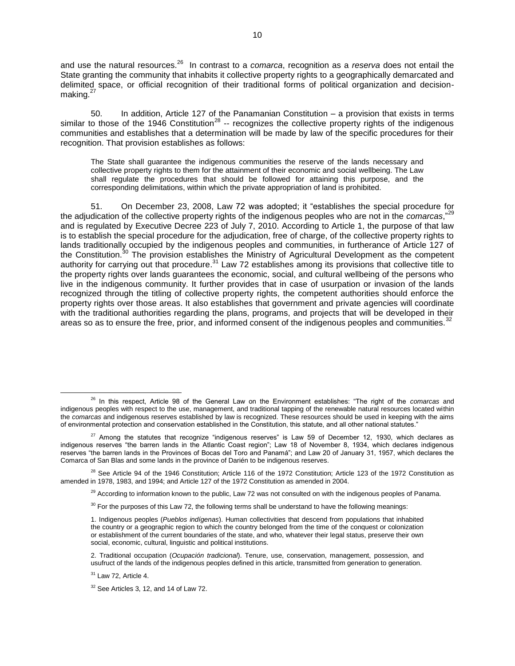and use the natural resources.<sup>26</sup> In contrast to a *comarca*, recognition as a *reserva* does not entail the State granting the community that inhabits it collective property rights to a geographically demarcated and delimited space, or official recognition of their traditional forms of political organization and decisionmaking. $27$ 

50. In addition, Article 127 of the Panamanian Constitution – a provision that exists in terms similar to those of the 1946 Constitution<sup>28</sup> -- recognizes the collective property rights of the indigenous communities and establishes that a determination will be made by law of the specific procedures for their recognition. That provision establishes as follows:

The State shall guarantee the indigenous communities the reserve of the lands necessary and collective property rights to them for the attainment of their economic and social wellbeing. The Law shall regulate the procedures that should be followed for attaining this purpose, and the corresponding delimitations, within which the private appropriation of land is prohibited.

51. On December 23, 2008, Law 72 was adopted; it "establishes the special procedure for the adjudication of the collective property rights of the indigenous peoples who are not in the *comarcas*,"<sup>29</sup> and is regulated by Executive Decree 223 of July 7, 2010. According to Article 1, the purpose of that law is to establish the special procedure for the adjudication, free of charge, of the collective property rights to lands traditionally occupied by the indigenous peoples and communities, in furtherance of Article 127 of the Constitution.<sup>30</sup> The provision establishes the Ministry of Agricultural Development as the competent authority for carrying out that procedure.<sup>31</sup> Law 72 establishes among its provisions that collective title to the property rights over lands guarantees the economic, social, and cultural wellbeing of the persons who live in the indigenous community. It further provides that in case of usurpation or invasion of the lands recognized through the titling of collective property rights, the competent authorities should enforce the property rights over those areas. It also establishes that government and private agencies will coordinate with the traditional authorities regarding the plans, programs, and projects that will be developed in their areas so as to ensure the free, prior, and informed consent of the indigenous peoples and communities.<sup>32</sup>

 $30$  For the purposes of this Law 72, the following terms shall be understand to have the following meanings:

<sup>26</sup> In this respect, Article 98 of the General Law on the Environment establishes: "The right of the *comarcas* and indigenous peoples with respect to the use, management, and traditional tapping of the renewable natural resources located within the *comarcas* and indigenous reserves established by law is recognized. These resources should be used in keeping with the aims of environmental protection and conservation established in the Constitution, this statute, and all other national statutes."

 $27$  Among the statutes that recognize "indigenous reserves" is Law 59 of December 12, 1930, which declares as indigenous reserves "the barren lands in the Atlantic Coast region"; Law 18 of November 8, 1934, which declares indigenous reserves "the barren lands in the Provinces of Bocas del Toro and Panamá"; and Law 20 of January 31, 1957, which declares the Comarca of San Blas and some lands in the province of Darién to be indigenous reserves.

 $^{28}$  See Article 94 of the 1946 Constitution; Article 116 of the 1972 Constitution; Article 123 of the 1972 Constitution as amended in 1978, 1983, and 1994; and Article 127 of the 1972 Constitution as amended in 2004.

 $^{29}$  According to information known to the public, Law 72 was not consulted on with the indigenous peoples of Panama.

<sup>1.</sup> Indigenous peoples (*Pueblos indígenas*). Human collectivities that descend from populations that inhabited the country or a geographic region to which the country belonged from the time of the conquest or colonization or establishment of the current boundaries of the state, and who, whatever their legal status, preserve their own social, economic, cultural, linguistic and political institutions.

<sup>2.</sup> Traditional occupation (*Ocupación tradicional*). Tenure, use, conservation, management, possession, and usufruct of the lands of the indigenous peoples defined in this article, transmitted from generation to generation.

 $31$  Law 72, Article 4.

 $32$  See Articles 3, 12, and 14 of Law 72.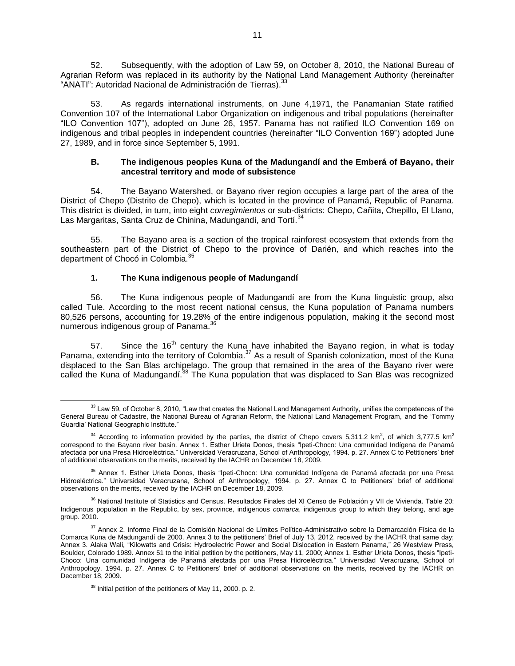52. Subsequently, with the adoption of Law 59, on October 8, 2010, the National Bureau of Agrarian Reform was replaced in its authority by the National Land Management Authority (hereinafter "ANATI": Autoridad Nacional de Administración de Tierras). 33

53. As regards international instruments, on June 4,1971, the Panamanian State ratified Convention 107 of the International Labor Organization on indigenous and tribal populations (hereinafter "ILO Convention 107"), adopted on June 26, 1957. Panama has not ratified ILO Convention 169 on indigenous and tribal peoples in independent countries (hereinafter "ILO Convention 169") adopted June 27, 1989, and in force since September 5, 1991.

## **B. The indigenous peoples Kuna of the Madungandí and the Emberá of Bayano, their ancestral territory and mode of subsistence**

54. The Bayano Watershed, or Bayano river region occupies a large part of the area of the District of Chepo (Distrito de Chepo), which is located in the province of Panamá, Republic of Panama. This district is divided, in turn, into eight *corregimientos* or sub-districts: Chepo, Cañita, Chepillo, El Llano, Las Margaritas, Santa Cruz de Chinina, Madungandí, and Tortí.<sup>34</sup>

55. The Bayano area is a section of the tropical rainforest ecosystem that extends from the southeastern part of the District of Chepo to the province of Darién, and which reaches into the department of Chocó in Colombia.<sup>3</sup>

# **1. The Kuna indigenous people of Madungandí**

56. The Kuna indigenous people of Madungandí are from the Kuna linguistic group, also called Tule. According to the most recent national census, the Kuna population of Panama numbers 80,526 persons, accounting for 19.28% of the entire indigenous population, making it the second most numerous indigenous group of Panama.<sup>36</sup>

57. Since the  $16<sup>th</sup>$  century the Kuna have inhabited the Bayano region, in what is today Panama, extending into the territory of Colombia.<sup>37</sup> As a result of Spanish colonization, most of the Kuna displaced to the San Blas archipelago. The group that remained in the area of the Bayano river were called the Kuna of Madungandí.<sup>38</sup> The Kuna population that was displaced to San Blas was recognized

 $\overline{a}$  $33$  Law 59, of October 8, 2010, "Law that creates the National Land Management Authority, unifies the competences of the General Bureau of Cadastre, the National Bureau of Agrarian Reform, the National Land Management Program, and the 'Tommy Guardia' National Geographic Institute."

<sup>&</sup>lt;sup>34</sup> According to information provided by the parties, the district of Chepo covers 5,311.2 km<sup>2</sup>, of which 3,777.5 km<sup>2</sup> correspond to the Bayano river basin. Annex 1. Esther Urieta Donos, thesis "Ipeti-Choco: Una comunidad Indígena de Panamá afectada por una Presa Hidroeléctrica." Universidad Veracruzana, School of Anthropology, 1994. p. 27. Annex C to Petitioners' brief of additional observations on the merits, received by the IACHR on December 18, 2009.

<sup>&</sup>lt;sup>35</sup> Annex 1. Esther Urieta Donos, thesis "Ipeti-Choco: Una comunidad Indígena de Panamá afectada por una Presa Hidroeléctrica." Universidad Veracruzana, School of Anthropology, 1994. p. 27. Annex C to Petitioners' brief of additional observations on the merits, received by the IACHR on December 18, 2009.

<sup>&</sup>lt;sup>36</sup> National Institute of Statistics and Census. [Resultados Finales](http://www.contraloria.gob.pa/INEC/publicaciones.aspx?ID=0001) del XI Censo de Población y VII de Vivienda. Table 20: Indigenous population in the Republic, by sex, province, indigenous *comarca*, indigenous group to which they belong, and age group. 2010.

 $37$  Annex 2. Informe Final de la Comisión Nacional de Límites Político-Administrativo sobre la Demarcación Física de la Comarca Kuna de Madungandí de 2000. Annex 3 to the petitioners' Brief of July 13, 2012, received by the IACHR that same day; Annex 3. Alaka Wali, "Kilowatts and Crisis: Hydroelectric Power and Social Dislocation in Eastern Panama," 26 Westview Press, Boulder, Colorado 1989. Annex 51 to the initial petition by the petitioners, May 11, 2000; Annex 1. Esther Urieta Donos, thesis "Ipeti-Choco: Una comunidad Indígena de Panamá afectada por una Presa Hidroeléctrica." Universidad Veracruzana, School of Anthropology, 1994. p. 27. Annex C to Petitioners' brief of additional observations on the merits, received by the IACHR on December 18, 2009.

<sup>&</sup>lt;sup>38</sup> Initial petition of the petitioners of May 11, 2000. p. 2.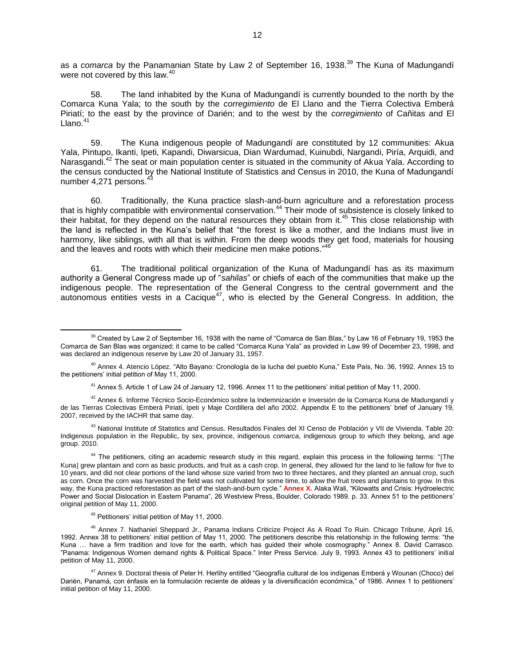as a *comarca* by the Panamanian State by Law 2 of September 16, 1938.<sup>39</sup> The Kuna of Madungandí were not covered by this law.<sup>40</sup>

58. The land inhabited by the Kuna of Madungandí is currently bounded to the north by the Comarca Kuna Yala; to the south by the *corregimiento* de El Llano and the Tierra Colectiva Emberá Piriatí; to the east by the province of Darién; and to the west by the *corregimiento* of Cañitas and El I lano $41$ 

59. The Kuna indigenous people of Madungandí are constituted by 12 communities: Akua Yala, Pintupo, Ikanti, Ipeti, Kapandi, Diwarsicua, Dian Wardumad, Kuinubdi, Nargandi, Piría, Arquidi, and Narasgandi.<sup>42</sup> The seat or main population center is situated in the community of Akua Yala. According to the census conducted by the National Institute of Statistics and Census in 2010, the Kuna of Madungandí number 4,271 persons.<sup>43</sup>

60. Traditionally, the Kuna practice slash-and-burn agriculture and a reforestation process that is highly compatible with environmental conservation.<sup>44</sup> Their mode of subsistence is closely linked to their habitat, for they depend on the natural resources they obtain from it.<sup>45</sup> This close relationship with the land is reflected in the Kuna's belief that "the forest is like a mother, and the Indians must live in harmony, like siblings, with all that is within. From the deep woods they get food, materials for housing and the leaves and roots with which their medicine men make potions."<sup>46</sup>

61. The traditional political organization of the Kuna of Madungandí has as its maximum authority a General Congress made up of "*sahilas*" or chiefs of each of the communities that make up the indigenous people. The representation of the General Congress to the central government and the autonomous entities vests in a  $\text{Cacique}^{47}$ , who is elected by the General Congress. In addition, the

<sup>41</sup> Annex 5. Article 1 of Law 24 of January 12, 1996. Annex 11 to the petitioners' initial petition of May 11, 2000.

 $42$  Annex 6. Informe Técnico Socio-Económico sobre la Indemnización e Inversión de la Comarca Kuna de Madungandí y de las Tierras Colectivas Emberá Piriati, Ipeti y Maje Cordillera del año 2002. Appendix E to the petitioners' brief of January 19, 2007, received by the IACHR that same day.

<sup>43</sup> National Institute of Statistics and Census. [Resultados Finales](http://www.contraloria.gob.pa/INEC/publicaciones.aspx?ID=0001) del XI Censo de Población y VII de Vivienda. Table 20: Indigenous population in the Republic, by sex, province, indigenous *comarca*, indigenous group to which they belong, and age group. 2010.

<sup>44</sup> The petitioners, citing an academic research study in this regard, explain this process in the following terms: "[The Kuna] grew plantain and corn as basic products, and fruit as a cash crop. In general, they allowed for the land to lie fallow for five to 10 years, and did not clear portions of the land whose size varied from two to three hectares, and they planted an annual crop, such as corn. Once the corn was harvested the field was not cultivated for some time, to allow the fruit trees and plantains to grow. In this way, the Kuna practiced reforestation as part of the slash-and-burn cycle." **Annex X.** Alaka Wali, "Kilowatts and Crisis: Hydroelectric Power and Social Dislocation in Eastern Panama", 26 Westview Press, Boulder, Colorado 1989. p. 33. Annex 51 to the petitioners' original petition of May 11, 2000.

<sup>45</sup> Petitioners' initial petition of May 11, 2000.

 $\overline{a}$ 

<sup>46</sup> Annex 7. Nathaniel Sheppard Jr., Panama Indians Criticize Project As A Road To Ruin. Chicago Tribune, April 16, 1992. Annex 38 to petitioners' initial petition of May 11, 2000. The petitioners describe this relationship in the following terms: "the Kuna … have a firm tradition and love for the earth, which has guided their whole cosmography." Annex 8. David Carrasco. "Panama: Indigenous Women demand rights & Political Space." Inter Press Service. July 9, 1993. Annex 43 to petitioners' initial petition of May 11, 2000.

 $^{47}$  Annex 9. Doctoral thesis of Peter H. Herlihy entitled "Geografía cultural de los indígenas Emberá y Wounan (Choco) del Darién, Panamá, con énfasis en la formulación reciente de aldeas y la diversificación económica," of 1986. Annex 1 to petitioners' initial petition of May 11, 2000.

<sup>&</sup>lt;sup>39</sup> Created by Law 2 of September 16, 1938 with the name of "Comarca de San Blas," by Law 16 of February 19, 1953 the Comarca de San Blas was organized; it came to be called "Comarca Kuna Yala" as provided in Law 99 of December 23, 1998, and was declared an indigenous reserve by Law 20 of January 31, 1957.

<sup>40</sup> Annex 4. Atencio López. "Alto Bayano: Cronología de la lucha del pueblo Kuna," Este País, No. 36, 1992. Annex 15 to the petitioners' initial petition of May 11, 2000.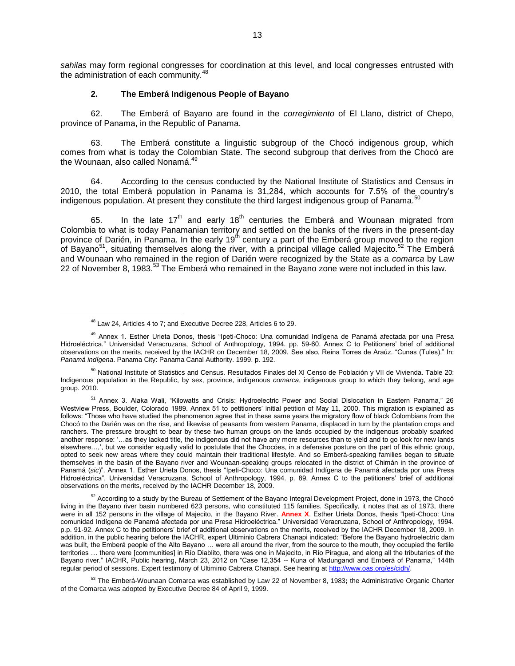*sahilas* may form regional congresses for coordination at this level, and local congresses entrusted with the administration of each community.<sup>48</sup>

#### **2. The Emberá Indigenous People of Bayano**

62. The Emberá of Bayano are found in the *corregimiento* of El Llano, district of Chepo, province of Panama, in the Republic of Panama.

63. The Emberá constitute a linguistic subgroup of the Chocó indigenous group, which comes from what is today the Colombian State. The second subgroup that derives from the Chocó are the Wounaan, also called Nonamá.<sup>49</sup>

64. According to the census conducted by the National Institute of Statistics and Census in 2010, the total Emberá population in Panama is  $31,284$ , which accounts for 7.5% of the country's indigenous population. At present they constitute the third largest indigenous group of Panama.

65. In the late 17<sup>th</sup> and early 18<sup>th</sup> centuries the Emberá and Wounaan migrated from Colombia to what is today Panamanian territory and settled on the banks of the rivers in the present-day province of Darién, in Panama. In the early 19<sup>th</sup> century a part of the Emberá group moved to the region of Bayano<sup>51</sup>, situating themselves along the river, with a principal village called Majecito.<sup>52</sup> The Emberá and Wounaan who remained in the region of Darién were recognized by the State as a *comarca* by Law 22 of November 8, 1983.<sup>53</sup> The Embera who remained in the Bayano zone were not included in this law.

 $\overline{a}$ 

<sup>50</sup> National Institute of Statistics and Census. [Resultados Finales](http://www.contraloria.gob.pa/INEC/publicaciones.aspx?ID=0001) del XI Censo de Población y VII de Vivienda. Table 20: Indigenous population in the Republic, by sex, province, indigenous *comarca*, indigenous group to which they belong, and age group. 2010.

<sup>51</sup> Annex 3. Alaka Wali, "Kilowatts and Crisis: Hydroelectric Power and Social Dislocation in Eastern Panama," 26 Westview Press, Boulder, Colorado 1989. Annex 51 to petitioners' initial petition of May 11, 2000. This migration is explained as follows: "Those who have studied the phenomenon agree that in these same years the migratory flow of black Colombians from the Chocó to the Darién was on the rise, and likewise of peasants from western Panama, displaced in turn by the plantation crops and ranchers. The pressure brought to bear by these two human groups on the lands occupied by the indigenous probably sparked another response: '…as they lacked title, the indigenous did not have any more resources than to yield and to go look for new lands elsewhere…,', but we consider equally valid to postulate that the Chocóes, in a defensive posture on the part of this ethnic group, opted to seek new areas where they could maintain their traditional lifestyle. And so Emberá-speaking families began to situate themselves in the basin of the Bayano river and Wounaan-speaking groups relocated in the district of Chimán in the province of Panamá (*sic*)". Annex 1. Esther Urieta Donos, thesis "Ipeti-Choco: Una comunidad Indígena de Panamá afectada por una Presa Hidroeléctrica". Universidad Veracruzana, School of Anthropology, 1994. p. 89. Annex C to the petitioners' brief of additional observations on the merits, received by the IACHR December 18, 2009.

 $52$  According to a study by the Bureau of Settlement of the Bayano Integral Development Project, done in 1973, the Chocó living in the Bayano river basin numbered 623 persons, who constituted 115 families. Specifically, it notes that as of 1973, there were in all 152 persons in the village of Majecito, in the Bayano River. **Annex X**. Esther Urieta Donos, thesis "Ipeti-Choco: Una comunidad Indígena de Panamá afectada por una Presa Hidroeléctrica." Universidad Veracruzana, School of Anthropology, 1994. p.p. 91-92. Annex C to the petitioners' brief of additional observations on the merits, received by the IACHR December 18, 2009. In addition, in the public hearing before the IACHR, expert Ultiminio Cabrera Chanapi indicated: "Before the Bayano hydroelectric dam was built, the Emberá people of the Alto Bayano … were all around the river, from the source to the mouth, they occupied the fertile territories … there were [communities] in Río Diablito, there was one in Majecito, in Río Piragua, and along all the tributaries of the Bayano river." IACHR, Public hearing, March 23, 2012 on "Case 12,354 -- Kuna of Madungandí and Emberá of Panama," 144th regular period of sessions. Expert testimony of Ultiminio Cabrera Chanapi. See hearing a[t http://www.oas.org/es/cidh/.](http://www.oas.org/es/cidh/) 

<sup>53</sup> The Emberá-Wounaan Comarca was established by Law 22 of November 8, 1983**;** the Administrative Organic Charter of the Comarca was adopted by Executive Decree 84 of April 9, 1999.

<sup>48</sup> Law 24, Articles 4 to 7; and Executive Decree 228, Articles 6 to 29.

<sup>&</sup>lt;sup>49</sup> Annex 1. Esther Urieta Donos, thesis "Ipeti-Choco: Una comunidad Indígena de Panamá afectada por una Presa Hidroeléctrica." Universidad Veracruzana, School of Anthropology, 1994. pp. 59-60. Annex C to Petitioners' brief of additional observations on the merits, received by the IACHR on December 18, 2009. See also, Reina Torres de Araúz. "Cunas (Tules)." In: *Panamá indígena*. Panama City: Panama Canal Authority. 1999. p. 192.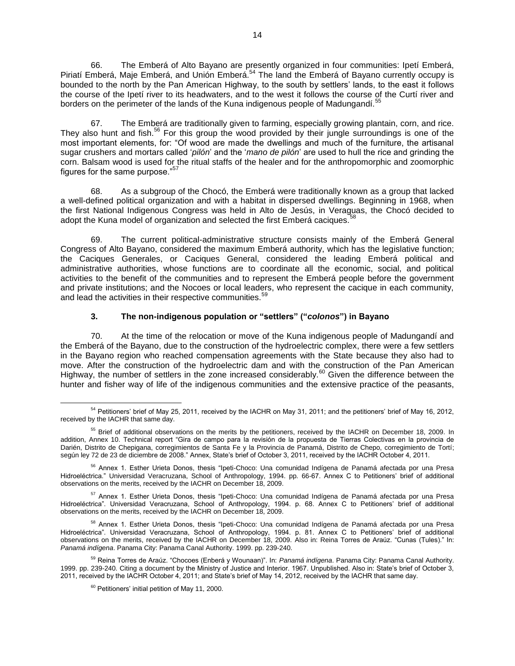66. The Emberá of Alto Bayano are presently organized in four communities: Ipetí Emberá, Piriatí Emberá, Maje Emberá, and Unión Emberá.<sup>54</sup> The land the Emberá of Bayano currently occupy is bounded to the north by the Pan American Highway, to the south by settlers' lands, to the east it follows the course of the Ipetí river to its headwaters, and to the west it follows the course of the Curtí river and borders on the perimeter of the lands of the Kuna indigenous people of Madungandí.<sup>55</sup>

67. The Emberá are traditionally given to farming, especially growing plantain, corn, and rice. They also hunt and fish.<sup>56</sup> For this group the wood provided by their jungle surroundings is one of the most important elements, for: "Of wood are made the dwellings and much of the furniture, the artisanal sugar crushers and mortars called '*pilón*' and the '*mano de pilón*' are used to hull the rice and grinding the corn. Balsam wood is used for the ritual staffs of the healer and for the anthropomorphic and zoomorphic figures for the same purpose."<sup>57</sup>

68. As a subgroup of the Chocó, the Emberá were traditionally known as a group that lacked a well-defined political organization and with a habitat in dispersed dwellings. Beginning in 1968, when the first National Indigenous Congress was held in Alto de Jesús, in Veraguas, the Chocó decided to adopt the Kuna model of organization and selected the first Emberá caciques.<sup>5</sup>

69. The current political-administrative structure consists mainly of the Emberá General Congress of Alto Bayano, considered the maximum Emberá authority, which has the legislative function; the Caciques Generales, or Caciques General, considered the leading Emberá political and administrative authorities, whose functions are to coordinate all the economic, social, and political activities to the benefit of the communities and to represent the Emberá people before the government and private institutions; and the Nocoes or local leaders, who represent the cacique in each community, and lead the activities in their respective communities.<sup>59</sup>

# **3. The non-indigenous population or "settlers" ("***colonos***") in Bayano**

70. At the time of the relocation or move of the Kuna indigenous people of Madungandí and the Emberá of the Bayano, due to the construction of the hydroelectric complex, there were a few settlers in the Bayano region who reached compensation agreements with the State because they also had to move. After the construction of the hydroelectric dam and with the construction of the Pan American Highway, the number of settlers in the zone increased considerably.<sup>60</sup> Given the difference between the hunter and fisher way of life of the indigenous communities and the extensive practice of the peasants,

 $\overline{a}$ <sup>54</sup> Petitioners' brief of May 25, 2011, received by the IACHR on May 31, 2011; and the petitioners' brief of May 16, 2012, received by the IACHR that same day.

<sup>&</sup>lt;sup>55</sup> Brief of additional observations on the merits by the petitioners, received by the IACHR on December 18, 2009. In addition, Annex 10. Technical report "Gira de campo para la revisión de la propuesta de Tierras Colectivas en la provincia de Darién, Distrito de Chepigana, corregimientos de Santa Fe y la Provincia de Panamá, Distrito de Chepo, corregimiento de Tortí; según ley 72 de 23 de diciembre de 2008." Annex, State's brief of October 3, 2011, received by the IACHR October 4, 2011.

<sup>&</sup>lt;sup>56</sup> Annex 1. Esther Urieta Donos, thesis "Ipeti-Choco: Una comunidad Indígena de Panamá afectada por una Presa Hidroeléctrica." Universidad Veracruzana, School of Anthropology, 1994. pp. 66-67. Annex C to Petitioners' brief of additional observations on the merits, received by the IACHR on December 18, 2009.

<sup>&</sup>lt;sup>57</sup> Annex 1. Esther Urieta Donos, thesis "Ipeti-Choco: Una comunidad Indígena de Panamá afectada por una Presa Hidroeléctrica". Universidad Veracruzana, School of Anthropology, 1994. p. 68. Annex C to Petitioners' brief of additional observations on the merits, received by the IACHR on December 18, 2009.

<sup>&</sup>lt;sup>58</sup> Annex 1. Esther Urieta Donos, thesis "Ipeti-Choco: Una comunidad Indígena de Panamá afectada por una Presa Hidroeléctrica". Universidad Veracruzana, School of Anthropology, 1994. p. 81. Annex C to Petitioners' brief of additional observations on the merits, received by the IACHR on December 18, 2009. Also in: Reina Torres de Araúz. "Cunas (Tules)." In: *Panamá indígena*. Panama City: Panama Canal Authority. 1999. pp. 239-240.

<sup>59</sup> Reina Torres de Araúz. "Chocoes (Enberá y Wounaan)". In: *Panamá indígena*. Panama City: Panama Canal Authority. 1999. pp. 239-240. Citing a document by the Ministry of Justice and Interior. 1967. Unpublished. Also in: State's brief of October 3, 2011, received by the IACHR October 4, 2011; and State's brief of May 14, 2012, received by the IACHR that same day.

 $60$  Petitioners' initial petition of May 11, 2000.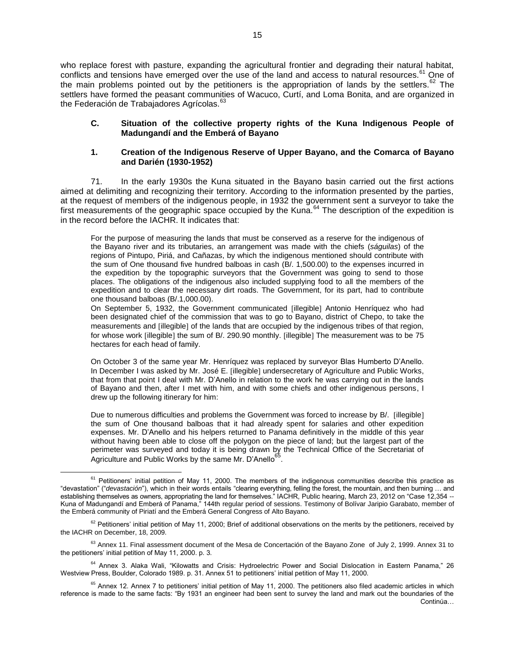who replace forest with pasture, expanding the agricultural frontier and degrading their natural habitat, conflicts and tensions have emerged over the use of the land and access to natural resources.<sup>61</sup> One of the main problems pointed out by the petitioners is the appropriation of lands by the settlers.<sup>62</sup> The settlers have formed the peasant communities of Wacuco, Curti, and Loma Bonita, and are organized in the Federación de Trabajadores Agrícolas.<sup>63</sup>

## **C. Situation of the collective property rights of the Kuna Indigenous People of Madungandí and the Emberá of Bayano**

#### **1. Creation of the Indigenous Reserve of Upper Bayano, and the Comarca of Bayano and Darién (1930-1952)**

71. In the early 1930s the Kuna situated in the Bayano basin carried out the first actions aimed at delimiting and recognizing their territory. According to the information presented by the parties, at the request of members of the indigenous people, in 1932 the government sent a surveyor to take the first measurements of the geographic space occupied by the Kuna.<sup>64</sup> The description of the expedition is in the record before the IACHR. It indicates that:

For the purpose of measuring the lands that must be conserved as a reserve for the indigenous of the Bayano river and its tributaries, an arrangement was made with the chiefs (*ságuilas*) of the regions of Pintupo, Piriá, and Cañazas, by which the indigenous mentioned should contribute with the sum of One thousand five hundred balboas in cash (B/. 1,500.00) to the expenses incurred in the expedition by the topographic surveyors that the Government was going to send to those places. The obligations of the indigenous also included supplying food to all the members of the expedition and to clear the necessary dirt roads. The Government, for its part, had to contribute one thousand balboas (B/.1,000.00).

On September 5, 1932, the Government communicated [illegible] Antonio Henríquez who had been designated chief of the commission that was to go to Bayano, district of Chepo, to take the measurements and [illegible] of the lands that are occupied by the indigenous tribes of that region, for whose work [illegible] the sum of B/, 290.90 monthly, [illegible] The measurement was to be 75 hectares for each head of family.

On October 3 of the same year Mr. Henríquez was replaced by surveyor Blas Humberto D'Anello. In December I was asked by Mr. José E. [illegible] undersecretary of Agriculture and Public Works, that from that point I deal with Mr. D'Anello in relation to the work he was carrying out in the lands of Bayano and then, after I met with him, and with some chiefs and other indigenous persons, I drew up the following itinerary for him:

Due to numerous difficulties and problems the Government was forced to increase by B/. [illegible] the sum of One thousand balboas that it had already spent for salaries and other expedition expenses. Mr. D'Anello and his helpers returned to Panama definitively in the middle of this year without having been able to close off the polygon on the piece of land; but the largest part of the perimeter was surveyed and today it is being drawn by the Technical Office of the Secretariat of Agriculture and Public Works by the same Mr. D'Anello<sup>65</sup> .

 $61$  Petitioners' initial petition of May 11, 2000. The members of the indigenous communities describe this practice as "devastation" ("*devastación*"), which in their words entails "clearing everything, felling the forest, the mountain, and then burning … and establishing themselves as owners, appropriating the land for themselves." IACHR, Public hearing, March 23, 2012 on "Case 12,354 --Kuna of Madungandí and Emberá of Panama," 144th regular period of sessions. Testimony of Bolívar Jaripio Garabato, member of the Emberá community of Piriatí and the Emberá General Congress of Alto Bayano.

 $62$  Petitioners' initial petition of May 11, 2000; Brief of additional observations on the merits by the petitioners, received by the IACHR on December, 18, 2009.

<sup>&</sup>lt;sup>63</sup> Annex 11. Final assessment document of the Mesa de Concertación of the Bayano Zone of July 2, 1999. Annex 31 to the petitioners' initial petition of May 11, 2000. p. 3.

<sup>&</sup>lt;sup>64</sup> Annex 3. Alaka Wali, "Kilowatts and Crisis: Hydroelectric Power and Social Dislocation in Eastern Panama," 26 Westview Press, Boulder, Colorado 1989. p. 31. Annex 51 to petitioners' initial petition of May 11, 2000.

 $65$  Annex 12. Annex 7 to petitioners' initial petition of May 11, 2000. The petitioners also filed academic articles in which reference is made to the same facts: "By 1931 an engineer had been sent to survey the land and mark out the boundaries of the Continúa…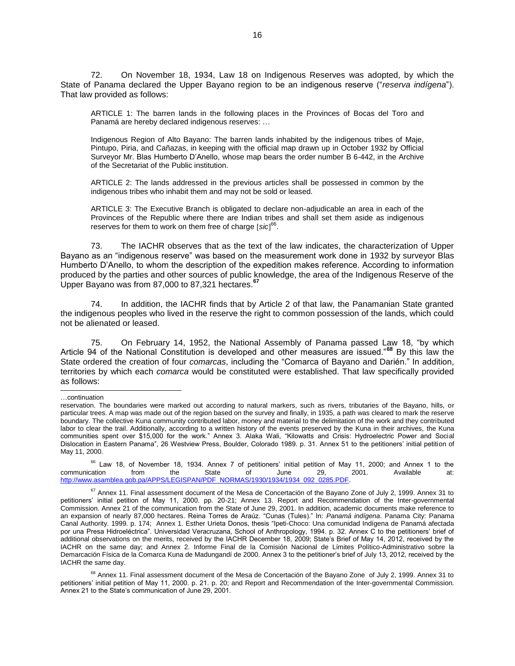72. On November 18, 1934, Law 18 on Indigenous Reserves was adopted, by which the State of Panama declared the Upper Bayano region to be an indigenous reserve ("*reserva indígena*"). That law provided as follows:

ARTICLE 1: The barren lands in the following places in the Provinces of Bocas del Toro and Panamá are hereby declared indigenous reserves: …

Indigenous Region of Alto Bayano: The barren lands inhabited by the indigenous tribes of Maje, Pintupo, Piria, and Cañazas, in keeping with the official map drawn up in October 1932 by Official Surveyor Mr. Blas Humberto D'Anello, whose map bears the order number B 6-442, in the Archive of the Secretariat of the Public institution.

ARTICLE 2: The lands addressed in the previous articles shall be possessed in common by the indigenous tribes who inhabit them and may not be sold or leased.

ARTICLE 3: The Executive Branch is obligated to declare non-adjudicable an area in each of the Provinces of the Republic where there are Indian tribes and shall set them aside as indigenous reserves for them to work on them free of charge [sic]<sup>66</sup>.

73. The IACHR observes that as the text of the law indicates, the characterization of Upper Bayano as an "indigenous reserve" was based on the measurement work done in 1932 by surveyor Blas Humberto D'Anello, to whom the description of the expedition makes reference. According to information produced by the parties and other sources of public knowledge, the area of the Indigenous Reserve of the Upper Bayano was from 87,000 to 87,321 hectares.**<sup>67</sup>**

74. In addition, the IACHR finds that by Article 2 of that law, the Panamanian State granted the indigenous peoples who lived in the reserve the right to common possession of the lands, which could not be alienated or leased.

75. On February 14, 1952, the National Assembly of Panama passed Law 18, "by which Article 94 of the National Constitution is developed and other measures are issued."**<sup>68</sup>** By this law the State ordered the creation of four *comarcas*, including the "Comarca of Bayano and Darién." In addition, territories by which each *comarca* would be constituted were established. That law specifically provided as follows:

l

 $66$  Law 18, of November 18, 1934. Annex 7 of petitioners' initial petition of May 11, 2000; and Annex 1 to the communication from the State of June 29, 2001. Available at: [http://www.asamblea.gob.pa/APPS/LEGISPAN/PDF\\_NORMAS/1930/1934/1934\\_092\\_0285.PDF.](http://www.asamblea.gob.pa/APPS/LEGISPAN/PDF_NORMAS/1930/1934/1934_092_0285.PDF)

<sup>…</sup>continuation

reservation. The boundaries were marked out according to natural markers, such as rivers, tributaries of the Bayano, hills, or particular trees. A map was made out of the region based on the survey and finally, in 1935, a path was cleared to mark the reserve boundary. The collective Kuna community contributed labor, money and material to the delimitation of the work and they contributed labor to clear the trail. Additionally, according to a written history of the events preserved by the Kuna in their archives, the Kuna communities spent over \$15,000 for the work." Annex 3. Alaka Wali, "Kilowatts and Crisis: Hydroelectric Power and Social Dislocation in Eastern Panama", 26 Westview Press, Boulder, Colorado 1989. p. 31. Annex 51 to the petitioners' initial petition of May 11, 2000.

 $67$  Annex 11. Final assessment document of the Mesa de Concertación of the Bayano Zone of July 2, 1999. Annex 31 to petitioners' initial petition of May 11, 2000. pp. 20-21; Annex 13. Report and Recommendation of the Inter-governmental Commission. Annex 21 of the communication from the State of June 29, 2001. In addition, academic documents make reference to an expansion of nearly 87,000 hectares. Reina Torres de Araúz. "Cunas (Tules)." In: *Panamá indígena*. Panama City: Panama Canal Authority. 1999. p. 174; Annex 1. Esther Urieta Donos, thesis "Ipeti-Choco: Una comunidad Indígena de Panamá afectada por una Presa Hidroeléctrica". Universidad Veracruzana, School of Anthropology, 1994. p. 32. Annex C to the petitioners' brief of additional observations on the merits, received by the IACHR December 18, 2009; State's Brief of May 14, 2012, received by the IACHR on the same day; and Annex 2. Informe Final de la Comisión Nacional de Límites Político-Administrativo sobre la Demarcación Física de la Comarca Kuna de Madungandí de 2000. Annex 3 to the petitioner's brief of July 13, 2012, received by the IACHR the same day.

 $^{68}$  Annex 11. Final assessment document of the Mesa de Concertación of the Bayano Zone of July 2, 1999. Annex 31 to petitioners' initial petition of May 11, 2000. p. 21. p. 20; and Report and Recommendation of the Inter-governmental Commission. Annex 21 to the State's communication of June 29, 2001.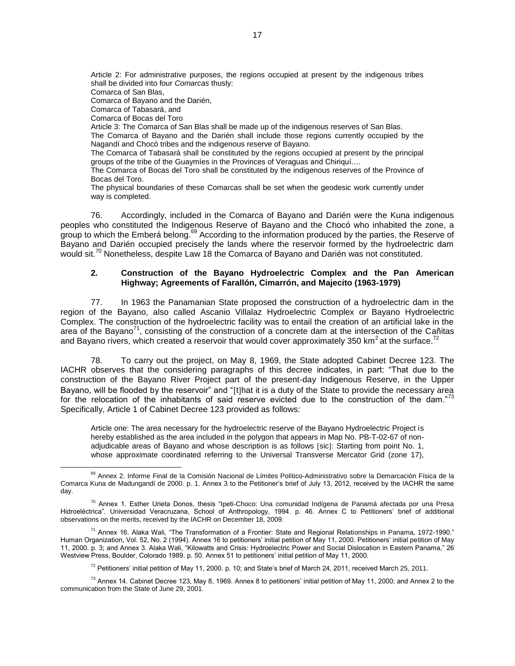Article 2: For administrative purposes, the regions occupied at present by the indigenous tribes shall be divided into four *Comarcas* thusly: Comarca of San Blas, Comarca of Bayano and the Darién, Comarca of Tabasará, and Comarca of Bocas del Toro Article 3: The Comarca of San Blas shall be made up of the indigenous reserves of San Blas. The Comarca of Bayano and the Darién shall include those regions currently occupied by the Nagandí and Chocó tribes and the indigenous reserve of Bayano. The Comarca of Tabasará shall be constituted by the regions occupied at present by the principal groups of the tribe of the Guaymíes in the Provinces of Veraguas and Chiriquí.… The Comarca of Bocas del Toro shall be constituted by the indigenous reserves of the Province of Bocas del Toro.

The physical boundaries of these Comarcas shall be set when the geodesic work currently under way is completed.

76. Accordingly, included in the Comarca of Bayano and Darién were the Kuna indigenous peoples who constituted the Indigenous Reserve of Bayano and the Chocó who inhabited the zone, a group to which the Emberá belong.<sup>69</sup> According to the information produced by the parties, the Reserve of Bayano and Darién occupied precisely the lands where the reservoir formed by the hydroelectric dam would sit.<sup>70</sup> Nonetheless, despite Law 18 the Comarca of Bayano and Darién was not constituted.

### **2. Construction of the Bayano Hydroelectric Complex and the Pan American Highway; Agreements of Farallón, Cimarrón, and Majecito (1963-1979)**

77. In 1963 the Panamanian State proposed the construction of a hydroelectric dam in the region of the Bayano, also called Ascanio Villalaz Hydroelectric Complex or Bayano Hydroelectric Complex. The construction of the hydroelectric facility was to entail the creation of an artificial lake in the area of the Bayano<sup>71</sup>, consisting of the construction of a concrete dam at the intersection of the Cañitas and Bayano rivers, which created a reservoir that would cover approximately 350 km<sup>2</sup> at the surface.<sup>72</sup>

78. To carry out the project, on May 8, 1969, the State adopted Cabinet Decree 123. The IACHR observes that the considering paragraphs of this decree indicates, in part: "That due to the construction of the Bayano River Project part of the present-day Indigenous Reserve, in the Upper Bayano, will be flooded by the reservoir" and "[t]hat it is a duty of the State to provide the necessary area for the relocation of the inhabitants of said reserve evicted due to the construction of the dam."<sup>73</sup> Specifically, Article 1 of Cabinet Decree 123 provided as follows:

Article one: The area necessary for the hydroelectric reserve of the Bayano Hydroelectric Project is hereby established as the area included in the polygon that appears in Map No. PB-T-02-67 of nonadjudicable areas of Bayano and whose description is as follows [sic]: Starting from point No. 1, whose approximate coordinated referring to the Universal Transverse Mercator Grid (zone 17),

<sup>&</sup>lt;sup>69</sup> Annex 2. Informe Final de la Comisión Nacional de Límites Político-Administrativo sobre la Demarcación Física de la Comarca Kuna de Madungandí de 2000. p. 1. Annex 3 to the Petitioner's brief of July 13, 2012, received by the IACHR the same day.

<sup>&</sup>lt;sup>70</sup> Annex 1. Esther Urieta Donos, thesis "Ipeti-Choco: Una comunidad Indígena de Panamá afectada por una Presa Hidroeléctrica". Universidad Veracruzana, School of Anthropology, 1994. p. 46. Annex C to Petitioners' brief of additional observations on the merits, received by the IACHR on December 18, 2009.

<sup>&</sup>lt;sup>71</sup> Annex 16. Alaka Wali, "The Transformation of a Frontier: State and Regional Relationships in Panama, 1972-1990." Human Organization, Vol. 52, No. 2 (1994). Annex 16 to petitioners' initial petition of May 11, 2000. Petitioners' initial petition of May 11, 2000. p. 3; and Annex 3. Alaka Wali, "Kilowatts and Crisis: Hydroelectric Power and Social Dislocation in Eastern Panama," 26 Westview Press, Boulder, Colorado 1989. p. 50. Annex 51 to petitioners' initial petition of May 11, 2000.

 $^{72}$  Petitioners' initial petition of May 11, 2000. p. 10; and State's brief of March 24, 2011, received March 25, 2011.

 $^{73}$  Annex 14. Cabinet Decree 123, May 8, 1969. Annex 8 to petitioners' initial petition of May 11, 2000; and Annex 2 to the communication from the State of June 29, 2001.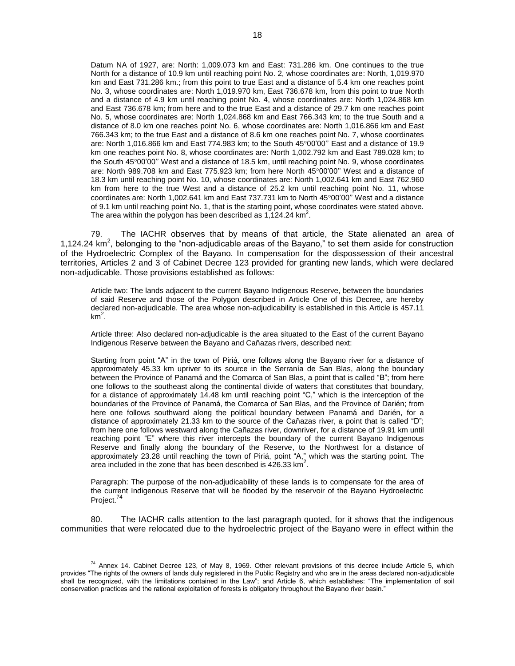Datum NA of 1927, are: North: 1,009.073 km and East: 731.286 km. One continues to the true North for a distance of 10.9 km until reaching point No. 2, whose coordinates are: North, 1,019.970 km and East 731.286 km.; from this point to true East and a distance of 5.4 km one reaches point No. 3, whose coordinates are: North 1,019.970 km, East 736.678 km, from this point to true North and a distance of 4.9 km until reaching point No. 4, whose coordinates are: North 1,024.868 km and East 736.678 km; from here and to the true East and a distance of 29.7 km one reaches point No. 5, whose coordinates are: North 1,024.868 km and East 766.343 km; to the true South and a distance of 8.0 km one reaches point No. 6, whose coordinates are: North 1,016.866 km and East 766.343 km; to the true East and a distance of 8.6 km one reaches point No. 7, whose coordinates are: North 1,016.866 km and East 774.983 km; to the South  $45^{\circ}00'00''$  East and a distance of 19.9 km one reaches point No. 8, whose coordinates are: North 1,002.792 km and East 789.028 km; to the South 4500'00'' West and a distance of 18.5 km, until reaching point No. 9, whose coordinates are: North 989.708 km and East 775.923 km; from here North  $45^{\circ}00'00''$  West and a distance of 18.3 km until reaching point No. 10, whose coordinates are: North 1,002.641 km and East 762.960 km from here to the true West and a distance of 25.2 km until reaching point No. 11, whose coordinates are: North 1,002.641 km and East 737.731 km to North 45°00'00" West and a distance of 9.1 km until reaching point No. 1, that is the starting point, whose coordinates were stated above. The area within the polygon has been described as  $1,124.24$  km<sup>2</sup>.

79. The IACHR observes that by means of that article, the State alienated an area of 1,124.24  $km^2$ , belonging to the "non-adjudicable areas of the Bayano," to set them aside for construction of the Hydroelectric Complex of the Bayano. In compensation for the dispossession of their ancestral territories, Articles 2 and 3 of Cabinet Decree 123 provided for granting new lands, which were declared non-adjudicable. Those provisions established as follows:

Article two: The lands adjacent to the current Bayano Indigenous Reserve, between the boundaries of said Reserve and those of the Polygon described in Article One of this Decree, are hereby declared non-adjudicable. The area whose non-adjudicability is established in this Article is 457.11 km<sup>2</sup>.

Article three: Also declared non-adjudicable is the area situated to the East of the current Bayano Indigenous Reserve between the Bayano and Cañazas rivers, described next:

Starting from point "A" in the town of Piriá, one follows along the Bayano river for a distance of approximately 45.33 km upriver to its source in the Serranía de San Blas, along the boundary between the Province of Panamá and the Comarca of San Blas, a point that is called "B"; from here one follows to the southeast along the continental divide of waters that constitutes that boundary, for a distance of approximately 14.48 km until reaching point "C," which is the interception of the boundaries of the Province of Panamá, the Comarca of San Blas, and the Province of Darién; from here one follows southward along the political boundary between Panamá and Darién, for a distance of approximately 21.33 km to the source of the Cañazas river, a point that is called "D"; from here one follows westward along the Cañazas river, downriver, for a distance of 19.91 km until reaching point "E" where this river intercepts the boundary of the current Bayano Indigenous Reserve and finally along the boundary of the Reserve, to the Northwest for a distance of approximately 23.28 until reaching the town of Piriá, point "A," which was the starting point. The area included in the zone that has been described is  $426.33 \text{ km}^2$ .

Paragraph: The purpose of the non-adjudicability of these lands is to compensate for the area of the current Indigenous Reserve that will be flooded by the reservoir of the Bayano Hydroelectric Project.<sup>74</sup>

80. The IACHR calls attention to the last paragraph quoted, for it shows that the indigenous communities that were relocated due to the hydroelectric project of the Bayano were in effect within the

 $74$  Annex 14. Cabinet Decree 123, of May 8, 1969. Other relevant provisions of this decree include Article 5, which provides "The rights of the owners of lands duly registered in the Public Registry and who are in the areas declared non-adjudicable shall be recognized, with the limitations contained in the Law"; and Article 6, which establishes: "The implementation of soil conservation practices and the rational exploitation of forests is obligatory throughout the Bayano river basin."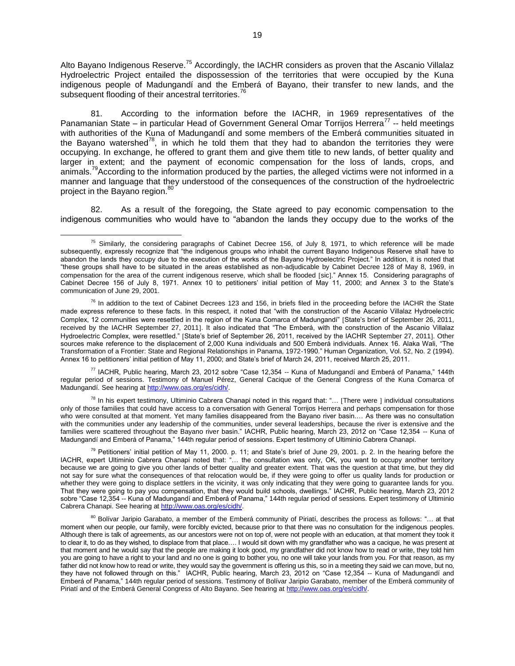Alto Bayano Indigenous Reserve.<sup>75</sup> Accordingly, the IACHR considers as proven that the Ascanio Villalaz Hydroelectric Project entailed the dispossession of the territories that were occupied by the Kuna indigenous people of Madungandí and the Emberá of Bayano, their transfer to new lands, and the subsequent flooding of their ancestral territories.<sup>76</sup>

81. According to the information before the IACHR, in 1969 representatives of the Panamanian State – in particular Head of Government General Omar Torrijos Herrera<sup>77</sup> -- held meetings with authorities of the Kuna of Madungandí and some members of the Emberá communities situated in the Bayano watershed<sup>78</sup>, in which he told them that they had to abandon the territories they were occupying. In exchange, he offered to grant them and give them title to new lands, of better quality and larger in extent; and the payment of economic compensation for the loss of lands, crops, and animals.<sup>79</sup>According to the information produced by the parties, the alleged victims were not informed in a manner and language that they understood of the consequences of the construction of the hydroelectric project in the Bayano region.<sup>80</sup>

82. As a result of the foregoing, the State agreed to pay economic compensation to the indigenous communities who would have to "abandon the lands they occupy due to the works of the

<sup>77</sup> IACHR, Public hearing, March 23, 2012 sobre "Case 12,354 -- Kuna of Madungandí and Emberá of Panama," 144th regular period of sessions. Testimony of Manuel Pérez, General Cacique of the General Congress of the Kuna Comarca of Madungandí. See hearing at [http://www.oas.org/es/cidh/.](http://www.oas.org/es/cidh/)

 $^{78}$  In his expert testimony, Ultiminio Cabrera Chanapi noted in this regard that: "... [There were ] individual consultations only of those families that could have access to a conversation with General Torrijos Herrera and perhaps compensation for those who were consulted at that moment. Yet many families disappeared from the Bayano river basin.... As there was no consultation with the communities under any leadership of the communities, under several leaderships, because the river is extensive and the families were scattered throughout the Bayano river basin." IACHR, Public hearing, March 23, 2012 on "Case 12,354 -- Kuna of Madungandí and Emberá of Panama," 144th regular period of sessions. Expert testimony of Ultiminio Cabrera Chanapi.

<sup>79</sup> Petitioners' initial petition of May 11, 2000. p. 11; and State's brief of June 29, 2001. p. 2. In the hearing before the IACHR, expert Ultiminio Cabrera Chanapi noted that: "… the consultation was only, OK, you want to occupy another territory because we are going to give you other lands of better quality and greater extent. That was the question at that time, but they did not say for sure what the consequences of that relocation would be, if they were going to offer us quality lands for production or whether they were going to displace settlers in the vicinity, it was only indicating that they were going to guarantee lands for you. That they were going to pay you compensation, that they would build schools, dwellings." IACHR, Public hearing, March 23, 2012 sobre "Case 12,354 -- Kuna of Madungandí and Emberá of Panama," 144th regular period of sessions. Expert testimony of Ultiminio Cabrera Chanapi. See hearing a[t http://www.oas.org/es/cidh/.](http://www.oas.org/es/cidh/)

80 Bolívar Jaripio Garabato, a member of the Emberá community of Piriatí, describes the process as follows: "... at that moment when our people, our family, were forcibly evicted, because prior to that there was no consultation for the indigenous peoples. Although there is talk of agreements, as our ancestors were not on top of, were not people with an education, at that moment they took it to clear it, to do as they wished, to displace from that place…. I would sit down with my grandfather who was a cacique, he was present at that moment and he would say that the people are making it look good, my grandfather did not know how to read or write, they told him you are going to have a right to your land and no one is going to bother you, no one will take your lands from you. For that reason, as my father did not know how to read or write, they would say the government is offering us this, so in a meeting they said we can move, but no, they have not followed through on this." IACHR, Public hearing, March 23, 2012 on "Case 12,354 -- Kuna of Madungandí and Emberá of Panama," 144th regular period of sessions. Testimony of Bolívar Jaripio Garabato, member of the Emberá community of Piriatí and of the Emberá General Congress of Alto Bayano. See hearing a[t http://www.oas.org/es/cidh/.](http://www.oas.org/es/cidh/)

 $\overline{a}$  $75$  Similarly, the considering paragraphs of Cabinet Decree 156, of July 8, 1971, to which reference will be made subsequently, expressly recognize that "the indigenous groups who inhabit the current Bayano Indigenous Reserve shall have to abandon the lands they occupy due to the execution of the works of the Bayano Hydroelectric Project." In addition, it is noted that "these groups shall have to be situated in the areas established as non-adjudicable by Cabinet Decree 128 of May 8, 1969, in compensation for the area of the current indigenous reserve, which shall be flooded [sic]." Annex 15. Considering paragraphs of Cabinet Decree 156 of July 8, 1971. Annex 10 to petitioners' initial petition of May 11, 2000; and Annex 3 to the State's communication of June 29, 2001.

 $^{76}$  In addition to the text of Cabinet Decrees 123 and 156, in briefs filed in the proceeding before the IACHR the State made express reference to these facts. In this respect, it noted that "with the construction of the Ascanio Villalaz Hydroelectric Complex, 12 communities were resettled in the region of the Kuna Comarca of Madungandí" State's brief of September 26, 2011, received by the IACHR September 27, 2011]. It also indicated that "The Emberá, with the construction of the Ascanio Villalaz Hydroelectric Complex, were resettled." [State's brief of September 26, 2011, received by the IACHR September 27, 2011]. Other sources make reference to the displacement of 2,000 Kuna individuals and 500 Emberá individuals. Annex 16. Alaka Wali, "The Transformation of a Frontier: State and Regional Relationships in Panama, 1972-1990." Human Organization, Vol. 52, No. 2 (1994). Annex 16 to petitioners' initial petition of May 11, 2000; and State's brief of March 24, 2011, received March 25, 2011.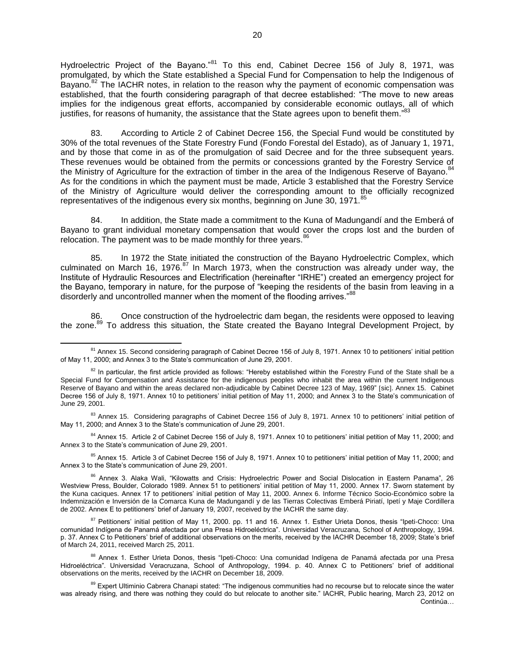Hydroelectric Project of the Bayano."<sup>81</sup> To this end, Cabinet Decree 156 of July 8, 1971, was promulgated, by which the State established a Special Fund for Compensation to help the Indigenous of Bayano.<sup>82</sup> The IACHR notes, in relation to the reason why the payment of economic compensation was established, that the fourth considering paragraph of that decree established: "The move to new areas implies for the indigenous great efforts, accompanied by considerable economic outlays, all of which justifies, for reasons of humanity, the assistance that the State agrees upon to benefit them." 83

83. According to Article 2 of Cabinet Decree 156, the Special Fund would be constituted by 30% of the total revenues of the State Forestry Fund (Fondo Forestal del Estado), as of January 1, 1971, and by those that come in as of the promulgation of said Decree and for the three subsequent years. These revenues would be obtained from the permits or concessions granted by the Forestry Service of the Ministry of Agriculture for the extraction of timber in the area of the Indigenous Reserve of Bayano.<sup>8</sup> As for the conditions in which the payment must be made, Article 3 established that the Forestry Service of the Ministry of Agriculture would deliver the corresponding amount to the officially recognized representatives of the indigenous every six months, beginning on June 30, 1971.

84. In addition, the State made a commitment to the Kuna of Madungandí and the Emberá of Bayano to grant individual monetary compensation that would cover the crops lost and the burden of relocation. The payment was to be made monthly for three years.<sup>86</sup>

85. In 1972 the State initiated the construction of the Bayano Hydroelectric Complex, which culminated on March 16, 1976. $^{87}$  In March 1973, when the construction was already under way, the Institute of Hydraulic Resources and Electrification (hereinafter "IRHE") created an emergency project for the Bayano, temporary in nature, for the purpose of "keeping the residents of the basin from leaving in a disorderly and uncontrolled manner when the moment of the flooding arrives."88

Once construction of the hydroelectric dam began, the residents were opposed to leaving the zone.<sup>89</sup> To address this situation, the State created the Bayano Integral Development Project, by

 $\overline{a}$ 

<sup>84</sup> Annex 15. Article 2 of Cabinet Decree 156 of July 8, 1971. Annex 10 to petitioners' initial petition of May 11, 2000; and Annex 3 to the State's communication of June 29, 2001.

<sup>85</sup> Annex 15. Article 3 of Cabinet Decree 156 of July 8, 1971. Annex 10 to petitioners' initial petition of May 11, 2000; and Annex 3 to the State's communication of June 29, 2001.

<sup>&</sup>lt;sup>81</sup> Annex 15. Second considering paragraph of Cabinet Decree 156 of July 8, 1971. Annex 10 to petitioners' initial petition of May 11, 2000; and Annex 3 to the State's communication of June 29, 2001.

 $82$  In particular, the first article provided as follows: "Hereby established within the Forestry Fund of the State shall be a Special Fund for Compensation and Assistance for the indigenous peoples who inhabit the area within the current Indigenous Reserve of Bayano and within the areas declared non-adjudicable by Cabinet Decree 123 of May, 1969" [sic]. Annex 15. Cabinet Decree 156 of July 8, 1971. Annex 10 to petitioners' initial petition of May 11, 2000; and Annex 3 to the State's communication of June 29, 2001.

 $83$  Annex 15. Considering paragraphs of Cabinet Decree 156 of July 8, 1971. Annex 10 to petitioners' initial petition of May 11, 2000; and Annex 3 to the State's communication of June 29, 2001.

<sup>&</sup>lt;sup>86</sup> Annex 3. Alaka Wali, "Kilowatts and Crisis: Hydroelectric Power and Social Dislocation in Eastern Panama", 26 Westview Press, Boulder, Colorado 1989. Annex 51 to petitioners' initial petition of May 11, 2000. Annex 17. Sworn statement by the Kuna caciques. Annex 17 to petitioners' initial petition of May 11, 2000. Annex 6. Informe Técnico Socio-Económico sobre la Indemnización e Inversión de la Comarca Kuna de Madungandí y de las Tierras Colectivas Emberá Piriatí, Ipetí y Maje Cordillera de 2002. Annex E to petitioners' brief of January 19, 2007, received by the IACHR the same day.

<sup>&</sup>lt;sup>87</sup> Petitioners' initial petition of May 11, 2000. pp. 11 and 16. Annex 1. Esther Urieta Donos, thesis "Ipeti-Choco: Una comunidad Indígena de Panamá afectada por una Presa Hidroeléctrica". Universidad Veracruzana, School of Anthropology, 1994. p. 37. Annex C to Petitioners' brief of additional observations on the merits, received by the IACHR December 18, 2009; State's brief of March 24, 2011, received March 25, 2011.

<sup>&</sup>lt;sup>88</sup> Annex 1. Esther Urieta Donos, thesis "Ipeti-Choco: Una comunidad Indígena de Panamá afectada por una Presa Hidroeléctrica". Universidad Veracruzana, School of Anthropology, 1994. p. 40. Annex C to Petitioners' brief of additional observations on the merits, received by the IACHR on December 18, 2009.

<sup>89</sup> Expert Ultiminio Cabrera Chanapi stated: "The indigenous communities had no recourse but to relocate since the water was already rising, and there was nothing they could do but relocate to another site." IACHR, Public hearing, March 23, 2012 on Continúa…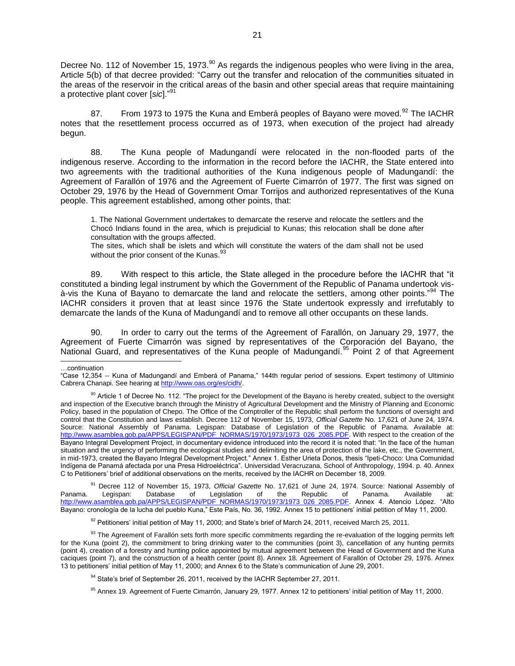Decree No. 112 of November 15, 1973.<sup>90</sup> As regards the indigenous peoples who were living in the area, Article 5(b) of that decree provided: "Carry out the transfer and relocation of the communities situated in the areas of the reservoir in the critical areas of the basin and other special areas that require maintaining a protective plant cover [sic]."<sup>91</sup>

87. From 1973 to 1975 the Kuna and Emberá peoples of Bayano were moved.<sup>92</sup> The IACHR notes that the resettlement process occurred as of 1973, when execution of the project had already begun.

88. The Kuna people of Madungandí were relocated in the non-flooded parts of the indigenous reserve. According to the information in the record before the IACHR, the State entered into two agreements with the traditional authorities of the Kuna indigenous people of Madungandí: the Agreement of Farallón of 1976 and the Agreement of Fuerte Cimarrón of 1977. The first was signed on October 29, 1976 by the Head of Government Omar Torrijos and authorized representatives of the Kuna people. This agreement established, among other points, that:

1. The National Government undertakes to demarcate the reserve and relocate the settlers and the Chocó Indians found in the area, which is prejudicial to Kunas; this relocation shall be done after consultation with the groups affected.

The sites, which shall be islets and which will constitute the waters of the dam shall not be used without the prior consent of the Kunas. $93$ 

89. With respect to this article, the State alleged in the procedure before the IACHR that "it constituted a binding legal instrument by which the Government of the Republic of Panama undertook visà-vis the Kuna of Bayano to demarcate the land and relocate the settlers, among other points."<sup>94</sup> The IACHR considers it proven that at least since 1976 the State undertook expressly and irrefutably to demarcate the lands of the Kuna of Madungandí and to remove all other occupants on these lands.

90. In order to carry out the terms of the Agreement of Farallón, on January 29, 1977, the Agreement of Fuerte Cimarrón was signed by representatives of the Corporación del Bayano, the National Guard, and representatives of the Kuna people of Madungandí.<sup>95</sup> Point 2 of that Agreement

<sup>91</sup> Decree 112 of November 15, 1973, *Official Gazette* No. 17,621 of June 24, 1974. Source: National Assembly of Panama. Legispan: Database of Legislation of the Republic of Panama. Available at: [http://www.asamblea.gob.pa/APPS/LEGISPAN/PDF\\_NORMAS/1970/1973/1973\\_026\\_2085.PDF.](http://www.asamblea.gob.pa/APPS/LEGISPAN/PDF_NORMAS/1970/1973/1973_026_2085.PDF) Annex 4. Atencio López. "Alto Bayano: cronología de la lucha del pueblo Kuna," Este País, No. 36, 1992. Annex 15 to petitioners' initial petition of May 11, 2000.

 $92$  Petitioners' initial petition of May 11, 2000; and State's brief of March 24, 2011, received March 25, 2011.

<sup>93</sup> The Agreement of Farallón sets forth more specific commitments regarding the re-evaluation of the logging permits left for the Kuna (point 2), the commitment to bring drinking water to the communities (point 3), cancellation of any hunting permits (point 4), creation of a forestry and hunting police appointed by mutual agreement between the Head of Government and the Kuna caciques (point 7), and the construction of a health center (point 8). Annex 18. Agreement of Farallón of October 29, 1976. Annex 13 to petitioners' initial petition of May 11, 2000; and Annex 6 to the State's communication of June 29, 2001.

<sup>94</sup> State's brief of September 26, 2011, received by the IACHR September 27, 2011.

<sup>95</sup> Annex 19. Agreement of Fuerte Cimarrón, January 29, 1977. Annex 12 to petitioners' initial petition of May 11, 2000.

l …continuation

<sup>&</sup>quot;Case 12,354 -- Kuna of Madungandí and Emberá of Panama," 144th regular period of sessions. Expert testimony of Ultiminio Cabrera Chanapi. See hearing a[t http://www.oas.org/es/cidh/.](http://www.oas.org/es/cidh/)

<sup>&</sup>lt;sup>90</sup> Article 1 of Decree No. 112. "The project for the Development of the Bayano is hereby created, subject to the oversight and inspection of the Executive branch through the Ministry of Agricultural Development and the Ministry of Planning and Economic Policy, based in the population of Chepo. The Office of the Comptroller of the Republic shall perform the functions of oversight and control that the Constitution and laws establish. Decree 112 of November 15, 1973, *Official Gazette* No. 17,621 of June 24, 1974. Source: National Assembly of Panama. Legispan: Database of Legislation of the Republic of Panama. Available at: [http://www.asamblea.gob.pa/APPS/LEGISPAN/PDF\\_NORMAS/1970/1973/1973\\_026\\_2085.PDF.](http://www.asamblea.gob.pa/APPS/LEGISPAN/PDF_NORMAS/1970/1973/1973_026_2085.PDF) With respect to the creation of the Bayano Integral Development Project, in documentary evidence introduced into the record it is noted that: "In the face of the human situation and the urgency of performing the ecological studies and delimiting the area of protection of the lake, etc., the Government, in mid-1973, created the Bayano Integral Development Project." Annex 1. Esther Urieta Donos, thesis "Ipeti-Choco: Una Comunidad Indígena de Panamá afectada por una Presa Hidroeléctrica". Universidad Veracruzana, School of Anthropology, 1994. p. 40. Annex C to Petitioners' brief of additional observations on the merits, received by the IACHR on December 18, 2009.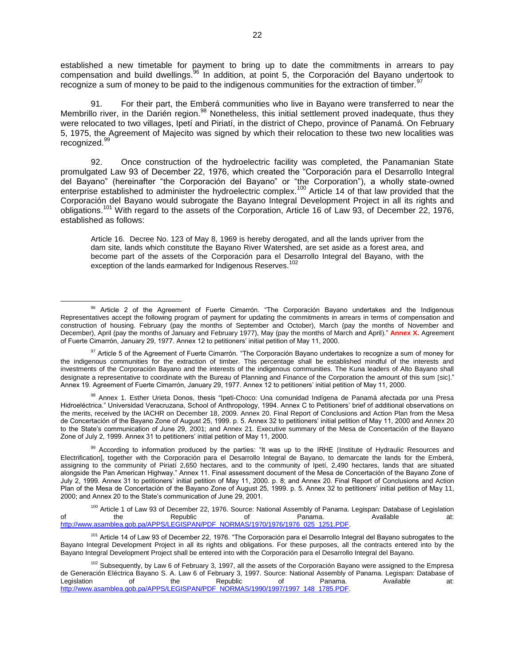established a new timetable for payment to bring up to date the commitments in arrears to pay compensation and build dwellings.<sup>96</sup> In addition, at point 5, the Corporación del Bayano undertook to recognize a sum of money to be paid to the indigenous communities for the extraction of timber.<sup>9</sup>

91. For their part, the Emberá communities who live in Bayano were transferred to near the Membrillo river, in the Darién region.<sup>98</sup> Nonetheless, this initial settlement proved inadequate, thus they were relocated to two villages, Ipetí and Piriatí, in the district of Chepo, province of Panamá. On February 5, 1975, the Agreement of Majecito was signed by which their relocation to these two new localities was recognized.<sup>9</sup>

92. Once construction of the hydroelectric facility was completed, the Panamanian State promulgated Law 93 of December 22, 1976, which created the "Corporación para el Desarrollo Integral del Bayano" (hereinafter "the Corporación del Bayano" or "the Corporation"), a wholly state-owned enterprise established to administer the hydroelectric complex.<sup>100</sup> Article 14 of that law provided that the Corporación del Bayano would subrogate the Bayano Integral Development Project in all its rights and obligations.<sup>101</sup> With regard to the assets of the Corporation, Article 16 of Law 93, of December 22, 1976, established as follows:

Article 16. Decree No. 123 of May 8, 1969 is hereby derogated, and all the lands upriver from the dam site, lands which constitute the Bayano River Watershed, are set aside as a forest area, and become part of the assets of the Corporación para el Desarrollo Integral del Bayano, with the exception of the lands earmarked for Indigenous Reserves.<sup>102</sup>

<sup>96</sup> Article 2 of the Agreement of Fuerte Cimarrón. "The Corporación Bayano undertakes and the Indigenous Representatives accept the following program of payment for updating the commitments in arrears in terms of compensation and construction of housing. February (pay the months of September and October), March (pay the months of November and December), April (pay the months of January and February 1977), May (pay the months of March and April)." **Annex X.** Agreement of Fuerte Cimarrón, January 29, 1977. Annex 12 to petitioners' initial petition of May 11, 2000.

<sup>&</sup>lt;sup>97</sup> Article 5 of the Agreement of Fuerte Cimarrón. "The Corporación Bayano undertakes to recognize a sum of money for the indigenous communities for the extraction of timber. This percentage shall be established mindful of the interests and investments of the Corporación Bayano and the interests of the indigenous communities. The Kuna leaders of Alto Bayano shall designate a representative to coordinate with the Bureau of Planning and Finance of the Corporation the amount of this sum [sic]." Annex 19. Agreement of Fuerte Cimarrón, January 29, 1977. Annex 12 to petitioners' initial petition of May 11, 2000.

<sup>98</sup> Annex 1. Esther Urieta Donos, thesis "Ipeti-Choco: Una comunidad Indígena de Panamá afectada por una Presa Hidroeléctrica." Universidad Veracruzana, School of Anthropology, 1994. Annex C to Petitioners' brief of additional observations on the merits, received by the IACHR on December 18, 2009. Annex 20. Final Report of Conclusions and Action Plan from the Mesa de Concertación of the Bayano Zone of August 25, 1999. p. 5. Annex 32 to petitioners' initial petition of May 11, 2000 and Annex 20 to the State's communication of June 29, 2001; and Annex 21. Executive summary of the Mesa de Concertación of the Bayano Zone of July 2, 1999. Annex 31 to petitioners' initial petition of May 11, 2000.

<sup>&</sup>lt;sup>99</sup> According to information produced by the parties: "It was up to the IRHE [Institute of Hydraulic Resources and Electrification], together with the Corporación para el Desarrollo Integral de Bayano, to demarcate the lands for the Emberá, assigning to the community of Piriatí 2,650 hectares, and to the community of Ipetí, 2,490 hectares, lands that are situated alongside the Pan American Highway." Annex 11. Final assessment document of the Mesa de Concertación of the Bayano Zone of July 2, 1999. Annex 31 to petitioners' initial petition of May 11, 2000. p. 8; and Annex 20. Final Report of Conclusions and Action Plan of the Mesa de Concertación of the Bayano Zone of August 25, 1999. p. 5. Annex 32 to petitioners' initial petition of May 11, 2000; and Annex 20 to the State's communication of June 29, 2001.

<sup>&</sup>lt;sup>100</sup> Article 1 of Law 93 of December 22, 1976. Source: National Assembly of Panama. Legispan: Database of Legislation<br>the Republic of Panama. Available Available at: of the Republic of Panama. Available at: [http://www.asamblea.gob.pa/APPS/LEGISPAN/PDF\\_NORMAS/1970/1976/1976\\_025\\_1251.PDF.](http://www.asamblea.gob.pa/APPS/LEGISPAN/PDF_NORMAS/1970/1976/1976_025_1251.PDF)

<sup>&</sup>lt;sup>101</sup> Article 14 of Law 93 of December 22, 1976. "The Corporación para el Desarrollo Integral del Bayano subrogates to the Bayano Integral Development Project in all its rights and obligations. For these purposes, all the contracts entered into by the Bayano Integral Development Project shall be entered into with the Corporación para el Desarrollo Integral del Bayano.

<sup>&</sup>lt;sup>102</sup> Subsequently, by Law 6 of February 3, 1997, all the assets of the Corporación Bayano were assigned to the Empresa de Generación Eléctrica Bayano S. A. Law 6 of February 3, 1997. Source: National Assembly of Panama. Legispan: Database of Legislation of the Republic of Panama. Available at: [http://www.asamblea.gob.pa/APPS/LEGISPAN/PDF\\_NORMAS/1990/1997/1997\\_148\\_1785.PDF.](http://www.asamblea.gob.pa/APPS/LEGISPAN/PDF_NORMAS/1990/1997/1997_148_1785.PDF)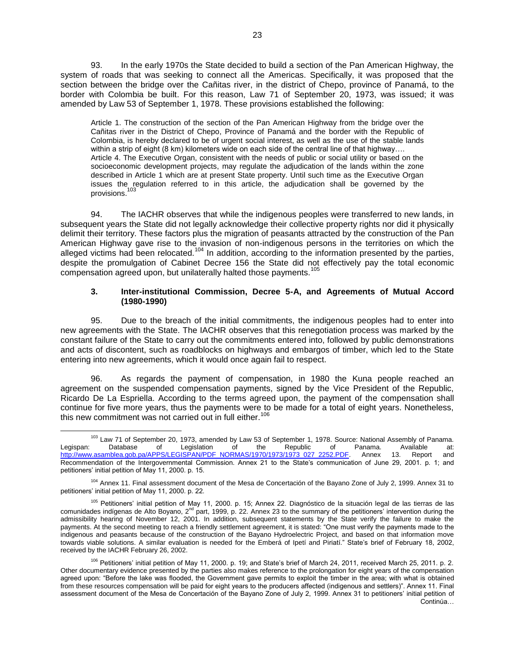93. In the early 1970s the State decided to build a section of the Pan American Highway, the system of roads that was seeking to connect all the Americas. Specifically, it was proposed that the section between the bridge over the Cañitas river, in the district of Chepo, province of Panamá, to the border with Colombia be built. For this reason, Law 71 of September 20, 1973, was issued; it was amended by Law 53 of September 1, 1978. These provisions established the following:

Article 1. The construction of the section of the Pan American Highway from the bridge over the Cañitas river in the District of Chepo, Province of Panamá and the border with the Republic of Colombia, is hereby declared to be of urgent social interest, as well as the use of the stable lands within a strip of eight (8 km) kilometers wide on each side of the central line of that highway.... Article 4. The Executive Organ, consistent with the needs of public or social utility or based on the socioeconomic development projects, may regulate the adjudication of the lands within the zone described in Article 1 which are at present State property. Until such time as the Executive Organ issues the regulation referred to in this article, the adjudication shall be governed by the provisions.<sup>103</sup>

94. The IACHR observes that while the indigenous peoples were transferred to new lands, in subsequent years the State did not legally acknowledge their collective property rights nor did it physically delimit their territory. These factors plus the migration of peasants attracted by the construction of the Pan American Highway gave rise to the invasion of non-indigenous persons in the territories on which the alleged victims had been relocated.<sup>104</sup> In addition, according to the information presented by the parties, despite the promulgation of Cabinet Decree 156 the State did not effectively pay the total economic compensation agreed upon, but unilaterally halted those payments.<sup>105</sup>

### **3. Inter-institutional Commission, Decree 5-A, and Agreements of Mutual Accord (1980-1990)**

95. Due to the breach of the initial commitments, the indigenous peoples had to enter into new agreements with the State. The IACHR observes that this renegotiation process was marked by the constant failure of the State to carry out the commitments entered into, followed by public demonstrations and acts of discontent, such as roadblocks on highways and embargos of timber, which led to the State entering into new agreements, which it would once again fail to respect.

96. As regards the payment of compensation, in 1980 the Kuna people reached an agreement on the suspended compensation payments, signed by the Vice President of the Republic, Ricardo De La Espriella. According to the terms agreed upon, the payment of the compensation shall continue for five more years, thus the payments were to be made for a total of eight years. Nonetheless, this new commitment was not carried out in full either.<sup>106</sup>

<sup>104</sup> Annex 11. Final assessment document of the Mesa de Concertación of the Bayano Zone of July 2, 1999. Annex 31 to petitioners' initial petition of May 11, 2000. p. 22.

 $\overline{a}$ <sup>103</sup> Law 71 of September 20, 1973, amended by Law 53 of September 1, 1978. Source: National Assembly of Panama.<br>103 Law 53 of The Republic of Panama. Available at: Legispan: Database of Legislation of the Republic of Panama. Available at: [http://www.asamblea.gob.pa/APPS/LEGISPAN/PDF\\_NORMAS/1970/1973/1973\\_027\\_2252.PDF.](http://www.asamblea.gob.pa/APPS/LEGISPAN/PDF_NORMAS/1970/1973/1973_027_2252.PDF) Annex 13. Report and Recommendation of the Intergovernmental Commission. Annex 21 to the State's communication of June 29, 2001. p. 1; and petitioners' initial petition of May 11, 2000. p. 15.

<sup>105</sup> Petitioners' initial petition of May 11, 2000. p. 15; Annex 22. Diagnóstico de la situación legal de las tierras de las comunidades indígenas de Alto Boyano,  $2^{nd}$  part, 1999, p. 22. Annex 23 to the summary of the petitioners' intervention during the admissibility hearing of November 12, 2001. In addition, subsequent statements by the State verify the failure to make the payments. At the second meeting to reach a friendly settlement agreement, it is stated: "One must verify the payments made to the indigenous and peasants because of the construction of the Bayano Hydroelectric Project, and based on that information move towards viable solutions. A similar evaluation is needed for the Emberá of Ipetí and Piriatí." State's brief of February 18, 2002, received by the IACHR February 26, 2002.

<sup>106</sup> Petitioners' initial petition of May 11, 2000. p. 19; and State's brief of March 24, 2011, received March 25, 2011. p. 2. Other documentary evidence presented by the parties also makes reference to the prolongation for eight years of the compensation agreed upon: "Before the lake was flooded, the Government gave permits to exploit the timber in the area; with what is obtained from these resources compensation will be paid for eight years to the producers affected (indigenous and settlers)". Annex 11. Final assessment document of the Mesa de Concertación of the Bayano Zone of July 2, 1999. Annex 31 to petitioners' initial petition of Continúa…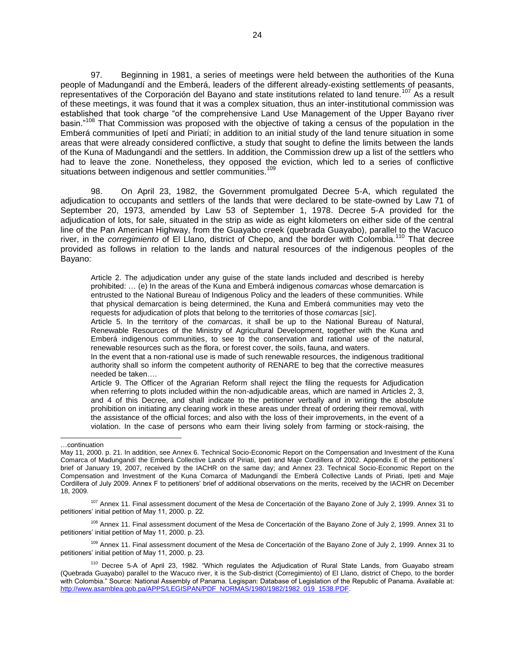97. Beginning in 1981, a series of meetings were held between the authorities of the Kuna people of Madungandí and the Emberá, leaders of the different already-existing settlements of peasants, representatives of the Corporación del Bayano and state institutions related to land tenure.<sup>107</sup> As a result of these meetings, it was found that it was a complex situation, thus an inter-institutional commission was established that took charge "of the comprehensive Land Use Management of the Upper Bayano river basin."<sup>108</sup> That Commission was proposed with the objective of taking a census of the population in the Emberá communities of Ipetí and Piriatí; in addition to an initial study of the land tenure situation in some areas that were already considered conflictive, a study that sought to define the limits between the lands of the Kuna of Madungandí and the settlers. In addition, the Commission drew up a list of the settlers who had to leave the zone. Nonetheless, they opposed the eviction, which led to a series of conflictive situations between indigenous and settler communities.<sup>109</sup>

98. On April 23, 1982, the Government promulgated Decree 5-A, which regulated the adjudication to occupants and settlers of the lands that were declared to be state-owned by Law 71 of September 20, 1973, amended by Law 53 of September 1, 1978. Decree 5-A provided for the adjudication of lots, for sale, situated in the strip as wide as eight kilometers on either side of the central line of the Pan American Highway, from the Guayabo creek (quebrada Guayabo), parallel to the Wacuco river, in the *corregimiento* of El Llano, district of Chepo, and the border with Colombia.<sup>110</sup> That decree provided as follows in relation to the lands and natural resources of the indigenous peoples of the Bayano:

Article 2. The adjudication under any guise of the state lands included and described is hereby prohibited: … (e) In the areas of the Kuna and Emberá indigenous *comarcas* whose demarcation is entrusted to the National Bureau of Indigenous Policy and the leaders of these communities. While that physical demarcation is being determined, the Kuna and Emberá communities may veto the requests for adjudication of plots that belong to the territories of those *comarcas sic*.

Article 5. In the territory of the *comarcas*, it shall be up to the National Bureau of Natural, Renewable Resources of the Ministry of Agricultural Development, together with the Kuna and Emberá indigenous communities, to see to the conservation and rational use of the natural, renewable resources such as the flora, or forest cover, the soils, fauna, and waters.

In the event that a non-rational use is made of such renewable resources, the indigenous traditional authority shall so inform the competent authority of RENARE to beg that the corrective measures needed be taken….

Article 9. The Officer of the Agrarian Reform shall reject the filing the requests for Adjudication when referring to plots included within the non-adjudicable areas, which are named in Articles 2, 3, and 4 of this Decree, and shall indicate to the petitioner verbally and in writing the absolute prohibition on initiating any clearing work in these areas under threat of ordering their removal, with the assistance of the official forces; and also with the loss of their improvements, in the event of a violation. In the case of persons who earn their living solely from farming or stock-raising, the

l

<sup>108</sup> Annex 11. Final assessment document of the Mesa de Concertación of the Bayano Zone of July 2, 1999. Annex 31 to petitioners' initial petition of May 11, 2000. p. 23.

<sup>109</sup> Annex 11. Final assessment document of the Mesa de Concertación of the Bayano Zone of July 2, 1999. Annex 31 to petitioners' initial petition of May 11, 2000. p. 23.

<sup>…</sup>continuation

May 11, 2000. p. 21. In addition, see Annex 6. Technical Socio-Economic Report on the Compensation and Investment of the Kuna Comarca of Madungandí the Emberá Collective Lands of Piriati, Ipeti and Maje Cordillera of 2002. Appendix E of the petitioners' brief of January 19, 2007, received by the IACHR on the same day; and Annex 23. Technical Socio-Economic Report on the Compensation and Investment of the Kuna Comarca of Madungandí the Emberá Collective Lands of Piriati, Ipeti and Maje Cordillera of July 2009. Annex F to petitioners' brief of additional observations on the merits, received by the IACHR on December 18, 2009.

<sup>&</sup>lt;sup>107</sup> Annex 11. Final assessment document of the Mesa de Concertación of the Bayano Zone of July 2, 1999. Annex 31 to petitioners' initial petition of May 11, 2000. p. 22.

<sup>&</sup>lt;sup>110</sup> Decree 5-A of April 23, 1982. "Which regulates the Adjudication of Rural State Lands, from Guayabo stream (Quebrada Guayabo) parallel to the Wacuco river, it is the Sub-district (Corregimiento) of El Llano, district of Chepo, to the border with Colombia." Source: National Assembly of Panama. Legispan: Database of Legislation of the Republic of Panama. Available at: [http://www.asamblea.gob.pa/APPS/LEGISPAN/PDF\\_NORMAS/1980/1982/1982\\_019\\_1538.PDF.](http://www.asamblea.gob.pa/APPS/LEGISPAN/PDF_NORMAS/1980/1982/1982_019_1538.PDF)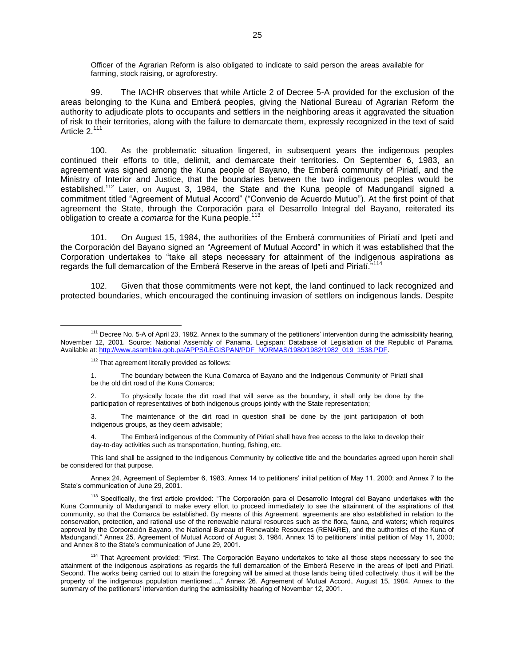Officer of the Agrarian Reform is also obligated to indicate to said person the areas available for farming, stock raising, or agroforestry.

99. The IACHR observes that while Article 2 of Decree 5-A provided for the exclusion of the areas belonging to the Kuna and Emberá peoples, giving the National Bureau of Agrarian Reform the authority to adjudicate plots to occupants and settlers in the neighboring areas it aggravated the situation of risk to their territories, along with the failure to demarcate them, expressly recognized in the text of said Article 2.<sup>111</sup>

100. As the problematic situation lingered, in subsequent years the indigenous peoples continued their efforts to title, delimit, and demarcate their territories. On September 6, 1983, an agreement was signed among the Kuna people of Bayano, the Emberá community of Piriatí, and the Ministry of Interior and Justice, that the boundaries between the two indigenous peoples would be established.<sup>112</sup> Later, on August 3, 1984, the State and the Kuna people of Madungandí signed a commitment titled "Agreement of Mutual Accord" ("Convenio de Acuerdo Mutuo"). At the first point of that agreement the State, through the Corporación para el Desarrollo Integral del Bayano, reiterated its obligation to create a *comarca* for the Kuna people.<sup>113</sup>

101. On August 15, 1984, the authorities of the Emberá communities of Piriatí and Ipetí and the Corporación del Bayano signed an "Agreement of Mutual Accord" in which it was established that the Corporation undertakes to "take all steps necessary for attainment of the indigenous aspirations as regards the full demarcation of the Emberá Reserve in the areas of Ipeti and Piriati.<sup>"114</sup>

102. Given that those commitments were not kept, the land continued to lack recognized and protected boundaries, which encouraged the continuing invasion of settlers on indigenous lands. Despite

 $\overline{a}$ 

This land shall be assigned to the Indigenous Community by collective title and the boundaries agreed upon herein shall be considered for that purpose.

Annex 24. Agreement of September 6, 1983. Annex 14 to petitioners' initial petition of May 11, 2000; and Annex 7 to the State's communication of June 29, 2001.

<sup>&</sup>lt;sup>111</sup> Decree No. 5-A of April 23, 1982. Annex to the summary of the petitioners' intervention during the admissibility hearing, November 12, 2001. Source: National Assembly of Panama. Legispan: Database of Legislation of the Republic of Panama. Available at: [http://www.asamblea.gob.pa/APPS/LEGISPAN/PDF\\_NORMAS/1980/1982/1982\\_019\\_1538.PDF.](http://www.asamblea.gob.pa/APPS/LEGISPAN/PDF_NORMAS/1980/1982/1982_019_1538.PDF)

<sup>&</sup>lt;sup>112</sup> That agreement literally provided as follows:

<sup>1.</sup> The boundary between the Kuna Comarca of Bayano and the Indigenous Community of Piriatí shall be the old dirt road of the Kuna Comarca;

<sup>2.</sup> To physically locate the dirt road that will serve as the boundary, it shall only be done by the participation of representatives of both indigenous groups jointly with the State representation;

<sup>3.</sup> The maintenance of the dirt road in question shall be done by the joint participation of both indigenous groups, as they deem advisable;

The Emberá indigenous of the Community of Piriatí shall have free access to the lake to develop their day-to-day activities such as transportation, hunting, fishing, etc.

<sup>&</sup>lt;sup>113</sup> Specifically, the first article provided: "The Corporación para el Desarrollo Integral del Bayano undertakes with the Kuna Community of Madungandí to make every effort to proceed immediately to see the attainment of the aspirations of that community, so that the Comarca be established. By means of this Agreement, agreements are also established in relation to the conservation, protection, and rational use of the renewable natural resources such as the flora, fauna, and waters; which requires approval by the Corporación Bayano, the National Bureau of Renewable Resources (RENARE), and the authorities of the Kuna of Madungandí." Annex 25. Agreement of Mutual Accord of August 3, 1984. Annex 15 to petitioners' initial petition of May 11, 2000; and Annex 8 to the State's communication of June 29, 2001.

<sup>114</sup> That Agreement provided: "First. The Corporación Bayano undertakes to take all those steps necessary to see the attainment of the indigenous aspirations as regards the full demarcation of the Emberá Reserve in the areas of Ipetí and Piriatí. Second. The works being carried out to attain the foregoing will be aimed at those lands being titled collectively, thus it will be the property of the indigenous population mentioned…." Annex 26. Agreement of Mutual Accord, August 15, 1984. Annex to the summary of the petitioners' intervention during the admissibility hearing of November 12, 2001.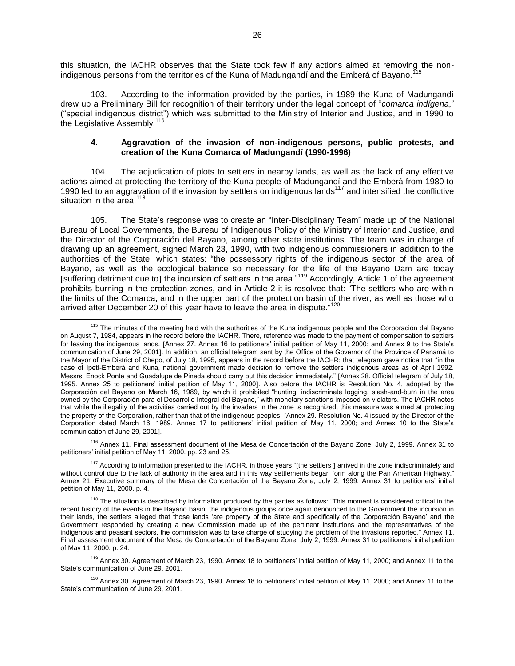this situation, the IACHR observes that the State took few if any actions aimed at removing the nonindigenous persons from the territories of the Kuna of Madungandí and the Emberá of Bayano.<sup>1</sup>

103. According to the information provided by the parties, in 1989 the Kuna of Madungandí drew up a Preliminary Bill for recognition of their territory under the legal concept of "*comarca indígena*," ("special indigenous district") which was submitted to the Ministry of Interior and Justice, and in 1990 to the Legislative Assembly.<sup>116</sup>

### **4. Aggravation of the invasion of non-indigenous persons, public protests, and creation of the Kuna Comarca of Madungandí (1990-1996)**

104. The adjudication of plots to settlers in nearby lands, as well as the lack of any effective actions aimed at protecting the territory of the Kuna people of Madungandí and the Emberá from 1980 to 1990 led to an aggravation of the invasion by settlers on indigenous lands<sup>117</sup> and intensified the conflictive situation in the area. $118$ 

105. The State's response was to create an "Inter-Disciplinary Team" made up of the National Bureau of Local Governments, the Bureau of Indigenous Policy of the Ministry of Interior and Justice, and the Director of the Corporación del Bayano, among other state institutions. The team was in charge of drawing up an agreement, signed March 23, 1990, with two indigenous commissioners in addition to the authorities of the State, which states: "the possessory rights of the indigenous sector of the area of Bayano, as well as the ecological balance so necessary for the life of the Bayano Dam are today [suffering detriment due to] the incursion of settlers in the area."<sup>119</sup> Accordingly, Article 1 of the agreement prohibits burning in the protection zones, and in Article 2 it is resolved that: "The settlers who are within the limits of the Comarca, and in the upper part of the protection basin of the river, as well as those who arrived after December 20 of this year have to leave the area in dispute."<sup>120</sup>

<sup>116</sup> Annex 11. Final assessment document of the Mesa de Concertación of the Bayano Zone, July 2, 1999. Annex 31 to petitioners' initial petition of May 11, 2000. pp. 23 and 25.

<sup>117</sup> According to information presented to the IACHR, in those years "[the settlers ] arrived in the zone indiscriminately and without control due to the lack of authority in the area and in this way settlements began form along the Pan American Highway." Annex 21. Executive summary of the Mesa de Concertación of the Bayano Zone, July 2, 1999. Annex 31 to petitioners' initial petition of May 11, 2000. p. 4.

 $\overline{a}$ <sup>115</sup> The minutes of the meeting held with the authorities of the Kuna indigenous people and the Corporación del Bayano on August 7, 1984, appears in the record before the IACHR. There, reference was made to the payment of compensation to settlers for leaving the indigenous lands. [Annex 27. Annex 16 to petitioners' initial petition of May 11, 2000; and Annex 9 to the State's communication of June 29, 2001. In addition, an official telegram sent by the Office of the Governor of the Province of Panamá to the Mayor of the District of Chepo, of July 18, 1995, appears in the record before the IACHR; that telegram gave notice that "in the case of Ipetí-Emberá and Kuna, national government made decision to remove the settlers indigenous areas as of April 1992. Messrs. Enock Ponte and Guadalupe de Pineda should carry out this decision immediately." [Annex 28. Official telegram of July 18, 1995. Annex 25 to petitioners' initial petition of May 11, 2000. Also before the IACHR is Resolution No. 4, adopted by the Corporación del Bayano on March 16, 1989, by which it prohibited "hunting, indiscriminate logging, slash-and-burn in the area owned by the Corporación para el Desarrollo Integral del Bayano," with monetary sanctions imposed on violators. The IACHR notes that while the illegality of the activities carried out by the invaders in the zone is recognized, this measure was aimed at protecting the property of the Corporation, rather than that of the indigenous peoples. [Annex 29. Resolution No. 4 issued by the Director of the Corporation dated March 16, 1989. Annex 17 to petitioners' initial petition of May 11, 2000; and Annex 10 to the State's communication of June 29, 2001.

<sup>&</sup>lt;sup>118</sup> The situation is described by information produced by the parties as follows: "This moment is considered critical in the recent history of the events in the Bayano basin: the indigenous groups once again denounced to the Government the incursion in their lands, the settlers alleged that those lands 'are property of the State and specifically of the Corporación Bayano' and the Government responded by creating a new Commission made up of the pertinent institutions and the representatives of the indigenous and peasant sectors, the commission was to take charge of studying the problem of the invasions reported." Annex 11. Final assessment document of the Mesa de Concertación of the Bayano Zone, July 2, 1999. Annex 31 to petitioners' initial petition of May 11, 2000. p. 24.

<sup>&</sup>lt;sup>119</sup> Annex 30. Agreement of March 23, 1990. Annex 18 to petitioners' initial petition of May 11, 2000; and Annex 11 to the State's communication of June 29, 2001.

 $120$  Annex 30. Agreement of March 23, 1990. Annex 18 to petitioners' initial petition of May 11, 2000; and Annex 11 to the State's communication of June 29, 2001.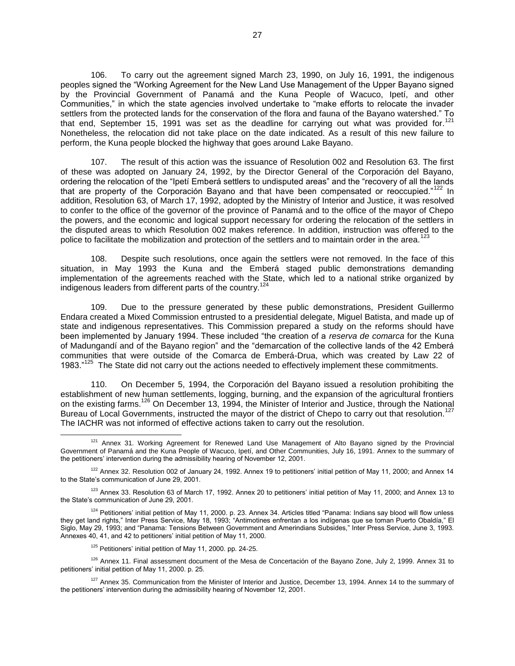106. To carry out the agreement signed March 23, 1990, on July 16, 1991, the indigenous peoples signed the "Working Agreement for the New Land Use Management of the Upper Bayano signed by the Provincial Government of Panamá and the Kuna People of Wacuco, Ipetí, and other Communities," in which the state agencies involved undertake to "make efforts to relocate the invader settlers from the protected lands for the conservation of the flora and fauna of the Bayano watershed." To that end, September 15, 1991 was set as the deadline for carrying out what was provided for.<sup>121</sup> Nonetheless, the relocation did not take place on the date indicated. As a result of this new failure to perform, the Kuna people blocked the highway that goes around Lake Bayano.

107. The result of this action was the issuance of Resolution 002 and Resolution 63. The first of these was adopted on January 24, 1992, by the Director General of the Corporación del Bayano, ordering the relocation of the "Ipetí Emberá settlers to undisputed areas" and the "recovery of all the lands that are property of the Corporación Bayano and that have been compensated or reoccupied."<sup>122</sup> In addition, Resolution 63, of March 17, 1992, adopted by the Ministry of Interior and Justice, it was resolved to confer to the office of the governor of the province of Panamá and to the office of the mayor of Chepo the powers, and the economic and logical support necessary for ordering the relocation of the settlers in the disputed areas to which Resolution 002 makes reference. In addition, instruction was offered to the police to facilitate the mobilization and protection of the settlers and to maintain order in the area.<sup>123</sup>

108. Despite such resolutions, once again the settlers were not removed. In the face of this situation, in May 1993 the Kuna and the Emberá staged public demonstrations demanding implementation of the agreements reached with the State, which led to a national strike organized by indigenous leaders from different parts of the country.<sup>124</sup>

109. Due to the pressure generated by these public demonstrations, President Guillermo Endara created a Mixed Commission entrusted to a presidential delegate, Miguel Batista, and made up of state and indigenous representatives. This Commission prepared a study on the reforms should have been implemented by January 1994. These included "the creation of a *reserva de comarca* for the Kuna of Madungandí and of the Bayano region" and the "demarcation of the collective lands of the 42 Emberá communities that were outside of the Comarca de Emberá-Drua, which was created by Law 22 of 1983."<sup>125</sup> The State did not carry out the actions needed to effectively implement these commitments.

110. On December 5, 1994, the Corporación del Bayano issued a resolution prohibiting the establishment of new human settlements, logging, burning, and the expansion of the agricultural frontiers on the existing farms.<sup>126</sup> On December 13, 1994, the Minister of Interior and Justice, through the National Bureau of Local Governments, instructed the mayor of the district of Chepo to carry out that resolution.<sup>127</sup> The IACHR was not informed of effective actions taken to carry out the resolution.

 $125$  Petitioners' initial petition of May 11, 2000, pp. 24-25.

 $\overline{a}$ <sup>121</sup> Annex 31. Working Agreement for Renewed Land Use Management of Alto Bayano signed by the Provincial Government of Panamá and the Kuna People of Wacuco, Ipetí, and Other Communities, July 16, 1991. Annex to the summary of the petitioners' intervention during the admissibility hearing of November 12, 2001.

 $122$  Annex 32. Resolution 002 of January 24, 1992. Annex 19 to petitioners' initial petition of May 11, 2000; and Annex 14 to the State's communication of June 29, 2001.

 $123$  Annex 33. Resolution 63 of March 17, 1992. Annex 20 to petitioners' initial petition of May 11, 2000; and Annex 13 to the State's communication of June 29, 2001.

<sup>&</sup>lt;sup>124</sup> Petitioners' initial petition of May 11, 2000. p. 23. Annex 34. Articles titled "Panama: Indians say blood will flow unless they get land rights," Inter Press Service, May 18, 1993; "Antimotines enfrentan a los indígenas que se toman Puerto Obaldía," El Siglo, May 29, 1993; and "Panama: Tensions Between Government and Amerindians Subsides," Inter Press Service, June 3, 1993. Annexes 40, 41, and 42 to petitioners' initial petition of May 11, 2000.

<sup>&</sup>lt;sup>126</sup> Annex 11. Final assessment document of the Mesa de Concertación of the Bayano Zone, July 2, 1999. Annex 31 to petitioners' initial petition of May 11, 2000. p. 25.

<sup>&</sup>lt;sup>127</sup> Annex 35. Communication from the Minister of Interior and Justice, December 13, 1994. Annex 14 to the summary of the petitioners' intervention during the admissibility hearing of November 12, 2001.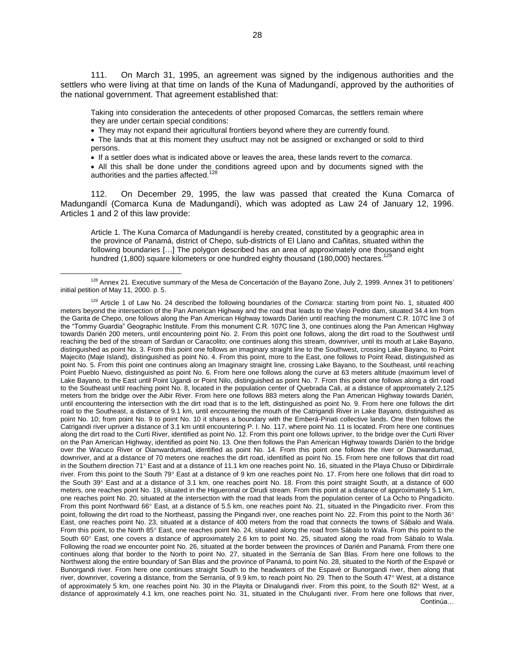111. On March 31, 1995, an agreement was signed by the indigenous authorities and the settlers who were living at that time on lands of the Kuna of Madungandí, approved by the authorities of the national government. That agreement established that:

Taking into consideration the antecedents of other proposed Comarcas, the settlers remain where they are under certain special conditions:

• They may not expand their agricultural frontiers beyond where they are currently found.

 The lands that at this moment they usufruct may not be assigned or exchanged or sold to third persons.

If a settler does what is indicated above or leaves the area, these lands revert to the *comarca*.

 All this shall be done under the conditions agreed upon and by documents signed with the authorities and the parties affected.<sup>128</sup>

112. On December 29, 1995, the law was passed that created the Kuna Comarca of Madungandí (Comarca Kuna de Madungandí), which was adopted as Law 24 of January 12, 1996. Articles 1 and 2 of this law provide:

Article 1. The Kuna Comarca of Madungandí is hereby created, constituted by a geographic area in the province of Panamá, district of Chepo, sub-districts of El Llano and Cañitas, situated within the following boundaries […] The polygon described has an area of approximately one thousand eight hundred (1,800) square kilometers or one hundred eighty thousand (180,000) hectares.<sup>12</sup>

<sup>&</sup>lt;sup>128</sup> Annex 21. Executive summary of the Mesa de Concertación of the Bayano Zone, July 2, 1999. Annex 31 to petitioners' initial petition of May 11, 2000. p. 5.

<sup>129</sup> Article 1 of Law No. 24 described the following boundaries of the *Comarca*: starting from point No. 1, situated 400 meters beyond the intersection of the Pan American Highway and the road that leads to the Viejo Pedro dam, situated 34.4 km from the Garita de Chepo, one follows along the Pan American Highway towards Darién until reaching the monument C.R. 107C line 3 of the "Tommy Guardia" Geographic Institute. From this monument C.R. 107C line 3, one continues along the Pan American Highway towards Darién 200 meters, until encountering point No. 2. From this point one follows, along the dirt road to the Southwest until reaching the bed of the stream of Sardian or Caracolito; one continues along this stream, downriver, until its mouth at Lake Bayano, distinguished as point No. 3. From this point one follows an imaginary straight line to the Southwest, crossing Lake Bayano, to Point Majecito (Maje Island), distinguished as point No. 4. From this point, more to the East, one follows to Point Read, distinguished as point No. 5. From this point one continues along an Imaginary straight line, crossing Lake Bayano, to the Southeast, until reaching Point Pueblo Nuevo, distinguished as point No. 6. From here one follows along the curve at 63 meters altitude (maximum level of Lake Bayano, to the East until Point Ugandi or Point Nilo, distinguished as point No. 7. From this point one follows along a dirt road to the Southeast until reaching point No. 8, located in the population center of Quebrada Cali, at a distance of approximately 2,125 meters from the bridge over the Aibir River. From here one follows 883 meters along the Pan American Highway towards Darién, until encountering the intersection with the dirt road that is to the left, distinguished as point No. 9. From here one follows the dirt road to the Southeast, a distance of 9.1 km, until encountering the mouth of the Catrigandi River in Lake Bayano, distinguished as point No. 10; from point No. 9 to point No. 10 it shares a boundary with the Emberá-Piriati collective lands. One then follows the Catrigandi river upriver a distance of 3.1 km until encountering P. I. No. 117, where point No. 11 is located. From here one continues along the dirt road to the Curti River, identified as point No. 12. From this point one follows upriver, to the bridge over the Curti River on the Pan American Highway, identified as point No. 13. One then follows the Pan American Highway towards Darién to the bridge over the Wacuco River or Dianwardumad, identified as point No. 14. From this point one follows the river or Dianwardumad, downriver, and at a distance of 70 meters one reaches the dirt road, identified as point No. 15. From here one follows that dirt road in the Southern direction 71° East and at a distance of 11.1 km one reaches point No. 16, situated in the Playa Chuso or Dibirdirrale river. From this point to the South 79° East at a distance of 9 km one reaches point No. 17. From here one follows that dirt road to the South 39° East and at a distance of 3.1 km, one reaches point No. 18. From this point straight South, at a distance of 600 meters, one reaches point No. 19, situated in the Higueronal or Dirudi stream. From this point at a distance of approximately 5.1 km, one reaches point No. 20, situated at the intersection with the road that leads from the population center of La Ocho to Pingadicito. From this point Northward 66° East, at a distance of 5.5 km, one reaches point No. 21, situated in the Pingadicito river. From this point, following the dirt road to the Northeast, passing the Pingandi river, one reaches point No. 22. From this point to the North 36° East, one reaches point No. 23, situated at a distance of 400 meters from the road that connects the towns of Sábalo and Wala. From this point, to the North 85° East, one reaches point No. 24, situated along the road from Sábalo to Wala. From this point to the South 60° East, one covers a distance of approximately 2.6 km to point No. 25, situated along the road from Sábalo to Wala. Following the road we encounter point No. 26, situated at the border between the provinces of Darién and Panamá. From there one continues along that border to the North to point No. 27, situated in the Serranía de San Blas. From here one follows to the Northwest along the entire boundary of San Blas and the province of Panamá, to point No. 28, situated to the North of the Espavé or Bunorgandi river. From here one continues straight South to the headwaters of the Espavé or Bunorgandi river, then along that river, downriver, covering a distance, from the Serranía, of 9.9 km, to reach point No. 29. Then to the South 47° West, at a distance of approximately 5 km, one reaches point No. 30 in the Playita or Dinalugandi river. From this point, to the South 82° West, at a distance of approximately 4.1 km, one reaches point No. 31, situated in the Chuluganti river. From here one follows that river, Continúa…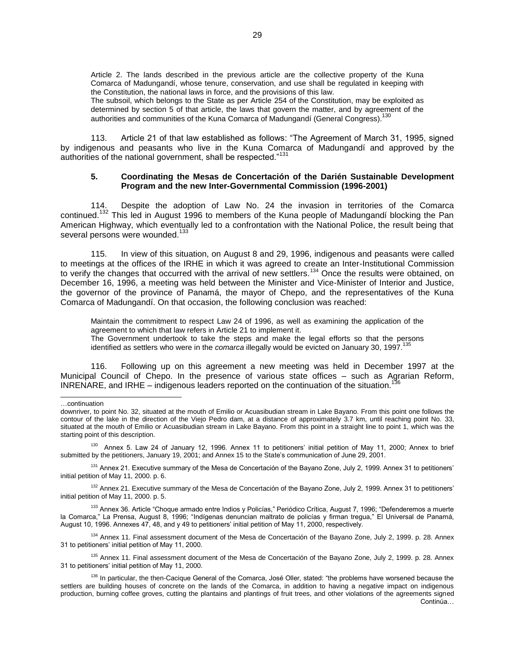The subsoil, which belongs to the State as per Article 254 of the Constitution, may be exploited as determined by section 5 of that article, the laws that govern the matter, and by agreement of the authorities and communities of the Kuna Comarca of Madungandí (General Congress).<sup>130</sup>

113. Article 21 of that law established as follows: "The Agreement of March 31, 1995, signed by indigenous and peasants who live in the Kuna Comarca of Madungandí and approved by the authorities of the national government, shall be respected."<sup>131</sup>

#### **5. Coordinating the Mesas de Concertación of the Darién Sustainable Development Program and the new Inter-Governmental Commission (1996-2001)**

114. Despite the adoption of Law No. 24 the invasion in territories of the Comarca continued.<sup>132</sup> This led in August 1996 to members of the Kuna people of Madungandí blocking the Pan American Highway, which eventually led to a confrontation with the National Police, the result being that several persons were wounded.<sup>133</sup>

115. In view of this situation, on August 8 and 29, 1996, indigenous and peasants were called to meetings at the offices of the IRHE in which it was agreed to create an Inter-Institutional Commission to verify the changes that occurred with the arrival of new settlers.<sup>134</sup> Once the results were obtained, on December 16, 1996, a meeting was held between the Minister and Vice-Minister of Interior and Justice, the governor of the province of Panamá, the mayor of Chepo, and the representatives of the Kuna Comarca of Madungandí. On that occasion, the following conclusion was reached:

Maintain the commitment to respect Law 24 of 1996, as well as examining the application of the agreement to which that law refers in Article 21 to implement it. The Government undertook to take the steps and make the legal efforts so that the persons identified as settlers who were in the *comarca* illegally would be evicted on January 30, 1997. 135

116. Following up on this agreement a new meeting was held in December 1997 at the Municipal Council of Chepo. In the presence of various state offices – such as Agrarian Reform, INRENARE, and IRHE – indigenous leaders reported on the continuation of the situation.<sup>1</sup>

l

<sup>131</sup> Annex 21. Executive summary of the Mesa de Concertación of the Bayano Zone, July 2, 1999. Annex 31 to petitioners' initial petition of May 11, 2000. p. 6.

<sup>132</sup> Annex 21. Executive summary of the Mesa de Concertación of the Bayano Zone, July 2, 1999. Annex 31 to petitioners' initial petition of May 11, 2000. p. 5.

<sup>133</sup> Annex 36. Article "Choque armado entre Indios y Policías," Periódico Crítica, August 7, 1996; "Defenderemos a muerte la Comarca," La Prensa, August 8, 1996; "Indígenas denuncian maltrato de policías y firman tregua," El Universal de Panamá, August 10, 1996. Annexes 47, 48, and y 49 to petitioners' initial petition of May 11, 2000, respectively.

<sup>134</sup> Annex 11. Final assessment document of the Mesa de Concertación of the Bayano Zone, July 2, 1999. p. 28. Annex 31 to petitioners' initial petition of May 11, 2000.

<sup>135</sup> Annex 11. Final assessment document of the Mesa de Concertación of the Bayano Zone, July 2, 1999. p. 28. Annex 31 to petitioners' initial petition of May 11, 2000.

<sup>136</sup> In particular, the then-Cacique General of the Comarca, José Oller, stated: "the problems have worsened because the settlers are building houses of concrete on the lands of the Comarca, in addition to having a negative impact on indigenous production, burning coffee groves, cutting the plantains and plantings of fruit trees, and other violations of the agreements signed Continúa…

<sup>…</sup>continuation

downriver, to point No. 32, situated at the mouth of Emilio or Acuasibudian stream in Lake Bayano. From this point one follows the contour of the lake in the direction of the Viejo Pedro dam, at a distance of approximately 3.7 km, until reaching point No. 33, situated at the mouth of Emilio or Acuasibudian stream in Lake Bayano. From this point in a straight line to point 1, which was the starting point of this description.

<sup>&</sup>lt;sup>130</sup> Annex 5. Law 24 of January 12, 1996. Annex 11 to petitioners' initial petition of May 11, 2000; Annex to brief submitted by the petitioners, January 19, 2001; and Annex 15 to the State's communication of June 29, 2001.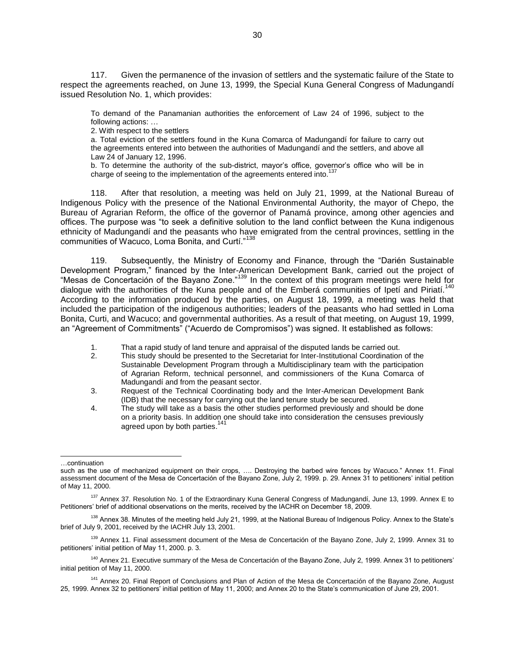117. Given the permanence of the invasion of settlers and the systematic failure of the State to respect the agreements reached, on June 13, 1999, the Special Kuna General Congress of Madungandí issued Resolution No. 1, which provides:

To demand of the Panamanian authorities the enforcement of Law 24 of 1996, subject to the following actions: …

2. With respect to the settlers

a. Total eviction of the settlers found in the Kuna Comarca of Madungandí for failure to carry out the agreements entered into between the authorities of Madungandí and the settlers, and above all Law 24 of January 12, 1996.

b. To determine the authority of the sub-district, mayor's office, governor's office who will be in charge of seeing to the implementation of the agreements entered into.<sup>1</sup>

118. After that resolution, a meeting was held on July 21, 1999, at the National Bureau of Indigenous Policy with the presence of the National Environmental Authority, the mayor of Chepo, the Bureau of Agrarian Reform, the office of the governor of Panamá province, among other agencies and offices. The purpose was "to seek a definitive solution to the land conflict between the Kuna indigenous ethnicity of Madungandí and the peasants who have emigrated from the central provinces, settling in the communities of Wacuco, Loma Bonita, and Curtí."<sup>138</sup>

119. Subsequently, the Ministry of Economy and Finance, through the "Darién Sustainable Development Program," financed by the Inter-American Development Bank, carried out the project of "Mesas de Concertación of the Bayano Zone."<sup>139</sup> In the context of this program meetings were held for dialogue with the authorities of the Kuna people and of the Emberá communities of Ipetí and Piriatí.<sup>140</sup> According to the information produced by the parties, on August 18, 1999, a meeting was held that included the participation of the indigenous authorities; leaders of the peasants who had settled in Loma Bonita, Curti, and Wacuco; and governmental authorities. As a result of that meeting, on August 19, 1999, an "Agreement of Commitments" ("Acuerdo de Compromisos") was signed. It established as follows:

- 1. That a rapid study of land tenure and appraisal of the disputed lands be carried out.<br>2. This study should be presented to the Secretariat for Inter-Institutional Coordination
- 2. This study should be presented to the Secretariat for Inter-Institutional Coordination of the Sustainable Development Program through a Multidisciplinary team with the participation of Agrarian Reform, technical personnel, and commissioners of the Kuna Comarca of Madungandí and from the peasant sector.
- 3. Request of the Technical Coordinating body and the Inter-American Development Bank (IDB) that the necessary for carrying out the land tenure study be secured.
- 4. The study will take as a basis the other studies performed previously and should be done on a priority basis. In addition one should take into consideration the censuses previously agreed upon by both parties.<sup>141</sup>

 $\overline{a}$ …continuation

such as the use of mechanized equipment on their crops, …. Destroying the barbed wire fences by Wacuco." Annex 11. Final assessment document of the Mesa de Concertación of the Bayano Zone, July 2, 1999. p. 29. Annex 31 to petitioners' initial petition of May 11, 2000.

<sup>&</sup>lt;sup>137</sup> Annex 37. Resolution No. 1 of the Extraordinary Kuna General Congress of Madungandí, June 13, 1999. Annex E to Petitioners' brief of additional observations on the merits, received by the IACHR on December 18, 2009.

<sup>&</sup>lt;sup>138</sup> Annex 38. Minutes of the meeting held July 21, 1999, at the National Bureau of Indigenous Policy. Annex to the State's brief of July 9, 2001, received by the IACHR July 13, 2001.

<sup>&</sup>lt;sup>139</sup> Annex 11. Final assessment document of the Mesa de Concertación of the Bayano Zone, July 2, 1999. Annex 31 to petitioners' initial petition of May 11, 2000. p. 3.

<sup>&</sup>lt;sup>140</sup> Annex 21. Executive summary of the Mesa de Concertación of the Bayano Zone, July 2, 1999. Annex 31 to petitioners' initial petition of May 11, 2000.

<sup>&</sup>lt;sup>141</sup> Annex 20. Final Report of Conclusions and Plan of Action of the Mesa de Concertación of the Bayano Zone, August 25, 1999. Annex 32 to petitioners' initial petition of May 11, 2000; and Annex 20 to the State's communication of June 29, 2001.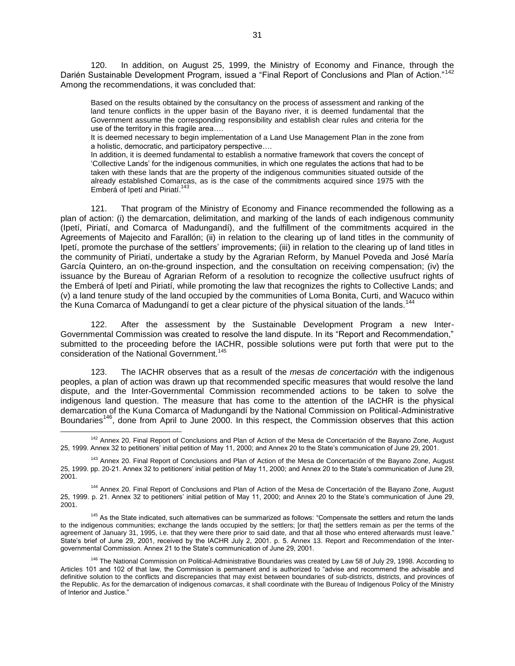120. In addition, on August 25, 1999, the Ministry of Economy and Finance, through the Darién Sustainable Development Program, issued a "Final Report of Conclusions and Plan of Action."<sup>142</sup> Among the recommendations, it was concluded that:

Based on the results obtained by the consultancy on the process of assessment and ranking of the land tenure conflicts in the upper basin of the Bayano river, it is deemed fundamental that the Government assume the corresponding responsibility and establish clear rules and criteria for the use of the territory in this fragile area….

It is deemed necessary to begin implementation of a Land Use Management Plan in the zone from a holistic, democratic, and participatory perspective….

In addition, it is deemed fundamental to establish a normative framework that covers the concept of 'Collective Lands' for the indigenous communities, in which one regulates the actions that had to be taken with these lands that are the property of the indigenous communities situated outside of the already established Comarcas, as is the case of the commitments acquired since 1975 with the Emberá of Ipetí and Piriatí.<sup>143</sup>

121. That program of the Ministry of Economy and Finance recommended the following as a plan of action: (i) the demarcation, delimitation, and marking of the lands of each indigenous community (Ipetí, Piriatí, and Comarca of Madungandí), and the fulfillment of the commitments acquired in the Agreements of Majecito and Farallón; (ii) in relation to the clearing up of land titles in the community of Ipetí, promote the purchase of the settlers' improvements; (iii) in relation to the clearing up of land titles in the community of Piriatí, undertake a study by the Agrarian Reform, by Manuel Poveda and José María García Quintero, an on-the-ground inspection, and the consultation on receiving compensation; (iv) the issuance by the Bureau of Agrarian Reform of a resolution to recognize the collective usufruct rights of the Emberá of Ipetí and Piriatí, while promoting the law that recognizes the rights to Collective Lands; and (v) a land tenure study of the land occupied by the communities of Loma Bonita, Curti, and Wacuco within the Kuna Comarca of Madungandí to get a clear picture of the physical situation of the lands.<sup>144</sup>

122. After the assessment by the Sustainable Development Program a new Inter-Governmental Commission was created to resolve the land dispute. In its "Report and Recommendation," submitted to the proceeding before the IACHR, possible solutions were put forth that were put to the consideration of the National Government.<sup>145</sup>

123. The IACHR observes that as a result of the *mesas de concertación* with the indigenous peoples, a plan of action was drawn up that recommended specific measures that would resolve the land dispute, and the Inter-Governmental Commission recommended actions to be taken to solve the indigenous land question. The measure that has come to the attention of the IACHR is the physical demarcation of the Kuna Comarca of Madungandí by the National Commission on Political-Administrative Boundaries<sup>146</sup>, done from April to June 2000. In this respect, the Commission observes that this action

<sup>&</sup>lt;sup>142</sup> Annex 20. Final Report of Conclusions and Plan of Action of the Mesa de Concertación of the Bayano Zone, August 25, 1999. Annex 32 to petitioners' initial petition of May 11, 2000; and Annex 20 to the State's communication of June 29, 2001.

<sup>&</sup>lt;sup>143</sup> Annex 20. Final Report of Conclusions and Plan of Action of the Mesa de Concertación of the Bayano Zone, August 25, 1999. pp. 20-21. Annex 32 to petitioners' initial petition of May 11, 2000; and Annex 20 to the State's communication of June 29, 2001.

<sup>144</sup> Annex 20. Final Report of Conclusions and Plan of Action of the Mesa de Concertación of the Bayano Zone, August 25, 1999. p. 21. Annex 32 to petitioners' initial petition of May 11, 2000; and Annex 20 to the State's communication of June 29, 2001.

<sup>&</sup>lt;sup>145</sup> As the State indicated, such alternatives can be summarized as follows: "Compensate the settlers and return the lands to the indigenous communities; exchange the lands occupied by the settlers; [or that] the settlers remain as per the terms of the agreement of January 31, 1995, i.e. that they were there prior to said date, and that all those who entered afterwards must leave." State's brief of June 29, 2001, received by the IACHR July 2, 2001. p. 5. Annex 13. Report and Recommendation of the Intergovernmental Commission. Annex 21 to the State's communication of June 29, 2001.

<sup>&</sup>lt;sup>146</sup> The National Commission on Political-Administrative Boundaries was created by Law 58 of July 29, 1998. According to Articles 101 and 102 of that law, the Commission is permanent and is authorized to "advise and recommend the advisable and definitive solution to the conflicts and discrepancies that may exist between boundaries of sub-districts, districts, and provinces of the Republic. As for the demarcation of indigenous *comarcas*, it shall coordinate with the Bureau of Indigenous Policy of the Ministry of Interior and Justice."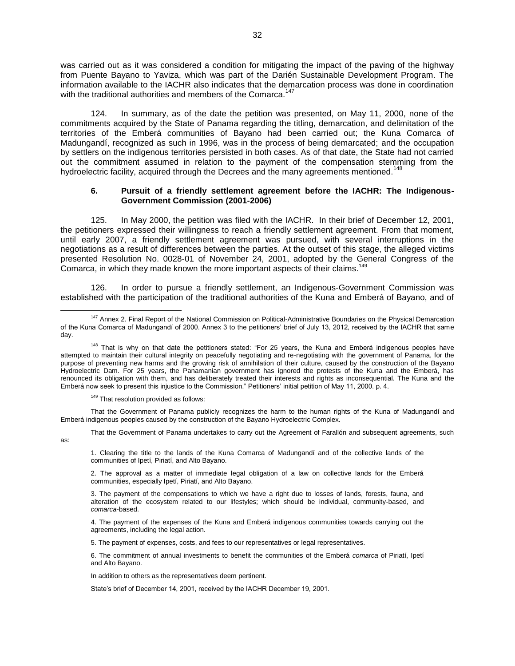was carried out as it was considered a condition for mitigating the impact of the paving of the highway from Puente Bayano to Yaviza, which was part of the Darién Sustainable Development Program. The information available to the IACHR also indicates that the demarcation process was done in coordination with the traditional authorities and members of the Comarca.<sup>147</sup>

124. In summary, as of the date the petition was presented, on May 11, 2000, none of the commitments acquired by the State of Panama regarding the titling, demarcation, and delimitation of the territories of the Emberá communities of Bayano had been carried out; the Kuna Comarca of Madungandí, recognized as such in 1996, was in the process of being demarcated; and the occupation by settlers on the indigenous territories persisted in both cases. As of that date, the State had not carried out the commitment assumed in relation to the payment of the compensation stemming from the hydroelectric facility, acquired through the Decrees and the many agreements mentioned.<sup>148</sup>

### **6. Pursuit of a friendly settlement agreement before the IACHR: The Indigenous-Government Commission (2001-2006)**

125. In May 2000, the petition was filed with the IACHR. In their brief of December 12, 2001, the petitioners expressed their willingness to reach a friendly settlement agreement. From that moment, until early 2007, a friendly settlement agreement was pursued, with several interruptions in the negotiations as a result of differences between the parties. At the outset of this stage, the alleged victims presented Resolution No. 0028-01 of November 24, 2001, adopted by the General Congress of the Comarca, in which they made known the more important aspects of their claims.<sup>149</sup>

126. In order to pursue a friendly settlement, an Indigenous-Government Commission was established with the participation of the traditional authorities of the Kuna and Emberá of Bayano, and of

<sup>149</sup> That resolution provided as follows:

That the Government of Panama publicly recognizes the harm to the human rights of the Kuna of Madungandí and Emberá indigenous peoples caused by the construction of the Bayano Hydroelectric Complex.

That the Government of Panama undertakes to carry out the Agreement of Farallón and subsequent agreements, such as:

1. Clearing the title to the lands of the Kuna Comarca of Madungandí and of the collective lands of the communities of Ipetí, Piriatí, and Alto Bayano.

2. The approval as a matter of immediate legal obligation of a law on collective lands for the Emberá communities, especially Ipetí, Piriatí, and Alto Bayano.

3. The payment of the compensations to which we have a right due to losses of lands, forests, fauna, and alteration of the ecosystem related to our lifestyles; which should be individual, community-based, and *comarca*-based.

4. The payment of the expenses of the Kuna and Emberá indigenous communities towards carrying out the agreements, including the legal action.

5. The payment of expenses, costs, and fees to our representatives or legal representatives.

6. The commitment of annual investments to benefit the communities of the Emberá *comarca* of Piriatí, Ipetí and Alto Bayano.

In addition to others as the representatives deem pertinent.

State's brief of December 14, 2001, received by the IACHR December 19, 2001.

 $\overline{a}$ <sup>147</sup> Annex 2. Final Report of the National Commission on Political-Administrative Boundaries on the Physical Demarcation of the Kuna Comarca of Madungandí of 2000. Annex 3 to the petitioners' brief of July 13, 2012, received by the IACHR that same day.

<sup>&</sup>lt;sup>148</sup> That is why on that date the petitioners stated: "For 25 years, the Kuna and Emberá indigenous peoples have attempted to maintain their cultural integrity on peacefully negotiating and re-negotiating with the government of Panama, for the purpose of preventing new harms and the growing risk of annihilation of their culture, caused by the construction of the Bayano Hydroelectric Dam. For 25 years, the Panamanian government has ignored the protests of the Kuna and the Emberá, has renounced its obligation with them, and has deliberately treated their interests and rights as inconsequential. The Kuna and the Emberá now seek to present this injustice to the Commission." Petitioners' initial petition of May 11, 2000. p. 4.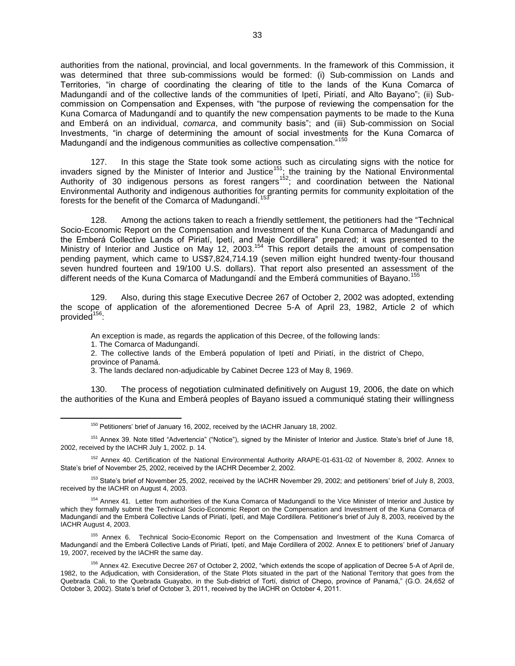authorities from the national, provincial, and local governments. In the framework of this Commission, it was determined that three sub-commissions would be formed: (i) Sub-commission on Lands and Territories, "in charge of coordinating the clearing of title to the lands of the Kuna Comarca of Madungandí and of the collective lands of the communities of Ipetí, Piriatí, and Alto Bayano"; (ii) Subcommission on Compensation and Expenses, with "the purpose of reviewing the compensation for the Kuna Comarca of Madungandí and to quantify the new compensation payments to be made to the Kuna and Emberá on an individual, *comarca*, and community basis"; and (iii) Sub-commission on Social Investments, "in charge of determining the amount of social investments for the Kuna Comarca of Madungandí and the indigenous communities as collective compensation."<sup>150</sup>

127. In this stage the State took some actions such as circulating signs with the notice for invaders signed by the Minister of Interior and Justice<sup>151</sup>; the training by the National Environmental Authority of 30 indigenous persons as forest rangers<sup>152</sup>; and coordination between the National Environmental Authority and indigenous authorities for granting permits for community exploitation of the forests for the benefit of the Comarca of Madungandí.<sup>153</sup>

128. Among the actions taken to reach a friendly settlement, the petitioners had the "Technical Socio-Economic Report on the Compensation and Investment of the Kuna Comarca of Madungandí and the Emberá Collective Lands of Piriatí, Ipetí, and Maje Cordillera" prepared; it was presented to the Ministry of Interior and Justice on May 12, 2003.<sup>154</sup> This report details the amount of compensation pending payment, which came to US\$7,824,714.19 (seven million eight hundred twenty-four thousand seven hundred fourteen and 19/100 U.S. dollars). That report also presented an assessment of the different needs of the Kuna Comarca of Madungandí and the Emberá communities of Bayano.<sup>155</sup>

129. Also, during this stage Executive Decree 267 of October 2, 2002 was adopted, extending the scope of application of the aforementioned Decree 5-A of April 23, 1982, Article 2 of which provided<sup>156</sup>:

An exception is made, as regards the application of this Decree, of the following lands:

1. The Comarca of Madungandí.

 $\overline{a}$ 

2. The collective lands of the Emberá population of Ipetí and Piriatí, in the district of Chepo, province of Panamá.

3. The lands declared non-adjudicable by Cabinet Decree 123 of May 8, 1969.

130. The process of negotiation culminated definitively on August 19, 2006, the date on which the authorities of the Kuna and Emberá peoples of Bayano issued a communiqué stating their willingness

<sup>152</sup> Annex 40. Certification of the National Environmental Authority ARAPE-01-631-02 of November 8, 2002. Annex to State's brief of November 25, 2002, received by the IACHR December 2, 2002.

<sup>153</sup> State's brief of November 25, 2002, received by the IACHR November 29, 2002; and petitioners' brief of July 8, 2003, received by the IACHR on August 4, 2003.

154 Annex 41. Letter from authorities of the Kuna Comarca of Madungandí to the Vice Minister of Interior and Justice by which they formally submit the Technical Socio-Economic Report on the Compensation and Investment of the Kuna Comarca of Madungandí and the Emberá Collective Lands of Piriatí, Ipetí, and Maje Cordillera. Petitioner's brief of July 8, 2003, received by the IACHR August 4, 2003.

<sup>155</sup> Annex 6. Technical Socio-Economic Report on the Compensation and Investment of the Kuna Comarca of Madungandí and the Emberá Collective Lands of Piriatí, Ipetí, and Maje Cordillera of 2002. Annex E to petitioners' brief of January 19, 2007, received by the IACHR the same day.

<sup>150</sup> Petitioners' brief of January 16, 2002, received by the IACHR January 18, 2002.

<sup>&</sup>lt;sup>151</sup> Annex 39. Note titled "Advertencia" ("Notice"), signed by the Minister of Interior and Justice. State's brief of June 18, 2002, received by the IACHR July 1, 2002. p. 14.

<sup>&</sup>lt;sup>156</sup> Annex 42. Executive Decree 267 of October 2, 2002, "which extends the scope of application of Decree 5-A of April de, 1982, to the Adjudication, with Consideration, of the State Plots situated in the part of the National Territory that goes from the Quebrada Cali, to the Quebrada Guayabo, in the Sub-district of Tortí, district of Chepo, province of Panamá," (G.O. 24,652 of October 3, 2002). State's brief of October 3, 2011, received by the IACHR on October 4, 2011.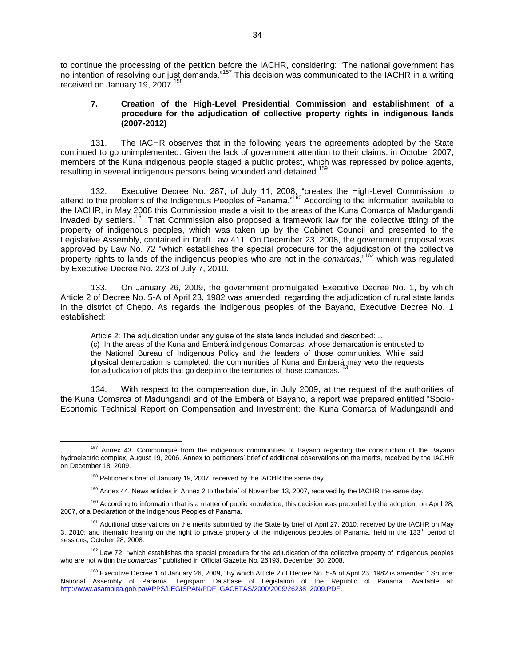to continue the processing of the petition before the IACHR, considering: "The national government has no intention of resolving our just demands."<sup>157</sup> This decision was communicated to the IACHR in a writing received on January 19, 2007.<sup>158</sup>

## **7. Creation of the High-Level Presidential Commission and establishment of a procedure for the adjudication of collective property rights in indigenous lands (2007-2012)**

131. The IACHR observes that in the following years the agreements adopted by the State continued to go unimplemented. Given the lack of government attention to their claims, in October 2007, members of the Kuna indigenous people staged a public protest, which was repressed by police agents, resulting in several indigenous persons being wounded and detained.<sup>15</sup>

132. Executive Decree No. 287, of July 11, 2008, "creates the High-Level Commission to attend to the problems of the Indigenous Peoples of Panama."<sup>160</sup> According to the information available to the IACHR, in May 2008 this Commission made a visit to the areas of the Kuna Comarca of Madungandí invaded by settlers.<sup>161</sup> That Commission also proposed a framework law for the collective titling of the property of indigenous peoples, which was taken up by the Cabinet Council and presented to the Legislative Assembly, contained in Draft Law 411. On December 23, 2008, the government proposal was approved by Law No. 72 "which establishes the special procedure for the adjudication of the collective property rights to lands of the indigenous peoples who are not in the *comarcas*,"<sup>162</sup> which was regulated by Executive Decree No. 223 of July 7, 2010.

133. On January 26, 2009, the government promulgated Executive Decree No. 1, by which Article 2 of Decree No. 5-A of April 23, 1982 was amended, regarding the adjudication of rural state lands in the district of Chepo. As regards the indigenous peoples of the Bayano, Executive Decree No. 1 established:

Article 2: The adjudication under any guise of the state lands included and described: … (c) In the areas of the Kuna and Emberá indigenous Comarcas, whose demarcation is entrusted to the National Bureau of Indigenous Policy and the leaders of those communities. While said physical demarcation is completed, the communities of Kuna and Emberá may veto the requests for adjudication of plots that go deep into the territories of those comarcas.<sup>163</sup>

134. With respect to the compensation due, in July 2009, at the request of the authorities of the Kuna Comarca of Madungandí and of the Emberá of Bayano, a report was prepared entitled "Socio-Economic Technical Report on Compensation and Investment: the Kuna Comarca of Madungandí and

 $\overline{a}$ 

 $162$  Law 72, "which establishes the special procedure for the adjudication of the collective property of indigenous peoples who are not within the *comarcas*," published in Official Gazette No. 26193, December 30, 2008.

<sup>&</sup>lt;sup>157</sup> Annex 43. Communiqué from the indigenous communities of Bayano regarding the construction of the Bayano hydroelectric complex, August 19, 2006. Annex to petitioners' brief of additional observations on the merits, received by the IACHR on December 18, 2009.

 $158$  Petitioner's brief of January 19, 2007, received by the IACHR the same day.

<sup>&</sup>lt;sup>159</sup> Annex 44. News articles in Annex 2 to the brief of November 13, 2007, received by the IACHR the same day.

<sup>&</sup>lt;sup>160</sup> According to information that is a matter of public knowledge, this decision was preceded by the adoption, on April 28, 2007, of a Declaration of the Indigenous Peoples of Panama.

<sup>&</sup>lt;sup>161</sup> Additional observations on the merits submitted by the State by brief of April 27, 2010, received by the IACHR on May 3, 2010; and thematic hearing on the right to private property of the indigenous peoples of Panama, held in the 133<sup>rd</sup> period of sessions, October 28, 2008.

<sup>&</sup>lt;sup>163</sup> Executive Decree 1 of January 26, 2009, "By which Article 2 of Decree No. 5-A of April 23, 1982 is amended." Source: National Assembly of Panama. Legispan: Database of Legislation of the Republic of Panama. Available at: [http://www.asamblea.gob.pa/APPS/LEGISPAN/PDF\\_GACETAS/2000/2009/26238\\_2009.PDF.](http://www.asamblea.gob.pa/APPS/LEGISPAN/PDF_GACETAS/2000/2009/26238_2009.PDF)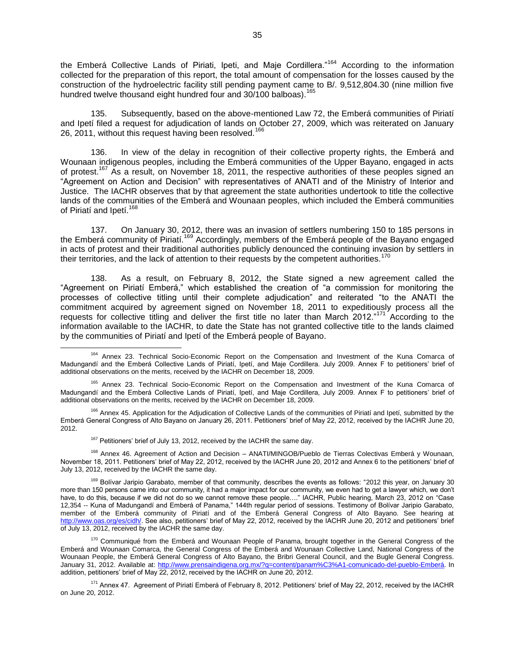the Emberá Collective Lands of Piriati, Ipeti, and Maje Cordillera."<sup>164</sup> According to the information collected for the preparation of this report, the total amount of compensation for the losses caused by the construction of the hydroelectric facility still pending payment came to B/. 9,512,804.30 (nine million five hundred twelve thousand eight hundred four and 30/100 balboas).<sup>165</sup>

135. Subsequently, based on the above-mentioned Law 72, the Emberá communities of Piriatí and Ipetí filed a request for adjudication of lands on October 27, 2009, which was reiterated on January 26, 2011, without this request having been resolved.<sup>166</sup>

136. In view of the delay in recognition of their collective property rights, the Emberá and Wounaan indigenous peoples, including the Emberá communities of the Upper Bayano, engaged in acts of protest.<sup>167</sup> As a result, on November 18, 2011, the respective authorities of these peoples signed an "Agreement on Action and Decision" with representatives of ANATI and of the Ministry of Interior and Justice. The IACHR observes that by that agreement the state authorities undertook to title the collective lands of the communities of the Emberá and Wounaan peoples, which included the Emberá communities of Piriatí and Ipetí.<sup>168</sup>

137. On January 30, 2012, there was an invasion of settlers numbering 150 to 185 persons in the Emberá community of Piriatí.<sup>169</sup> Accordingly, members of the Emberá people of the Bayano engaged in acts of protest and their traditional authorities publicly denounced the continuing invasion by settlers in their territories, and the lack of attention to their requests by the competent authorities.<sup>1</sup>

138. As a result, on February 8, 2012, the State signed a new agreement called the "Agreement on Piriatí Emberá," which established the creation of "a commission for monitoring the processes of collective titling until their complete adjudication" and reiterated "to the ANATI the commitment acquired by agreement signed on November 18, 2011 to expeditiously process all the requests for collective titling and deliver the first title no later than March 2012."<sup>171</sup> According to the information available to the IACHR, to date the State has not granted collective title to the lands claimed by the communities of Piriatí and Ipetí of the Emberá people of Bayano.

<sup>164</sup> Annex 23. Technical Socio-Economic Report on the Compensation and Investment of the Kuna Comarca of Madungandí and the Emberá Collective Lands of Piriatí, Ipetí, and Maje Cordillera. July 2009. Annex F to petitioners' brief of additional observations on the merits, received by the IACHR on December 18, 2009.

<sup>165</sup> Annex 23. Technical Socio-Economic Report on the Compensation and Investment of the Kuna Comarca of Madungandí and the Emberá Collective Lands of Piriatí, Ipetí, and Maje Cordillera, July 2009. Annex F to petitioners' brief of additional observations on the merits, received by the IACHR on December 18, 2009.

<sup>166</sup> Annex 45. Application for the Adjudication of Collective Lands of the communities of Piriatí and Ipetí, submitted by the Emberá General Congress of Alto Bayano on January 26, 2011. Petitioners' brief of May 22, 2012, received by the IACHR June 20, 2012.

 $167$  Petitioners' brief of July 13, 2012, received by the IACHR the same day.

<sup>168</sup> Annex 46. Agreement of Action and Decision – ANATI/MINGOB/Pueblo de Tierras Colectivas Emberá y Wounaan, November 18, 2011. Petitioners' brief of May 22, 2012, received by the IACHR June 20, 2012 and Annex 6 to the petitioners' brief of July 13, 2012, received by the IACHR the same day.

<sup>&</sup>lt;sup>169</sup> Bolívar Jaripio Garabato, member of that community, describes the events as follows: "2012 this year, on January 30 more than 150 persons came into our community, it had a major impact for our community, we even had to get a lawyer which, we don't have, to do this, because if we did not do so we cannot remove these people…." IACHR, Public hearing, March 23, 2012 on "Case 12,354 -- Kuna of Madungandí and Emberá of Panama," 144th regular period of sessions. Testimony of Bolívar Jaripio Garabato, member of the Emberá community of Piriatí and of the Emberá General Congress of Alto Bayano. See hearing at [http://www.oas.org/es/cidh/.](http://www.oas.org/es/cidh/) See also, petitioners' brief of May 22, 2012, received by the IACHR June 20, 2012 and petitioners' brief of July 13, 2012, received by the IACHR the same day.

<sup>170</sup> Communiqué from the Emberá and Wounaan People of Panama, brought together in the General Congress of the Emberá and Wounaan Comarca, the General Congress of the Emberá and Wounaan Collective Land, National Congress of the Wounaan People, the Emberá General Congress of Alto Bayano, the Bribri General Council, and the Bugle General Congress. January 31, 2012. Available at: [http://www.prensaindigena.org.mx/?q=content/panam%C3%A1-comunicado-del-pueblo-Emberá.](http://www.prensaindigena.org.mx/?q=content/panam%C3%A1-comunicado-del-pueblo-embera) In addition, petitioners' brief of May 22, 2012, received by the IACHR on June 20, 2012.

<sup>&</sup>lt;sup>171</sup> Annex 47. Agreement of Piriatí Emberá of February 8, 2012. Petitioners' brief of May 22, 2012, received by the IACHR on June 20, 2012.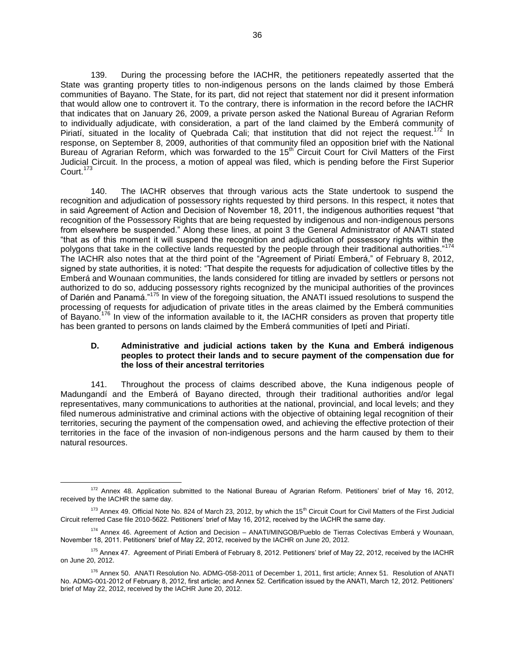139. During the processing before the IACHR, the petitioners repeatedly asserted that the State was granting property titles to non-indigenous persons on the lands claimed by those Emberá communities of Bayano. The State, for its part, did not reject that statement nor did it present information that would allow one to controvert it. To the contrary, there is information in the record before the IACHR that indicates that on January 26, 2009, a private person asked the National Bureau of Agrarian Reform to individually adjudicate, with consideration, a part of the land claimed by the Emberá community of Piriatí, situated in the locality of Quebrada Cali; that institution that did not reject the request.<sup>172</sup> In response, on September 8, 2009, authorities of that community filed an opposition brief with the National Bureau of Agrarian Reform, which was forwarded to the 15<sup>th</sup> Circuit Court for Civil Matters of the First Judicial Circuit. In the process, a motion of appeal was filed, which is pending before the First Superior Court.<sup>173</sup>

140. The IACHR observes that through various acts the State undertook to suspend the recognition and adjudication of possessory rights requested by third persons. In this respect, it notes that in said Agreement of Action and Decision of November 18, 2011, the indigenous authorities request "that recognition of the Possessory Rights that are being requested by indigenous and non-indigenous persons from elsewhere be suspended." Along these lines, at point 3 the General Administrator of ANATI stated "that as of this moment it will suspend the recognition and adjudication of possessory rights within the polygons that take in the collective lands requested by the people through their traditional authorities."<sup>174</sup> The IACHR also notes that at the third point of the "Agreement of Piriatí Emberá," of February 8, 2012, signed by state authorities, it is noted: "That despite the requests for adjudication of collective titles by the Emberá and Wounaan communities, the lands considered for titling are invaded by settlers or persons not authorized to do so, adducing possessory rights recognized by the municipal authorities of the provinces of Darién and Panamá."<sup>175</sup> In view of the foregoing situation, the ANATI issued resolutions to suspend the processing of requests for adjudication of private titles in the areas claimed by the Emberá communities of Bayano.<sup>176</sup> In view of the information available to it, the IACHR considers as proven that property title has been granted to persons on lands claimed by the Emberá communities of Ipetí and Piriatí.

### **D. Administrative and judicial actions taken by the Kuna and Emberá indigenous peoples to protect their lands and to secure payment of the compensation due for the loss of their ancestral territories**

141. Throughout the process of claims described above, the Kuna indigenous people of Madungandí and the Emberá of Bayano directed, through their traditional authorities and/or legal representatives, many communications to authorities at the national, provincial, and local levels; and they filed numerous administrative and criminal actions with the objective of obtaining legal recognition of their territories, securing the payment of the compensation owed, and achieving the effective protection of their territories in the face of the invasion of non-indigenous persons and the harm caused by them to their natural resources.

<sup>172</sup> Annex 48. Application submitted to the National Bureau of Agrarian Reform. Petitioners' brief of May 16, 2012, received by the IACHR the same day.

 $173$  Annex 49. Official Note No. 824 of March 23, 2012, by which the 15<sup>th</sup> Circuit Court for Civil Matters of the First Judicial Circuit referred Case file 2010-5622. Petitioners' brief of May 16, 2012, received by the IACHR the same day.

<sup>&</sup>lt;sup>174</sup> Annex 46. Agreement of Action and Decision – ANATI/MINGOB/Pueblo de Tierras Colectivas Emberá y Wounaan, November 18, 2011. Petitioners' brief of May 22, 2012, received by the IACHR on June 20, 2012.

<sup>&</sup>lt;sup>175</sup> Annex 47. Agreement of Piriatí Emberá of February 8, 2012. Petitioners' brief of May 22, 2012, received by the IACHR on June 20, 2012.

<sup>176</sup> Annex 50. ANATI Resolution No. ADMG-058-2011 of December 1, 2011, first article; Annex 51. Resolution of ANATI No. ADMG-001-2012 of February 8, 2012, first article; and Annex 52. Certification issued by the ANATI, March 12, 2012. Petitioners' brief of May 22, 2012, received by the IACHR June 20, 2012.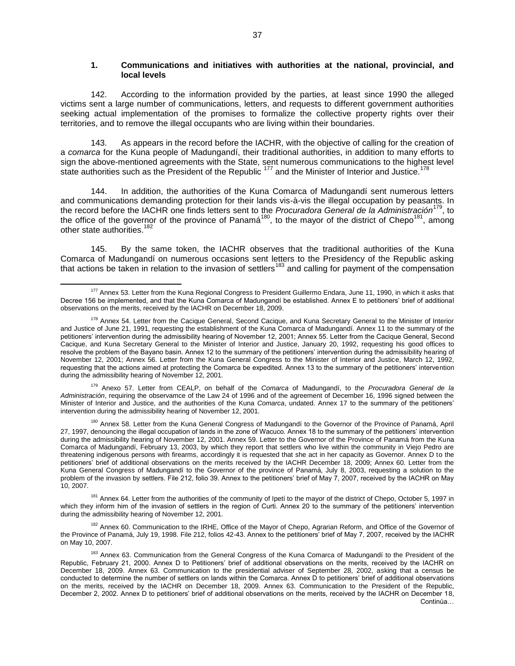## **1. Communications and initiatives with authorities at the national, provincial, and local levels**

142. According to the information provided by the parties, at least since 1990 the alleged victims sent a large number of communications, letters, and requests to different government authorities seeking actual implementation of the promises to formalize the collective property rights over their territories, and to remove the illegal occupants who are living within their boundaries.

143. As appears in the record before the IACHR, with the objective of calling for the creation of a *comarca* for the Kuna people of Madungandí, their traditional authorities, in addition to many efforts to sign the above-mentioned agreements with the State, sent numerous communications to the highest level state authorities such as the President of the Republic<sup>177</sup> and the Minister of Interior and Justice.<sup>1</sup>

144. In addition, the authorities of the Kuna Comarca of Madungandí sent numerous letters and communications demanding protection for their lands vis-à-vis the illegal occupation by peasants. In the record before the IACHR one finds letters sent to the *Procuradora General de la Administración*<sup>179</sup> , to the office of the governor of the province of Panamá<sup>180</sup>, to the mayor of the district of Chepo<sup>181</sup>, among other state authorities.<sup>18</sup>

145. By the same token, the IACHR observes that the traditional authorities of the Kuna Comarca of Madungandí on numerous occasions sent letters to the Presidency of the Republic asking that actions be taken in relation to the invasion of settlers<sup>183</sup> and calling for payment of the compensation

<sup>179</sup> Anexo 57. Letter from CEALP, on behalf of the *Comarca* of Madungandí, to the *Procuradora General de la Administración*, requiring the observamce of the Law 24 of 1996 and of the agreement of December 16, 1996 signed between the Minister of Interior and Justice, and the authorities of the Kuna *Comarca*, undated. Annex 17 to the summary of the petitioners' intervention during the admissibility hearing of November 12, 2001.

<sup>181</sup> Annex 64. Letter from the authorities of the community of Ipetí to the mayor of the district of Chepo, October 5, 1997 in which they inform him of the invasion of settlers in the region of Curti. Annex 20 to the summary of the petitioners' intervention during the admissibility hearing of November 12, 2001.

<sup>182</sup> Annex 60. Communication to the IRHE, Office of the Mayor of Chepo, Agrarian Reform, and Office of the Governor of the Province of Panamá, July 19, 1998. File 212, folios 42-43. Annex to the petitioners' brief of May 7, 2007, received by the IACHR on May 10, 2007.

 $\overline{a}$ 177 Annex 53. Letter from the Kuna Regional Congress to President Guillermo Endara, June 11, 1990, in which it asks that Decree 156 be implemented, and that the Kuna Comarca of Madungandí be established. Annex E to petitioners' brief of additional observations on the merits, received by the IACHR on December 18, 2009.

<sup>&</sup>lt;sup>178</sup> Annex 54. Letter from the Cacique General, Second Cacique, and Kuna Secretary General to the Minister of Interior and Justice of June 21, 1991, requesting the establishment of the Kuna Comarca of Madungandí. Annex 11 to the summary of the petitioners' intervention during the admissibility hearing of November 12, 2001; Annex 55. Letter from the Cacique General, Second Cacique, and Kuna Secretary General to the Minister of Interior and Justice, January 20, 1992, requesting his good offices to resolve the problem of the Bayano basin. Annex 12 to the summary of the petitioners' intervention during the admissibility hearing of November 12, 2001; Annex 56. Letter from the Kuna General Congress to the Minister of Interior and Justice, March 12, 1992, requesting that the actions aimed at protecting the Comarca be expedited. Annex 13 to the summary of the petitioners' intervention during the admissibility hearing of November 12, 2001.

<sup>&</sup>lt;sup>180</sup> Annex 58. Letter from the Kuna General Congress of Madungandí to the Governor of the Province of Panamá, April 27, 1997, denouncing the illegal occupation of lands in the zone of Wacuco. Annex 18 to the summary of the petitioners' intervention during the admissibility hearing of November 12, 2001. Annex 59. Letter to the Governor of the Province of Panamá from the Kuna Comarca of Madungandí, February 13, 2003, by which they report that settlers who live within the community in Viejo Pedro are threatening indigenous persons with firearms, accordingly it is requested that she act in her capacity as Governor. Annex D to the petitioners' brief of additional observations on the merits received by the IACHR December 18, 2009; Annex 60. Letter from the Kuna General Congress of Madungandí to the Governor of the province of Panamá, July 8, 2003, requesting a solution to the problem of the invasion by settlers. File 212, folio 39. Annex to the petitioners' brief of May 7, 2007, received by the IACHR on May 10, 2007.

<sup>&</sup>lt;sup>183</sup> Annex 63. Communication from the General Congress of the Kuna Comarca of Madungandí to the President of the Republic, February 21, 2000. Annex D to Petitioners' brief of additional observations on the merits, received by the IACHR on December 18, 2009. Annex 63. Communication to the presidential adviser of September 28, 2002, asking that a census be conducted to determine the number of settlers on lands within the Comarca. Annex D to petitioners' brief of additional observations on the merits, received by the IACHR on December 18, 2009. Annex 63. Communication to the President of the Republic, December 2, 2002. Annex D to petitioners' brief of additional observations on the merits, received by the IACHR on December 18, Continúa…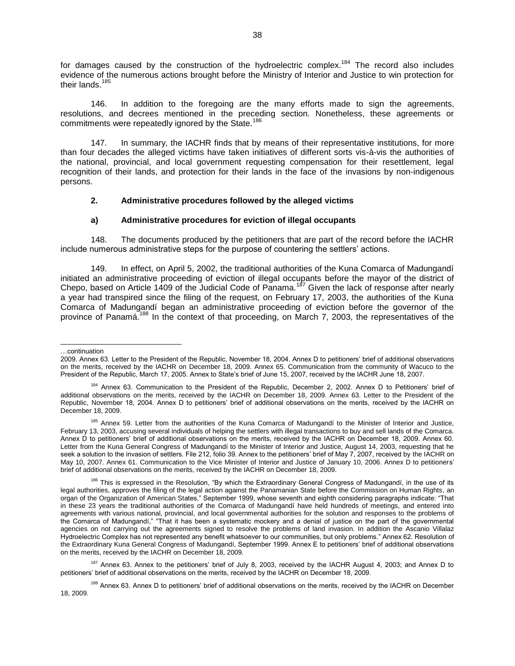for damages caused by the construction of the hydroelectric complex.<sup>184</sup> The record also includes evidence of the numerous actions brought before the Ministry of Interior and Justice to win protection for their lands.<sup>185</sup>

146. In addition to the foregoing are the many efforts made to sign the agreements, resolutions, and decrees mentioned in the preceding section. Nonetheless, these agreements or commitments were repeatedly ignored by the State.<sup>186</sup>

147. In summary, the IACHR finds that by means of their representative institutions, for more than four decades the alleged victims have taken initiatives of different sorts vis-à-vis the authorities of the national, provincial, and local government requesting compensation for their resettlement, legal recognition of their lands, and protection for their lands in the face of the invasions by non-indigenous persons.

### **2. Administrative procedures followed by the alleged victims**

## **a) Administrative procedures for eviction of illegal occupants**

148. The documents produced by the petitioners that are part of the record before the IACHR include numerous administrative steps for the purpose of countering the settlers' actions.

149. In effect, on April 5, 2002, the traditional authorities of the Kuna Comarca of Madungandí initiated an administrative proceeding of eviction of illegal occupants before the mayor of the district of Chepo, based on Article 1409 of the Judicial Code of Panama.<sup>187</sup> Given the lack of response after nearly a year had transpired since the filing of the request, on February 17, 2003, the authorities of the Kuna Comarca of Madungandí began an administrative proceeding of eviction before the governor of the province of Panamá.<sup>188</sup> In the context of that proceeding, on March 7, 2003, the representatives of the

#### …continuation

<sup>2009.</sup> Annex 63. Letter to the President of the Republic, November 18, 2004. Annex D to petitioners' brief of additional observations on the merits, received by the IACHR on December 18, 2009. Annex 65. Communication from the community of Wacuco to the President of the Republic, March 17, 2005. Annex to State's brief of June 15, 2007, received by the IACHR June 18, 2007.

<sup>184</sup> Annex 63. Communication to the President of the Republic, December 2, 2002. Annex D to Petitioners' brief of additional observations on the merits, received by the IACHR on December 18, 2009. Annex 63. Letter to the President of the Republic, November 18, 2004. Annex D to petitioners' brief of additional observations on the merits, received by the IACHR on December 18, 2009.

<sup>&</sup>lt;sup>185</sup> Annex 59. Letter from the authorities of the Kuna Comarca of Madungandí to the Minister of Interior and Justice, February 13, 2003, accusing several individuals of helping the settlers with illegal transactions to buy and sell lands of the Comarca. Annex D to petitioners' brief of additional observations on the merits, received by the IACHR on December 18, 2009. Annex 60. Letter from the Kuna General Congress of Madungandí to the Minister of Interior and Justice, August 14, 2003, requesting that he seek a solution to the invasion of settlers. File 212, folio 39. Annex to the petitioners' brief of May 7, 2007, received by the IACHR on May 10, 2007. Annex 61. Communication to the Vice Minister of Interior and Justice of January 10, 2006. Annex D to petitioners' brief of additional observations on the merits, received by the IACHR on December 18, 2009.

<sup>&</sup>lt;sup>186</sup> This is expressed in the Resolution, "By which the Extraordinary General Congress of Madungandí, in the use of its legal authorities, approves the filing of the legal action against the Panamanian State before the Commission on Human Rights, an organ of the Organization of American States," September 1999, whose seventh and eighth considering paragraphs indicate: "That in these 23 years the traditional authorities of the Comarca of Madungandí have held hundreds of meetings, and entered into agreements with various national, provincial, and local governmental authorities for the solution and responses to the problems of the Comarca of Madungandí," "That it has been a systematic mockery and a denial of justice on the part of the governmental agencies on not carrying out the agreements signed to resolve the problems of land invasion. In addition the Ascanio Villalaz Hydroelectric Complex has not represented any benefit whatsoever to our communities, but only problems." Annex 62. Resolution of the Extraordinary Kuna General Congress of Madungandí, September 1999. Annex E to petitioners' brief of additional observations on the merits, received by the IACHR on December 18, 2009.

 $187$  Annex 63. Annex to the petitioners' brief of July 8, 2003, received by the IACHR August 4, 2003; and Annex D to petitioners' brief of additional observations on the merits, received by the IACHR on December 18, 2009.

<sup>&</sup>lt;sup>188</sup> Annex 63. Annex D to petitioners' brief of additional observations on the merits, received by the IACHR on December 18, 2009.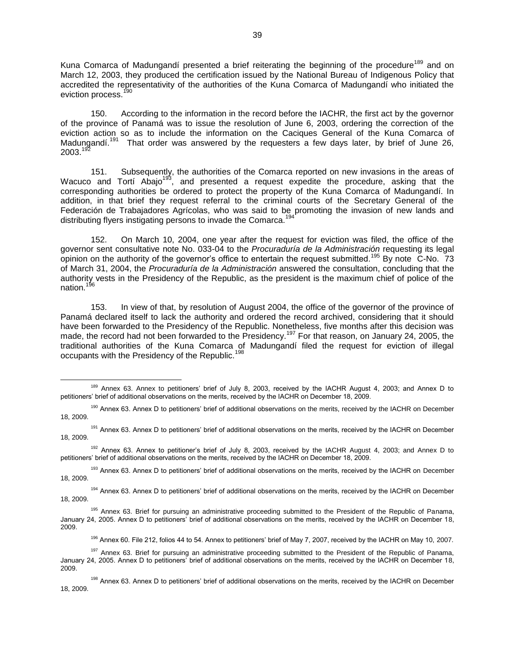Kuna Comarca of Madungandí presented a brief reiterating the beginning of the procedure<sup>189</sup> and on March 12, 2003, they produced the certification issued by the National Bureau of Indigenous Policy that accredited the representativity of the authorities of the Kuna Comarca of Madungandí who initiated the eviction process.<sup>190</sup>

150. According to the information in the record before the IACHR, the first act by the governor of the province of Panamá was to issue the resolution of June 6, 2003, ordering the correction of the eviction action so as to include the information on the Caciques General of the Kuna Comarca of Madungandí.<sup>19</sup> That order was answered by the requesters a few days later, by brief of June 26,  $2003.<sup>192</sup>$ 

151. Subsequently, the authorities of the Comarca reported on new invasions in the areas of Wacuco and Tortí Abajo<sup>193</sup>, and presented a request expedite the procedure, asking that the corresponding authorities be ordered to protect the property of the Kuna Comarca of Madungandí. In addition, in that brief they request referral to the criminal courts of the Secretary General of the Federación de Trabajadores Agrícolas, who was said to be promoting the invasion of new lands and distributing flyers instigating persons to invade the Comarca.<sup>19</sup>

152. On March 10, 2004, one year after the request for eviction was filed, the office of the governor sent consultative note No. 033-04 to the *Procuraduría de la Administración* requesting its legal opinion on the authority of the governor's office to entertain the request submitted.<sup>195</sup> By note C-No. 73 of March 31, 2004, the *Procuraduría de la Administración* answered the consultation, concluding that the authority vests in the Presidency of the Republic, as the president is the maximum chief of police of the nation.<sup>196</sup>

153. In view of that, by resolution of August 2004, the office of the governor of the province of Panamá declared itself to lack the authority and ordered the record archived, considering that it should have been forwarded to the Presidency of the Republic. Nonetheless, five months after this decision was made, the record had not been forwarded to the Presidency.<sup>197</sup> For that reason, on January 24, 2005, the traditional authorities of the Kuna Comarca of Madungandí filed the request for eviction of illegal occupants with the Presidency of the Republic.<sup>198</sup>

<sup>189</sup> Annex 63. Annex to petitioners' brief of July 8, 2003, received by the IACHR August 4, 2003; and Annex D to petitioners' brief of additional observations on the merits, received by the IACHR on December 18, 2009.

<sup>&</sup>lt;sup>190</sup> Annex 63. Annex D to petitioners' brief of additional observations on the merits, received by the IACHR on December 18, 2009.

<sup>&</sup>lt;sup>191</sup> Annex 63. Annex D to petitioners' brief of additional observations on the merits, received by the IACHR on December 18, 2009.

<sup>192</sup> Annex 63. Annex to petitioner's brief of July 8, 2003, received by the IACHR August 4, 2003; and Annex D to petitioners' brief of additional observations on the merits, received by the IACHR on December 18, 2009.

<sup>&</sup>lt;sup>193</sup> Annex 63. Annex D to petitioners' brief of additional observations on the merits, received by the IACHR on December 18, 2009.

<sup>&</sup>lt;sup>194</sup> Annex 63. Annex D to petitioners' brief of additional observations on the merits, received by the IACHR on December 18, 2009.

<sup>195</sup> Annex 63. Brief for pursuing an administrative proceeding submitted to the President of the Republic of Panama, January 24, 2005. Annex D to petitioners' brief of additional observations on the merits, received by the IACHR on December 18, 2009.

<sup>&</sup>lt;sup>196</sup> Annex 60. File 212, folios 44 to 54. Annex to petitioners' brief of May 7, 2007, received by the IACHR on May 10, 2007.

<sup>&</sup>lt;sup>197</sup> Annex 63. Brief for pursuing an administrative proceeding submitted to the President of the Republic of Panama, January 24, 2005. Annex D to petitioners brief of additional observations on the merits, received by the IACHR on December 18, 2009.

<sup>&</sup>lt;sup>198</sup> Annex 63. Annex D to petitioners' brief of additional observations on the merits, received by the IACHR on December 18, 2009.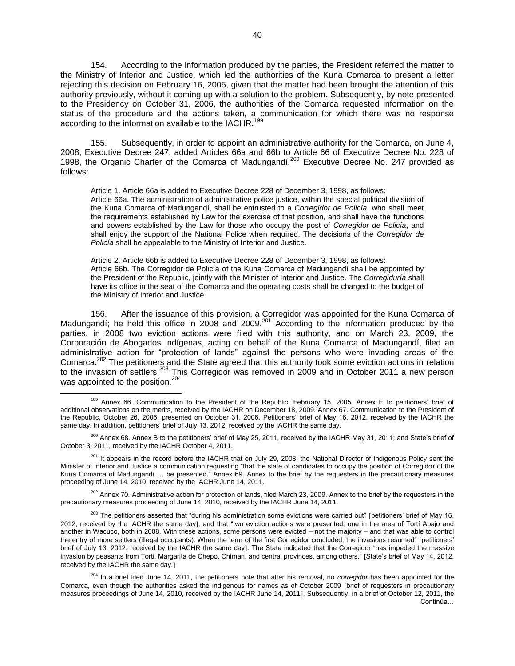154. According to the information produced by the parties, the President referred the matter to the Ministry of Interior and Justice, which led the authorities of the Kuna Comarca to present a letter rejecting this decision on February 16, 2005, given that the matter had been brought the attention of this authority previously, without it coming up with a solution to the problem. Subsequently, by note presented to the Presidency on October 31, 2006, the authorities of the Comarca requested information on the status of the procedure and the actions taken, a communication for which there was no response according to the information available to the IACHR.<sup>199</sup>

155. Subsequently, in order to appoint an administrative authority for the Comarca, on June 4, 2008, Executive Decree 247, added Articles 66a and 66b to Article 66 of Executive Decree No. 228 of 1998, the Organic Charter of the Comarca of Madungandí.<sup>200</sup> Executive Decree No. 247 provided as follows:

Article 1. Article 66a is added to Executive Decree 228 of December 3, 1998, as follows: Article 66a. The administration of administrative police justice, within the special political division of the Kuna Comarca of Madungandí, shall be entrusted to a *Corregidor de Policía*, who shall meet the requirements established by Law for the exercise of that position, and shall have the functions and powers established by the Law for those who occupy the post of *Corregidor de Policía*, and shall enjoy the support of the National Police when required. The decisions of the *Corregidor de Policía* shall be appealable to the Ministry of Interior and Justice.

Article 2. Article 66b is added to Executive Decree 228 of December 3, 1998, as follows: Article 66b. The Corregidor de Policía of the Kuna Comarca of Madungandí shall be appointed by the President of the Republic, jointly with the Minister of Interior and Justice. The *Corregiduría* shall have its office in the seat of the Comarca and the operating costs shall be charged to the budget of the Ministry of Interior and Justice.

156. After the issuance of this provision, a Corregidor was appointed for the Kuna Comarca of Madungandí; he held this office in 2008 and 2009. $^{201}$  According to the information produced by the parties, in 2008 two eviction actions were filed with this authority, and on March 23, 2009, the Corporación de Abogados Indígenas, acting on behalf of the Kuna Comarca of Madungandí, filed an administrative action for "protection of lands" against the persons who were invading areas of the Comarca.<sup>202</sup> The petitioners and the State agreed that this authority took some eviction actions in relation to the invasion of settlers.<sup>203</sup> This Corregidor was removed in 2009 and in October 2011 a new person was appointed to the position. $^{204}$ 

<sup>202</sup> Annex 70. Administrative action for protection of lands, filed March 23, 2009. Annex to the brief by the requesters in the precautionary measures proceeding of June 14, 2010, received by the IACHR June 14, 2011.

 $\overline{a}$ <sup>199</sup> Annex 66. Communication to the President of the Republic, February 15, 2005. Annex E to petitioners' brief of additional observations on the merits, received by the IACHR on December 18, 2009. Annex 67. Communication to the President of the Republic, October 26, 2006, presented on October 31, 2006. Petitioners' brief of May 16, 2012, received by the IACHR the same day. In addition, petitioners' brief of July 13, 2012, received by the IACHR the same day.

 $^{200}$  Annex 68. Annex B to the petitioners' brief of May 25, 2011, received by the IACHR May 31, 2011; and State's brief of October 3, 2011, received by the IACHR October 4, 2011.

<sup>&</sup>lt;sup>201</sup> It appears in the record before the IACHR that on July 29, 2008, the National Director of Indigenous Policy sent the Minister of Interior and Justice a communication requesting "that the slate of candidates to occupy the position of Corregidor of the Kuna Comarca of Madungandí … be presented." Annex 69. Annex to the brief by the requesters in the precautionary measures proceeding of June 14, 2010, received by the IACHR June 14, 2011.

<sup>&</sup>lt;sup>203</sup> The petitioners asserted that "during his administration some evictions were carried out" [petitioners' brief of May 16, 2012, received by the IACHR the same day, and that "two eviction actions were presented, one in the area of Tortí Abajo and another in Wacuco, both in 2008. With these actions, some persons were evicted – not the majority – and that was able to control the entry of more settlers (illegal occupants). When the term of the first Corregidor concluded, the invasions resumed" petitioners' brief of July 13, 2012, received by the IACHR the same day]. The State indicated that the Corregidor "has impeded the massive invasion by peasants from Torti, Margarita de Chepo, Chiman, and central provinces, among others." State's brief of May 14, 2012, received by the IACHR the same day.

<sup>204</sup> In a brief filed June 14, 2011, the petitioners note that after his removal, no *corregidor* has been appointed for the Comarca, even though the authorities asked the indigenous for names as of October 2009 [brief of requesters in precautionary measures proceedings of June 14, 2010, received by the IACHR June 14, 2011. Subsequently, in a brief of October 12, 2011, the Continúa…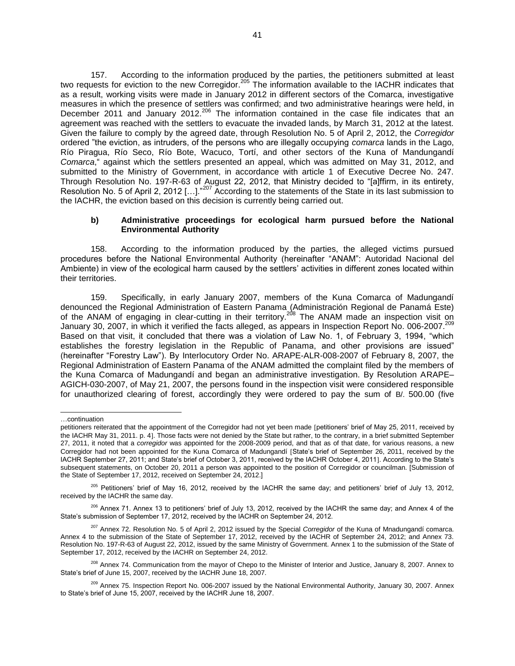157. According to the information produced by the parties, the petitioners submitted at least two requests for eviction to the new Corregidor.<sup>205</sup> The information available to the IACHR indicates that as a result, working visits were made in January 2012 in different sectors of the Comarca, investigative measures in which the presence of settlers was confirmed; and two administrative hearings were held, in December 2011 and January 2012.<sup>206</sup> The information contained in the case file indicates that an agreement was reached with the settlers to evacuate the invaded lands, by March 31, 2012 at the latest. Given the failure to comply by the agreed date, through Resolution No. 5 of April 2, 2012, the *Corregidor* ordered "the eviction, as intruders, of the persons who are illegally occupying *comarca* lands in the Lago, Río Piragua, Río Seco, Río Bote, Wacuco, Tortí, and other sectors of the Kuna of Mandungandí *Comarca*," against which the settlers presented an appeal, which was admitted on May 31, 2012, and submitted to the Ministry of Government, in accordance with article 1 of Executive Decree No. 247. Through Resolution No. 197-R-63 of August 22, 2012, that Ministry decided to "[a]ffirm, in its entirety, Resolution No. 5 of April 2, 2012 [...]."<sup>207</sup> According to the statements of the State in its last submission to the IACHR, the eviction based on this decision is currently being carried out.

### **b) Administrative proceedings for ecological harm pursued before the National Environmental Authority**

158. According to the information produced by the parties, the alleged victims pursued procedures before the National Environmental Authority (hereinafter "ANAM": Autoridad Nacional del Ambiente) in view of the ecological harm caused by the settlers' activities in different zones located within their territories.

159. Specifically, in early January 2007, members of the Kuna Comarca of Madungandí denounced the Regional Administration of Eastern Panama (Administración Regional de Panamá Este) of the ANAM of engaging in clear-cutting in their territory.<sup>208</sup> The ANAM made an inspection visit on January 30, 2007, in which it verified the facts alleged, as appears in Inspection Report No. 006-2007.<sup>209</sup> Based on that visit, it concluded that there was a violation of Law No. 1, of February 3, 1994, "which establishes the forestry legislation in the Republic of Panama, and other provisions are issued" (hereinafter "Forestry Law"). By Interlocutory Order No. ARAPE-ALR-008-2007 of February 8, 2007, the Regional Administration of Eastern Panama of the ANAM admitted the complaint filed by the members of the Kuna Comarca of Madungandí and began an administrative investigation. By Resolution ARAPE– AGICH-030-2007, of May 21, 2007, the persons found in the inspection visit were considered responsible for unauthorized clearing of forest, accordingly they were ordered to pay the sum of B/. 500.00 (five

l …continuation

petitioners reiterated that the appointment of the Corregidor had not yet been made petitioners' brief of May 25, 2011, received by the IACHR May 31, 2011. p. 4. Those facts were not denied by the State but rather, to the contrary, in a brief submitted September 27, 2011, it noted that a *corregidor* was appointed for the 2008-2009 period, and that as of that date, for various reasons, a new Corregidor had not been appointed for the Kuna Comarca of Madungandí State's brief of September 26, 2011, received by the IACHR September 27, 2011; and State's brief of October 3, 2011, received by the IACHR October 4, 2011. According to the State's subsequent statements, on October 20, 2011 a person was appointed to the position of Corregidor or councilman. [Submission of the State of September 17, 2012, received on September 24, 2012.]

<sup>&</sup>lt;sup>205</sup> Petitioners' brief of May 16, 2012, received by the IACHR the same day; and petitioners' brief of July 13, 2012, received by the IACHR the same day.

<sup>&</sup>lt;sup>206</sup> Annex 71. Annex 13 to petitioners' brief of July 13, 2012, received by the IACHR the same day; and Annex 4 of the State's submission of September 17, 2012, received by the IACHR on September 24, 2012.

<sup>207</sup> Annex 72. Resolution No. 5 of April 2, 2012 issued by the Special *Corregidor* of the Kuna of Mnadungandí comarca. Annex 4 to the submission of the State of September 17, 2012, received by the IACHR of September 24, 2012; and Annex 73. Resolution No. 197-R-63 of August 22, 2012, issued by the same Ministry of Government. Annex 1 to the submission of the State of September 17, 2012, received by the IACHR on September 24, 2012.

<sup>&</sup>lt;sup>208</sup> Annex 74. Communication from the mayor of Chepo to the Minister of Interior and Justice, January 8, 2007. Annex to State's brief of June 15, 2007, received by the IACHR June 18, 2007.

<sup>&</sup>lt;sup>209</sup> Annex 75. Inspection Report No. 006-2007 issued by the National Environmental Authority, January 30, 2007. Annex to State's brief of June 15, 2007, received by the IACHR June 18, 2007.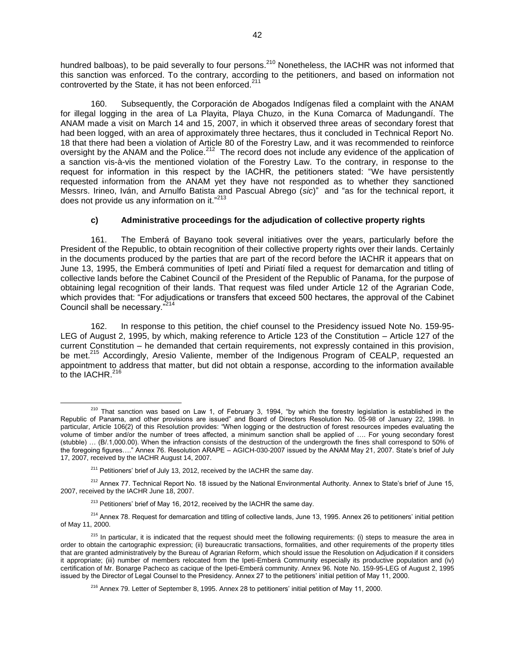hundred balboas), to be paid severally to four persons.<sup>210</sup> Nonetheless, the IACHR was not informed that this sanction was enforced. To the contrary, according to the petitioners, and based on information not controverted by the State, it has not been enforced.<sup>211</sup>

Subsequently, the Corporación de Abogados Indígenas filed a complaint with the ANAM for illegal logging in the area of La Playita, Playa Chuzo, in the Kuna Comarca of Madungandí. The ANAM made a visit on March 14 and 15, 2007, in which it observed three areas of secondary forest that had been logged, with an area of approximately three hectares, thus it concluded in Technical Report No. 18 that there had been a violation of Article 80 of the Forestry Law, and it was recommended to reinforce oversight by the ANAM and the Police.<sup>212</sup> The record does not include any evidence of the application of a sanction vis-à-vis the mentioned violation of the Forestry Law. To the contrary, in response to the request for information in this respect by the IACHR, the petitioners stated: "We have persistently requested information from the ANAM yet they have not responded as to whether they sanctioned Messrs. Irineo, Iván, and Arnulfo Batista and Pascual Abrego (*sic*)" and "as for the technical report, it does not provide us any information on it."<sup>213</sup>

## **c) Administrative proceedings for the adjudication of collective property rights**

161. The Emberá of Bayano took several initiatives over the years, particularly before the President of the Republic, to obtain recognition of their collective property rights over their lands. Certainly in the documents produced by the parties that are part of the record before the IACHR it appears that on June 13, 1995, the Emberá communities of Ipetí and Piriatí filed a request for demarcation and titling of collective lands before the Cabinet Council of the President of the Republic of Panama, for the purpose of obtaining legal recognition of their lands. That request was filed under Article 12 of the Agrarian Code, which provides that: "For adjudications or transfers that exceed 500 hectares, the approval of the Cabinet Council shall be necessary."<sup>214</sup>

162. In response to this petition, the chief counsel to the Presidency issued Note No. 159-95- LEG of August 2, 1995, by which, making reference to Article 123 of the Constitution – Article 127 of the current Constitution – he demanded that certain requirements, not expressly contained in this provision, be met.<sup>215</sup> Accordingly, Aresio Valiente, member of the Indigenous Program of CEALP, requested an appointment to address that matter, but did not obtain a response, according to the information available to the IACHR.<sup>216</sup>

 $\overline{a}$  $210$  That sanction was based on Law 1, of February 3, 1994, "by which the forestry legislation is established in the Republic of Panama, and other provisions are issued" and Board of Directors Resolution No. 05-98 of January 22, 1998. In particular, Article 106(2) of this Resolution provides: "When logging or the destruction of forest resources impedes evaluating the volume of timber and/or the number of trees affected, a minimum sanction shall be applied of …. For young secondary forest (stubble) … (B/.1,000.00). When the infraction consists of the destruction of the undergrowth the fines shall correspond to 50% of the foregoing figures…." Annex 76. Resolution ARAPE – AGICH-030-2007 issued by the ANAM May 21, 2007. State's brief of July 17, 2007, received by the IACHR August 14, 2007.

 $211$  Petitioners' brief of July 13, 2012, received by the IACHR the same day.

<sup>&</sup>lt;sup>212</sup> Annex 77. Technical Report No. 18 issued by the National Environmental Authority. Annex to State's brief of June 15, 2007, received by the IACHR June 18, 2007.

 $213$  Petitioners' brief of May 16, 2012, received by the IACHR the same day.

<sup>&</sup>lt;sup>214</sup> Annex 78. Request for demarcation and titling of collective lands, June 13, 1995. Annex 26 to petitioners' initial petition of May 11, 2000.

 $215$  In particular, it is indicated that the request should meet the following requirements: (i) steps to measure the area in order to obtain the cartographic expression; (ii) bureaucratic transactions, formalities, and other requirements of the property titles that are granted administratively by the Bureau of Agrarian Reform, which should issue the Resolution on Adjudication if it considers it appropriate; (iii) number of members relocated from the Ipeti-Emberá Community especially its productive population and (iv) certification of Mr. Bonarge Pacheco as cacique of the Ipeti-Emberá community. Annex 96. Note No. 159-95-LEG of August 2, 1995 issued by the Director of Legal Counsel to the Presidency. Annex 27 to the petitioners' initial petition of May 11, 2000.

<sup>216</sup> Annex 79. Letter of September 8, 1995. Annex 28 to petitioners' initial petition of May 11, 2000.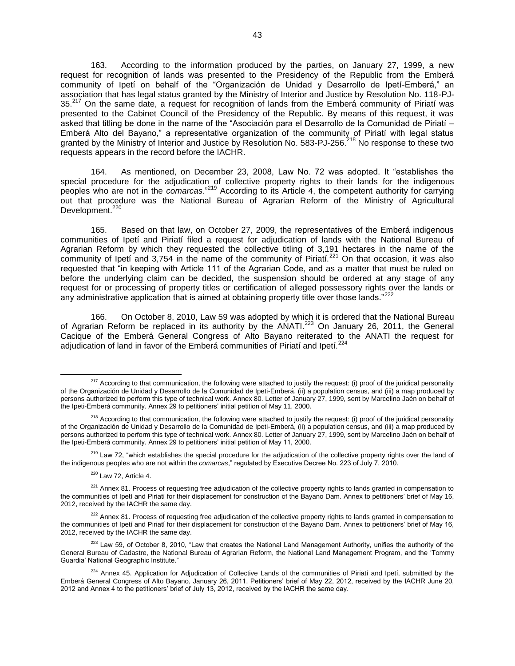163. According to the information produced by the parties, on January 27, 1999, a new request for recognition of lands was presented to the Presidency of the Republic from the Emberá community of Ipetí on behalf of the "Organización de Unidad y Desarrollo de Ipetí-Emberá," an association that has legal status granted by the Ministry of Interior and Justice by Resolution No. 118-PJ-35.<sup>217</sup> On the same date, a request for recognition of lands from the Emberá community of Piriatí was presented to the Cabinet Council of the Presidency of the Republic. By means of this request, it was asked that titling be done in the name of the "Asociación para el Desarrollo de la Comunidad de Piriatí – Emberá Alto del Bayano," a representative organization of the community of Piriatí with legal status granted by the Ministry of Interior and Justice by Resolution No. 583-PJ-256.<sup>218</sup> No response to these two requests appears in the record before the IACHR.

164. As mentioned, on December 23, 2008, Law No. 72 was adopted. It "establishes the special procedure for the adjudication of collective property rights to their lands for the indigenous peoples who are not in the *comarcas*."<sup>219</sup> According to its Article 4, the competent authority for carrying out that procedure was the National Bureau of Agrarian Reform of the Ministry of Agricultural Development.<sup>220</sup>

165. Based on that law, on October 27, 2009, the representatives of the Emberá indigenous communities of Ipetí and Piriatí filed a request for adjudication of lands with the National Bureau of Agrarian Reform by which they requested the collective titling of 3,191 hectares in the name of the community of Ipeti and 3,754 in the name of the community of Piriati.<sup>221</sup> On that occasion, it was also requested that "in keeping with Article 111 of the Agrarian Code, and as a matter that must be ruled on before the underlying claim can be decided, the suspension should be ordered at any stage of any request for or processing of property titles or certification of alleged possessory rights over the lands or any administrative application that is aimed at obtaining property title over those lands."<sup>222</sup>

166. On October 8, 2010, Law 59 was adopted by which it is ordered that the National Bureau of Agrarian Reform be replaced in its authority by the ANATI.<sup>223</sup> On January 26, 2011, the General Cacique of the Emberá General Congress of Alto Bayano reiterated to the ANATI the request for adjudication of land in favor of the Emberá communities of Piriatí and Ipetí.<sup>224</sup>

 $220$  Law 72, Article 4.

<sup>&</sup>lt;sup>217</sup> According to that communication, the following were attached to justify the request: (i) proof of the juridical personality of the Organización de Unidad y Desarrollo de la Comunidad de Ipeti-Emberá, (ii) a population census, and (iii) a map produced by persons authorized to perform this type of technical work. Annex 80. Letter of January 27, 1999, sent by Marcelino Jaén on behalf of the Ipeti-Emberá community. Annex 29 to petitioners' initial petition of May 11, 2000.

<sup>&</sup>lt;sup>218</sup> According to that communication, the following were attached to justify the request: (i) proof of the juridical personality of the Organización de Unidad y Desarrollo de la Comunidad de Ipeti-Emberá, (ii) a population census, and (iii) a map produced by persons authorized to perform this type of technical work. Annex 80. Letter of January 27, 1999, sent by Marcelino Jaén on behalf of the Ipeti-Emberá community. Annex 29 to petitioners' initial petition of May 11, 2000.

<sup>&</sup>lt;sup>219</sup> Law 72, "which establishes the special procedure for the adjudication of the collective property rights over the land of the indigenous peoples who are not within the *comarcas*," regulated by Executive Decree No. 223 of July 7, 2010.

<sup>&</sup>lt;sup>221</sup> Annex 81. Process of requesting free adjudication of the collective property rights to lands granted in compensation to the communities of Ipetí and Piriatí for their displacement for construction of the Bayano Dam. Annex to petitioners' brief of May 16, 2012, received by the IACHR the same day.

<sup>&</sup>lt;sup>222</sup> Annex 81. Process of requesting free adjudication of the collective property rights to lands granted in compensation to the communities of Ipetí and Piriatí for their displacement for construction of the Bayano Dam. Annex to petitioners' brief of May 16, 2012, received by the IACHR the same day.

<sup>&</sup>lt;sup>223</sup> Law 59, of October 8, 2010, "Law that creates the National Land Management Authority, unifies the authority of the General Bureau of Cadastre, the National Bureau of Agrarian Reform, the National Land Management Program, and the 'Tommy Guardia' National Geographic Institute."

<sup>&</sup>lt;sup>224</sup> Annex 45. Application for Adjudication of Collective Lands of the communities of Piriatí and Ipetí, submitted by the Emberá General Congress of Alto Bayano, January 26, 2011. Petitioners' brief of May 22, 2012, received by the IACHR June 20, 2012 and Annex 4 to the petitioners' brief of July 13, 2012, received by the IACHR the same day.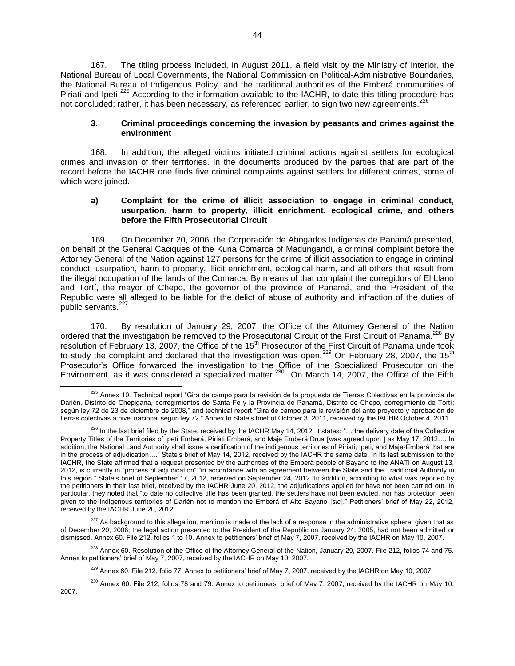167. The titling process included, in August 2011, a field visit by the Ministry of Interior, the National Bureau of Local Governments, the National Commission on Political-Administrative Boundaries, the National Bureau of Indigenous Policy, and the traditional authorities of the Emberá communities of Piriatí and Ipeti.<sup>225</sup> According to the information available to the IACHR, to date this titling procedure has not concluded; rather, it has been necessary, as referenced earlier, to sign two new agreements.<sup>226</sup>

## **3. Criminal proceedings concerning the invasion by peasants and crimes against the environment**

168. In addition, the alleged victims initiated criminal actions against settlers for ecological crimes and invasion of their territories. In the documents produced by the parties that are part of the record before the IACHR one finds five criminal complaints against settlers for different crimes, some of which were joined.

## **a) Complaint for the crime of illicit association to engage in criminal conduct, usurpation, harm to property, illicit enrichment, ecological crime, and others before the Fifth Prosecutorial Circuit**

169. On December 20, 2006, the Corporación de Abogados Indígenas de Panamá presented, on behalf of the General Caciques of the Kuna Comarca of Madungandí, a criminal complaint before the Attorney General of the Nation against 127 persons for the crime of illicit association to engage in criminal conduct, usurpation, harm to property, illicit enrichment, ecological harm, and all others that result from the illegal occupation of the lands of the Comarca. By means of that complaint the corregidors of El Llano and Tortí, the mayor of Chepo, the governor of the province of Panamá, and the President of the Republic were all alleged to be liable for the delict of abuse of authority and infraction of the duties of public servants.<sup>227</sup>

170. By resolution of January 29, 2007, the Office of the Attorney General of the Nation ordered that the investigation be removed to the Prosecutorial Circuit of the First Circuit of Panama.<sup>228</sup> By resolution of February 13, 2007, the Office of the 15<sup>th</sup> Prosecutor of the First Circuit of Panama undertook to study the complaint and declared that the investigation was open.<sup>229</sup> On February 28, 2007, the 15<sup>th</sup> Prosecutor's Office forwarded the investigation to the Office of the Specialized Prosecutor on the Environment, as it was considered a specialized matter.<sup>230</sup> On March 14, 2007, the Office of the Fifth

 $\overline{a}$ 

 $227$  As background to this allegation, mention is made of the lack of a response in the administrative sphere, given that as of December 20, 2006; the legal action presented to the President of the Republic on January 24, 2005, had not been admitted or dismissed. Annex 60. File 212, folios 1 to 10. Annex to petitioners' brief of May 7, 2007, received by the IACHR on May 10, 2007.

<sup>228</sup> Annex 60. Resolution of the Office of the Attorney General of the Nation, January 29, 2007. File 212, folios 74 and 75. Annex to petitioners' brief of May 7, 2007, received by the IACHR on May 10, 2007.

 $^{230}$  Annex 60. File 212, folios 78 and 79. Annex to petitioners' brief of May 7, 2007, received by the IACHR on May 10, 2007.

<sup>&</sup>lt;sup>225</sup> Annex 10. Technical report "Gira de campo para la revisión de la propuesta de Tierras Colectivas en la provincia de Darién, Distrito de Chepigana, corregimientos de Santa Fe y la Provincia de Panamá, Distrito de Chepo, corregimiento de Tortí; según ley 72 de 23 de diciembre de 2008," and technical report "Gira de campo para la revisión del ante proyecto y aprobación de tierras colectivas a nivel nacional según ley 72." Annex to State's brief of October 3, 2011, received by the IACHR October 4, 2011.

 $226$  In the last brief filed by the State, received by the IACHR May 14, 2012, it states: "... the delivery date of the Collective Property Titles of the Territories of Ipetí Emberá, Piriati Emberá, and Maje Emberá Drua [was agreed upon ] as May 17, 2012.... In addition, the National Land Authority shall issue a certification of the indigenous territories of Piriati, Ipeti, and Maje-Emberá that are in the process of adjudication…." State's brief of May 14, 2012, received by the IACHR the same date. In its last submission to the IACHR, the State affirmed that a request presented by the authorities of the Emberá people of Bayano to the ANATI on August 13, 2012, is currently in "process of adjudication" "in accordance with an agreement between the State and the Traditional Authority in this region." State's brief of September 17, 2012, received on September 24, 2012. In addition, according to what was reported by the petitioners in their last brief, received by the IACHR June 20, 2012, the adjudications applied for have not been carried out. In particular, they noted that "to date no collective title has been granted, the settlers have not been evicted, nor has protection been given to the indigenous territories of Darién not to mention the Emberá of Alto Bayano *sic*." Petitioners' brief of May 22, 2012, received by the IACHR June 20, 2012.

<sup>&</sup>lt;sup>229</sup> Annex 60. File 212, folio 77. Annex to petitioners' brief of May 7, 2007, received by the IACHR on May 10, 2007.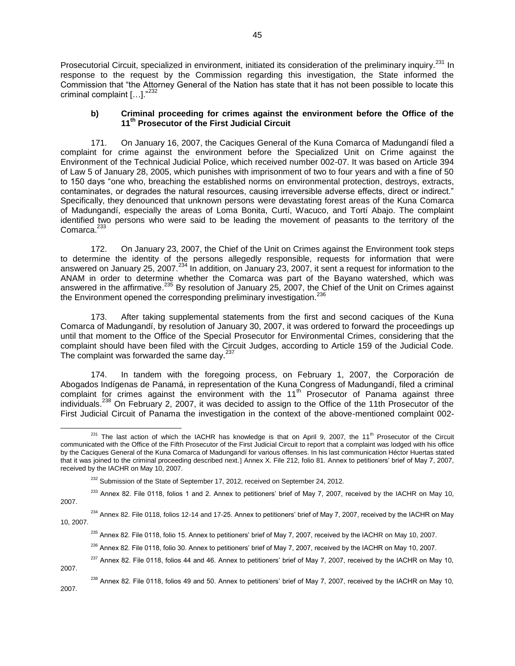Prosecutorial Circuit, specialized in environment, initiated its consideration of the preliminary inquiry.<sup>231</sup> In response to the request by the Commission regarding this investigation, the State informed the Commission that "the Attorney General of the Nation has state that it has not been possible to locate this criminal complaint  $[...]$ ."<sup>232</sup>

## **b) Criminal proceeding for crimes against the environment before the Office of the 11th Prosecutor of the First Judicial Circuit**

171. On January 16, 2007, the Caciques General of the Kuna Comarca of Madungandí filed a complaint for crime against the environment before the Specialized Unit on Crime against the Environment of the Technical Judicial Police, which received number 002-07. It was based on Article 394 of Law 5 of January 28, 2005, which punishes with imprisonment of two to four years and with a fine of 50 to 150 days "one who, breaching the established norms on environmental protection, destroys, extracts, contaminates, or degrades the natural resources, causing irreversible adverse effects, direct or indirect." Specifically, they denounced that unknown persons were devastating forest areas of the Kuna Comarca of Madungandí, especially the areas of Loma Bonita, Curtí, Wacuco, and Tortí Abajo. The complaint identified two persons who were said to be leading the movement of peasants to the territory of the Comarca.<sup>23</sup>

172. On January 23, 2007, the Chief of the Unit on Crimes against the Environment took steps to determine the identity of the persons allegedly responsible, requests for information that were answered on January 25, 2007.<sup>234</sup> In addition, on January 23, 2007, it sent a request for information to the ANAM in order to determine whether the Comarca was part of the Bayano watershed, which was answered in the affirmative.<sup>235</sup> By resolution of January 25, 2007, the Chief of the Unit on Crimes against the Environment opened the corresponding preliminary investigation.<sup>236</sup>

173. After taking supplemental statements from the first and second caciques of the Kuna Comarca of Madungandí, by resolution of January 30, 2007, it was ordered to forward the proceedings up until that moment to the Office of the Special Prosecutor for Environmental Crimes, considering that the complaint should have been filed with the Circuit Judges, according to Article 159 of the Judicial Code. The complaint was forwarded the same day.<sup>237</sup>

174. In tandem with the foregoing process, on February 1, 2007, the Corporación de Abogados Indígenas de Panamá, in representation of the Kuna Congress of Madungandí, filed a criminal complaint for crimes against the environment with the 11<sup>th</sup> Prosecutor of Panama against three individuals.<sup>238</sup> On February 2, 2007, it was decided to assign to the Office of the 11th Prosecutor of the First Judicial Circuit of Panama the investigation in the context of the above-mentioned complaint 002-

 $237$  Annex 82. File 0118, folios 44 and 46. Annex to petitioners' brief of May 7, 2007, received by the IACHR on May 10, 2007.

 $^{238}$  Annex 82. File 0118, folios 49 and 50. Annex to petitioners' brief of May 7, 2007, received by the IACHR on May 10, 2007.

 $\overline{a}$  $^{231}$  The last action of which the IACHR has knowledge is that on April 9, 2007, the 11<sup>th</sup> Prosecutor of the Circuit communicated with the Office of the Fifth Prosecutor of the First Judicial Circuit to report that a complaint was lodged with his office by the Caciques General of the Kuna Comarca of Madungandí for various offenses. In his last communication Héctor Huertas stated that it was joined to the criminal proceeding described next.] Annex X. File 212, folio 81. Annex to petitioners' brief of May 7, 2007, received by the IACHR on May 10, 2007.

 $232$  Submission of the State of September 17, 2012, received on September 24, 2012.

 $233$  Annex 82. File 0118, folios 1 and 2. Annex to petitioners' brief of May 7, 2007, received by the IACHR on May 10, 2007.

 $^{234}$  Annex 82. File 0118, folios 12-14 and 17-25. Annex to petitioners' brief of May 7, 2007, received by the IACHR on May 10, 2007.

<sup>&</sup>lt;sup>235</sup> Annex 82. File 0118, folio 15. Annex to petitioners' brief of May 7, 2007, received by the IACHR on May 10, 2007.

<sup>&</sup>lt;sup>236</sup> Annex 82. File 0118, folio 30. Annex to petitioners' brief of May 7, 2007, received by the IACHR on May 10, 2007.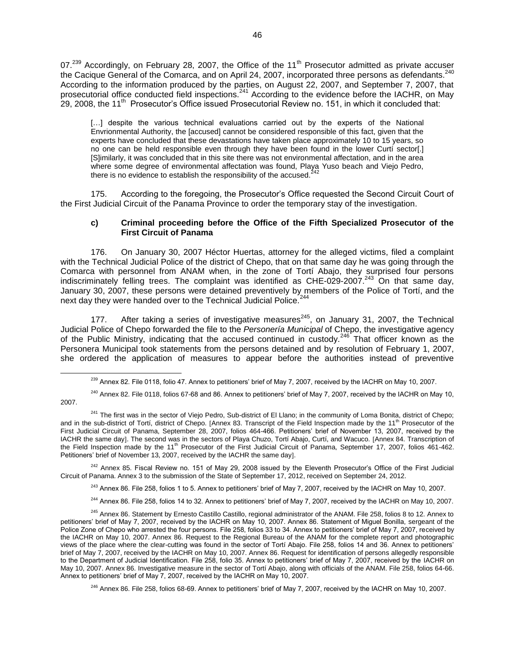07.<sup>239</sup> Accordingly, on February 28, 2007, the Office of the 11<sup>th</sup> Prosecutor admitted as private accuser the Cacique General of the Comarca, and on April 24, 2007, incorporated three persons as defendants.<sup>240</sup> According to the information produced by the parties, on August 22, 2007, and September 7, 2007, that prosecutorial office conducted field inspections.<sup>241</sup> According to the evidence before the IACHR, on May  $29, 2008$ , the 11<sup>th</sup> Prosecutor's Office issued Prosecutorial Review no. 151, in which it concluded that:

[...] despite the various technical evaluations carried out by the experts of the National Envrionmental Authority, the [accused] cannot be considered responsible of this fact, given that the experts have concluded that these devastations have taken place approximately 10 to 15 years, so no one can be held responsible even through they have been found in the lower Curtí sector[.] [S]imilarly, it was concluded that in this site there was not environmental affectation, and in the area where some degree of environmental affectation was found, Playa Yuso beach and Viejo Pedro, there is no evidence to establish the responsibility of the accused. $2$ 

175. According to the foregoing, the Prosecutor's Office requested the Second Circuit Court of the First Judicial Circuit of the Panama Province to order the temporary stay of the investigation.

## **c) Criminal proceeding before the Office of the Fifth Specialized Prosecutor of the First Circuit of Panama**

176. On January 30, 2007 Héctor Huertas, attorney for the alleged victims, filed a complaint with the Technical Judicial Police of the district of Chepo, that on that same day he was going through the Comarca with personnel from ANAM when, in the zone of Tortí Abajo, they surprised four persons indiscriminately felling trees. The complaint was identified as CHE-029-2007.<sup>243</sup> On that same day, January 30, 2007, these persons were detained preventively by members of the Police of Tortí, and the next day they were handed over to the Technical Judicial Police.<sup>24</sup>

177. After taking a series of investigative measures<sup>245</sup>, on January 31, 2007, the Technical Judicial Police of Chepo forwarded the file to the *Personería Municipal* of Chepo, the investigative agency of the Public Ministry, indicating that the accused continued in custody.<sup>246</sup> That officer known as the Personera Municipal took statements from the persons detained and by resolution of February 1, 2007, she ordered the application of measures to appear before the authorities instead of preventive

 $\overline{a}$ 

<sup>242</sup> Annex 85. Fiscal Review no. 151 of May 29, 2008 issued by the Eleventh Prosecutor's Office of the First Judicial Circuit of Panama. Annex 3 to the submission of the State of September 17, 2012, received on September 24, 2012.

<sup>243</sup> Annex 86. File 258, folios 1 to 5. Annex to petitioners' brief of May 7, 2007, received by the IACHR on May 10, 2007.

<sup>244</sup> Annex 86. File 258, folios 14 to 32. Annex to petitioners' brief of May 7, 2007, received by the IACHR on May 10, 2007.

<sup>246</sup> Annex 86. File 258, folios 68-69. Annex to petitioners' brief of May 7, 2007, received by the IACHR on May 10, 2007.

<sup>&</sup>lt;sup>239</sup> Annex 82. File 0118, folio 47. Annex to petitioners' brief of May 7, 2007, received by the IACHR on May 10, 2007.

<sup>&</sup>lt;sup>240</sup> Annex 82. File 0118, folios 67-68 and 86. Annex to petitioners' brief of May 7, 2007, received by the IACHR on May 10, 2007.

<sup>&</sup>lt;sup>241</sup> The first was in the sector of Viejo Pedro, Sub-district of El Llano; in the community of Loma Bonita, district of Chepo; and in the sub-district of Tortí, district of Chepo. [Annex 83. Transcript of the Field Inspection made by the 11<sup>th</sup> Prosecutor of the First Judicial Circuit of Panama, September 28, 2007, folios 464-466. Petitioners' brief of November 13, 2007, received by the IACHR the same day]. The second was in the sectors of Playa Chuzo, Tortí Abajo, Curtí, and Wacuco. [Annex 84. Transcription of the Field Inspection made by the 11<sup>th</sup> Prosecutor of the First Judicial Circuit of Panama, September 17, 2007, folios 461-462. Petitioners' brief of November 13, 2007, received by the IACHR the same day].

<sup>&</sup>lt;sup>245</sup> Annex 86. Statement by Ernesto Castillo Castillo, regional administrator of the ANAM. File 258, folios 8 to 12. Annex to petitioners' brief of May 7, 2007, received by the IACHR on May 10, 2007. Annex 86. Statement of Miguel Bonilla, sergeant of the Police Zone of Chepo who arrested the four persons. File 258, folios 33 to 34. Annex to petitioners' brief of May 7, 2007, received by the IACHR on May 10, 2007. Annex 86. Request to the Regional Bureau of the ANAM for the complete report and photographic views of the place where the clear-cutting was found in the sector of Tortí Abajo. File 258, folios 14 and 36. Annex to petitioners' brief of May 7, 2007, received by the IACHR on May 10, 2007. Annex 86. Request for identification of persons allegedly responsible to the Department of Judicial Identification. File 258, folio 35. Annex to petitioners' brief of May 7, 2007, received by the IACHR on May 10, 2007. Annex 86. Investigative measure in the sector of Tortí Abajo, along with officials of the ANAM. File 258, folios 64-66. Annex to petitioners' brief of May 7, 2007, received by the IACHR on May 10, 2007.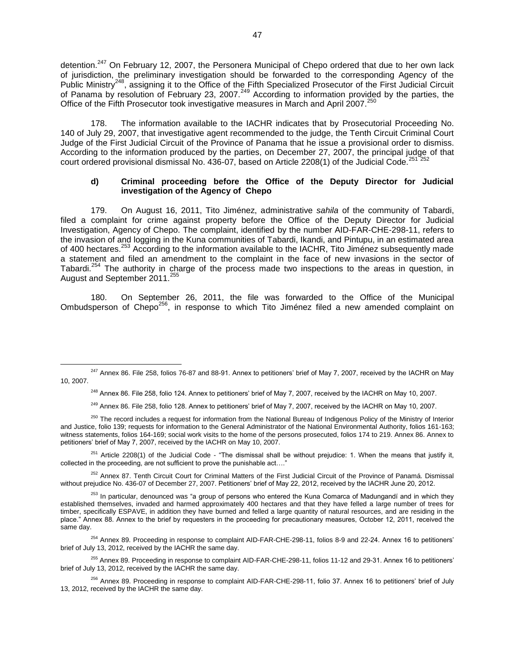detention.<sup>247</sup> On February 12, 2007, the Personera Municipal of Chepo ordered that due to her own lack of jurisdiction, the preliminary investigation should be forwarded to the corresponding Agency of the Public Ministry<sup>248</sup>, assigning it to the Office of the Fifth Specialized Prosecutor of the First Judicial Circuit of Panama by resolution of February 23, 2007.<sup>249</sup> According to information provided by the parties, the Office of the Fifth Prosecutor took investigative measures in March and April 2007.<sup>250</sup>

178. The information available to the IACHR indicates that by Prosecutorial Proceeding No. 140 of July 29, 2007, that investigative agent recommended to the judge, the Tenth Circuit Criminal Court Judge of the First Judicial Circuit of the Province of Panama that he issue a provisional order to dismiss. According to the information produced by the parties, on December 27, 2007, the principal judge of that court ordered provisional dismissal No. 436-07, based on Article 2208(1) of the Judicial Code.<sup>251</sup>

## **d) Criminal proceeding before the Office of the Deputy Director for Judicial investigation of the Agency of Chepo**

179. On August 16, 2011, Tito Jiménez, administrative *sahila* of the community of Tabardi, filed a complaint for crime against property before the Office of the Deputy Director for Judicial Investigation, Agency of Chepo. The complaint, identified by the number AID-FAR-CHE-298-11, refers to the invasion of and logging in the Kuna communities of Tabardi, Ikandi, and Pintupu, in an estimated area of 400 hectares.<sup>253</sup> According to the information available to the IACHR, Tito Jiménez subsequently made a statement and filed an amendment to the complaint in the face of new invasions in the sector of Tabardi.<sup>254</sup> The authority in charge of the process made two inspections to the areas in question, in August and September 2011.<sup>255</sup>

180. On September 26, 2011, the file was forwarded to the Office of the Municipal Ombudsperson of Chepo<sup>256</sup>, in response to which Tito Jiménez filed a new amended complaint on

 $\overline{a}$ 

<sup>248</sup> Annex 86. File 258, folio 124. Annex to petitioners' brief of May 7, 2007, received by the IACHR on May 10, 2007.

<sup>249</sup> Annex 86. File 258, folio 128. Annex to petitioners' brief of May 7, 2007, received by the IACHR on May 10, 2007.

<sup>250</sup> The record includes a request for information from the National Bureau of Indigenous Policy of the Ministry of Interior and Justice, folio 139; requests for information to the General Administrator of the National Environmental Authority, folios 161-163; witness statements, folios 164-169; social work visits to the home of the persons prosecuted, folios 174 to 219. Annex 86. Annex to petitioners' brief of May 7, 2007, received by the IACHR on May 10, 2007.

<sup>251</sup> Article 2208(1) of the Judicial Code - "The dismissal shall be without prejudice: 1. When the means that justify it, collected in the proceeding, are not sufficient to prove the punishable act....'

<sup>252</sup> Annex 87. Tenth Circuit Court for Criminal Matters of the First Judicial Circuit of the Province of Panamá. Dismissal without prejudice No. 436-07 of December 27, 2007. Petitioners' brief of May 22, 2012, received by the IACHR June 20, 2012.

<sup>254</sup> Annex 89. Proceeding in response to complaint AID-FAR-CHE-298-11, folios 8-9 and 22-24. Annex 16 to petitioners' brief of July 13, 2012, received by the IACHR the same day.

<sup>255</sup> Annex 89. Proceeding in response to complaint AID-FAR-CHE-298-11, folios 11-12 and 29-31. Annex 16 to petitioners' brief of July 13, 2012, received by the IACHR the same day.

 $247$  Annex 86. File 258, folios 76-87 and 88-91. Annex to petitioners' brief of May 7, 2007, received by the IACHR on May 10, 2007.

<sup>&</sup>lt;sup>253</sup> In particular, denounced was "a group of persons who entered the Kuna Comarca of Madungandí and in which they established themselves, invaded and harmed approximately 400 hectares and that they have felled a large number of trees for timber, specifically ESPAVE, in addition they have burned and felled a large quantity of natural resources, and are residing in the place." Annex 88. Annex to the brief by requesters in the proceeding for precautionary measures, October 12, 2011, received the same day.

<sup>256</sup> Annex 89. Proceeding in response to complaint AID-FAR-CHE-298-11, folio 37. Annex 16 to petitioners' brief of July 13, 2012, received by the IACHR the same day.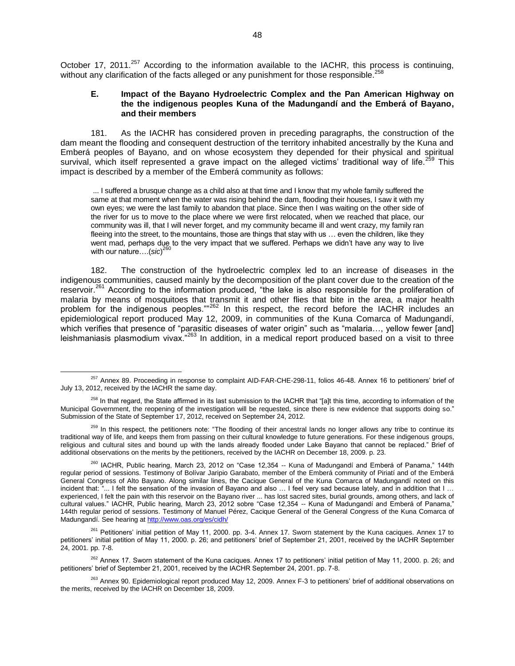October 17, 2011.<sup>257</sup> According to the information available to the IACHR, this process is continuing, without any clarification of the facts alleged or any punishment for those responsible.<sup>258</sup>

## **E. Impact of the Bayano Hydroelectric Complex and the Pan American Highway on the the indigenous peoples Kuna of the Madungandí and the Emberá of Bayano, and their members**

181. As the IACHR has considered proven in preceding paragraphs, the construction of the dam meant the flooding and consequent destruction of the territory inhabited ancestrally by the Kuna and Emberá peoples of Bayano, and on whose ecosystem they depended for their physical and spiritual survival, which itself represented a grave impact on the alleged victims' traditional way of life.<sup>259</sup> This impact is described by a member of the Emberá community as follows:

... I suffered a brusque change as a child also at that time and I know that my whole family suffered the same at that moment when the water was rising behind the dam, flooding their houses, I saw it with my own eyes; we were the last family to abandon that place. Since then I was waiting on the other side of the river for us to move to the place where we were first relocated, when we reached that place, our community was ill, that I will never forget, and my community became ill and went crazy, my family ran fleeing into the street, to the mountains, those are things that stay with us ... even the children, like they went mad, perhaps due to the very impact that we suffered. Perhaps we didn't have any way to live with our nature….(*sic*) 260

182. The construction of the hydroelectric complex led to an increase of diseases in the indigenous communities, caused mainly by the decomposition of the plant cover due to the creation of the reservoir.<sup>261</sup> According to the information produced, "the lake is also responsible for the proliferation of malaria by means of mosquitoes that transmit it and other flies that bite in the area, a major health problem for the indigenous peoples.""<sup>262</sup> In this respect, the record before the IACHR includes an epidemiological report produced May 12, 2009, in communities of the Kuna Comarca of Madungandí, which verifies that presence of "parasitic diseases of water origin" such as "malaria..., yellow fewer [and] leishmaniasis plasmodium vivax."<sup>263</sup> In addition, in a medical report produced based on a visit to three

<sup>257</sup> Annex 89. Proceeding in response to complaint AID-FAR-CHE-298-11, folios 46-48. Annex 16 to petitioners' brief of July 13, 2012, received by the IACHR the same day.

<sup>&</sup>lt;sup>258</sup> In that regard, the State affirmed in its last submission to the IACHR that "[a]t this time, according to information of the Municipal Government, the reopening of the investigation will be requested, since there is new evidence that supports doing so." Submission of the State of September 17, 2012, received on September 24, 2012.

<sup>&</sup>lt;sup>259</sup> In this respect, the petitioners note: "The flooding of their ancestral lands no longer allows any tribe to continue its traditional way of life, and keeps them from passing on their cultural knowledge to future generations. For these indigenous groups, religious and cultural sites and bound up with the lands already flooded under Lake Bayano that cannot be replaced." Brief of additional observations on the merits by the petitioners, received by the IACHR on December 18, 2009. p. 23.

<sup>&</sup>lt;sup>260</sup> IACHR, Public hearing, March 23, 2012 on "Case 12,354 -- Kuna of Madungandí and Emberá of Panama," 144th regular period of sessions. Testimony of Bolívar Jaripio Garabato, member of the Emberá community of Piriatí and of the Emberá General Congress of Alto Bayano. Along similar lines, the Cacique General of the Kuna Comarca of Madungandí noted on this incident that: "... I felt the sensation of the invasion of Bayano and also … I feel very sad because lately, and in addition that I … experienced, I felt the pain with this reservoir on the Bayano river ... has lost sacred sites, burial grounds, among others, and lack of cultural values." IACHR, Public hearing, March 23, 2012 sobre "Case 12,354 -- Kuna of Madungandí and Emberá of Panama," 144th regular period of sessions. Testimony of Manuel Pérez, Cacique General of the General Congress of the Kuna Comarca of Madungandí. See hearing at<http://www.oas.org/es/cidh/>

<sup>&</sup>lt;sup>261</sup> Petitioners' initial petition of May 11, 2000. pp. 3-4. Annex 17. Sworn statement by the Kuna caciques. Annex 17 to petitioners' initial petition of May 11, 2000. p. 26; and petitioners' brief of September 21, 2001, received by the IACHR September 24, 2001. pp. 7-8.

<sup>&</sup>lt;sup>262</sup> Annex 17. Sworn statement of the Kuna caciques. Annex 17 to petitioners' initial petition of May 11, 2000. p. 26; and petitioners' brief of September 21, 2001, received by the IACHR September 24, 2001. pp. 7-8.

<sup>&</sup>lt;sup>263</sup> Annex 90. Epidemiological report produced May 12, 2009. Annex F-3 to petitioners' brief of additional observations on the merits, received by the IACHR on December 18, 2009.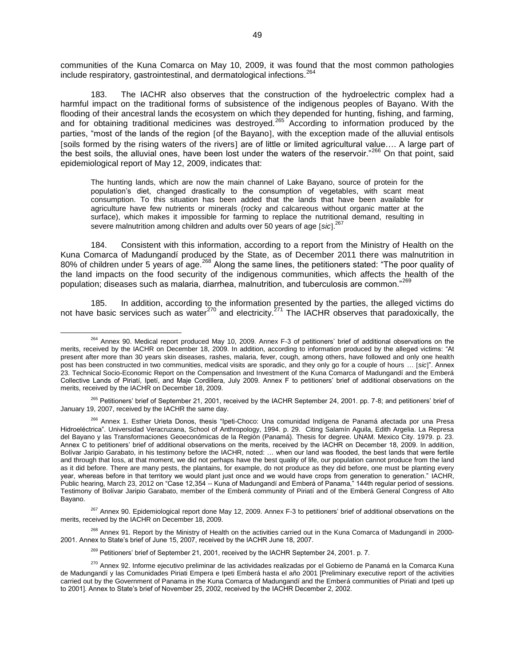communities of the Kuna Comarca on May 10, 2009, it was found that the most common pathologies include respiratory, gastrointestinal, and dermatological infections.<sup>264</sup>

183. The IACHR also observes that the construction of the hydroelectric complex had a harmful impact on the traditional forms of subsistence of the indigenous peoples of Bayano. With the flooding of their ancestral lands the ecosystem on which they depended for hunting, fishing, and farming, and for obtaining traditional medicines was destroyed.<sup>265</sup> According to information produced by the parties, "most of the lands of the region [of the Bayano], with the exception made of the alluvial entisols [soils formed by the rising waters of the rivers] are of little or limited agricultural value.... A large part of the best soils, the alluvial ones, have been lost under the waters of the reservoir."<sup>266</sup> On that point, said epidemiological report of May 12, 2009, indicates that:

The hunting lands, which are now the main channel of Lake Bayano, source of protein for the population's diet, changed drastically to the consumption of vegetables, with scant meat consumption. To this situation has been added that the lands that have been available for agriculture have few nutrients or minerals (rocky and calcareous without organic matter at the surface), which makes it impossible for farming to replace the nutritional demand, resulting in severe malnutrition among children and adults over 50 years of age [sic].<sup>267</sup>

184. Consistent with this information, according to a report from the Ministry of Health on the Kuna Comarca of Madungandí produced by the State, as of December 2011 there was malnutrition in 80% of children under 5 years of age.<sup>268</sup> Along the same lines, the petitioners stated: "The poor quality of the land impacts on the food security of the indigenous communities, which affects the health of the population; diseases such as malaria, diarrhea, malnutrition, and tuberculosis are common."<sup>269</sup>

185. In addition, according to the information presented by the parties, the alleged victims do not have basic services such as water<sup>270</sup> and electricity.<sup>271</sup> The IACHR observes that paradoxically, the

<sup>&</sup>lt;sup>264</sup> Annex 90. Medical report produced May 10, 2009. Annex F-3 of petitioners' brief of additional observations on the merits, received by the IACHR on December 18, 2009. In addition, according to information produced by the alleged victims: "At present after more than 30 years skin diseases, rashes, malaria, fever, cough, among others, have followed and only one health post has been constructed in two communities, medical visits are sporadic, and they only go for a couple of hours … *sic*". Annex 23. Technical Socio-Economic Report on the Compensation and Investment of the Kuna Comarca of Madungandí and the Emberá Collective Lands of Piriatí, Ipetí, and Maje Cordillera, July 2009. Annex F to petitioners' brief of additional observations on the merits, received by the IACHR on December 18, 2009.

<sup>&</sup>lt;sup>265</sup> Petitioners' brief of September 21, 2001, received by the IACHR September 24, 2001. pp. 7-8; and petitioners' brief of January 19, 2007, received by the IACHR the same day.

<sup>266</sup> Annex 1. Esther Urieta Donos, thesis "Ipeti-Choco: Una comunidad Indígena de Panamá afectada por una Presa Hidroeléctrica". Universidad Veracruzana, School of Anthropology, 1994. p. 29. Citing Salamín Aguila, Edith Argelia. La Represa del Bayano y las Transformaciones Geoeconómicas de la Región (Panamá). Thesis for degree. UNAM. Mexico City. 1979. p. 23. Annex C to petitioners' brief of additional observations on the merits, received by the IACHR on December 18, 2009. In addition, Bolívar Jaripio Garabato, in his testimony before the IACHR, noted: … when our land was flooded, the best lands that were fertile and through that loss, at that moment, we did not perhaps have the best quality of life, our population cannot produce from the land as it did before. There are many pests, the plantains, for example, do not produce as they did before, one must be planting every year, whereas before in that territory we would plant just once and we would have crops from generation to generation." IACHR, Public hearing, March 23, 2012 on "Case 12,354 -- Kuna of Madungandí and Emberá of Panama," 144th regular period of sessions. Testimony of Bolívar Jaripio Garabato, member of the Emberá community of Piriatí and of the Emberá General Congress of Alto Bayano.

<sup>&</sup>lt;sup>267</sup> Annex 90. Epidemiological report done May 12, 2009. Annex F-3 to petitioners' brief of additional observations on the merits, received by the IACHR on December 18, 2009.

<sup>&</sup>lt;sup>268</sup> Annex 91. Report by the Ministry of Health on the activities carried out in the Kuna Comarca of Madungandí in 2000-2001. Annex to State's brief of June 15, 2007, received by the IACHR June 18, 2007.

<sup>&</sup>lt;sup>269</sup> Petitioners' brief of September 21, 2001, received by the IACHR September 24, 2001. p. 7.

<sup>&</sup>lt;sup>270</sup> Annex 92. Informe ejecutivo preliminar de las actividades realizadas por el Gobierno de Panamá en la Comarca Kuna de Madungandí y las Comunidades Piriati Empera e Ipeti Emberá hasta el año 2001 [Preliminary executive report of the activities carried out by the Government of Panama in the Kuna Comarca of Madungandí and the Emberá communities of Piriati and Ipeti up to 2001]. Annex to State's brief of November 25, 2002, received by the IACHR December 2, 2002.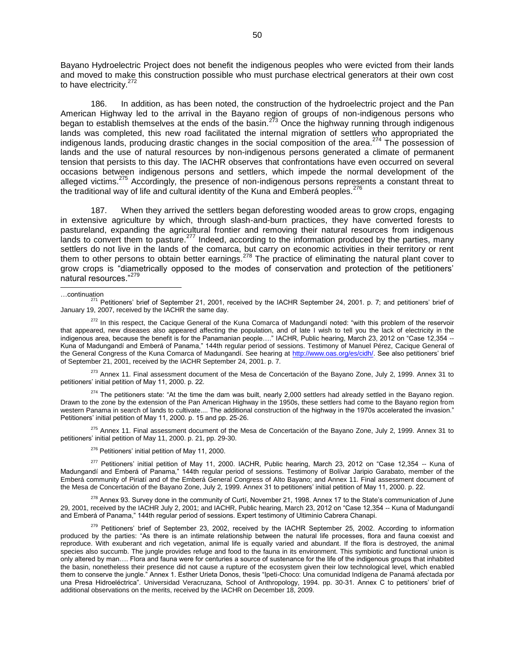Bayano Hydroelectric Project does not benefit the indigenous peoples who were evicted from their lands and moved to make this construction possible who must purchase electrical generators at their own cost to have electricity.<sup>272</sup>

186. In addition, as has been noted, the construction of the hydroelectric project and the Pan American Highway led to the arrival in the Bayano region of groups of non-indigenous persons who began to establish themselves at the ends of the basin.<sup>273</sup> Once the highway running through indigenous lands was completed, this new road facilitated the internal migration of settlers who appropriated the indigenous lands, producing drastic changes in the social composition of the area.<sup>274</sup> The possession of lands and the use of natural resources by non-indigenous persons generated a climate of permanent tension that persists to this day. The IACHR observes that confrontations have even occurred on several occasions between indigenous persons and settlers, which impede the normal development of the alleged victims.<sup>275</sup> Accordingly, the presence of non-indigenous persons represents a constant threat to the traditional way of life and cultural identity of the Kuna and Emberá peoples.<sup>276</sup>

187. When they arrived the settlers began deforesting wooded areas to grow crops, engaging in extensive agriculture by which, through slash-and-burn practices, they have converted forests to pastureland, expanding the agricultural frontier and removing their natural resources from indigenous lands to convert them to pasture.<sup>277</sup> Indeed, according to the information produced by the parties, many settlers do not live in the lands of the comarca, but carry on economic activities in their territory or rent them to other persons to obtain better earnings.<sup>278</sup> The practice of eliminating the natural plant cover to grow crops is "diametrically opposed to the modes of conservation and protection of the petitioners' natural resources."<sup>279</sup>

#### …continuation

l

<sup>273</sup> Annex 11. Final assessment document of the Mesa de Concertación of the Bayano Zone, July 2, 1999. Annex 31 to petitioners' initial petition of May 11, 2000. p. 22.

<sup>274</sup> The petitioners state: "At the time the dam was built, nearly 2,000 settlers had already settled in the Bayano region. Drawn to the zone by the extension of the Pan American Highway in the 1950s, these settlers had come to the Bayano region from western Panama in search of lands to cultivate.... The additional construction of the highway in the 1970s accelerated the invasion." Petitioners' initial petition of May 11, 2000. p. 15 and pp. 25-26.

<sup>275</sup> Annex 11. Final assessment document of the Mesa de Concertación of the Bayano Zone, July 2, 1999. Annex 31 to petitioners' initial petition of May 11, 2000. p. 21, pp. 29-30.

#### <sup>276</sup> Petitioners' initial petition of May 11, 2000.

 $277$  Petitioners' initial petition of May 11, 2000. IACHR, Public hearing, March 23, 2012 on "Case 12,354 -- Kuna of Madungandí and Emberá of Panama," 144th regular period of sessions. Testimony of Bolívar Jaripio Garabato, member of the Emberá community of Piriatí and of the Emberá General Congress of Alto Bayano; and Annex 11. Final assessment document of the Mesa de Concertación of the Bayano Zone, July 2, 1999. Annex 31 to petitioners' initial petition of May 11, 2000. p. 22.

<sup>278</sup> Annex 93. Survey done in the community of Curtí, November 21, 1998. Annex 17 to the State's communication of June 29, 2001, received by the IACHR July 2, 2001; and IACHR, Public hearing, March 23, 2012 on "Case 12,354 -- Kuna of Madungandí and Emberá of Panama," 144th regular period of sessions. Expert testimony of Ultiminio Cabrera Chanapi.

<sup>279</sup> Petitioners' brief of September 23, 2002, received by the IACHR September 25, 2002. According to information produced by the parties: "As there is an intimate relationship between the natural life processes, flora and fauna coexist and reproduce. With exuberant and rich vegetation, animal life is equally varied and abundant. If the flora is destroyed, the animal species also succumb. The jungle provides refuge and food to the fauna in its environment. This symbiotic and functional union is only altered by man…. Flora and fauna were for centuries a source of sustenance for the life of the indigenous groups that inhabited the basin, nonetheless their presence did not cause a rupture of the ecosystem given their low technological level, which enabled them to conserve the jungle." Annex 1. Esther Urieta Donos, thesis "Ipeti-Choco: Una comunidad Indígena de Panamá afectada por una Presa Hidroeléctrica". Universidad Veracruzana, School of Anthropology, 1994. pp. 30-31. Annex C to petitioners' brief of additional observations on the merits, received by the IACHR on December 18, 2009.

 $17$  Petitioners' brief of September 21, 2001, received by the IACHR September 24, 2001. p. 7; and petitioners' brief of January 19, 2007, received by the IACHR the same day.

<sup>&</sup>lt;sup>272</sup> In this respect, the Cacique General of the Kuna Comarca of Madungandí noted: "with this problem of the reservoir that appeared, new diseases also appeared affecting the population, and of late I wish to tell you the lack of electricity in the indigenous area, because the benefit is for the Panamanian people…." IACHR, Public hearing, March 23, 2012 on "Case 12,354 -- Kuna of Madungandí and Emberá of Panama," 144th regular period of sessions. Testimony of Manuel Pérez, Cacique General of the General Congress of the Kuna Comarca of Madungandí. See hearing at [http://www.oas.org/es/cidh/.](http://www.oas.org/es/cidh/) See also petitioners' brief of September 21, 2001, received by the IACHR September 24, 2001. p. 7.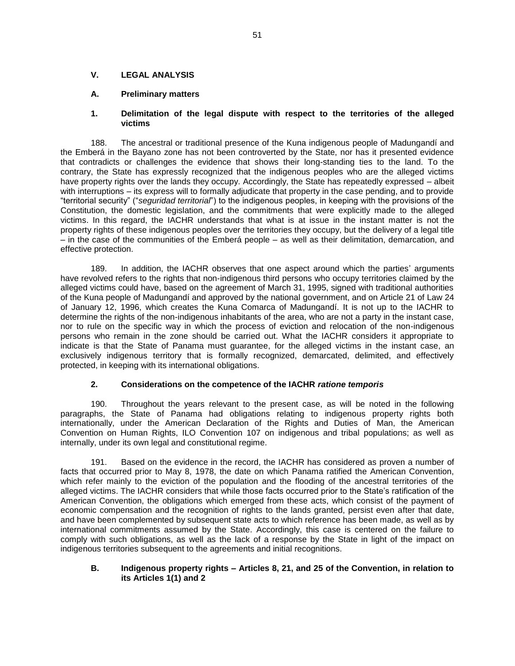## **V. LEGAL ANALYSIS**

## **A. Preliminary matters**

## **1. Delimitation of the legal dispute with respect to the territories of the alleged victims**

188. The ancestral or traditional presence of the Kuna indigenous people of Madungandí and the Emberá in the Bayano zone has not been controverted by the State, nor has it presented evidence that contradicts or challenges the evidence that shows their long-standing ties to the land. To the contrary, the State has expressly recognized that the indigenous peoples who are the alleged victims have property rights over the lands they occupy. Accordingly, the State has repeatedly expressed – albeit with interruptions – its express will to formally adjudicate that property in the case pending, and to provide "territorial security" ("*seguridad territorial*") to the indigenous peoples, in keeping with the provisions of the Constitution, the domestic legislation, and the commitments that were explicitly made to the alleged victims. In this regard, the IACHR understands that what is at issue in the instant matter is not the property rights of these indigenous peoples over the territories they occupy, but the delivery of a legal title – in the case of the communities of the Emberá people – as well as their delimitation, demarcation, and effective protection.

189. In addition, the IACHR observes that one aspect around which the parties' arguments have revolved refers to the rights that non-indigenous third persons who occupy territories claimed by the alleged victims could have, based on the agreement of March 31, 1995, signed with traditional authorities of the Kuna people of Madungandí and approved by the national government, and on Article 21 of Law 24 of January 12, 1996, which creates the Kuna Comarca of Madungandí. It is not up to the IACHR to determine the rights of the non-indigenous inhabitants of the area, who are not a party in the instant case, nor to rule on the specific way in which the process of eviction and relocation of the non-indigenous persons who remain in the zone should be carried out. What the IACHR considers it appropriate to indicate is that the State of Panama must guarantee, for the alleged victims in the instant case, an exclusively indigenous territory that is formally recognized, demarcated, delimited, and effectively protected, in keeping with its international obligations.

# **2. Considerations on the competence of the IACHR** *ratione temporis*

190. Throughout the years relevant to the present case, as will be noted in the following paragraphs, the State of Panama had obligations relating to indigenous property rights both internationally, under the American Declaration of the Rights and Duties of Man, the American Convention on Human Rights, ILO Convention 107 on indigenous and tribal populations; as well as internally, under its own legal and constitutional regime.

191. Based on the evidence in the record, the IACHR has considered as proven a number of facts that occurred prior to May 8, 1978, the date on which Panama ratified the American Convention, which refer mainly to the eviction of the population and the flooding of the ancestral territories of the alleged victims. The IACHR considers that while those facts occurred prior to the State's ratification of the American Convention, the obligations which emerged from these acts, which consist of the payment of economic compensation and the recognition of rights to the lands granted, persist even after that date, and have been complemented by subsequent state acts to which reference has been made, as well as by international commitments assumed by the State. Accordingly, this case is centered on the failure to comply with such obligations, as well as the lack of a response by the State in light of the impact on indigenous territories subsequent to the agreements and initial recognitions.

## **B. Indigenous property rights – Articles 8, 21, and 25 of the Convention, in relation to its Articles 1(1) and 2**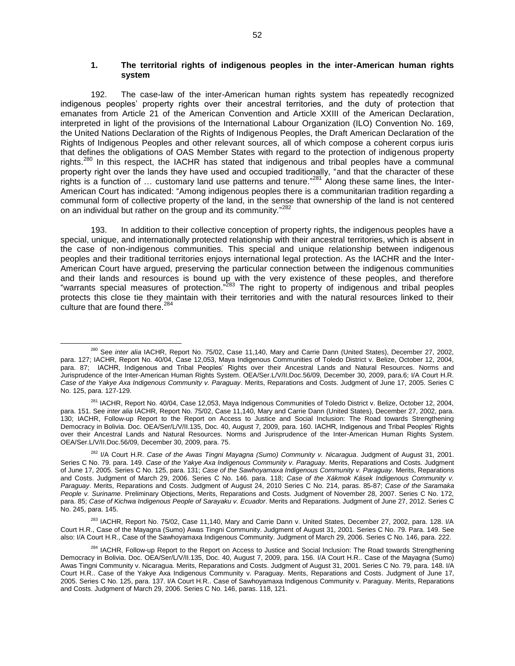## **1. The territorial rights of indigenous peoples in the inter-American human rights system**

192. The case-law of the inter-American human rights system has repeatedly recognized indigenous peoples' property rights over their ancestral territories, and the duty of protection that emanates from Article 21 of the American Convention and Article XXIII of the American Declaration, interpreted in light of the provisions of the International Labour Organization (ILO) Convention No. 169, the United Nations Declaration of the Rights of Indigenous Peoples, the Draft American Declaration of the Rights of Indigenous Peoples and other relevant sources, all of which compose a coherent corpus iuris that defines the obligations of OAS Member States with regard to the protection of indigenous property rights.<sup>280</sup> In this respect, the IACHR has stated that indigenous and tribal peoples have a communal property right over the lands they have used and occupied traditionally, "and that the character of these rights is a function of … customary land use patterns and tenure." <sup>281</sup> Along these same lines, the Inter-American Court has indicated: "Among indigenous peoples there is a communitarian tradition regarding a communal form of collective property of the land, in the sense that ownership of the land is not centered on an individual but rather on the group and its community."<sup>282</sup>

193. In addition to their collective conception of property rights, the indigenous peoples have a special, unique, and internationally protected relationship with their ancestral territories, which is absent in the case of non-indigenous communities. This special and unique relationship between indigenous peoples and their traditional territories enjoys international legal protection. As the IACHR and the Inter-American Court have argued, preserving the particular connection between the indigenous communities and their lands and resources is bound up with the very existence of these peoples, and therefore "warrants special measures of protection."<sup>283</sup> The right to property of indigenous and tribal peoples protects this close tie they maintain with their territories and with the natural resources linked to their culture that are found there.<sup>284</sup>

 $\overline{a}$ <sup>280</sup> See *inter alia* IACHR, Report No. 75/02, Case 11,140, Mary and Carrie Dann (United States), December 27, 2002, para. 127; IACHR, Report No. 40/04, Case 12,053, Maya Indigenous Communities of Toledo District v. Belize, October 12, 2004, para. 87; IACHR, Indigenous and Tribal Peoples' Rights over their Ancestral Lands and Natural Resources. Norms and Jurisprudence of the Inter-American Human Rights System. OEA/Ser.L/V/II.Doc.56/09, December 30, 2009, para.6; I/A Court H.R. *Case of the Yakye Axa Indigenous Community v. Paraguay*. Merits, Reparations and Costs. Judgment of June 17, 2005. Series C No. 125, para. 127-129.

<sup>&</sup>lt;sup>281</sup> IACHR, Report No. 40/04, Case 12,053, Maya Indigenous Communities of Toledo District v. Belize, October 12, 2004, para. 151. See *inter alia* IACHR, Report No. 75/02, Case 11,140, Mary and Carrie Dann (United States), December 27, 2002, para. 130; IACHR, Follow-up Report to the Report on Access to Justice and Social Inclusion: The Road towards Strengthening Democracy in Bolivia. Doc. OEA/Ser/L/V/II.135, Doc. 40, August 7, 2009, para. 160. IACHR, Indigenous and Tribal Peoples' Rights over their Ancestral Lands and Natural Resources. Norms and Jurisprudence of the Inter-American Human Rights System. OEA/Ser.L/V/II.Doc.56/09, December 30, 2009, para. 75.

<sup>282</sup> I/A Court H.R. *Case of the Awas Tingni Mayagna (Sumo) Community v. Nicaragua*. Judgment of August 31, 2001. Series C No. 79. para. 149. *Case of the Yakye Axa Indigenous Community v. Paraguay*. Merits, Reparations and Costs. Judgment of June 17, 2005. Series C No. 125, para. 131; *Case of the Sawhoyamaxa Indigenous Community v. Paraguay*. Merits, Reparations and Costs. Judgment of March 29, 2006. Series C No. 146. para. 118; *Case of the Xákmok Kásek Indigenous Community v. Paraguay*. Merits, Reparations and Costs. Judgment of August 24, 2010 Series C No. 214, paras. 85-87; *Case of the Saramaka People v. Suriname*. Preliminary Objections, Merits, Reparations and Costs. Judgment of November 28, 2007. Series C No. 172, para. 85; *Case of Kichwa Indigenous People of Sarayaku v. Ecuador*. Merits and Reparations. Judgment of June 27, 2012. Series C No. 245, para. 145.

<sup>&</sup>lt;sup>283</sup> IACHR, Report No. 75/02, Case 11,140, Mary and Carrie Dann v. United States, December 27, 2002, para. 128. I/A Court H.R., Case of the Mayagna (Sumo) Awas Tingni Community. Judgment of August 31, 2001. Series C No. 79. Para. 149. See also: I/A Court H.R., Case of the Sawhoyamaxa Indigenous Community. Judgment of March 29, 2006. Series C No. 146, para. 222.

<sup>&</sup>lt;sup>284</sup> IACHR, Follow-up Report to the Report on Access to Justice and Social Inclusion: The Road towards Strengthening Democracy in Bolivia. Doc. OEA/Ser/L/V/II.135, Doc. 40, August 7, 2009, para. 156. I/A Court H.R.. Case of the Mayagna (Sumo) Awas Tingni Community v. Nicaragua. Merits, Reparations and Costs. Judgment of August 31, 2001. Series C No. 79, para. 148. I/A Court H.R.. Case of the Yakye Axa Indigenous Community v. Paraguay. Merits, Reparations and Costs. Judgment of June 17, 2005. Series C No. 125, para. 137. I/A Court H.R.. Case of Sawhoyamaxa Indigenous Community v. Paraguay. Merits, Reparations and Costs. Judgment of March 29, 2006. Series C No. 146, paras. 118, 121.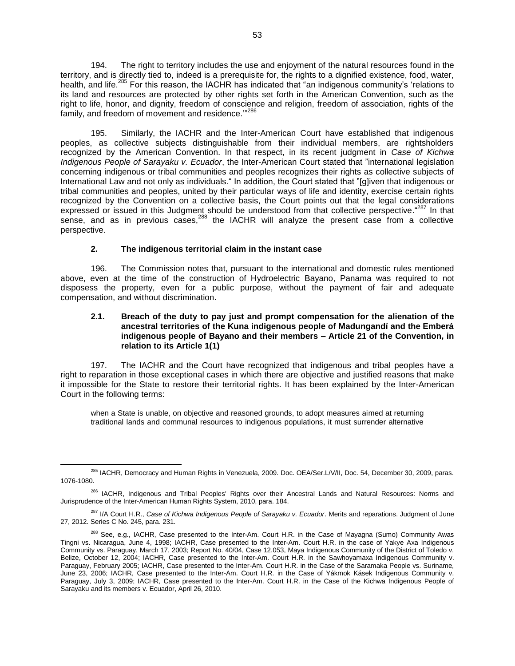194. The right to territory includes the use and enjoyment of the natural resources found in the territory, and is directly tied to, indeed is a prerequisite for, the rights to a dignified existence, food, water, health, and life.<sup>285</sup> For this reason, the IACHR has indicated that "an indigenous community's 'relations to its land and resources are protected by other rights set forth in the American Convention, such as the right to life, honor, and dignity, freedom of conscience and religion, freedom of association, rights of the family, and freedom of movement and residence." 286

195. Similarly, the IACHR and the Inter-American Court have established that indigenous peoples, as collective subjects distinguishable from their individual members, are rightsholders recognized by the American Convention. In that respect, in its recent judgment in *Case of Kichwa Indigenous People of Sarayaku v. Ecuador*, the Inter-American Court stated that "international legislation concerning indigenous or tribal communities and peoples recognizes their rights as collective subjects of International Law and not only as individuals." In addition, the Court stated that "[g]iven that indigenous or tribal communities and peoples, united by their particular ways of life and identity, exercise certain rights recognized by the Convention on a collective basis, the Court points out that the legal considerations expressed or issued in this Judgment should be understood from that collective perspective."<sup>287</sup> In that sense, and as in previous cases,  $288$  the IACHR will analyze the present case from a collective perspective.

## **2. The indigenous territorial claim in the instant case**

 $\overline{a}$ 

196. The Commission notes that, pursuant to the international and domestic rules mentioned above, even at the time of the construction of Hydroelectric Bayano, Panama was required to not disposess the property, even for a public purpose, without the payment of fair and adequate compensation, and without discrimination.

## **2.1. Breach of the duty to pay just and prompt compensation for the alienation of the ancestral territories of the Kuna indigenous people of Madungandí and the Emberá indigenous people of Bayano and their members – Article 21 of the Convention, in relation to its Article 1(1)**

197. The IACHR and the Court have recognized that indigenous and tribal peoples have a right to reparation in those exceptional cases in which there are objective and justified reasons that make it impossible for the State to restore their territorial rights. It has been explained by the Inter-American Court in the following terms:

when a State is unable, on objective and reasoned grounds, to adopt measures aimed at returning traditional lands and communal resources to indigenous populations, it must surrender alternative

<sup>285</sup> IACHR, Democracy and Human Rights in Venezuela, 2009. Doc. OEA/Ser.L/V/II, Doc. 54, December 30, 2009, paras. 1076-1080.

<sup>&</sup>lt;sup>286</sup> IACHR. Indigenous and Tribal Peoples' Rights over their Ancestral Lands and Natural Resources: Norms and Jurisprudence of the Inter-American Human Rights System, 2010, para. 184.

<sup>287</sup> I/A Court H.R., *Case of Kichwa Indigenous People of Sarayaku v. Ecuador*. Merits and reparations. Judgment of June 27, 2012. Series C No. 245, para. 231.

<sup>&</sup>lt;sup>288</sup> See, e.g., IACHR, Case presented to the Inter-Am. Court H.R. in the Case of Mayagna (Sumo) Community Awas Tingni vs. Nicaragua, June 4, 1998; IACHR, Case presented to the Inter-Am. Court H.R. in the case of Yakye Axa Indigenous Community vs. Paraguay, March 17, 2003; Report No. 40/04, Case 12.053, Maya Indigenous Community of the District of Toledo v. Belize, October 12, 2004; IACHR, Case presented to the Inter-Am. Court H.R. in the Sawhoyamaxa Indigenous Community v. Paraguay, February 2005; IACHR, Case presented to the Inter-Am. Court H.R. in the Case of the Saramaka People vs. Suriname, June 23, 2006; IACHR, Case presented to the Inter-Am. Court H.R. in the Case of Yákmok Kásek Indigenous Community v. Paraguay, July 3, 2009; IACHR, Case presented to the Inter-Am. Court H.R. in the Case of the Kichwa Indigenous People of Sarayaku and its members v. Ecuador, April 26, 2010.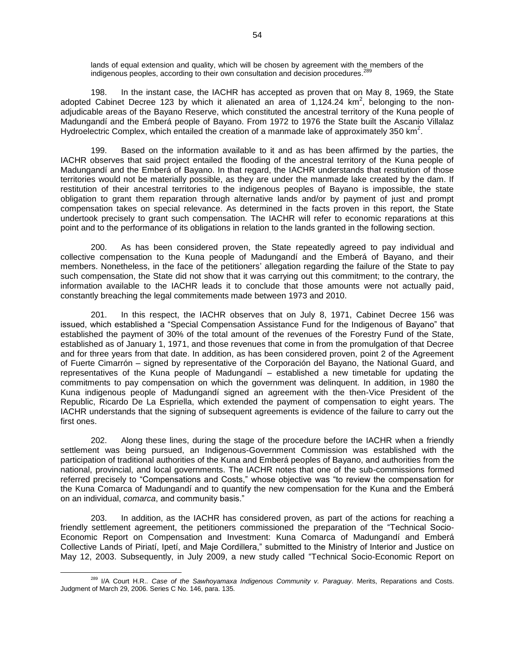lands of equal extension and quality, which will be chosen by agreement with the members of the indigenous peoples, according to their own consultation and decision procedures. 289

198. In the instant case, the IACHR has accepted as proven that on May 8, 1969, the State adopted Cabinet Decree 123 by which it alienated an area of 1,124.24  $km^2$ , belonging to the nonadjudicable areas of the Bayano Reserve, which constituted the ancestral territory of the Kuna people of Madungandí and the Emberá people of Bayano. From 1972 to 1976 the State built the Ascanio Villalaz Hydroelectric Complex, which entailed the creation of a manmade lake of approximately 350 km<sup>2</sup>.

199. Based on the information available to it and as has been affirmed by the parties, the IACHR observes that said project entailed the flooding of the ancestral territory of the Kuna people of Madungandí and the Emberá of Bayano. In that regard, the IACHR understands that restitution of those territories would not be materially possible, as they are under the manmade lake created by the dam. If restitution of their ancestral territories to the indigenous peoples of Bayano is impossible, the state obligation to grant them reparation through alternative lands and/or by payment of just and prompt compensation takes on special relevance. As determined in the facts proven in this report, the State undertook precisely to grant such compensation. The IACHR will refer to economic reparations at this point and to the performance of its obligations in relation to the lands granted in the following section.

200. As has been considered proven, the State repeatedly agreed to pay individual and collective compensation to the Kuna people of Madungandí and the Emberá of Bayano, and their members. Nonetheless, in the face of the petitioners' allegation regarding the failure of the State to pay such compensation, the State did not show that it was carrying out this commitment; to the contrary, the information available to the IACHR leads it to conclude that those amounts were not actually paid, constantly breaching the legal commitements made between 1973 and 2010.

201. In this respect, the IACHR observes that on July 8, 1971, Cabinet Decree 156 was issued, which established a "Special Compensation Assistance Fund for the Indigenous of Bayano" that established the payment of 30% of the total amount of the revenues of the Forestry Fund of the State, established as of January 1, 1971, and those revenues that come in from the promulgation of that Decree and for three years from that date. In addition, as has been considered proven, point 2 of the Agreement of Fuerte Cimarrón – signed by representative of the Corporación del Bayano, the National Guard, and representatives of the Kuna people of Madungandí – established a new timetable for updating the commitments to pay compensation on which the government was delinquent. In addition, in 1980 the Kuna indigenous people of Madungandí signed an agreement with the then-Vice President of the Republic, Ricardo De La Espriella, which extended the payment of compensation to eight years. The IACHR understands that the signing of subsequent agreements is evidence of the failure to carry out the first ones.

202. Along these lines, during the stage of the procedure before the IACHR when a friendly settlement was being pursued, an Indigenous-Government Commission was established with the participation of traditional authorities of the Kuna and Emberá peoples of Bayano, and authorities from the national, provincial, and local governments. The IACHR notes that one of the sub-commissions formed referred precisely to "Compensations and Costs," whose objective was "to review the compensation for the Kuna Comarca of Madungandí and to quantify the new compensation for the Kuna and the Emberá on an individual, *comarca*, and community basis."

203. In addition, as the IACHR has considered proven, as part of the actions for reaching a friendly settlement agreement, the petitioners commissioned the preparation of the "Technical Socio-Economic Report on Compensation and Investment: Kuna Comarca of Madungandí and Emberá Collective Lands of Piriatí, Ipetí, and Maje Cordillera," submitted to the Ministry of Interior and Justice on May 12, 2003. Subsequently, in July 2009, a new study called "Technical Socio-Economic Report on

 $\overline{a}$ <sup>289</sup> I/A Court H.R.. *Case of the Sawhoyamaxa Indigenous Community v. Paraguay*. Merits, Reparations and Costs. Judgment of March 29, 2006. Series C No. 146, para. 135.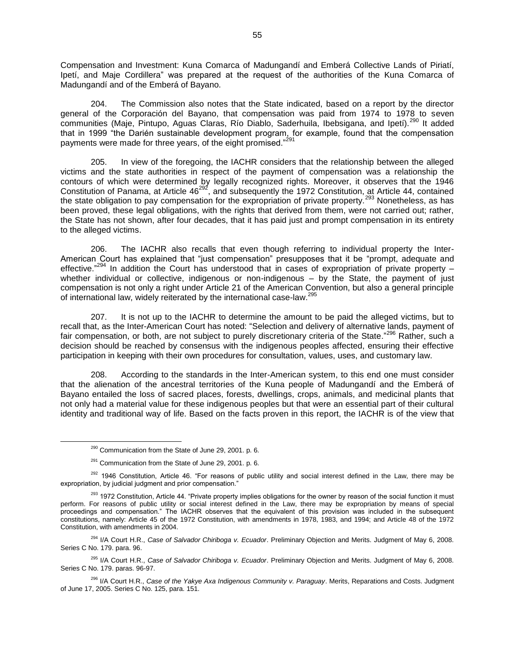Compensation and Investment: Kuna Comarca of Madungandí and Emberá Collective Lands of Piriatí, Ipetí, and Maje Cordillera" was prepared at the request of the authorities of the Kuna Comarca of Madungandí and of the Emberá of Bayano.

204. The Commission also notes that the State indicated, based on a report by the director general of the Corporación del Bayano, that compensation was paid from 1974 to 1978 to seven communities (Maje, Pintupo, Aguas Claras, Río Diablo, Saderhuila, Ibebsigana, and Ipetí).<sup>290</sup> It added that in 1999 "the Darién sustainable development program, for example, found that the compensation payments were made for three years, of the eight promised."

205. In view of the foregoing, the IACHR considers that the relationship between the alleged victims and the state authorities in respect of the payment of compensation was a relationship the contours of which were determined by legally recognized rights. Moreover, it observes that the 1946 Constitution of Panama, at Article  $46^{292}$ , and subsequently the 1972 Constitution, at Article 44, contained the state obligation to pay compensation for the expropriation of private property.<sup>293</sup> Nonetheless, as has been proved, these legal obligations, with the rights that derived from them, were not carried out; rather, the State has not shown, after four decades, that it has paid just and prompt compensation in its entirety to the alleged victims.

206. The IACHR also recalls that even though referring to individual property the Inter-American Court has explained that "just compensation" presupposes that it be "prompt, adequate and effective."<sup>294</sup> In addition the Court has understood that in cases of expropriation of private property – whether individual or collective, indigenous or non-indigenous – by the State, the payment of just compensation is not only a right under Article 21 of the American Convention, but also a general principle of international law, widely reiterated by the international case-law.<sup>295</sup>

207. It is not up to the IACHR to determine the amount to be paid the alleged victims, but to recall that, as the Inter-American Court has noted: "Selection and delivery of alternative lands, payment of fair compensation, or both, are not subject to purely discretionary criteria of the State."<sup>296</sup> Rather, such a decision should be reached by consensus with the indigenous peoples affected, ensuring their effective participation in keeping with their own procedures for consultation, values, uses, and customary law.

208. According to the standards in the Inter-American system, to this end one must consider that the alienation of the ancestral territories of the Kuna people of Madungandí and the Emberá of Bayano entailed the loss of sacred places, forests, dwellings, crops, animals, and medicinal plants that not only had a material value for these indigenous peoples but that were an essential part of their cultural identity and traditional way of life. Based on the facts proven in this report, the IACHR is of the view that

<sup>&</sup>lt;sup>290</sup> Communication from the State of June 29, 2001. p. 6.

 $291$  Communication from the State of June 29, 2001. p. 6.

<sup>&</sup>lt;sup>292</sup> 1946 Constitution, Article 46. "For reasons of public utility and social interest defined in the Law, there may be expropriation, by judicial judgment and prior compensation."

<sup>&</sup>lt;sup>293</sup> 1972 Constitution, Article 44. "Private property implies obligations for the owner by reason of the social function it must perform. For reasons of public utility or social interest defined in the Law, there may be expropriation by means of special proceedings and compensation." The IACHR observes that the equivalent of this provision was included in the subsequent constitutions, namely: Article 45 of the 1972 Constitution, with amendments in 1978, 1983, and 1994; and Article 48 of the 1972 Constitution, with amendments in 2004.

<sup>294</sup> I/A Court H.R., *Case of Salvador Chiriboga v. Ecuador*. Preliminary Objection and Merits. Judgment of May 6, 2008. Series C No. 179. para. 96.

<sup>295</sup> I/A Court H.R., *Case of Salvador Chiriboga v. Ecuador*. Preliminary Objection and Merits. Judgment of May 6, 2008. Series C No. 179. paras. 96-97.

<sup>296</sup> I/A Court H.R., *Case of the Yakye Axa Indigenous Community v. Paraguay*. Merits, Reparations and Costs. Judgment of June 17, 2005. Series C No. 125, para. 151.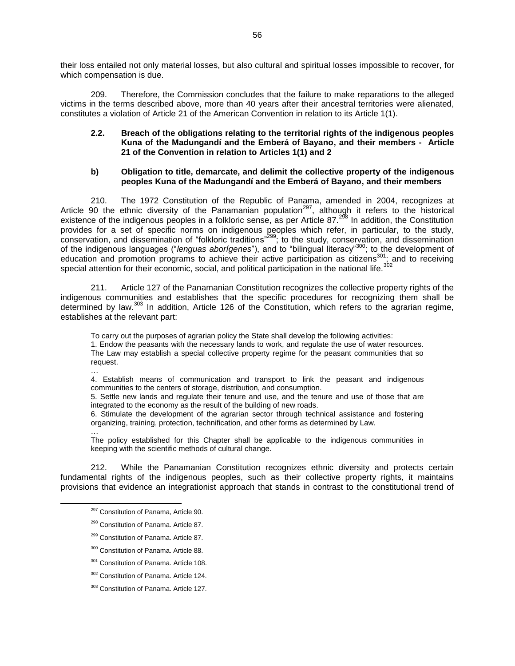their loss entailed not only material losses, but also cultural and spiritual losses impossible to recover, for which compensation is due.

209. Therefore, the Commission concludes that the failure to make reparations to the alleged victims in the terms described above, more than 40 years after their ancestral territories were alienated, constitutes a violation of Article 21 of the American Convention in relation to its Article 1(1).

### **2.2. Breach of the obligations relating to the territorial rights of the indigenous peoples Kuna of the Madungandí and the Emberá of Bayano, and their members - Article 21 of the Convention in relation to Articles 1(1) and 2**

## **b) Obligation to title, demarcate, and delimit the collective property of the indigenous peoples Kuna of the Madungandí and the Emberá of Bayano, and their members**

210. The 1972 Constitution of the Republic of Panama, amended in 2004, recognizes at Article 90 the ethnic diversity of the Panamanian population<sup>297</sup>, although it refers to the historical existence of the indigenous peoples in a folkloric sense, as per Article 87.<sup>298</sup> In addition, the Constitution provides for a set of specific norms on indigenous peoples which refer, in particular, to the study, conservation, and dissemination of "folkloric traditions"<sup>299</sup>; to the study, conservation, and dissemination of the indigenous languages ("*lenguas aborígenes*"), and to "bilingual literacy"<sup>300</sup>; to the development of education and promotion programs to achieve their active participation as citizens<sup>301</sup>; and to receiving special attention for their economic, social, and political participation in the national life.<sup>302</sup>

211. Article 127 of the Panamanian Constitution recognizes the collective property rights of the indigenous communities and establishes that the specific procedures for recognizing them shall be determined by law.<sup>303</sup> In addition, Article 126 of the Constitution, which refers to the agrarian regime, establishes at the relevant part:

To carry out the purposes of agrarian policy the State shall develop the following activities: 1. Endow the peasants with the necessary lands to work, and regulate the use of water resources. The Law may establish a special collective property regime for the peasant communities that so request. …

4. Establish means of communication and transport to link the peasant and indigenous communities to the centers of storage, distribution, and consumption.

5. Settle new lands and regulate their tenure and use, and the tenure and use of those that are integrated to the economy as the result of the building of new roads.

6. Stimulate the development of the agrarian sector through technical assistance and fostering organizing, training, protection, technification, and other forms as determined by Law. …

The policy established for this Chapter shall be applicable to the indigenous communities in keeping with the scientific methods of cultural change.

212. While the Panamanian Constitution recognizes ethnic diversity and protects certain fundamental rights of the indigenous peoples, such as their collective property rights, it maintains provisions that evidence an integrationist approach that stands in contrast to the constitutional trend of

- <sup>299</sup> Constitution of Panama. Article 87.
- 300 Constitution of Panama. Article 88.
- 301 Constitution of Panama. Article 108.
- <sup>302</sup> Constitution of Panama. Article 124.

<sup>&</sup>lt;sup>297</sup> Constitution of Panama, Article 90.

<sup>&</sup>lt;sup>298</sup> Constitution of Panama. Article 87.

<sup>&</sup>lt;sup>303</sup> Constitution of Panama. Article 127.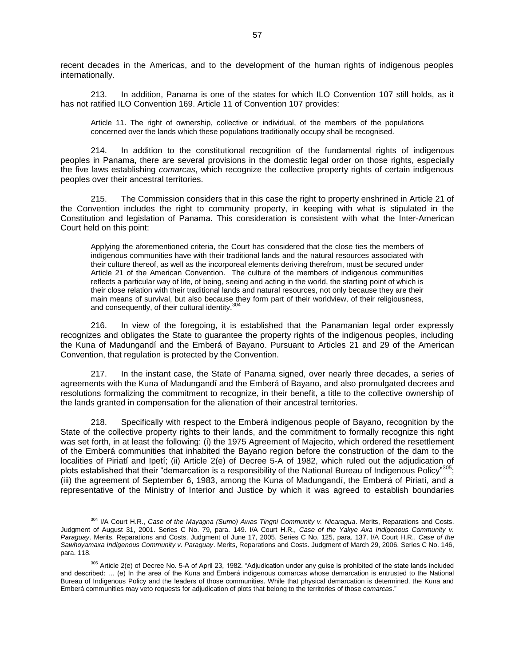recent decades in the Americas, and to the development of the human rights of indigenous peoples internationally.

213. In addition, Panama is one of the states for which ILO Convention 107 still holds, as it has not ratified ILO Convention 169. Article 11 of Convention 107 provides:

Article 11. The right of ownership, collective or individual, of the members of the populations concerned over the lands which these populations traditionally occupy shall be recognised.

214. In addition to the constitutional recognition of the fundamental rights of indigenous peoples in Panama, there are several provisions in the domestic legal order on those rights, especially the five laws establishing *comarcas*, which recognize the collective property rights of certain indigenous peoples over their ancestral territories.

215. The Commission considers that in this case the right to property enshrined in Article 21 of the Convention includes the right to community property, in keeping with what is stipulated in the Constitution and legislation of Panama. This consideration is consistent with what the Inter-American Court held on this point:

Applying the aforementioned criteria, the Court has considered that the close ties the members of indigenous communities have with their traditional lands and the natural resources associated with their culture thereof, as well as the incorporeal elements deriving therefrom, must be secured under Article 21 of the American Convention. The culture of the members of indigenous communities reflects a particular way of life, of being, seeing and acting in the world, the starting point of which is their close relation with their traditional lands and natural resources, not only because they are their main means of survival, but also because they form part of their worldview, of their religiousness, and consequently, of their cultural identity.<sup>304</sup>

216. In view of the foregoing, it is established that the Panamanian legal order expressly recognizes and obligates the State to guarantee the property rights of the indigenous peoples, including the Kuna of Madungandí and the Emberá of Bayano. Pursuant to Articles 21 and 29 of the American Convention, that regulation is protected by the Convention.

217. In the instant case, the State of Panama signed, over nearly three decades, a series of agreements with the Kuna of Madungandí and the Emberá of Bayano, and also promulgated decrees and resolutions formalizing the commitment to recognize, in their benefit, a title to the collective ownership of the lands granted in compensation for the alienation of their ancestral territories.

218. Specifically with respect to the Emberá indigenous people of Bayano, recognition by the State of the collective property rights to their lands, and the commitment to formally recognize this right was set forth, in at least the following: (i) the 1975 Agreement of Majecito, which ordered the resettlement of the Emberá communities that inhabited the Bayano region before the construction of the dam to the localities of Piriatí and Ipetí; (ii) Article 2(e) of Decree 5-A of 1982, which ruled out the adjudication of plots established that their "demarcation is a responsibility of the National Bureau of Indigenous Policy"<sup>305</sup>; (iii) the agreement of September 6, 1983, among the Kuna of Madungandí, the Emberá of Piriatí, and a representative of the Ministry of Interior and Justice by which it was agreed to establish boundaries

<sup>304</sup> I/A Court H.R., *Case of the Mayagna (Sumo) Awas Tingni Community v. Nicaragua*. Merits, Reparations and Costs. Judgment of August 31, 2001. Series C No. 79, para. 149. I/A Court H.R., *Case of the Yakye Axa Indigenous Community v. Paraguay*. Merits, Reparations and Costs. Judgment of June 17, 2005. Series C No. 125, para. 137. I/A Court H.R., *Case of the Sawhoyamaxa Indigenous Community v. Paraguay*. Merits, Reparations and Costs. Judgment of March 29, 2006. Series C No. 146, para. 118.

<sup>305</sup> Article 2(e) of Decree No. 5-A of April 23, 1982. "Adjudication under any guise is prohibited of the state lands included and described: … (e) In the area of the Kuna and Emberá indigenous comarcas whose demarcation is entrusted to the National Bureau of Indigenous Policy and the leaders of those communities. While that physical demarcation is determined, the Kuna and Emberá communities may veto requests for adjudication of plots that belong to the territories of those *comarcas*."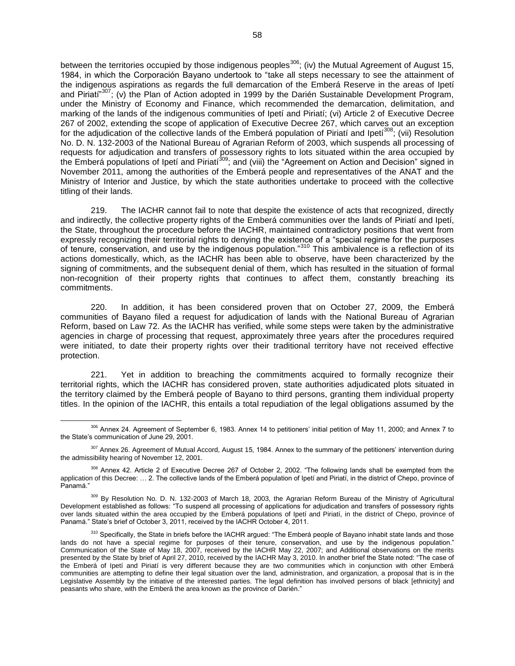between the territories occupied by those indigenous peoples<sup>306</sup>; (iv) the Mutual Agreement of August 15, 1984, in which the Corporación Bayano undertook to "take all steps necessary to see the attainment of the indigenous aspirations as regards the full demarcation of the Emberá Reserve in the areas of Ipetí and Piriati<sup>"307</sup>; (v) the Plan of Action adopted in 1999 by the Darién Sustainable Development Program, under the Ministry of Economy and Finance, which recommended the demarcation, delimitation, and marking of the lands of the indigenous communities of Ipetí and Piriatí; (vi) Article 2 of Executive Decree 267 of 2002, extending the scope of application of Executive Decree 267, which carves out an exception for the adjudication of the collective lands of the Emberá population of Piriatí and Ipetí<sup>308</sup>; (vii) Resolution No. D. N. 132-2003 of the National Bureau of Agrarian Reform of 2003, which suspends all processing of requests for adjudication and transfers of possessory rights to lots situated within the area occupied by the Emberá populations of Ipetí and Piriatí<sup>309</sup>; and (viii) the "Agreement on Action and Decision" signed in November 2011, among the authorities of the Emberá people and representatives of the ANAT and the Ministry of Interior and Justice, by which the state authorities undertake to proceed with the collective titling of their lands.

219. The IACHR cannot fail to note that despite the existence of acts that recognized, directly and indirectly, the collective property rights of the Emberá communities over the lands of Piriatí and Ipetí, the State, throughout the procedure before the IACHR, maintained contradictory positions that went from expressly recognizing their territorial rights to denying the existence of a "special regime for the purposes of tenure, conservation, and use by the indigenous population."<sup>310</sup> This ambivalence is a reflection of its actions domestically, which, as the IACHR has been able to observe, have been characterized by the signing of commitments, and the subsequent denial of them, which has resulted in the situation of formal non-recognition of their property rights that continues to affect them, constantly breaching its commitments.

220. In addition, it has been considered proven that on October 27, 2009, the Emberá communities of Bayano filed a request for adjudication of lands with the National Bureau of Agrarian Reform, based on Law 72. As the IACHR has verified, while some steps were taken by the administrative agencies in charge of processing that request, approximately three years after the procedures required were initiated, to date their property rights over their traditional territory have not received effective protection.

221. Yet in addition to breaching the commitments acquired to formally recognize their territorial rights, which the IACHR has considered proven, state authorities adjudicated plots situated in the territory claimed by the Emberá people of Bayano to third persons, granting them individual property titles. In the opinion of the IACHR, this entails a total repudiation of the legal obligations assumed by the

<sup>306</sup> Annex 24. Agreement of September 6, 1983. Annex 14 to petitioners' initial petition of May 11, 2000; and Annex 7 to the State's communication of June 29, 2001.

<sup>307</sup> Annex 26. Agreement of Mutual Accord, August 15, 1984. Annex to the summary of the petitioners' intervention during the admissibility hearing of November 12, 2001.

<sup>308</sup> Annex 42. Article 2 of Executive Decree 267 of October 2, 2002. "The following lands shall be exempted from the application of this Decree: … 2. The collective lands of the Emberá population of Ipetí and Piriatí, in the district of Chepo, province of Panamá."

<sup>&</sup>lt;sup>309</sup> By Resolution No. D. N. 132-2003 of March 18, 2003, the Agrarian Reform Bureau of the Ministry of Agricultural Development established as follows: "To suspend all processing of applications for adjudication and transfers of possessory rights over lands situated within the area occupied by the Emberá populations of Ipetí and Piriatí, in the district of Chepo, province of Panamá." State's brief of October 3, 2011, received by the IACHR October 4, 2011.

<sup>&</sup>lt;sup>310</sup> Specifically, the State in briefs before the IACHR argued: "The Emberá people of Bayano inhabit state lands and those lands do not have a special regime for purposes of their tenure, conservation, and use by the indigenous population." Communication of the State of May 18, 2007, received by the IACHR May 22, 2007; and Additional observations on the merits presented by the State by brief of April 27, 2010, received by the IACHR May 3, 2010. In another brief the State noted: "The case of the Emberá of Ipetí and Piriatí is very different because they are two communities which in conjunction with other Emberá communities are attempting to define their legal situation over the land, administration, and organization, a proposal that is in the Legislative Assembly by the initiative of the interested parties. The legal definition has involved persons of black [ethnicity] and peasants who share, with the Emberá the area known as the province of Darién."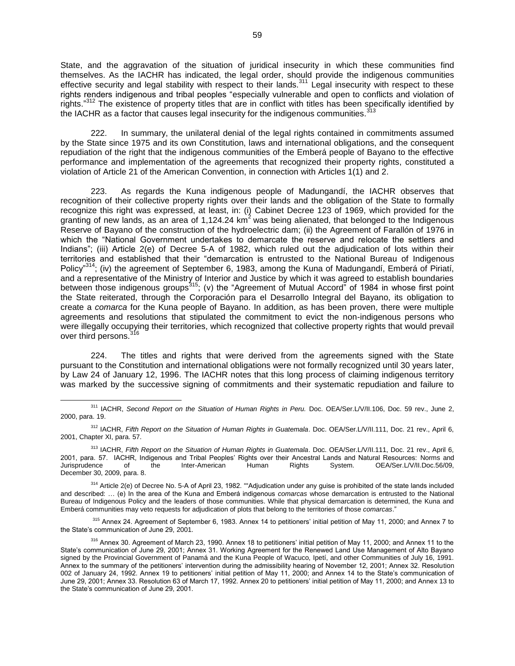State, and the aggravation of the situation of juridical insecurity in which these communities find themselves. As the IACHR has indicated, the legal order, should provide the indigenous communities effective security and legal stability with respect to their lands.<sup>311</sup> Legal insecurity with respect to these rights renders indigenous and tribal peoples "especially vulnerable and open to conflicts and violation of rights."<sup>312</sup> The existence of property titles that are in conflict with titles has been specifically identified by the IACHR as a factor that causes legal insecurity for the indigenous communities.

222. In summary, the unilateral denial of the legal rights contained in commitments assumed by the State since 1975 and its own Constitution, laws and international obligations, and the consequent repudiation of the right that the indigenous communities of the Emberá people of Bayano to the effective performance and implementation of the agreements that recognized their property rights, constituted a violation of Article 21 of the American Convention, in connection with Articles 1(1) and 2.

223. As regards the Kuna indigenous people of Madungandí, the IACHR observes that recognition of their collective property rights over their lands and the obligation of the State to formally recognize this right was expressed, at least, in: (i) Cabinet Decree 123 of 1969, which provided for the granting of new lands, as an area of  $1,124.24 \text{ km}^2$  was being alienated, that belonged to the Indigenous Reserve of Bayano of the construction of the hydroelectric dam; (ii) the Agreement of Farallón of 1976 in which the "National Government undertakes to demarcate the reserve and relocate the settlers and Indians"; (iii) Article 2(e) of Decree 5-A of 1982, which ruled out the adjudication of lots within their territories and established that their "demarcation is entrusted to the National Bureau of Indigenous Policy<sup>"314</sup>; (iv) the agreement of September 6, 1983, among the Kuna of Madungandí, Emberá of Piriatí, and a representative of the Ministry of Interior and Justice by which it was agreed to establish boundaries between those indigenous groups<sup>315</sup>; (v) the "Agreement of Mutual Accord" of 1984 in whose first point the State reiterated, through the Corporación para el Desarrollo Integral del Bayano, its obligation to create a *comarca* for the Kuna people of Bayano. In addition, as has been proven, there were multiple agreements and resolutions that stipulated the commitment to evict the non-indigenous persons who were illegally occupying their territories, which recognized that collective property rights that would prevail over third persons.<sup>316</sup>

224. The titles and rights that were derived from the agreements signed with the State pursuant to the Constitution and international obligations were not formally recognized until 30 years later, by Law 24 of January 12, 1996. The IACHR notes that this long process of claiming indigenous territory was marked by the successive signing of commitments and their systematic repudiation and failure to

 $\overline{a}$ 

315 Annex 24. Agreement of September 6, 1983. Annex 14 to petitioners' initial petition of May 11, 2000; and Annex 7 to the State's communication of June 29, 2001.

<sup>&</sup>lt;sup>311</sup> IACHR, *Second Report on the Situation of Human Rights in Peru.* Doc. OEA/Ser.L/V/II.106, Doc. 59 rev., June 2, 2000, para. 19.

<sup>&</sup>lt;sup>312</sup> IACHR, Fifth Report on the Situation of Human Rights in Guatemala. Doc. OEA/Ser.L/V/II.111, Doc. 21 rev., April 6, 2001, Chapter XI, para. 57.

<sup>&</sup>lt;sup>313</sup> IACHR, Fifth Report on the Situation of Human Rights in Guatemala. Doc. OEA/Ser.L/V/II.111, Doc. 21 rev., April 6, 2001, para. 57. IACHR, Indigenous and Tribal Peoples' Rights over their Ancestral Lands and Natural Resources: Norms and Jurisprudence of the Inter-American Human Rights System. OEA/Ser.L/V/II.Doc.56/09, December 30, 2009, para. 8.

<sup>314</sup> Article 2(e) of Decree No. 5-A of April 23, 1982. ""Adjudication under any guise is prohibited of the state lands included and described: … (e) In the area of the Kuna and Emberá indigenous *comarcas* whose demarcation is entrusted to the National Bureau of Indigenous Policy and the leaders of those communities. While that physical demarcation is determined, the Kuna and Emberá communities may veto requests for adjudication of plots that belong to the territories of those *comarcas*."

<sup>&</sup>lt;sup>316</sup> Annex 30. Agreement of March 23, 1990. Annex 18 to petitioners' initial petition of May 11, 2000; and Annex 11 to the State's communication of June 29, 2001; Annex 31. Working Agreement for the Renewed Land Use Management of Alto Bayano signed by the Provincial Government of Panamá and the Kuna People of Wacuco, Ipetí, and other Communities of July 16, 1991. Annex to the summary of the petitioners' intervention during the admissibility hearing of November 12, 2001; Annex 32. Resolution 002 of January 24, 1992. Annex 19 to petitioners' initial petition of May 11, 2000; and Annex 14 to the State's communication of June 29, 2001; Annex 33. Resolution 63 of March 17, 1992. Annex 20 to petitioners' initial petition of May 11, 2000; and Annex 13 to the State's communication of June 29, 2001.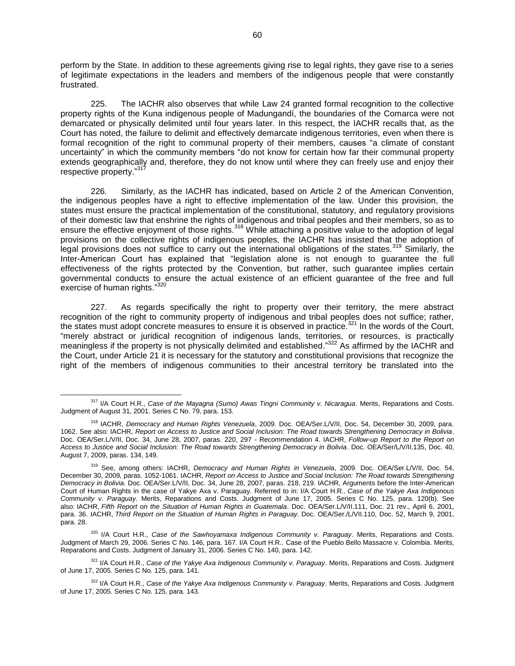perform by the State. In addition to these agreements giving rise to legal rights, they gave rise to a series of legitimate expectations in the leaders and members of the indigenous people that were constantly frustrated.

225. The IACHR also observes that while Law 24 granted formal recognition to the collective property rights of the Kuna indigenous people of Madungandí, the boundaries of the Comarca were not demarcated or physically delimited until four years later. In this respect, the IACHR recalls that, as the Court has noted, the failure to delimit and effectively demarcate indigenous territories, even when there is formal recognition of the right to communal property of their members, causes "a climate of constant uncertainty" in which the community members "do not know for certain how far their communal property extends geographically and, therefore, they do not know until where they can freely use and enjoy their respective property."31

226. Similarly, as the IACHR has indicated, based on Article 2 of the American Convention, the indigenous peoples have a right to effective implementation of the law. Under this provision, the states must ensure the practical implementation of the constitutional, statutory, and regulatory provisions of their domestic law that enshrine the rights of indigenous and tribal peoples and their members, so as to ensure the effective enjoyment of those rights.<sup>318</sup> While attaching a positive value to the adoption of legal provisions on the collective rights of indigenous peoples, the IACHR has insisted that the adoption of legal provisions does not suffice to carry out the international obligations of the states.<sup>319</sup> Similarly, the Inter-American Court has explained that "legislation alone is not enough to guarantee the full effectiveness of the rights protected by the Convention, but rather, such guarantee implies certain governmental conducts to ensure the actual existence of an efficient guarantee of the free and full exercise of human rights."320

227. As regards specifically the right to property over their territory, the mere abstract recognition of the right to community property of indigenous and tribal peoples does not suffice; rather, the states must adopt concrete measures to ensure it is observed in practice.<sup>321</sup> In the words of the Court, "merely abstract or juridical recognition of indigenous lands, territories, or resources, is practically meaningless if the property is not physically delimited and established."<sup>322</sup> As affirmed by the IACHR and the Court, under Article 21 it is necessary for the statutory and constitutional provisions that recognize the right of the members of indigenous communities to their ancestral territory be translated into the

<sup>317</sup> I/A Court H.R., *Case of the Mayagna (Sumo) Awas Tingni Community v. Nicaragua*. Merits, Reparations and Costs. Judgment of August 31, 2001. Series C No. 79, para. 153.

<sup>318</sup> IACHR, *Democracy and Human Rights Venezuela*, 2009. Doc. OEA/Ser.L/V/II, Doc. 54, December 30, 2009, para. 1062. See also: IACHR, *Report on Access to Justice and Social Inclusion: The Road towards Strengthening Democracy in Bolivia*. Doc. OEA/Ser.L/V/II, Doc. 34, June 28, 2007, paras. 220, 297 - Recommendation 4. IACHR, *Follow-up Report to the Report on Access to Justice and Social Inclusion: The Road towards Strengthening Democracy in Bolivia*. Doc. OEA/Ser/L/V/II.135, Doc. 40, August 7, 2009, paras. 134, 149.

<sup>319</sup> See, among others: IACHR, *Democracy and Human Rights in Venezuela*, 2009. Doc. OEA/Ser.L/V/II, Doc. 54, December 30, 2009, paras. 1052-1061. IACHR, *Report on Access to Justice and Social Inclusion: The Road towards Strengthening Democracy in Bolivia*. Doc. OEA/Ser.L/V/II, Doc. 34, June 28, 2007, paras. 218, 219. IACHR, Arguments before the Inter-American Court of Human Rights in the case of Yakye Axa v. Paraguay. Referred to in: I/A Court H.R.. *Case of the Yakye Axa Indigenous Community v. Paraguay*. Merits, Reparations and Costs. Judgment of June 17, 2005. Series C No. 125, para. 120(b). See also: IACHR, *Fifth Report on the Situation of Human Rights in Guatemala*. Doc. OEA/Ser.L/V/II.111, Doc. 21 rev., April 6, 2001, para. 36. IACHR, *Third Report on the Situation of Human Rights in Paraguay.* Doc. OEA/Ser./L/VII.110, Doc. 52, March 9, 2001, para. 28.

<sup>320</sup> I/A Court H.R., *Case of the Sawhoyamaxa Indigenous Community v. Paraguay*. Merits, Reparations and Costs. Judgment of March 29, 2006. Series C No. 146, para. 167. I/A Court H.R.. Case of the Pueblo Bello Massacre v. Colombia. Merits, Reparations and Costs. Judgment of January 31, 2006. Series C No. 140, para. 142.

<sup>321</sup> I/A Court H.R., *Case of the Yakye Axa Indigenous Community v. Paraguay*. Merits, Reparations and Costs. Judgment of June 17, 2005. Series C No. 125, para. 141.

<sup>322</sup> I/A Court H.R., *Case of the Yakye Axa Indigenous Community v. Paraguay*. Merits, Reparations and Costs. Judgment of June 17, 2005. Series C No. 125, para. 143.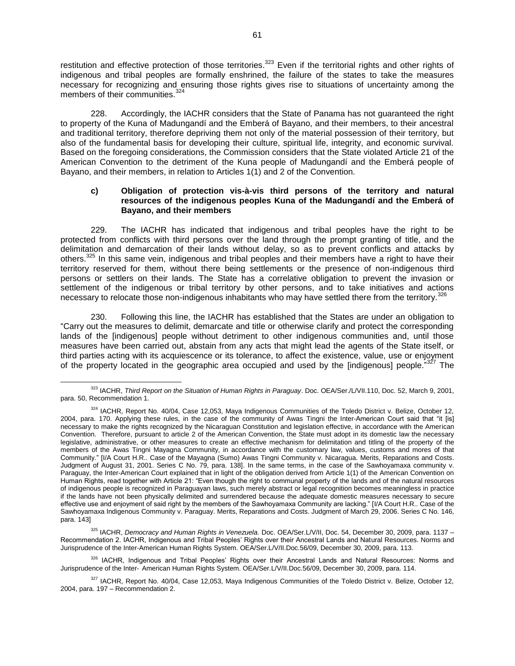restitution and effective protection of those territories.<sup>323</sup> Even if the territorial rights and other rights of indigenous and tribal peoples are formally enshrined, the failure of the states to take the measures necessary for recognizing and ensuring those rights gives rise to situations of uncertainty among the members of their communities.<sup>324</sup>

228. Accordingly, the IACHR considers that the State of Panama has not guaranteed the right to property of the Kuna of Madungandí and the Emberá of Bayano, and their members, to their ancestral and traditional territory, therefore depriving them not only of the material possession of their territory, but also of the fundamental basis for developing their culture, spiritual life, integrity, and economic survival. Based on the foregoing considerations, the Commission considers that the State violated Article 21 of the American Convention to the detriment of the Kuna people of Madungandí and the Emberá people of Bayano, and their members, in relation to Articles 1(1) and 2 of the Convention.

### **c) Obligation of protection vis-à-vis third persons of the territory and natural resources of the indigenous peoples Kuna of the Madungandí and the Emberá of Bayano, and their members**

229. The IACHR has indicated that indigenous and tribal peoples have the right to be protected from conflicts with third persons over the land through the prompt granting of title, and the delimitation and demarcation of their lands without delay, so as to prevent conflicts and attacks by others.<sup>325</sup> In this same vein, indigenous and tribal peoples and their members have a right to have their territory reserved for them, without there being settlements or the presence of non-indigenous third persons or settlers on their lands. The State has a correlative obligation to prevent the invasion or settlement of the indigenous or tribal territory by other persons, and to take initiatives and actions necessary to relocate those non-indigenous inhabitants who may have settled there from the territory.<sup>326</sup>

230. Following this line, the IACHR has established that the States are under an obligation to "Carry out the measures to delimit, demarcate and title or otherwise clarify and protect the corresponding lands of the [indigenous] people without detriment to other indigenous communities and, until those measures have been carried out, abstain from any acts that might lead the agents of the State itself, or third parties acting with its acquiescence or its tolerance, to affect the existence, value, use or enjoyment of the property located in the geographic area occupied and used by the [indigenous] people.<sup>327</sup> The

<sup>323</sup> IACHR, *Third Report on the Situation of Human Rights in Paraguay*. Doc. OEA/Ser./L/VII.110, Doc. 52, March 9, 2001, para. 50, Recommendation 1.

<sup>324</sup> IACHR, Report No. 40/04, Case 12,053, Maya Indigenous Communities of the Toledo District v. Belize, October 12, 2004, para. 170. Applying these rules, in the case of the community of Awas Tingni the Inter-American Court said that "it [is] necessary to make the rights recognized by the Nicaraguan Constitution and legislation effective, in accordance with the American Convention. Therefore, pursuant to article 2 of the American Convention, the State must adopt in its domestic law the necessary legislative, administrative, or other measures to create an effective mechanism for delimitation and titling of the property of the members of the Awas Tingni Mayagna Community, in accordance with the customary law, values, customs and mores of that Community." [I/A Court H.R.. Case of the Mayagna (Sumo) Awas Tingni Community v. Nicaragua. Merits, Reparations and Costs. Judgment of August 31, 2001. Series C No. 79, para. 138]. In the same terms, in the case of the Sawhoyamaxa community v. Paraguay, the Inter-American Court explained that in light of the obligation derived from Article 1(1) of the American Convention on Human Rights, read together with Article 21: "Even though the right to communal property of the lands and of the natural resources of indigenous people is recognized in Paraguayan laws, such merely abstract or legal recognition becomes meaningless in practice if the lands have not been physically delimited and surrendered because the adequate domestic measures necessary to secure effective use and enjoyment of said right by the members of the Sawhoyamaxa Community are lacking." [I/A Court H.R.. Case of the Sawhoyamaxa Indigenous Community v. Paraguay. Merits, Reparations and Costs. Judgment of March 29, 2006. Series C No. 146, para. 143]

<sup>325</sup> IACHR, *Democracy and Human Rights in Venezuela.* Doc. OEA/Ser.L/V/II, Doc. 54, December 30, 2009, para. 1137 – Recommendation 2. IACHR, Indigenous and Tribal Peoples' Rights over their Ancestral Lands and Natural Resources. Norms and Jurisprudence of the Inter-American Human Rights System. OEA/Ser.L/V/II.Doc.56/09, December 30, 2009, para. 113.

<sup>326</sup> IACHR, Indigenous and Tribal Peoples' Rights over their Ancestral Lands and Natural Resources: Norms and Jurisprudence of the Inter‐ American Human Rights System. OEA/Ser.L/V/II.Doc.56/09, December 30, 2009, para. 114.

<sup>327</sup> IACHR, Report No. 40/04, Case 12,053, Maya Indigenous Communities of the Toledo District v. Belize, October 12, 2004, para. 197 – Recommendation 2.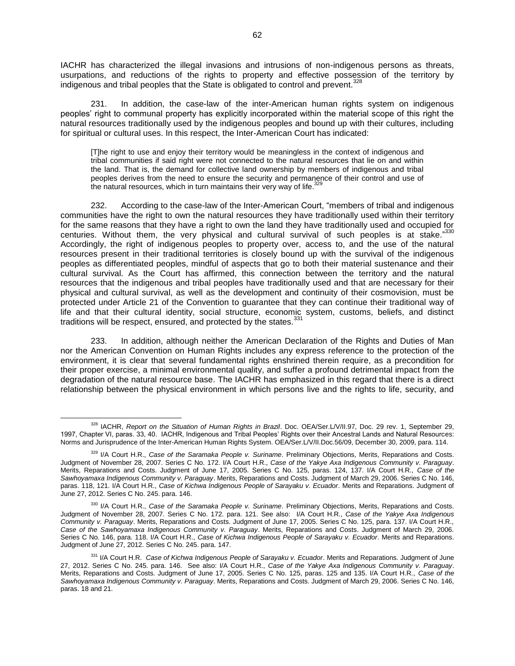IACHR has characterized the illegal invasions and intrusions of non-indigenous persons as threats, usurpations, and reductions of the rights to property and effective possession of the territory by indigenous and tribal peoples that the State is obligated to control and prevent.<sup>328</sup>

231. In addition, the case-law of the inter-American human rights system on indigenous peoples' right to communal property has explicitly incorporated within the material scope of this right the natural resources traditionally used by the indigenous peoples and bound up with their cultures, including for spiritual or cultural uses. In this respect, the Inter-American Court has indicated:

[T]he right to use and enjoy their territory would be meaningless in the context of indigenous and tribal communities if said right were not connected to the natural resources that lie on and within the land. That is, the demand for collective land ownership by members of indigenous and tribal peoples derives from the need to ensure the security and permanence of their control and use of .<br>the natural resources, which in turn maintains their very way of life.<sup>329</sup>

232. According to the case-law of the Inter-American Court, "members of tribal and indigenous communities have the right to own the natural resources they have traditionally used within their territory for the same reasons that they have a right to own the land they have traditionally used and occupied for centuries. Without them, the very physical and cultural survival of such peoples is at stake."330 Accordingly, the right of indigenous peoples to property over, access to, and the use of the natural resources present in their traditional territories is closely bound up with the survival of the indigenous peoples as differentiated peoples, mindful of aspects that go to both their material sustenance and their cultural survival. As the Court has affirmed, this connection between the territory and the natural resources that the indigenous and tribal peoples have traditionally used and that are necessary for their physical and cultural survival, as well as the development and continuity of their cosmovision, must be protected under Article 21 of the Convention to guarantee that they can continue their traditional way of life and that their cultural identity, social structure, economic system, customs, beliefs, and distinct traditions will be respect, ensured, and protected by the states. 331

233. In addition, although neither the American Declaration of the Rights and Duties of Man nor the American Convention on Human Rights includes any express reference to the protection of the environment, it is clear that several fundamental rights enshrined therein require, as a precondition for their proper exercise, a minimal environmental quality, and suffer a profound detrimental impact from the degradation of the natural resource base. The IACHR has emphasized in this regard that there is a direct relationship between the physical environment in which persons live and the rights to life, security, and

<sup>328</sup> IACHR, *Report on the Situation of Human Rights in Brazil*. Doc. OEA/Ser.L/V/II.97, Doc. 29 rev. 1, September 29, 1997, Chapter VI, paras. 33, 40. IACHR, Indigenous and Tribal Peoples' Rights over their Ancestral Lands and Natural Resources: Norms and Jurisprudence of the Inter-American Human Rights System. OEA/Ser.L/V/II.Doc.56/09, December 30, 2009, para. 114.

<sup>329</sup> I/A Court H.R., *Case of the Saramaka People v. Suriname*. Preliminary Objections, Merits, Reparations and Costs. Judgment of November 28, 2007. Series C No. 172. I/A Court H.R., *Case of the Yakye Axa Indigenous Community v. Paraguay*. Merits, Reparations and Costs. Judgment of June 17, 2005. Series C No. 125, paras. 124, 137. I/A Court H.R., *Case of the Sawhoyamaxa Indigenous Community v. Paraguay*. Merits, Reparations and Costs. Judgment of March 29, 2006. Series C No. 146, paras. 118, 121. I/A Court H.R., *Case of Kichwa Indigenous People of Sarayaku v. Ecuador*. Merits and Reparations. Judgment of June 27, 2012. Series C No. 245. para. 146.

<sup>330</sup> I/A Court H.R., *Case of the Saramaka People v. Suriname*. Preliminary Objections, Merits, Reparations and Costs. Judgment of November 28, 2007. Series C No. 172. para. 121. See also: I/A Court H.R., *Case of the Yakye Axa Indigenous Community v. Paraguay*. Merits, Reparations and Costs. Judgment of June 17, 2005. Series C No. 125, para. 137. I/A Court H.R., *Case of the Sawhoyamaxa Indigenous Community v. Paraguay*. Merits, Reparations and Costs. Judgment of March 29, 2006. Series C No. 146, para. 118. I/A Court H.R., *Case of Kichwa Indigenous People of Sarayaku v. Ecuador*. Merits and Reparations. Judgment of June 27, 2012. Series C No. 245. para. 147.

<sup>331</sup> I/A Court H.R. *Case of Kichwa Indigenous People of Sarayaku v. Ecuador*. Merits and Reparations. Judgment of June 27, 2012. Series C No. 245. para. 146. See also: I/A Court H.R., *Case of the Yakye Axa Indigenous Community v. Paraguay*. Merits, Reparations and Costs. Judgment of June 17, 2005. Series C No. 125, paras. 125 and 135. I/A Court H.R., *Case of the Sawhoyamaxa Indigenous Community v. Paraguay*. Merits, Reparations and Costs. Judgment of March 29, 2006. Series C No. 146, paras. 18 and 21.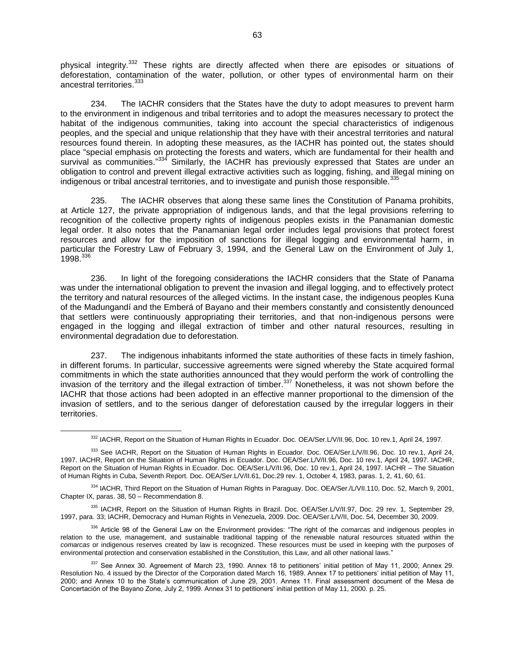physical integrity.<sup>332</sup> These rights are directly affected when there are episodes or situations of deforestation, contamination of the water, pollution, or other types of environmental harm on their ancestral territories.<sup>333</sup>

234. The IACHR considers that the States have the duty to adopt measures to prevent harm to the environment in indigenous and tribal territories and to adopt the measures necessary to protect the habitat of the indigenous communities, taking into account the special characteristics of indigenous peoples, and the special and unique relationship that they have with their ancestral territories and natural resources found therein. In adopting these measures, as the IACHR has pointed out, the states should place "special emphasis on protecting the forests and waters, which are fundamental for their health and survival as communities."<sup>334</sup> Similarly, the IACHR has previously expressed that States are under an obligation to control and prevent illegal extractive activities such as logging, fishing, and illegal mining on indigenous or tribal ancestral territories, and to investigate and punish those responsible.<sup>335</sup>

235. The IACHR observes that along these same lines the Constitution of Panama prohibits, at Article 127, the private appropriation of indigenous lands, and that the legal provisions referring to recognition of the collective property rights of indigenous peoples exists in the Panamanian domestic legal order. It also notes that the Panamanian legal order includes legal provisions that protect forest resources and allow for the imposition of sanctions for illegal logging and environmental harm, in particular the Forestry Law of February 3, 1994, and the General Law on the Environment of July 1,  $1998.<sup>336</sup>$ 

236. In light of the foregoing considerations the IACHR considers that the State of Panama was under the international obligation to prevent the invasion and illegal logging, and to effectively protect the territory and natural resources of the alleged victims. In the instant case, the indigenous peoples Kuna of the Madungandí and the Emberá of Bayano and their members constantly and consistently denounced that settlers were continuously appropriating their territories, and that non-indigenous persons were engaged in the logging and illegal extraction of timber and other natural resources, resulting in environmental degradation due to deforestation.

237. The indigenous inhabitants informed the state authorities of these facts in timely fashion, in different forums. In particular, successive agreements were signed whereby the State acquired formal commitments in which the state authorities announced that they would perform the work of controlling the invasion of the territory and the illegal extraction of timber.<sup>337</sup> Nonetheless, it was not shown before the IACHR that those actions had been adopted in an effective manner proportional to the dimension of the invasion of settlers, and to the serious danger of deforestation caused by the irregular loggers in their territories.

<sup>332</sup> IACHR, Report on the Situation of Human Rights in Ecuador. Doc. OEA/Ser.L/V/II.96, Doc. 10 rev.1, April 24, 1997.

<sup>333</sup> See IACHR, Report on the Situation of Human Rights in Ecuador. Doc. OEA/Ser.L/V/II.96, Doc. 10 rev.1, April 24, 1997. IACHR, Report on the Situation of Human Rights in Ecuador. Doc. OEA/Ser.L/V/II.96, Doc. 10 rev.1, April 24, 1997. IACHR, Report on the Situation of Human Rights in Ecuador. Doc. OEA/Ser.L/V/II.96, Doc. 10 rev.1, April 24, 1997. IACHR – The Situation of Human Rights in Cuba, Seventh Report. Doc. OEA/Ser.L/V/II.61, Doc.29 rev. 1, October 4, 1983, paras. 1, 2, 41, 60, 61.

<sup>334</sup> IACHR, Third Report on the Situation of Human Rights in Paraguay. Doc. OEA/Ser./L/VII.110, Doc. 52, March 9, 2001, Chapter IX, paras. 38, 50 – Recommendation 8.

<sup>335</sup> IACHR, Report on the Situation of Human Rights in Brazil. Doc. OEA/Ser.L/V/II.97, Doc. 29 rev. 1, September 29, 1997, para. 33; IACHR, Democracy and Human Rights in Venezuela, 2009. Doc. OEA/Ser.L/V/II, Doc. 54, December 30, 2009.

<sup>336</sup> Article 98 of the General Law on the Environment provides: "The right of the *comarcas* and indigenous peoples in relation to the use, management, and sustainable traditional tapping of the renewable natural resources situated within the *comarcas* or indigenous reserves created by law is recognized. These resources must be used in keeping with the purposes of environmental protection and conservation established in the Constitution, this Law, and all other national laws."

<sup>337</sup> See Annex 30. Agreement of March 23, 1990. Annex 18 to petitioners' initial petition of May 11, 2000; Annex 29. Resolution No. 4 issued by the Director of the Corporation dated March 16, 1989. Annex 17 to petitioners' initial petition of May 11, 2000; and Annex 10 to the State's communication of June 29, 2001. Annex 11. Final assessment document of the Mesa de Concertación of the Bayano Zone, July 2, 1999. Annex 31 to petitioners' initial petition of May 11, 2000. p. 25.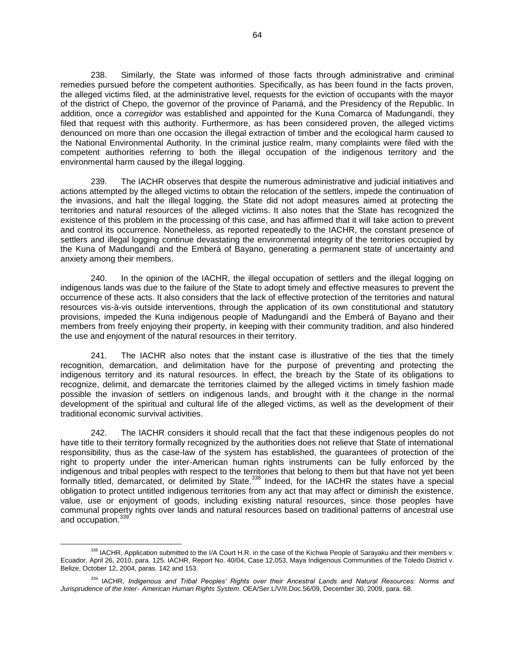238. Similarly, the State was informed of those facts through administrative and criminal remedies pursued before the competent authorities. Specifically, as has been found in the facts proven, the alleged victims filed, at the administrative level, requests for the eviction of occupants with the mayor of the district of Chepo, the governor of the province of Panamá, and the Presidency of the Republic. In addition, once a *corregidor* was established and appointed for the Kuna Comarca of Madungandí, they filed that request with this authority. Furthermore, as has been considered proven, the alleged victims denounced on more than one occasion the illegal extraction of timber and the ecological harm caused to the National Environmental Authority. In the criminal justice realm, many complaints were filed with the competent authorities referring to both the illegal occupation of the indigenous territory and the environmental harm caused by the illegal logging.

239. The IACHR observes that despite the numerous administrative and judicial initiatives and actions attempted by the alleged victims to obtain the relocation of the settlers, impede the continuation of the invasions, and halt the illegal logging, the State did not adopt measures aimed at protecting the territories and natural resources of the alleged victims. It also notes that the State has recognized the existence of this problem in the processing of this case, and has affirmed that it will take action to prevent and control its occurrence. Nonetheless, as reported repeatedly to the IACHR, the constant presence of settlers and illegal logging continue devastating the environmental integrity of the territories occupied by the Kuna of Madungandí and the Emberá of Bayano, generating a permanent state of uncertainty and anxiety among their members.

240. In the opinion of the IACHR, the illegal occupation of settlers and the illegal logging on indigenous lands was due to the failure of the State to adopt timely and effective measures to prevent the occurrence of these acts. It also considers that the lack of effective protection of the territories and natural resources vis-à-vis outside interventions, through the application of its own constitutional and statutory provisions, impeded the Kuna indigenous people of Madungandí and the Emberá of Bayano and their members from freely enjoying their property, in keeping with their community tradition, and also hindered the use and enjoyment of the natural resources in their territory.

241. The IACHR also notes that the instant case is illustrative of the ties that the timely recognition, demarcation, and delimitation have for the purpose of preventing and protecting the indigenous territory and its natural resources. In effect, the breach by the State of its obligations to recognize, delimit, and demarcate the territories claimed by the alleged victims in timely fashion made possible the invasion of settlers on indigenous lands, and brought with it the change in the normal development of the spiritual and cultural life of the alleged victims, as well as the development of their traditional economic survival activities.

242. The IACHR considers it should recall that the fact that these indigenous peoples do not have title to their territory formally recognized by the authorities does not relieve that State of international responsibility, thus as the case-law of the system has established, the guarantees of protection of the right to property under the inter-American human rights instruments can be fully enforced by the indigenous and tribal peoples with respect to the territories that belong to them but that have not yet been formally titled, demarcated, or delimited by State.<sup>338</sup> Indeed, for the IACHR the states have a special obligation to protect untitled indigenous territories from any act that may affect or diminish the existence, value, use or enjoyment of goods, including existing natural resources, since those peoples have communal property rights over lands and natural resources based on traditional patterns of ancestral use and occupation.<sup>339</sup>

<sup>338</sup> IACHR, Application submitted to the I/A Court H.R. in the case of the Kichwa People of Sarayaku and their members v. Ecuador, April 26, 2010, para. 125. IACHR, Report No. 40/04, Case 12,053, Maya Indigenous Communities of the Toledo District v. Belize, October 12, 2004, paras. 142 and 153.

<sup>339</sup> IACHR, *Indigenous and Tribal Peoples' Rights over their Ancestral Lands and Natural Resources: Norms and Jurisprudence of the Inter*‐ *American Human Rights System*. OEA/Ser.L/V/II.Doc.56/09, December 30, 2009, para. 68.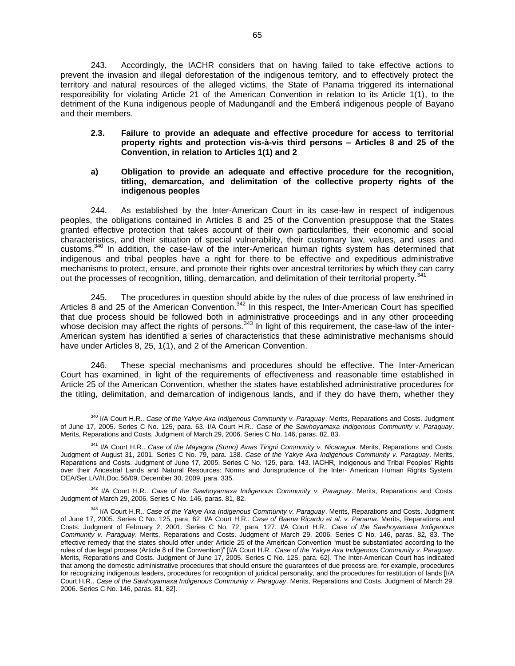243. Accordingly, the IACHR considers that on having failed to take effective actions to prevent the invasion and illegal deforestation of the indigenous territory, and to effectively protect the territory and natural resources of the alleged victims, the State of Panama triggered its international responsibility for violating Article 21 of the American Convention in relation to its Article 1(1), to the detriment of the Kuna indigenous people of Madungandí and the Emberá indigenous people of Bayano and their members.

## **2.3. Failure to provide an adequate and effective procedure for access to territorial property rights and protection vis-à-vis third persons – Articles 8 and 25 of the Convention, in relation to Articles 1(1) and 2**

## **a) Obligation to provide an adequate and effective procedure for the recognition, titling, demarcation, and delimitation of the collective property rights of the indigenous peoples**

244. As established by the Inter-American Court in its case-law in respect of indigenous peoples, the obligations contained in Articles 8 and 25 of the Convention presuppose that the States granted effective protection that takes account of their own particularities, their economic and social characteristics, and their situation of special vulnerability, their customary law, values, and uses and customs.<sup>340</sup> In addition, the case-law of the inter-American human rights system has determined that indigenous and tribal peoples have a right for there to be effective and expeditious administrative mechanisms to protect, ensure, and promote their rights over ancestral territories by which they can carry out the processes of recognition, titling, demarcation, and delimitation of their territorial property.<sup>341</sup>

245. The procedures in question should abide by the rules of due process of law enshrined in Articles 8 and 25 of the American Convention.<sup>342</sup> In this respect, the Inter-American Court has specified that due process should be followed both in administrative proceedings and in any other proceeding whose decision may affect the rights of persons. $343$  In light of this requirement, the case-law of the inter-American system has identified a series of characteristics that these administrative mechanisms should have under Articles 8, 25, 1(1), and 2 of the American Convention.

246. These special mechanisms and procedures should be effective. The Inter-American Court has examined, in light of the requirements of effectiveness and reasonable time established in Article 25 of the American Convention, whether the states have established administrative procedures for the titling, delimitation, and demarcation of indigenous lands, and if they do have them, whether they

<sup>342</sup> I/A Court H.R.. *Case of the Sawhoyamaxa Indigenous Community v. Paraguay*. Merits, Reparations and Costs. Judgment of March 29, 2006. Series C No. 146, paras. 81, 82.

 $\overline{a}$ <sup>340</sup> I/A Court H.R.. *Case of the Yakye Axa Indigenous Community v. Paraguay*. Merits, Reparations and Costs. Judgment of June 17, 2005. Series C No. 125, para. 63. I/A Court H.R.. *Case of the Sawhoyamaxa Indigenous Community v. Paraguay*. Merits, Reparations and Costs. Judgment of March 29, 2006. Series C No. 146, paras. 82, 83.

<sup>341</sup> I/A Court H.R.. *Case of the Mayagna (Sumo) Awas Tingni Community v. Nicaragua*. Merits, Reparations and Costs. Judgment of August 31, 2001. Series C No. 79, para. 138. *Case of the Yakye Axa Indigenous Community v. Paraguay*. Merits, Reparations and Costs. Judgment of June 17, 2005. Series C No. 125, para. 143. IACHR, Indigenous and Tribal Peoples' Rights over their Ancestral Lands and Natural Resources: Norms and Jurisprudence of the Inter‐ American Human Rights System. OEA/Ser.L/V/II.Doc.56/09, December 30, 2009, para. 335.

<sup>343</sup> I/A Court H.R.. *Case of the Yakye Axa Indigenous Community v. Paraguay*. Merits, Reparations and Costs. Judgment of June 17, 2005. Series C No. 125, para. 62. I/A Court H.R.. *Case of Baena Ricardo et al. v. Panama*. Merits, Reparations and Costs. Judgment of February 2, 2001. Series C No. 72, para. 127. I/A Court H.R.. *Case of the Sawhoyamaxa Indigenous Community v. Paraguay*. Merits, Reparations and Costs. Judgment of March 29, 2006. Series C No. 146, paras. 82, 83. The effective remedy that the states should offer under Article 25 of the American Convention "must be substantiated according to the rules of due legal process (Article 8 of the Convention)" [I/A Court H.R.. *Case of the Yakye Axa Indigenous Community v. Paraguay*. Merits, Reparations and Costs. Judgment of June 17, 2005. Series C No. 125, para. 62]. The Inter-American Court has indicated that among the domestic administrative procedures that should ensure the guarantees of due process are, for example, procedures for recognizing indigenous leaders, procedures for recognition of juridical personality, and the procedures for restitution of lands [I/A Court H.R.. *Case of the Sawhoyamaxa Indigenous Community v. Paraguay*. Merits, Reparations and Costs. Judgment of March 29, 2006. Series C No. 146, paras. 81, 82].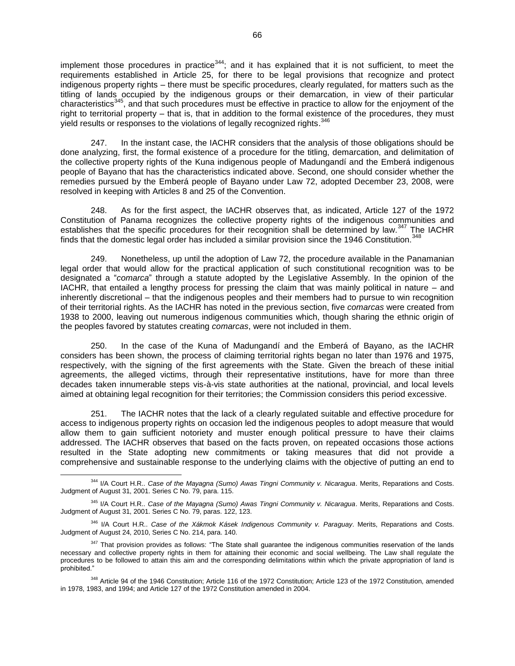implement those procedures in practice $344$ ; and it has explained that it is not sufficient, to meet the requirements established in Article 25, for there to be legal provisions that recognize and protect indigenous property rights – there must be specific procedures, clearly regulated, for matters such as the titling of lands occupied by the indigenous groups or their demarcation, in view of their particular characteristics<sup>345</sup>, and that such procedures must be effective in practice to allow for the enjoyment of the right to territorial property – that is, that in addition to the formal existence of the procedures, they must yield results or responses to the violations of legally recognized rights.<sup>346</sup>

247. In the instant case, the IACHR considers that the analysis of those obligations should be done analyzing, first, the formal existence of a procedure for the titling, demarcation, and delimitation of the collective property rights of the Kuna indigenous people of Madungandí and the Emberá indigenous people of Bayano that has the characteristics indicated above. Second, one should consider whether the remedies pursued by the Emberá people of Bayano under Law 72, adopted December 23, 2008, were resolved in keeping with Articles 8 and 25 of the Convention.

248. As for the first aspect, the IACHR observes that, as indicated, Article 127 of the 1972 Constitution of Panama recognizes the collective property rights of the indigenous communities and establishes that the specific procedures for their recognition shall be determined by law.<sup>347</sup> The IACHR finds that the domestic legal order has included a similar provision since the 1946 Constitution.  $348$ 

249. Nonetheless, up until the adoption of Law 72, the procedure available in the Panamanian legal order that would allow for the practical application of such constitutional recognition was to be designated a "*comarca*" through a statute adopted by the Legislative Assembly. In the opinion of the IACHR, that entailed a lengthy process for pressing the claim that was mainly political in nature – and inherently discretional – that the indigenous peoples and their members had to pursue to win recognition of their territorial rights. As the IACHR has noted in the previous section, five *comarcas* were created from 1938 to 2000, leaving out numerous indigenous communities which, though sharing the ethnic origin of the peoples favored by statutes creating *comarcas*, were not included in them.

250. In the case of the Kuna of Madungandí and the Emberá of Bayano, as the IACHR considers has been shown, the process of claiming territorial rights began no later than 1976 and 1975, respectively, with the signing of the first agreements with the State. Given the breach of these initial agreements, the alleged victims, through their representative institutions, have for more than three decades taken innumerable steps vis-à-vis state authorities at the national, provincial, and local levels aimed at obtaining legal recognition for their territories; the Commission considers this period excessive.

251. The IACHR notes that the lack of a clearly regulated suitable and effective procedure for access to indigenous property rights on occasion led the indigenous peoples to adopt measure that would allow them to gain sufficient notoriety and muster enough political pressure to have their claims addressed. The IACHR observes that based on the facts proven, on repeated occasions those actions resulted in the State adopting new commitments or taking measures that did not provide a comprehensive and sustainable response to the underlying claims with the objective of putting an end to

 $\overline{a}$ <sup>344</sup> I/A Court H.R.. *Case of the Mayagna (Sumo) Awas Tingni Community v. Nicaragua*. Merits, Reparations and Costs. Judgment of August 31, 2001. Series C No. 79, para. 115.

<sup>345</sup> I/A Court H.R.. *Case of the Mayagna (Sumo) Awas Tingni Community v. Nicaragua*. Merits, Reparations and Costs. Judgment of August 31, 2001. Series C No. 79, paras. 122, 123.

<sup>346</sup> I/A Court H.R.. *Case of the Xákmok Kásek Indigenous Community v. Paraguay*. Merits, Reparations and Costs. Judgment of August 24, 2010, Series C No. 214, para. 140.

<sup>&</sup>lt;sup>347</sup> That provision provides as follows: "The State shall guarantee the indigenous communities reservation of the lands necessary and collective property rights in them for attaining their economic and social wellbeing. The Law shall regulate the procedures to be followed to attain this aim and the corresponding delimitations within which the private appropriation of land is prohibited."

<sup>348</sup> Article 94 of the 1946 Constitution; Article 116 of the 1972 Constitution; Article 123 of the 1972 Constitution, amended in 1978, 1983, and 1994; and Article 127 of the 1972 Constitution amended in 2004.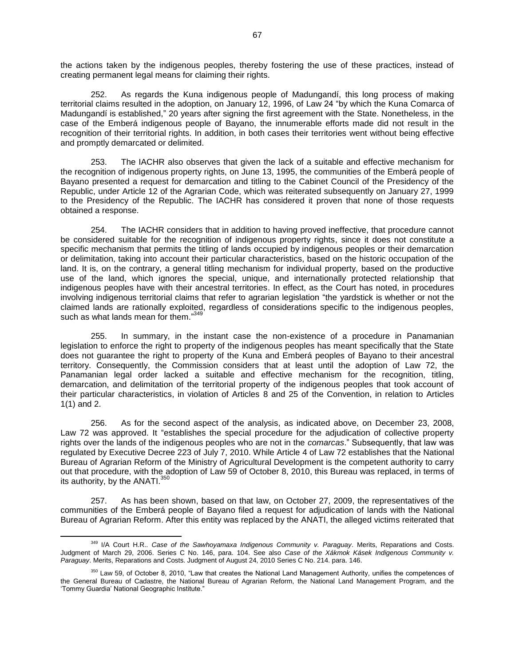the actions taken by the indigenous peoples, thereby fostering the use of these practices, instead of creating permanent legal means for claiming their rights.

252. As regards the Kuna indigenous people of Madungandí, this long process of making territorial claims resulted in the adoption, on January 12, 1996, of Law 24 "by which the Kuna Comarca of Madungandí is established," 20 years after signing the first agreement with the State. Nonetheless, in the case of the Emberá indigenous people of Bayano, the innumerable efforts made did not result in the recognition of their territorial rights. In addition, in both cases their territories went without being effective and promptly demarcated or delimited.

253. The IACHR also observes that given the lack of a suitable and effective mechanism for the recognition of indigenous property rights, on June 13, 1995, the communities of the Emberá people of Bayano presented a request for demarcation and titling to the Cabinet Council of the Presidency of the Republic, under Article 12 of the Agrarian Code, which was reiterated subsequently on January 27, 1999 to the Presidency of the Republic. The IACHR has considered it proven that none of those requests obtained a response.

254. The IACHR considers that in addition to having proved ineffective, that procedure cannot be considered suitable for the recognition of indigenous property rights, since it does not constitute a specific mechanism that permits the titling of lands occupied by indigenous peoples or their demarcation or delimitation, taking into account their particular characteristics, based on the historic occupation of the land. It is, on the contrary, a general titling mechanism for individual property, based on the productive use of the land, which ignores the special, unique, and internationally protected relationship that indigenous peoples have with their ancestral territories. In effect, as the Court has noted, in procedures involving indigenous territorial claims that refer to agrarian legislation "the yardstick is whether or not the claimed lands are rationally exploited, regardless of considerations specific to the indigenous peoples, such as what lands mean for them."349

255. In summary, in the instant case the non-existence of a procedure in Panamanian legislation to enforce the right to property of the indigenous peoples has meant specifically that the State does not guarantee the right to property of the Kuna and Emberá peoples of Bayano to their ancestral territory. Consequently, the Commission considers that at least until the adoption of Law 72, the Panamanian legal order lacked a suitable and effective mechanism for the recognition, titling, demarcation, and delimitation of the territorial property of the indigenous peoples that took account of their particular characteristics, in violation of Articles 8 and 25 of the Convention, in relation to Articles 1(1) and 2.

256. As for the second aspect of the analysis, as indicated above, on December 23, 2008, Law 72 was approved. It "establishes the special procedure for the adjudication of collective property rights over the lands of the indigenous peoples who are not in the *comarcas*." Subsequently, that law was regulated by Executive Decree 223 of July 7, 2010. While Article 4 of Law 72 establishes that the National Bureau of Agrarian Reform of the Ministry of Agricultural Development is the competent authority to carry out that procedure, with the adoption of Law 59 of October 8, 2010, this Bureau was replaced, in terms of its authority, by the ANATI.<sup>350</sup>

257. As has been shown, based on that law, on October 27, 2009, the representatives of the communities of the Emberá people of Bayano filed a request for adjudication of lands with the National Bureau of Agrarian Reform. After this entity was replaced by the ANATI, the alleged victims reiterated that

 $\overline{a}$ <sup>349</sup> I/A Court H.R.. *Case of the Sawhoyamaxa Indigenous Community v. Paraguay*. Merits, Reparations and Costs. Judgment of March 29, 2006. Series C No. 146, para. 104. See also *Case of the Xákmok Kásek Indigenous Community v. Paraguay*. Merits, Reparations and Costs. Judgment of August 24, 2010 Series C No. 214. para. 146.

<sup>&</sup>lt;sup>350</sup> Law 59, of October 8, 2010, "Law that creates the National Land Management Authority, unifies the competences of the General Bureau of Cadastre, the National Bureau of Agrarian Reform, the National Land Management Program, and the 'Tommy Guardia' National Geographic Institute."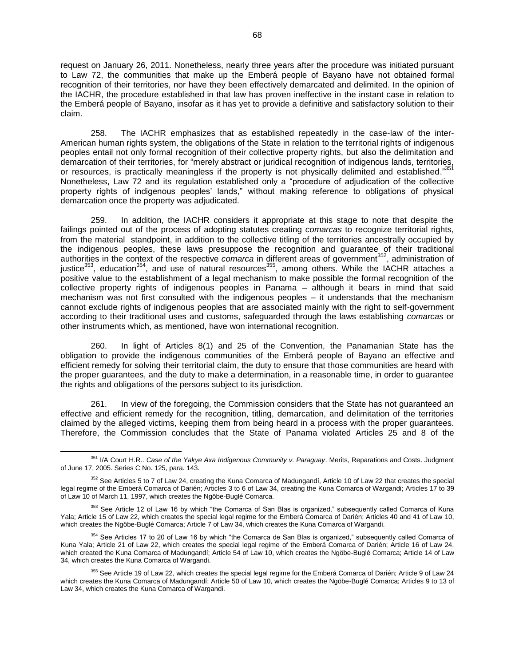request on January 26, 2011. Nonetheless, nearly three years after the procedure was initiated pursuant to Law 72, the communities that make up the Emberá people of Bayano have not obtained formal recognition of their territories, nor have they been effectively demarcated and delimited. In the opinion of the IACHR, the procedure established in that law has proven ineffective in the instant case in relation to the Emberá people of Bayano, insofar as it has yet to provide a definitive and satisfactory solution to their claim.

258. The IACHR emphasizes that as established repeatedly in the case-law of the inter-American human rights system, the obligations of the State in relation to the territorial rights of indigenous peoples entail not only formal recognition of their collective property rights, but also the delimitation and demarcation of their territories, for "merely abstract or juridical recognition of indigenous lands, territories, or resources, is practically meaningless if the property is not physically delimited and established."351 Nonetheless, Law 72 and its regulation established only a "procedure of adjudication of the collective property rights of indigenous peoples' lands," without making reference to obligations of physical demarcation once the property was adjudicated.

259. In addition, the IACHR considers it appropriate at this stage to note that despite the failings pointed out of the process of adopting statutes creating *comarcas* to recognize territorial rights, from the material standpoint, in addition to the collective titling of the territories ancestrally occupied by the indigenous peoples, these laws presuppose the recognition and guarantee of their traditional authorities in the context of the respective *comarca* in different areas of government<sup>352</sup>, administration of justice<sup>353</sup>, education<sup>354</sup>, and use of natural resources<sup>355</sup>, among others. While the IACHR attaches a positive value to the establishment of a legal mechanism to make possible the formal recognition of the collective property rights of indigenous peoples in Panama – although it bears in mind that said mechanism was not first consulted with the indigenous peoples – it understands that the mechanism cannot exclude rights of indigenous peoples that are associated mainly with the right to self-government according to their traditional uses and customs, safeguarded through the laws establishing *comarcas* or other instruments which, as mentioned, have won international recognition.

260. In light of Articles 8(1) and 25 of the Convention, the Panamanian State has the obligation to provide the indigenous communities of the Emberá people of Bayano an effective and efficient remedy for solving their territorial claim, the duty to ensure that those communities are heard with the proper guarantees, and the duty to make a determination, in a reasonable time, in order to guarantee the rights and obligations of the persons subject to its jurisdiction.

261. In view of the foregoing, the Commission considers that the State has not guaranteed an effective and efficient remedy for the recognition, titling, demarcation, and delimitation of the territories claimed by the alleged victims, keeping them from being heard in a process with the proper guarantees. Therefore, the Commission concludes that the State of Panama violated Articles 25 and 8 of the

<sup>351</sup> I/A Court H.R.. *Case of the Yakye Axa Indigenous Community v. Paraguay*. Merits, Reparations and Costs. Judgment of June 17, 2005. Series C No. 125, para. 143.

<sup>&</sup>lt;sup>352</sup> See Articles 5 to 7 of Law 24, creating the Kuna Comarca of Madungandí, Article 10 of Law 22 that creates the special legal regime of the Emberá Comarca of Darién; Articles 3 to 6 of Law 34, creating the Kuna Comarca of Wargandi; Articles 17 to 39 of Law 10 of March 11, 1997, which creates the Ngöbe-Buglé Comarca.

<sup>&</sup>lt;sup>353</sup> See Article 12 of Law 16 by which "the Comarca of San Blas is organized," subsequently called Comarca of Kuna Yala; Article 15 of Law 22, which creates the special legal regime for the Emberá Comarca of Darién; Articles 40 and 41 of Law 10, which creates the Ngöbe-Buglé Comarca; Article 7 of Law 34, which creates the Kuna Comarca of Wargandi.

<sup>&</sup>lt;sup>354</sup> See Articles 17 to 20 of Law 16 by which "the Comarca de San Blas is organized," subsequently called Comarca of Kuna Yala; Article 21 of Law 22, which creates the special legal regime of the Emberá Comarca of Darién; Article 16 of Law 24, which created the Kuna Comarca of Madungandí; Article 54 of Law 10, which creates the Ngöbe-Buglé Comarca; Article 14 of Law 34, which creates the Kuna Comarca of Wargandi.

<sup>&</sup>lt;sup>355</sup> See Article 19 of Law 22, which creates the special legal regime for the Emberá Comarca of Darién; Article 9 of Law 24 which creates the Kuna Comarca of Madungandí; Article 50 of Law 10, which creates the Ngöbe-Buglé Comarca; Articles 9 to 13 of Law 34, which creates the Kuna Comarca of Wargandi.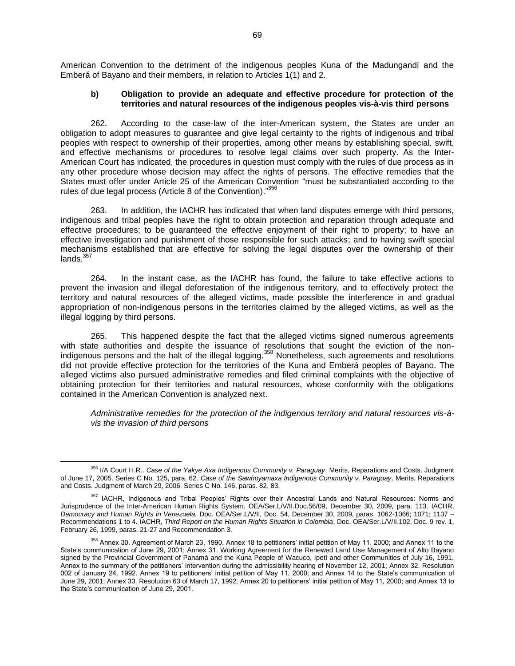American Convention to the detriment of the indigenous peoples Kuna of the Madungandí and the Emberá of Bayano and their members, in relation to Articles 1(1) and 2.

## **b) Obligation to provide an adequate and effective procedure for protection of the territories and natural resources of the indigenous peoples vis-à-vis third persons**

262. According to the case-law of the inter-American system, the States are under an obligation to adopt measures to guarantee and give legal certainty to the rights of indigenous and tribal peoples with respect to ownership of their properties, among other means by establishing special, swift, and effective mechanisms or procedures to resolve legal claims over such property. As the Inter-American Court has indicated, the procedures in question must comply with the rules of due process as in any other procedure whose decision may affect the rights of persons. The effective remedies that the States must offer under Article 25 of the American Convention "must be substantiated according to the rules of due legal process (Article 8 of the Convention)."356

263. In addition, the IACHR has indicated that when land disputes emerge with third persons, indigenous and tribal peoples have the right to obtain protection and reparation through adequate and effective procedures; to be guaranteed the effective enjoyment of their right to property; to have an effective investigation and punishment of those responsible for such attacks; and to having swift special mechanisms established that are effective for solving the legal disputes over the ownership of their lands. $35$ 

264. In the instant case, as the IACHR has found, the failure to take effective actions to prevent the invasion and illegal deforestation of the indigenous territory, and to effectively protect the territory and natural resources of the alleged victims, made possible the interference in and gradual appropriation of non-indigenous persons in the territories claimed by the alleged victims, as well as the illegal logging by third persons.

265. This happened despite the fact that the alleged victims signed numerous agreements with state authorities and despite the issuance of resolutions that sought the eviction of the nonindigenous persons and the halt of the illegal logging.<sup>358</sup> Nonetheless, such agreements and resolutions did not provide effective protection for the territories of the Kuna and Emberá peoples of Bayano. The alleged victims also pursued administrative remedies and filed criminal complaints with the objective of obtaining protection for their territories and natural resources, whose conformity with the obligations contained in the American Convention is analyzed next.

*Administrative remedies for the protection of the indigenous territory and natural resources vis-àvis the invasion of third persons*

<sup>356</sup> I/A Court H.R.. *Case of the Yakye Axa Indigenous Community v. Paraguay*. Merits, Reparations and Costs. Judgment of June 17, 2005. Series C No. 125, para. 62. *Case of the Sawhoyamaxa Indigenous Community v. Paraguay*. Merits, Reparations and Costs. Judgment of March 29, 2006. Series C No. 146, paras. 82, 83.

<sup>357</sup> IACHR, Indigenous and Tribal Peoples' Rights over their Ancestral Lands and Natural Resources: Norms and Jurisprudence of the Inter-American Human Rights System. OEA/Ser.L/V/II.Doc.56/09, December 30, 2009, para. 113. IACHR, *Democracy and Human Rights in Venezuela.* Doc. OEA/Ser.L/V/II, Doc. 54, December 30, 2009, paras. 1062-1066; 1071; 1137 – Recommendations 1 to 4. IACHR, *Third Report on the Human Rights Situation in Colombia*. Doc. OEA/Ser.L/V/II.102, Doc. 9 rev. 1, February 26, 1999, paras. 21-27 and Recommendation 3.

<sup>&</sup>lt;sup>358</sup> Annex 30. Agreement of March 23, 1990. Annex 18 to petitioners' initial petition of May 11, 2000; and Annex 11 to the State's communication of June 29, 2001; Annex 31. Working Agreement for the Renewed Land Use Management of Alto Bayano signed by the Provincial Government of Panamá and the Kuna People of Wacuco, Ipetí and other Communities of July 16, 1991. Annex to the summary of the petitioners' intervention during the admissibility hearing of November 12, 2001; Annex 32. Resolution 002 of January 24, 1992. Annex 19 to petitioners' initial petition of May 11, 2000; and Annex 14 to the State's communication of June 29, 2001; Annex 33. Resolution 63 of March 17, 1992. Annex 20 to petitioners' initial petition of May 11, 2000; and Annex 13 to the State's communication of June 29, 2001.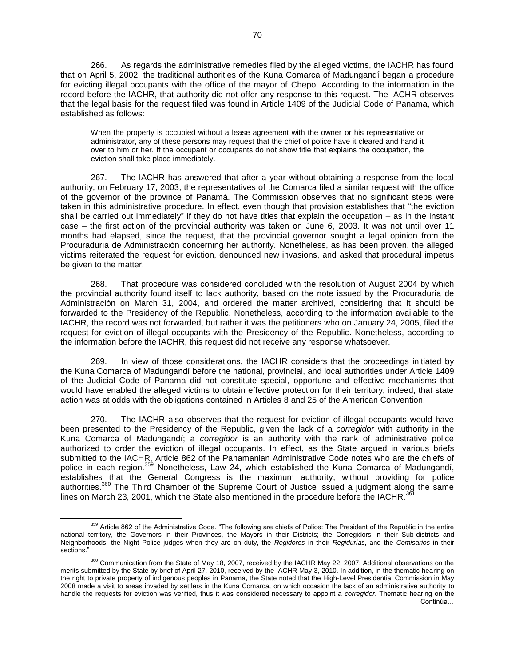266. As regards the administrative remedies filed by the alleged victims, the IACHR has found that on April 5, 2002, the traditional authorities of the Kuna Comarca of Madungandí began a procedure for evicting illegal occupants with the office of the mayor of Chepo. According to the information in the record before the IACHR, that authority did not offer any response to this request. The IACHR observes that the legal basis for the request filed was found in Article 1409 of the Judicial Code of Panama, which established as follows:

When the property is occupied without a lease agreement with the owner or his representative or administrator, any of these persons may request that the chief of police have it cleared and hand it over to him or her. If the occupant or occupants do not show title that explains the occupation, the eviction shall take place immediately.

267. The IACHR has answered that after a year without obtaining a response from the local authority, on February 17, 2003, the representatives of the Comarca filed a similar request with the office of the governor of the province of Panamá. The Commission observes that no significant steps were taken in this administrative procedure. In effect, even though that provision establishes that "the eviction shall be carried out immediately" if they do not have titles that explain the occupation – as in the instant case – the first action of the provincial authority was taken on June 6, 2003. It was not until over 11 months had elapsed, since the request, that the provincial governor sought a legal opinion from the Procuraduría de Administración concerning her authority. Nonetheless, as has been proven, the alleged victims reiterated the request for eviction, denounced new invasions, and asked that procedural impetus be given to the matter.

268. That procedure was considered concluded with the resolution of August 2004 by which the provincial authority found itself to lack authority, based on the note issued by the Procuraduría de Administración on March 31, 2004, and ordered the matter archived, considering that it should be forwarded to the Presidency of the Republic. Nonetheless, according to the information available to the IACHR, the record was not forwarded, but rather it was the petitioners who on January 24, 2005, filed the request for eviction of illegal occupants with the Presidency of the Republic. Nonetheless, according to the information before the IACHR, this request did not receive any response whatsoever.

269. In view of those considerations, the IACHR considers that the proceedings initiated by the Kuna Comarca of Madungandí before the national, provincial, and local authorities under Article 1409 of the Judicial Code of Panama did not constitute special, opportune and effective mechanisms that would have enabled the alleged victims to obtain effective protection for their territory; indeed, that state action was at odds with the obligations contained in Articles 8 and 25 of the American Convention.

270. The IACHR also observes that the request for eviction of illegal occupants would have been presented to the Presidency of the Republic, given the lack of a *corregidor* with authority in the Kuna Comarca of Madungandí; a *corregidor* is an authority with the rank of administrative police authorized to order the eviction of illegal occupants. In effect, as the State argued in various briefs submitted to the IACHR, Article 862 of the Panamanian Administrative Code notes who are the chiefs of police in each region.<sup>359</sup> Nonetheless, Law 24, which established the Kuna Comarca of Madungandí, establishes that the General Congress is the maximum authority, without providing for police authorities.<sup>360</sup> The Third Chamber of the Supreme Court of Justice issued a judgment along the same lines on March 23, 2001, which the State also mentioned in the procedure before the IACHR. $361$ 

<sup>&</sup>lt;sup>359</sup> Article 862 of the Administrative Code. "The following are chiefs of Police: The President of the Republic in the entire national territory, the Governors in their Provinces, the Mayors in their Districts; the Corregidors in their Sub-districts and Neighborhoods, the Night Police judges when they are on duty, the *Regidores* in their *Regidurías*, and the *Comisarios* in their sections."

<sup>&</sup>lt;sup>360</sup> Communication from the State of May 18, 2007, received by the IACHR May 22, 2007; Additional observations on the merits submitted by the State by brief of April 27, 2010, received by the IACHR May 3, 2010. In addition, in the thematic hearing on the right to private property of indigenous peoples in Panama, the State noted that the High-Level Presidential Commission in May 2008 made a visit to areas invaded by settlers in the Kuna Comarca, on which occasion the lack of an administrative authority to handle the requests for eviction was verified, thus it was considered necessary to appoint a *corregidor*. Thematic hearing on the Continúa…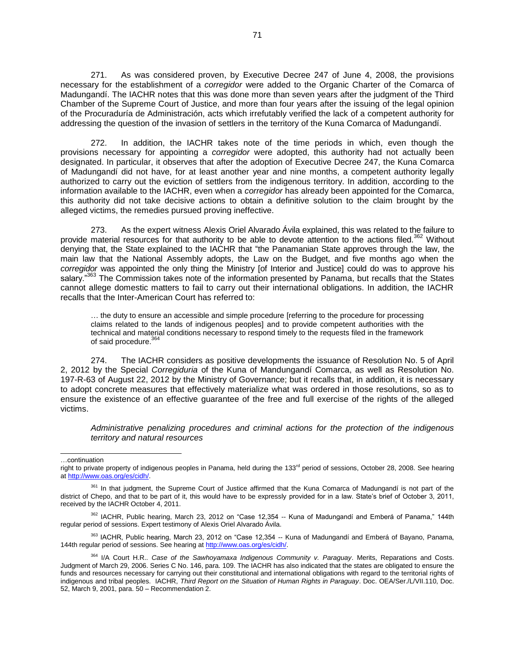271. As was considered proven, by Executive Decree 247 of June 4, 2008, the provisions necessary for the establishment of a *corregidor* were added to the Organic Charter of the Comarca of Madungandí. The IACHR notes that this was done more than seven years after the judgment of the Third Chamber of the Supreme Court of Justice, and more than four years after the issuing of the legal opinion of the Procuraduría de Administración, acts which irrefutably verified the lack of a competent authority for addressing the question of the invasion of settlers in the territory of the Kuna Comarca of Madungandí.

272. In addition, the IACHR takes note of the time periods in which, even though the provisions necessary for appointing a *corregidor* were adopted, this authority had not actually been designated. In particular, it observes that after the adoption of Executive Decree 247, the Kuna Comarca of Madungandí did not have, for at least another year and nine months, a competent authority legally authorized to carry out the eviction of settlers from the indigenous territory. In addition, according to the information available to the IACHR, even when a *corregidor* has already been appointed for the Comarca, this authority did not take decisive actions to obtain a definitive solution to the claim brought by the alleged victims, the remedies pursued proving ineffective.

273. As the expert witness Alexis Oriel Alvarado Ávila explained, this was related to the failure to provide material resources for that authority to be able to devote attention to the actions filed.<sup>362</sup> Without denying that, the State explained to the IACHR that "the Panamanian State approves through the law, the main law that the National Assembly adopts, the Law on the Budget, and five months ago when the *corregidor* was appointed the only thing the Ministry [of Interior and Justice] could do was to approve his salary."363 The Commission takes note of the information presented by Panama, but recalls that the States cannot allege domestic matters to fail to carry out their international obligations. In addition, the IACHR recalls that the Inter-American Court has referred to:

… the duty to ensure an accessible and simple procedure [referring to the procedure for processing claims related to the lands of indigenous peoples] and to provide competent authorities with the technical and material conditions necessary to respond timely to the requests filed in the framework of said procedure.<sup>364</sup>

274. The IACHR considers as positive developments the issuance of Resolution No. 5 of April 2, 2012 by the Special *Corregiduria* of the Kuna of Mandungandí Comarca, as well as Resolution No. 197-R-63 of August 22, 2012 by the Ministry of Governance; but it recalls that, in addition, it is necessary to adopt concrete measures that effectively materialize what was ordered in those resolutions, so as to ensure the existence of an effective guarantee of the free and full exercise of the rights of the alleged victims.

*Administrative penalizing procedures and criminal actions for the protection of the indigenous territory and natural resources* 

…continuation

l

<sup>363</sup> IACHR, Public hearing, March 23, 2012 on "Case 12,354 -- Kuna of Madungandí and Emberá of Bayano, Panama, 144th regular period of sessions. See hearing a[t http://www.oas.org/es/cidh/.](http://www.oas.org/es/cidh/)

right to private property of indigenous peoples in Panama, held during the 133<sup>rd</sup> period of sessions, October 28, 2008. See hearing at [http://www.oas.org/es/cidh/.](http://www.oas.org/es/cidh/)

<sup>&</sup>lt;sup>361</sup> In that judgment, the Supreme Court of Justice affirmed that the Kuna Comarca of Madungandí is not part of the district of Chepo, and that to be part of it, this would have to be expressly provided for in a law. State's brief of October 3, 2011, received by the IACHR October 4, 2011.

<sup>362</sup> IACHR, Public hearing, March 23, 2012 on "Case 12,354 -- Kuna of Madungandí and Emberá of Panama," 144th regular period of sessions. Expert testimony of Alexis Oriel Alvarado Ávila.

<sup>364</sup> I/A Court H.R.. *Case of the Sawhoyamaxa Indigenous Community v. Paraguay*. Merits, Reparations and Costs. Judgment of March 29, 2006. Series C No. 146, para. 109. The IACHR has also indicated that the states are obligated to ensure the funds and resources necessary for carrying out their constitutional and international obligations with regard to the territorial rights of indigenous and tribal peoples. IACHR, *Third Report on the Situation of Human Rights in Paraguay*. Doc. OEA/Ser./L/VII.110, Doc. 52, March 9, 2001, para. 50 – Recommendation 2.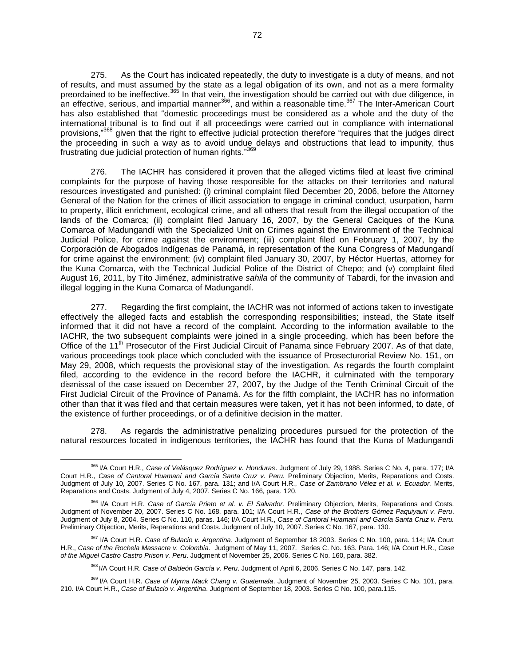275. As the Court has indicated repeatedly, the duty to investigate is a duty of means, and not of results, and must assumed by the state as a legal obligation of its own, and not as a mere formality preordained to be ineffective.<sup>365</sup> In that vein, the investigation should be carried out with due diligence, in an effective, serious, and impartial manner<sup>366</sup>, and within a reasonable time.<sup>367</sup> The Inter-American Court has also established that "domestic proceedings must be considered as a whole and the duty of the international tribunal is to find out if all proceedings were carried out in compliance with international provisions,"<sup>368</sup> given that the right to effective judicial protection therefore "requires that the judges direct the proceeding in such a way as to avoid undue delays and obstructions that lead to impunity, thus frustrating due judicial protection of human rights."369

276. The IACHR has considered it proven that the alleged victims filed at least five criminal complaints for the purpose of having those responsible for the attacks on their territories and natural resources investigated and punished: (i) criminal complaint filed December 20, 2006, before the Attorney General of the Nation for the crimes of illicit association to engage in criminal conduct, usurpation, harm to property, illicit enrichment, ecological crime, and all others that result from the illegal occupation of the lands of the Comarca; (ii) complaint filed January 16, 2007, by the General Caciques of the Kuna Comarca of Madungandí with the Specialized Unit on Crimes against the Environment of the Technical Judicial Police, for crime against the environment; (iii) complaint filed on February 1, 2007, by the Corporación de Abogados Indígenas de Panamá, in representation of the Kuna Congress of Madungandí for crime against the environment; (iv) complaint filed January 30, 2007, by Héctor Huertas, attorney for the Kuna Comarca, with the Technical Judicial Police of the District of Chepo; and (v) complaint filed August 16, 2011, by Tito Jiménez, administrative *sahila* of the community of Tabardi, for the invasion and illegal logging in the Kuna Comarca of Madungandí.

277. Regarding the first complaint, the IACHR was not informed of actions taken to investigate effectively the alleged facts and establish the corresponding responsibilities; instead, the State itself informed that it did not have a record of the complaint. According to the information available to the IACHR, the two subsequent complaints were joined in a single proceeding, which has been before the Office of the 11<sup>th</sup> Prosecutor of the First Judicial Circuit of Panama since February 2007. As of that date, various proceedings took place which concluded with the issuance of Prosecturorial Review No. 151, on May 29, 2008, which requests the provisional stay of the investigation. As regards the fourth complaint filed, according to the evidence in the record before the IACHR, it culminated with the temporary dismissal of the case issued on December 27, 2007, by the Judge of the Tenth Criminal Circuit of the First Judicial Circuit of the Province of Panamá. As for the fifth complaint, the IACHR has no information other than that it was filed and that certain measures were taken, yet it has not been informed, to date, of the existence of further proceedings, or of a definitive decision in the matter.

278. As regards the administrative penalizing procedures pursued for the protection of the natural resources located in indigenous territories, the IACHR has found that the Kuna of Madungandí

<sup>365</sup> I/A Court H.R., *Case of Velásquez Rodríguez v. Honduras*. Judgment of July 29, 1988. Series C No. 4, para. 177; I/A Court H.R., *Case of Cantoral Huamaní and García Santa Cruz v. Peru.* Preliminary Objection, Merits, Reparations and Costs. Judgment of July 10, 2007. Series C No. 167, para. 131; and I/A Court H.R., *Case of Zambrano Vélez et al. v. Ecuador.* Merits, Reparations and Costs. Judgment of July 4, 2007. Series C No. 166, para. 120.

<sup>366</sup> I/A Court H.R. *Case of García Prieto et al. v. El Salvador.* Preliminary Objection, Merits, Reparations and Costs. Judgment of November 20, 2007. Series C No. 168, para. 101; I/A Court H.R., *Case of the Brothers Gómez Paquiyauri v. Peru*. Judgment of July 8, 2004. Series C No. 110, paras. 146; I/A Court H.R., *Case of Cantoral Huamaní and García Santa Cruz v. Peru.* Preliminary Objection, Merits, Reparations and Costs. Judgment of July 10, 2007. Series C No. 167, para. 130.

<sup>367</sup> I/A Court H.R. *Case of Bulacio v. Argentina*. Judgment of September 18 2003. Series C No. 100, para. 114; I/A Court H.R., *Case of the Rochela Massacre v. Colombia*. Judgment of May 11, 2007. Series C. No. 163. Para. 146; I/A Court H.R., *Case of the Miguel Castro Castro Prison v. Peru*. Judgment of November 25, 2006. Series C No. 160, para. 382.

<sup>368</sup> I/A Court H.R. *Case of Baldeón García v. Peru*. Judgment of April 6, 2006. Series C No. 147, para. 142.

<sup>369</sup> I/A Court H.R. *Case of Myrna Mack Chang v. Guatemala*. Judgment of November 25, 2003. Series C No. 101, para. 210. I/A Court H.R., *Case of Bulacio v. Argentina*. Judgment of September 18, 2003. Series C No. 100, para.115.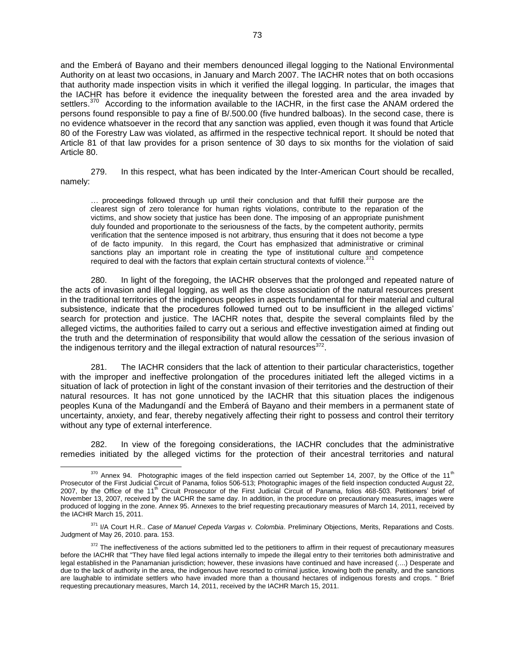and the Emberá of Bayano and their members denounced illegal logging to the National Environmental Authority on at least two occasions, in January and March 2007. The IACHR notes that on both occasions that authority made inspection visits in which it verified the illegal logging. In particular, the images that the IACHR has before it evidence the inequality between the forested area and the area invaded by settlers.<sup>370</sup> According to the information available to the IACHR, in the first case the ANAM ordered the persons found responsible to pay a fine of B/.500.00 (five hundred balboas). In the second case, there is no evidence whatsoever in the record that any sanction was applied, even though it was found that Article 80 of the Forestry Law was violated, as affirmed in the respective technical report. It should be noted that Article 81 of that law provides for a prison sentence of 30 days to six months for the violation of said Article 80.

279. In this respect, what has been indicated by the Inter-American Court should be recalled, namely:

… proceedings followed through up until their conclusion and that fulfill their purpose are the clearest sign of zero tolerance for human rights violations, contribute to the reparation of the victims, and show society that justice has been done. The imposing of an appropriate punishment duly founded and proportionate to the seriousness of the facts, by the competent authority, permits verification that the sentence imposed is not arbitrary, thus ensuring that it does not become a type of de facto impunity. In this regard, the Court has emphasized that administrative or criminal sanctions play an important role in creating the type of institutional culture and competence required to deal with the factors that explain certain structural contexts of violence.

280. In light of the foregoing, the IACHR observes that the prolonged and repeated nature of the acts of invasion and illegal logging, as well as the close association of the natural resources present in the traditional territories of the indigenous peoples in aspects fundamental for their material and cultural subsistence, indicate that the procedures followed turned out to be insufficient in the alleged victims' search for protection and justice. The IACHR notes that, despite the several complaints filed by the alleged victims, the authorities failed to carry out a serious and effective investigation aimed at finding out the truth and the determination of responsibility that would allow the cessation of the serious invasion of the indigenous territory and the illegal extraction of natural resources $^{372}$ .

281. The IACHR considers that the lack of attention to their particular characteristics, together with the improper and ineffective prolongation of the procedures initiated left the alleged victims in a situation of lack of protection in light of the constant invasion of their territories and the destruction of their natural resources. It has not gone unnoticed by the IACHR that this situation places the indigenous peoples Kuna of the Madungandí and the Emberá of Bayano and their members in a permanent state of uncertainty, anxiety, and fear, thereby negatively affecting their right to possess and control their territory without any type of external interference.

282. In view of the foregoing considerations, the IACHR concludes that the administrative remedies initiated by the alleged victims for the protection of their ancestral territories and natural

 $370$  Annex 94. Photographic images of the field inspection carried out September 14, 2007, by the Office of the 11<sup>th</sup> Prosecutor of the First Judicial Circuit of Panama, folios 506-513; Photographic images of the field inspection conducted August 22, 2007, by the Office of the 11th Circuit Prosecutor of the First Judicial Circuit of Panama, folios 468-503. Petitioners' brief of November 13, 2007, received by the IACHR the same day. In addition, in the procedure on precautionary measures, images were produced of logging in the zone. Annex 95. Annexes to the brief requesting precautionary measures of March 14, 2011, received by the IACHR March 15, 2011.

<sup>371</sup> I/A Court H.R.. *Case of Manuel Cepeda Vargas v. Colombia*. Preliminary Objections, Merits, Reparations and Costs. Judgment of May 26, 2010. para. 153.

<sup>&</sup>lt;sup>372</sup> The ineffectiveness of the actions submitted led to the petitioners to affirm in their request of precautionary measures before the IACHR that "They have filed legal actions internally to impede the illegal entry to their territories both administrative and legal established in the Panamanian jurisdiction; however, these invasions have continued and have increased (....) Desperate and due to the lack of authority in the area, the indigenous have resorted to criminal justice, knowing both the penalty, and the sanctions are laughable to intimidate settlers who have invaded more than a thousand hectares of indigenous forests and crops. " Brief requesting precautionary measures, March 14, 2011, received by the IACHR March 15, 2011.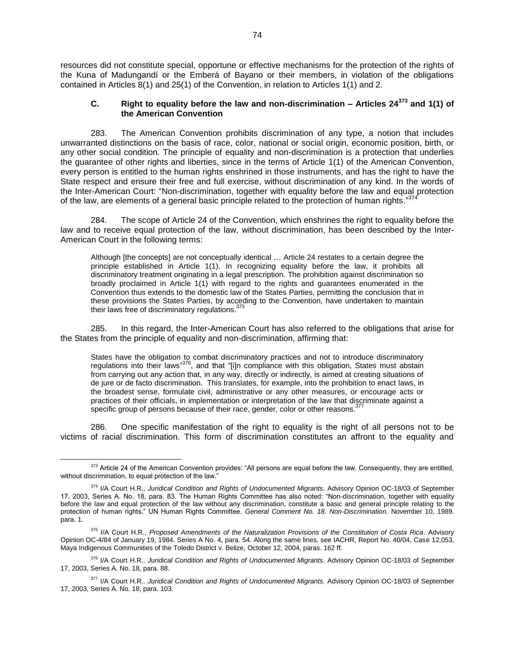resources did not constitute special, opportune or effective mechanisms for the protection of the rights of the Kuna of Madungandí or the Emberá of Bayano or their members, in violation of the obligations contained in Articles 8(1) and 25(1) of the Convention, in relation to Articles 1(1) and 2.

## **C. Right to equality before the law and non-discrimination – Articles 24<sup>373</sup> and 1(1) of the American Convention**

283. The American Convention prohibits discrimination of any type, a notion that includes unwarranted distinctions on the basis of race, color, national or social origin, economic position, birth, or any other social condition. The principle of equality and non-discrimination is a protection that underlies the guarantee of other rights and liberties, since in the terms of Article 1(1) of the American Convention, every person is entitled to the human rights enshrined in those instruments, and has the right to have the State respect and ensure their free and full exercise, without discrimination of any kind. In the words of the Inter-American Court: "Non-discrimination, together with equality before the law and equal protection of the protection of the protection of the protection of the protection of the protection of the protection of the p of the law, are elements of a general basic principle related to the protection of human rights."

284. The scope of Article 24 of the Convention, which enshrines the right to equality before the law and to receive equal protection of the law, without discrimination, has been described by the Inter-American Court in the following terms:

Although [the concepts] are not conceptually identical … Article 24 restates to a certain degree the principle established in Article 1(1). In recognizing equality before the law, it prohibits all discriminatory treatment originating in a legal prescription. The prohibition against discrimination so broadly proclaimed in Article 1(1) with regard to the rights and guarantees enumerated in the Convention thus extends to the domestic law of the States Parties, permitting the conclusion that in these provisions the States Parties, by acceding to the Convention, have undertaken to maintain their laws free of discriminatory regulations.<sup>375</sup>

285. In this regard, the Inter-American Court has also referred to the obligations that arise for the States from the principle of equality and non-discrimination, affirming that:

States have the obligation to combat discriminatory practices and not to introduce discriminatory regulations into their laws"<sup>376</sup>, and that "[i]n compliance with this obligation, States must abstain from carrying out any action that, in any way, directly or indirectly, is aimed at creating situations of de jure or de facto discrimination. This translates, for example, into the prohibition to enact laws, in the broadest sense, formulate civil, administrative or any other measures, or encourage acts or practices of their officials, in implementation or interpretation of the law that discriminate against a specific group of persons because of their race, gender, color or other reasons.<sup>377</sup>

286. One specific manifestation of the right to equality is the right of all persons not to be victims of racial discrimination. This form of discrimination constitutes an affront to the equality and

<sup>373</sup> Article 24 of the American Convention provides: "All persons are equal before the law. Consequently, they are entitled, without discrimination, to equal protection of the law."

<sup>374</sup> I/A Court H.R., *Juridical Condition and Rights of Undocumented Migrants*. Advisory Opinion OC-18/03 of September 17, 2003, Series A. No. 18, para. 83. The Human Rights Committee has also noted: "Non-discrimination, together with equality before the law and equal protection of the law without any discrimination, constitute a basic and general principle relating to the protection of human rights." UN Human Rights Committee. *General Comment No. 18. Non-Discrimination.* November 10, 1989. para. 1.

<sup>375</sup> I/A Court H.R., *Proposed Amendments of the Naturalization Provisions of the Constitution of Costa Rica*. Advisory Opinion OC-4/84 of January 19, 1984. Series A No. 4, para. 54. Along the same lines, see IACHR, Report No. 40/04, Case 12,053, Maya Indigenous Communities of the Toledo District v. Belize, October 12, 2004, paras. 162 ff.

<sup>376</sup> I/A Court H.R.. *Juridical Condition and Rights of Undocumented Migrants*. Advisory Opinion OC-18/03 of September 17, 2003, Series A. No. 18, para. 88.

<sup>377</sup> I/A Court H.R.. *Juridical Condition and Rights of Undocumented Migrants.* Advisory Opinion OC-18/03 of September 17, 2003, Series A. No. 18, para. 103.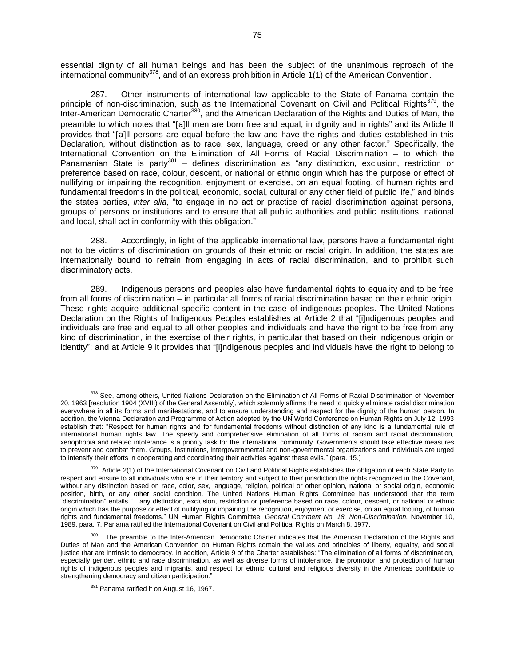essential dignity of all human beings and has been the subject of the unanimous reproach of the international community<sup>378</sup>, and of an express prohibition in Article 1(1) of the American Convention.

287. Other instruments of international law applicable to the State of Panama contain the principle of non-discrimination, such as the International Covenant on Civil and Political Rights<sup>379</sup>, the Inter-American Democratic Charter<sup>380</sup>, and the American Declaration of the Rights and Duties of Man, the preamble to which notes that "[a]ll men are born free and equal, in dignity and in rights" and its Article II provides that "[a]ll persons are equal before the law and have the rights and duties established in this Declaration, without distinction as to race, sex, language, creed or any other factor." Specifically, the International Convention on the Elimination of All Forms of Racial Discrimination – to which the Panamanian State is party<sup>381</sup> – defines discrimination as "any distinction, exclusion, restriction or preference based on race, colour, descent, or national or ethnic origin which has the purpose or effect of nullifying or impairing the recognition, enjoyment or exercise, on an equal footing, of human rights and fundamental freedoms in the political, economic, social, cultural or any other field of public life," and binds the states parties, *inter alia,* "to engage in no act or practice of racial discrimination against persons, groups of persons or institutions and to ensure that all public authorities and public institutions, national and local, shall act in conformity with this obligation."

288. Accordingly, in light of the applicable international law, persons have a fundamental right not to be victims of discrimination on grounds of their ethnic or racial origin. In addition, the states are internationally bound to refrain from engaging in acts of racial discrimination, and to prohibit such discriminatory acts.

289. Indigenous persons and peoples also have fundamental rights to equality and to be free from all forms of discrimination – in particular all forms of racial discrimination based on their ethnic origin. These rights acquire additional specific content in the case of indigenous peoples. The United Nations Declaration on the Rights of Indigenous Peoples establishes at Article 2 that "[i]ndigenous peoples and individuals are free and equal to all other peoples and individuals and have the right to be free from any kind of discrimination, in the exercise of their rights, in particular that based on their indigenous origin or identity"; and at Article 9 it provides that "[i]ndigenous peoples and individuals have the right to belong to

 $\overline{a}$ <sup>378</sup> See, among others, United Nations Declaration on the Elimination of All Forms of Racial Discrimination of November 20, 1963 [resolution 1904 (XVIII) of the General Assembly], which solemnly affirms the need to quickly eliminate racial discrimination everywhere in all its forms and manifestations, and to ensure understanding and respect for the dignity of the human person. In addition, the Vienna Declaration and Programme of Action adopted by the UN World Conference on Human Rights on July 12, 1993 establish that: "Respect for human rights and for fundamental freedoms without distinction of any kind is a fundamental rule of international human rights law. The speedy and comprehensive elimination of all forms of racism and racial discrimination, xenophobia and related intolerance is a priority task for the international community. Governments should take effective measures to prevent and combat them. Groups, institutions, intergovernmental and non-governmental organizations and individuals are urged to intensify their efforts in cooperating and coordinating their activities against these evils." (para. 15.)

<sup>&</sup>lt;sup>379</sup> Article 2(1) of the International Covenant on Civil and Political Rights establishes the obligation of each State Party to respect and ensure to all individuals who are in their territory and subject to their jurisdiction the rights recognized in the Covenant, without any distinction based on race, color, sex, language, religion, political or other opinion, national or social origin, economic position, birth, or any other social condition. The United Nations Human Rights Committee has understood that the term "discrimination" entails "…any distinction, exclusion, restriction or preference based on race, colour, descent, or national or ethnic origin which has the purpose or effect of nullifying or impairing the recognition, enjoyment or exercise, on an equal footing, of human rights and fundamental freedoms." UN Human Rights Committee. *General Comment No. 18. Non-Discrimination.* November 10, 1989. para. 7. Panama ratified the International Covenant on Civil and Political Rights on March 8, 1977.

<sup>&</sup>lt;sup>380</sup> The preamble to the Inter-American Democratic Charter indicates that the American Declaration of the Rights and Duties of Man and the American Convention on Human Rights contain the values and principles of liberty, equality, and social justice that are intrinsic to democracy. In addition, Article 9 of the Charter establishes: "The elimination of all forms of discrimination, especially gender, ethnic and race discrimination, as well as diverse forms of intolerance, the promotion and protection of human rights of indigenous peoples and migrants, and respect for ethnic, cultural and religious diversity in the Americas contribute to strengthening democracy and citizen participation."

<sup>&</sup>lt;sup>381</sup> Panama ratified it on August 16, 1967.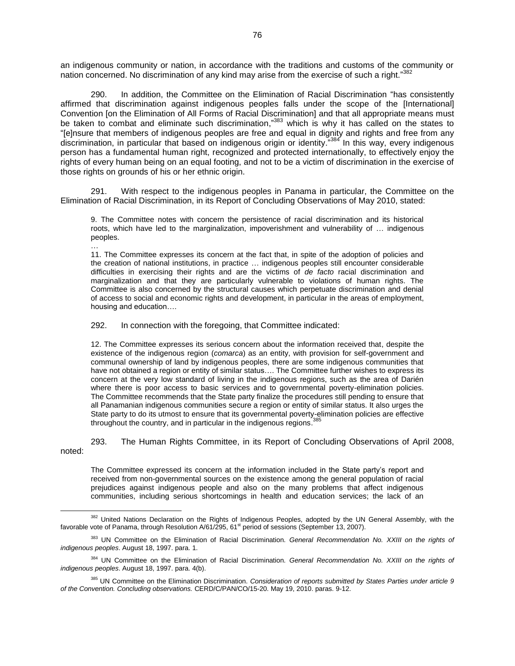an indigenous community or nation, in accordance with the traditions and customs of the community or nation concerned. No discrimination of any kind may arise from the exercise of such a right."<sup>382</sup>

290. In addition, the Committee on the Elimination of Racial Discrimination "has consistently affirmed that discrimination against indigenous peoples falls under the scope of the [International] Convention [on the Elimination of All Forms of Racial Discrimination] and that all appropriate means must be taken to combat and eliminate such discrimination,"383 which is why it has called on the states to "[e]nsure that members of indigenous peoples are free and equal in dignity and rights and free from any discrimination, in particular that based on indigenous origin or identity."384 In this way, every indigenous person has a fundamental human right, recognized and protected internationally, to effectively enjoy the rights of every human being on an equal footing, and not to be a victim of discrimination in the exercise of those rights on grounds of his or her ethnic origin.

291. With respect to the indigenous peoples in Panama in particular, the Committee on the Elimination of Racial Discrimination, in its Report of Concluding Observations of May 2010, stated:

9. The Committee notes with concern the persistence of racial discrimination and its historical roots, which have led to the marginalization, impoverishment and vulnerability of … indigenous peoples.

… 11. The Committee expresses its concern at the fact that, in spite of the adoption of policies and the creation of national institutions, in practice … indigenous peoples still encounter considerable difficulties in exercising their rights and are the victims of *de facto* racial discrimination and marginalization and that they are particularly vulnerable to violations of human rights. The Committee is also concerned by the structural causes which perpetuate discrimination and denial of access to social and economic rights and development, in particular in the areas of employment, housing and education….

292. In connection with the foregoing, that Committee indicated:

 $\overline{a}$ 

12. The Committee expresses its serious concern about the information received that, despite the existence of the indigenous region (*comarca*) as an entity, with provision for self-government and communal ownership of land by indigenous peoples, there are some indigenous communities that have not obtained a region or entity of similar status…. The Committee further wishes to express its concern at the very low standard of living in the indigenous regions, such as the area of Darién where there is poor access to basic services and to governmental poverty-elimination policies. The Committee recommends that the State party finalize the procedures still pending to ensure that all Panamanian indigenous communities secure a region or entity of similar status. It also urges the State party to do its utmost to ensure that its governmental poverty-elimination policies are effective that is a support the country and in porticular in the indicancy regions  $385$ throughout the country, and in particular in the indigenous regions.<sup>3</sup>

293. The Human Rights Committee, in its Report of Concluding Observations of April 2008, noted:

The Committee expressed its concern at the information included in the State party's report and received from non-governmental sources on the existence among the general population of racial prejudices against indigenous people and also on the many problems that affect indigenous communities, including serious shortcomings in health and education services; the lack of an

<sup>&</sup>lt;sup>382</sup> United Nations Declaration on the Rights of Indigenous Peoples, adopted by the UN General Assembly, with the favorable vote of Panama, through Resolution A/61/295, 61<sup>st</sup> period of sessions (September 13, 2007).

<sup>383</sup> UN Committee on the Elimination of Racial Discrimination. *General Recommendation No. XXIII on the rights of indigenous peoples*. August 18, 1997. para. 1.

<sup>384</sup> UN Committee on the Elimination of Racial Discrimination. *General Recommendation No. XXIII on the rights of indigenous peoples*. August 18, 1997. para. 4(b).

<sup>385</sup> UN Committee on the Elimination Discrimination. *Consideration of reports submitted by States Parties under article 9 of the Convention. Concluding observations.* CERD/C/PAN/CO/15-20. May 19, 2010. paras. 9-12.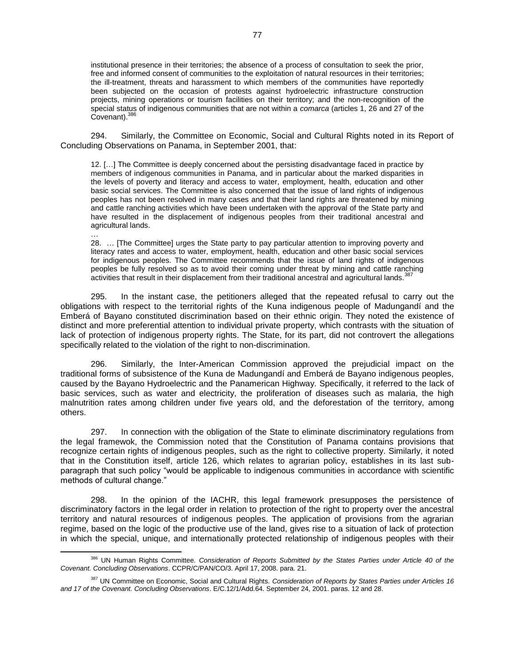institutional presence in their territories; the absence of a process of consultation to seek the prior, free and informed consent of communities to the exploitation of natural resources in their territories; the ill-treatment, threats and harassment to which members of the communities have reportedly been subjected on the occasion of protests against hydroelectric infrastructure construction projects, mining operations or tourism facilities on their territory; and the non-recognition of the special status of indigenous communities that are not within a *comarca* (articles 1, 26 and 27 of the  $Covenant$ ).  $386$ 

294. Similarly, the Committee on Economic, Social and Cultural Rights noted in its Report of Concluding Observations on Panama, in September 2001, that:

12. […] The Committee is deeply concerned about the persisting disadvantage faced in practice by members of indigenous communities in Panama, and in particular about the marked disparities in the levels of poverty and literacy and access to water, employment, health, education and other basic social services. The Committee is also concerned that the issue of land rights of indigenous peoples has not been resolved in many cases and that their land rights are threatened by mining and cattle ranching activities which have been undertaken with the approval of the State party and have resulted in the displacement of indigenous peoples from their traditional ancestral and agricultural lands.

… 28. … [The Committee] urges the State party to pay particular attention to improving poverty and literacy rates and access to water, employment, health, education and other basic social services for indigenous peoples. The Committee recommends that the issue of land rights of indigenous peoples be fully resolved so as to avoid their coming under threat by mining and cattle ranching activities that result in their displacement from their traditional ancestral and agricultural lands.<sup>3</sup>

295. In the instant case, the petitioners alleged that the repeated refusal to carry out the obligations with respect to the territorial rights of the Kuna indigenous people of Madungandí and the Emberá of Bayano constituted discrimination based on their ethnic origin. They noted the existence of distinct and more preferential attention to individual private property, which contrasts with the situation of lack of protection of indigenous property rights. The State, for its part, did not controvert the allegations specifically related to the violation of the right to non-discrimination.

296. Similarly, the Inter-American Commission approved the prejudicial impact on the traditional forms of subsistence of the Kuna de Madungandí and Emberá de Bayano indigenous peoples, caused by the Bayano Hydroelectric and the Panamerican Highway. Specifically, it referred to the lack of basic services, such as water and electricity, the proliferation of diseases such as malaria, the high malnutrition rates among children under five years old, and the deforestation of the territory, among others.

297. In connection with the obligation of the State to eliminate discriminatory regulations from the legal framewok, the Commission noted that the Constitution of Panama contains provisions that recognize certain rights of indigenous peoples, such as the right to collective property. Similarly, it noted that in the Constitution itself, article 126, which relates to agrarian policy, establishes in its last subparagraph that such policy "would be applicable to indigenous communities in accordance with scientific methods of cultural change."

298. In the opinion of the IACHR, this legal framework presupposes the persistence of discriminatory factors in the legal order in relation to protection of the right to property over the ancestral territory and natural resources of indigenous peoples. The application of provisions from the agrarian regime, based on the logic of the productive use of the land, gives rise to a situation of lack of protection in which the special, unique, and internationally protected relationship of indigenous peoples with their

<sup>&</sup>lt;sup>386</sup> UN Human Rights Committee. *Consideration of Reports Submitted by the States Parties under Article 40 of the Covenant. Concluding Observations*. CCPR/C/PAN/CO/3. April 17, 2008. para. 21.

<sup>387</sup> UN Committee on Economic, Social and Cultural Rights. *Consideration of Reports by States Parties under Articles 16 and 17 of the Covenant. Concluding Observations*. E/C.12/1/Add.64. September 24, 2001. paras. 12 and 28.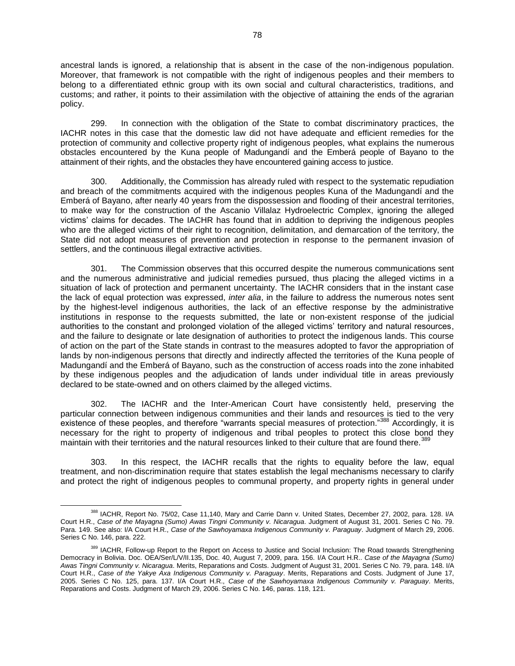ancestral lands is ignored, a relationship that is absent in the case of the non-indigenous population. Moreover, that framework is not compatible with the right of indigenous peoples and their members to belong to a differentiated ethnic group with its own social and cultural characteristics, traditions, and customs; and rather, it points to their assimilation with the objective of attaining the ends of the agrarian policy.

299. In connection with the obligation of the State to combat discriminatory practices, the IACHR notes in this case that the domestic law did not have adequate and efficient remedies for the protection of community and collective property right of indigenous peoples, what explains the numerous obstacles encountered by the Kuna people of Madungandí and the Emberá people of Bayano to the attainment of their rights, and the obstacles they have encountered gaining access to justice.

300. Additionally, the Commission has already ruled with respect to the systematic repudiation and breach of the commitments acquired with the indigenous peoples Kuna of the Madungandí and the Emberá of Bayano, after nearly 40 years from the dispossession and flooding of their ancestral territories, to make way for the construction of the Ascanio Villalaz Hydroelectric Complex, ignoring the alleged victims' claims for decades. The IACHR has found that in addition to depriving the indigenous peoples who are the alleged victims of their right to recognition, delimitation, and demarcation of the territory, the State did not adopt measures of prevention and protection in response to the permanent invasion of settlers, and the continuous illegal extractive activities.

301. The Commission observes that this occurred despite the numerous communications sent and the numerous administrative and judicial remedies pursued, thus placing the alleged victims in a situation of lack of protection and permanent uncertainty. The IACHR considers that in the instant case the lack of equal protection was expressed, *inter alia*, in the failure to address the numerous notes sent by the highest-level indigenous authorities, the lack of an effective response by the administrative institutions in response to the requests submitted, the late or non-existent response of the judicial authorities to the constant and prolonged violation of the alleged victims' territory and natural resources, and the failure to designate or late designation of authorities to protect the indigenous lands. This course of action on the part of the State stands in contrast to the measures adopted to favor the appropriation of lands by non-indigenous persons that directly and indirectly affected the territories of the Kuna people of Madungandí and the Emberá of Bayano, such as the construction of access roads into the zone inhabited by these indigenous peoples and the adjudication of lands under individual title in areas previously declared to be state-owned and on others claimed by the alleged victims.

302. The IACHR and the Inter-American Court have consistently held, preserving the particular connection between indigenous communities and their lands and resources is tied to the very existence of these peoples, and therefore "warrants special measures of protection."<sup>388</sup> Accordingly, it is necessary for the right to property of indigenous and tribal peoples to protect this close bond they maintain with their territories and the natural resources linked to their culture that are found there.<sup>389</sup>

303. In this respect, the IACHR recalls that the rights to equality before the law, equal treatment, and non-discrimination require that states establish the legal mechanisms necessary to clarify and protect the right of indigenous peoples to communal property, and property rights in general under

<sup>388</sup> IACHR, Report No. 75/02, Case 11,140, Mary and Carrie Dann v. United States, December 27, 2002, para. 128. I/A Court H.R., *Case of the Mayagna (Sumo) Awas Tingni Community v. Nicaragua*. Judgment of August 31, 2001. Series C No. 79. Para. 149. See also: I/A Court H.R., *Case of the Sawhoyamaxa Indigenous Community v. Paraguay*. Judgment of March 29, 2006. Series C No. 146, para. 222.

<sup>&</sup>lt;sup>389</sup> IACHR, Follow-up Report to the Report on Access to Justice and Social Inclusion: The Road towards Strengthening Democracy in Bolivia. Doc. OEA/Ser/L/V/II.135, Doc. 40, August 7, 2009, para. 156. I/A Court H.R.. *Case of the Mayagna (Sumo) Awas Tingni Community v. Nicaragua*. Merits, Reparations and Costs. Judgment of August 31, 2001. Series C No. 79, para. 148. I/A Court H.R., *Case of the Yakye Axa Indigenous Community v. Paraguay*. Merits, Reparations and Costs. Judgment of June 17, 2005. Series C No. 125, para. 137. I/A Court H.R., *Case of the Sawhoyamaxa Indigenous Community v. Paraguay*. Merits, Reparations and Costs. Judgment of March 29, 2006. Series C No. 146, paras. 118, 121.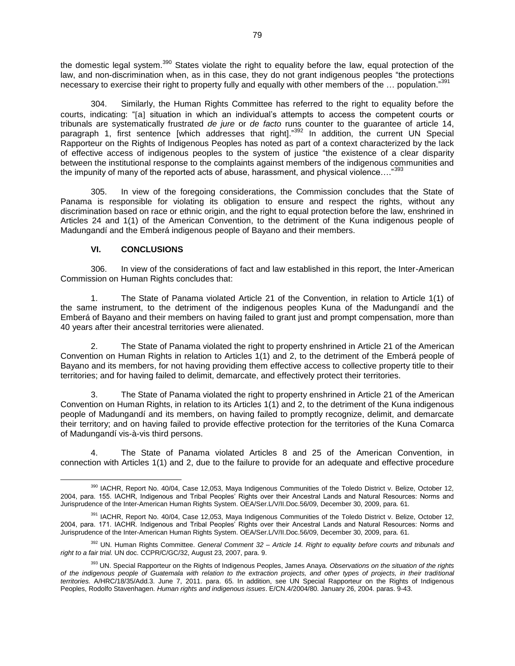the domestic legal system.<sup>390</sup> States violate the right to equality before the law, equal protection of the law, and non-discrimination when, as in this case, they do not grant indigenous peoples "the protections necessary to exercise their right to property fully and equally with other members of the … population." 391

304. Similarly, the Human Rights Committee has referred to the right to equality before the courts, indicating: "[a] situation in which an individual's attempts to access the competent courts or tribunals are systematically frustrated *de jure* or *de facto* runs counter to the guarantee of article 14, paragraph 1, first sentence [which addresses that right].<sup>"392</sup> In addition, the current UN Special Rapporteur on the Rights of Indigenous Peoples has noted as part of a context characterized by the lack of effective access of indigenous peoples to the system of justice "the existence of a clear disparity between the institutional response to the complaints against members of the indigenous communities and the impunity of many of the reported acts of abuse, harassment, and physical violence...."<sup>393</sup>

305. In view of the foregoing considerations, the Commission concludes that the State of Panama is responsible for violating its obligation to ensure and respect the rights, without any discrimination based on race or ethnic origin, and the right to equal protection before the law, enshrined in Articles 24 and 1(1) of the American Convention, to the detriment of the Kuna indigenous people of Madungandí and the Emberá indigenous people of Bayano and their members.

## **VI. CONCLUSIONS**

306. In view of the considerations of fact and law established in this report, the Inter-American Commission on Human Rights concludes that:

1. The State of Panama violated Article 21 of the Convention, in relation to Article 1(1) of the same instrument, to the detriment of the indigenous peoples Kuna of the Madungandí and the Emberá of Bayano and their members on having failed to grant just and prompt compensation, more than 40 years after their ancestral territories were alienated.

2. The State of Panama violated the right to property enshrined in Article 21 of the American Convention on Human Rights in relation to Articles 1(1) and 2, to the detriment of the Emberá people of Bayano and its members, for not having providing them effective access to collective property title to their territories; and for having failed to delimit, demarcate, and effectively protect their territories.

3. The State of Panama violated the right to property enshrined in Article 21 of the American Convention on Human Rights, in relation to its Articles 1(1) and 2, to the detriment of the Kuna indigenous people of Madungandí and its members, on having failed to promptly recognize, delimit, and demarcate their territory; and on having failed to provide effective protection for the territories of the Kuna Comarca of Madungandí vis-à-vis third persons.

4. The State of Panama violated Articles 8 and 25 of the American Convention, in connection with Articles 1(1) and 2, due to the failure to provide for an adequate and effective procedure

 $\overline{a}$ 390 IACHR, Report No. 40/04, Case 12,053, Maya Indigenous Communities of the Toledo District v. Belize, October 12, 2004, para. 155. IACHR, Indigenous and Tribal Peoples' Rights over their Ancestral Lands and Natural Resources: Norms and Jurisprudence of the Inter-American Human Rights System. OEA/Ser.L/V/II.Doc.56/09, December 30, 2009, para. 61.

<sup>&</sup>lt;sup>391</sup> IACHR, Report No. 40/04, Case 12,053, Maya Indigenous Communities of the Toledo District v. Belize, October 12, 2004, para. 171. IACHR. Indigenous and Tribal Peoples' Rights over their Ancestral Lands and Natural Resources: Norms and Jurisprudence of the Inter-American Human Rights System. OEA/Ser.L/V/II.Doc.56/09, December 30, 2009, para. 61.

<sup>392</sup> UN. Human Rights Committee. *General Comment 32 – Article 14. Right to equality before courts and tribunals and right to a fair trial.* UN doc. CCPR/C/GC/32, August 23, 2007, para. 9.

<sup>393</sup> UN. Special Rapporteur on the Rights of Indigenous Peoples, James Anaya. *Observations on the situation of the rights of the indigenous people of Guatemala with relation to the extraction projects, and other types of projects, in their traditional territories.* A/HRC/18/35/Add.3. June 7, 2011. para. 65. In addition, see UN Special Rapporteur on the Rights of Indigenous Peoples, Rodolfo Stavenhagen. *Human rights and indigenous issues*. E/CN.4/2004/80. January 26, 2004. paras. 9-43.